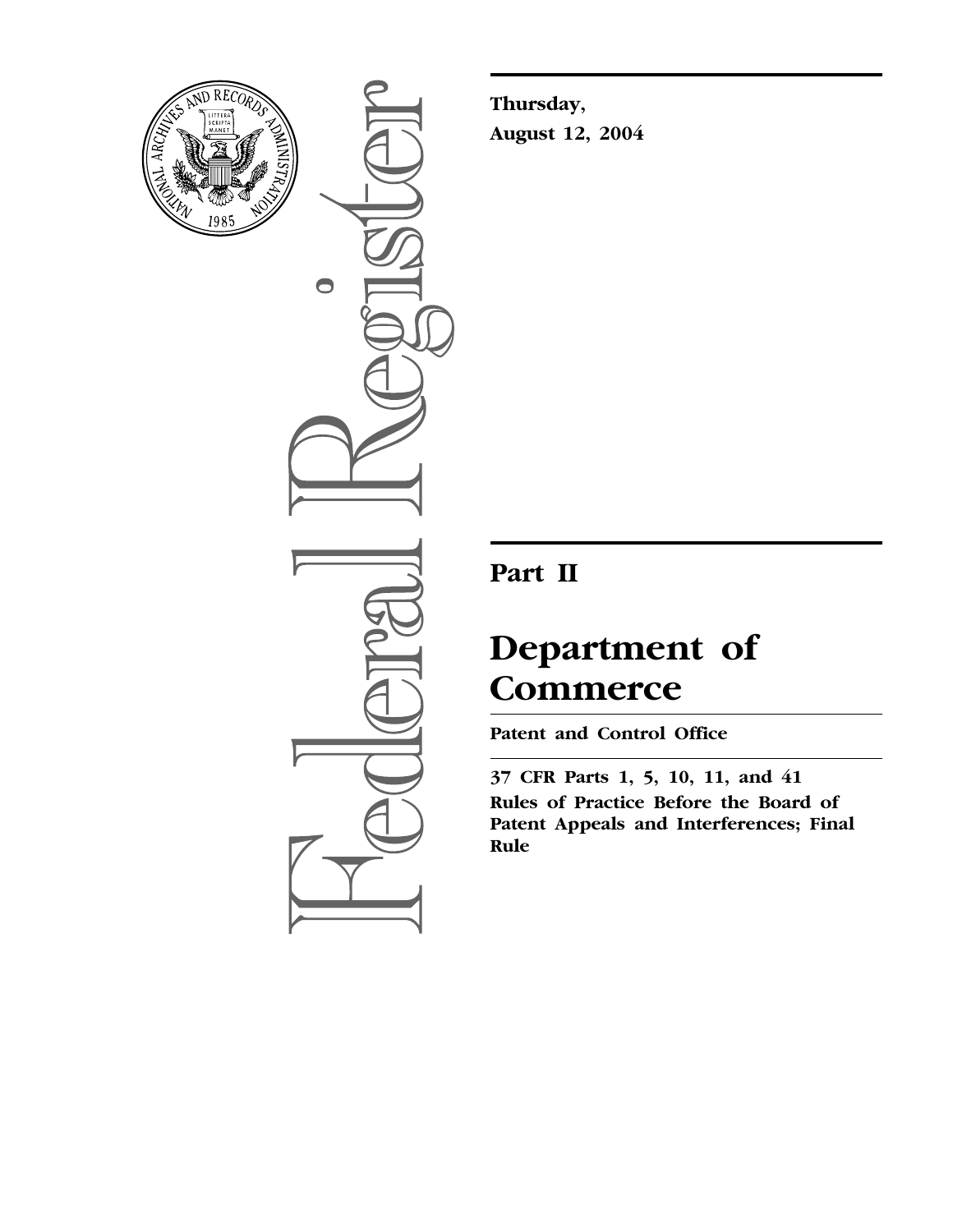

 $\bullet$ 

**Thursday, August 12, 2004** 

## **Part II**

# **Department of Commerce**

**Patent and Control Office** 

**37 CFR Parts 1, 5, 10, 11, and 41 Rules of Practice Before the Board of Patent Appeals and Interferences; Final Rule**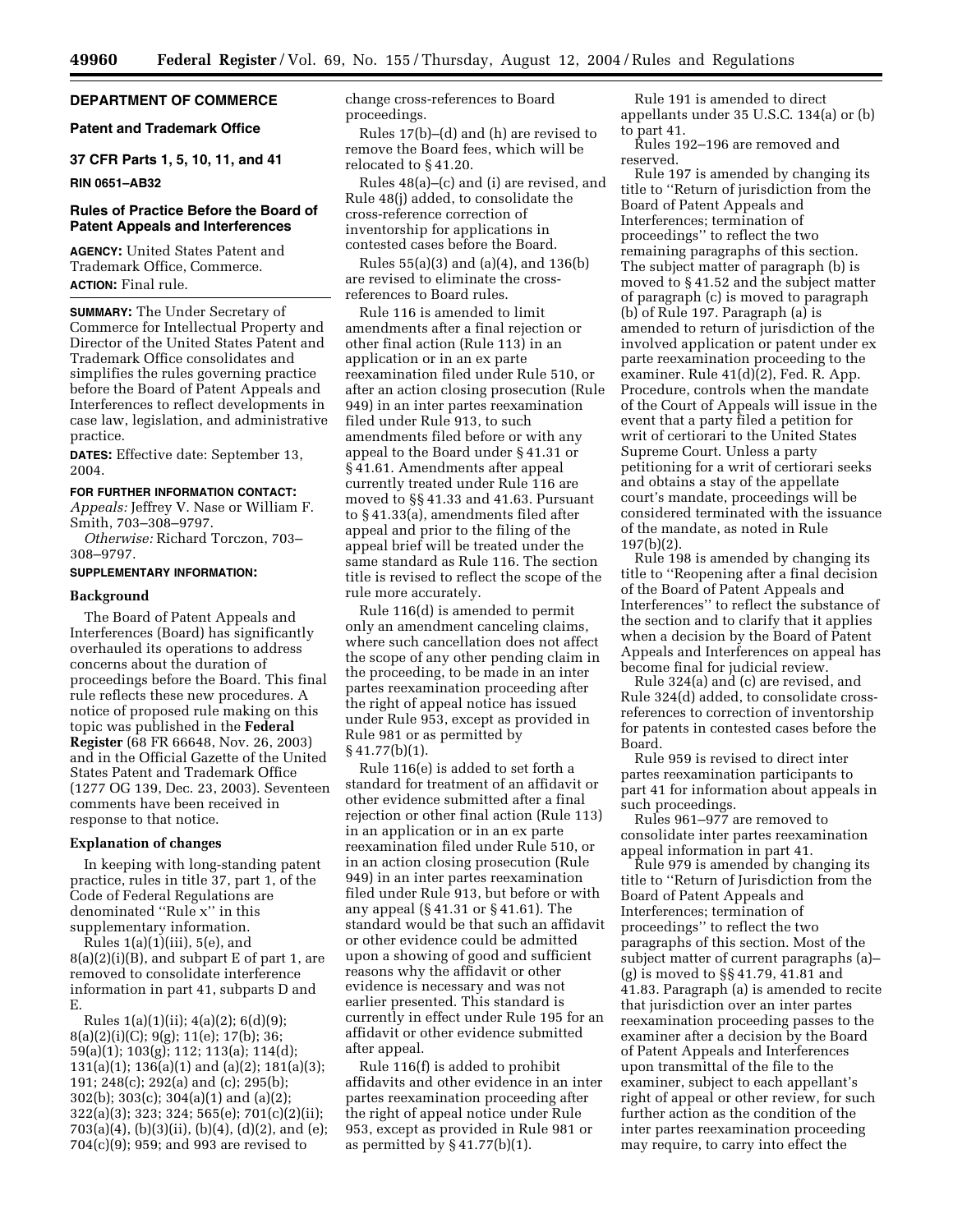## **DEPARTMENT OF COMMERCE**

## **Patent and Trademark Office**

**37 CFR Parts 1, 5, 10, 11, and 41** 

#### **RIN 0651–AB32**

## **Rules of Practice Before the Board of Patent Appeals and Interferences**

**AGENCY:** United States Patent and Trademark Office, Commerce. **ACTION:** Final rule.

**SUMMARY:** The Under Secretary of Commerce for Intellectual Property and Director of the United States Patent and Trademark Office consolidates and simplifies the rules governing practice before the Board of Patent Appeals and Interferences to reflect developments in case law, legislation, and administrative practice.

**DATES:** Effective date: September 13, 2004.

#### **FOR FURTHER INFORMATION CONTACT:**

*Appeals:* Jeffrey V. Nase or William F. Smith, 703–308–9797.

*Otherwise:* Richard Torczon, 703– 308–9797.

## **SUPPLEMENTARY INFORMATION:**

## **Background**

The Board of Patent Appeals and Interferences (Board) has significantly overhauled its operations to address concerns about the duration of proceedings before the Board. This final rule reflects these new procedures. A notice of proposed rule making on this topic was published in the **Federal Register** (68 FR 66648, Nov. 26, 2003) and in the Official Gazette of the United States Patent and Trademark Office (1277 OG 139, Dec. 23, 2003). Seventeen comments have been received in response to that notice.

#### **Explanation of changes**

In keeping with long-standing patent practice, rules in title 37, part 1, of the Code of Federal Regulations are denominated ''Rule x'' in this supplementary information.

Rules 1(a)(1)(iii), 5(e), and 8(a)(2)(i)(B), and subpart E of part 1, are removed to consolidate interference information in part 41, subparts D and E.

Rules 1(a)(1)(ii); 4(a)(2); 6(d)(9); 8(a)(2)(i)(C); 9(g); 11(e); 17(b); 36; 59(a)(1); 103(g); 112; 113(a); 114(d); 131(a)(1); 136(a)(1) and (a)(2); 181(a)(3); 191; 248(c); 292(a) and (c); 295(b); 302(b); 303(c); 304(a)(1) and (a)(2); 322(a)(3); 323; 324; 565(e); 701(c)(2)(ii); 703(a)(4), (b)(3)(ii), (b)(4), (d)(2), and (e); 704(c)(9); 959; and 993 are revised to

change cross-references to Board proceedings.

Rules 17(b)–(d) and (h) are revised to remove the Board fees, which will be relocated to § 41.20.

Rules 48(a)–(c) and (i) are revised, and Rule 48(j) added, to consolidate the cross-reference correction of inventorship for applications in contested cases before the Board.

Rules 55(a)(3) and (a)(4), and 136(b) are revised to eliminate the crossreferences to Board rules.

Rule 116 is amended to limit amendments after a final rejection or other final action (Rule 113) in an application or in an ex parte reexamination filed under Rule 510, or after an action closing prosecution (Rule 949) in an inter partes reexamination filed under Rule 913, to such amendments filed before or with any appeal to the Board under § 41.31 or § 41.61. Amendments after appeal currently treated under Rule 116 are moved to §§ 41.33 and 41.63. Pursuant to § 41.33(a), amendments filed after appeal and prior to the filing of the appeal brief will be treated under the same standard as Rule 116. The section title is revised to reflect the scope of the rule more accurately.

Rule 116(d) is amended to permit only an amendment canceling claims, where such cancellation does not affect the scope of any other pending claim in the proceeding, to be made in an inter partes reexamination proceeding after the right of appeal notice has issued under Rule 953, except as provided in Rule 981 or as permitted by § 41.77(b)(1).

Rule 116(e) is added to set forth a standard for treatment of an affidavit or other evidence submitted after a final rejection or other final action (Rule 113) in an application or in an ex parte reexamination filed under Rule 510, or in an action closing prosecution (Rule 949) in an inter partes reexamination filed under Rule 913, but before or with any appeal (§ 41.31 or § 41.61). The standard would be that such an affidavit or other evidence could be admitted upon a showing of good and sufficient reasons why the affidavit or other evidence is necessary and was not earlier presented. This standard is currently in effect under Rule 195 for an affidavit or other evidence submitted after appeal.

Rule 116(f) is added to prohibit affidavits and other evidence in an inter partes reexamination proceeding after the right of appeal notice under Rule 953, except as provided in Rule 981 or as permitted by  $\S 41.77(b)(1)$ .

Rule 191 is amended to direct appellants under 35 U.S.C. 134(a) or (b) to part 41.

Rules 192–196 are removed and reserved.

Rule 197 is amended by changing its title to ''Return of jurisdiction from the Board of Patent Appeals and Interferences; termination of proceedings'' to reflect the two remaining paragraphs of this section. The subject matter of paragraph (b) is moved to § 41.52 and the subject matter of paragraph (c) is moved to paragraph (b) of Rule 197. Paragraph (a) is amended to return of jurisdiction of the involved application or patent under ex parte reexamination proceeding to the examiner. Rule 41(d)(2), Fed. R. App. Procedure, controls when the mandate of the Court of Appeals will issue in the event that a party filed a petition for writ of certiorari to the United States Supreme Court. Unless a party petitioning for a writ of certiorari seeks and obtains a stay of the appellate court's mandate, proceedings will be considered terminated with the issuance of the mandate, as noted in Rule 197(b)(2).

Rule 198 is amended by changing its title to ''Reopening after a final decision of the Board of Patent Appeals and Interferences'' to reflect the substance of the section and to clarify that it applies when a decision by the Board of Patent Appeals and Interferences on appeal has become final for judicial review.

Rule 324(a) and (c) are revised, and Rule 324(d) added, to consolidate crossreferences to correction of inventorship for patents in contested cases before the Board.

Rule 959 is revised to direct inter partes reexamination participants to part 41 for information about appeals in such proceedings.

Rules 961–977 are removed to consolidate inter partes reexamination appeal information in part 41.

Rule 979 is amended by changing its title to ''Return of Jurisdiction from the Board of Patent Appeals and Interferences; termination of proceedings'' to reflect the two paragraphs of this section. Most of the subject matter of current paragraphs (a)– (g) is moved to §§ 41.79, 41.81 and 41.83. Paragraph (a) is amended to recite that jurisdiction over an inter partes reexamination proceeding passes to the examiner after a decision by the Board of Patent Appeals and Interferences upon transmittal of the file to the examiner, subject to each appellant's right of appeal or other review, for such further action as the condition of the inter partes reexamination proceeding may require, to carry into effect the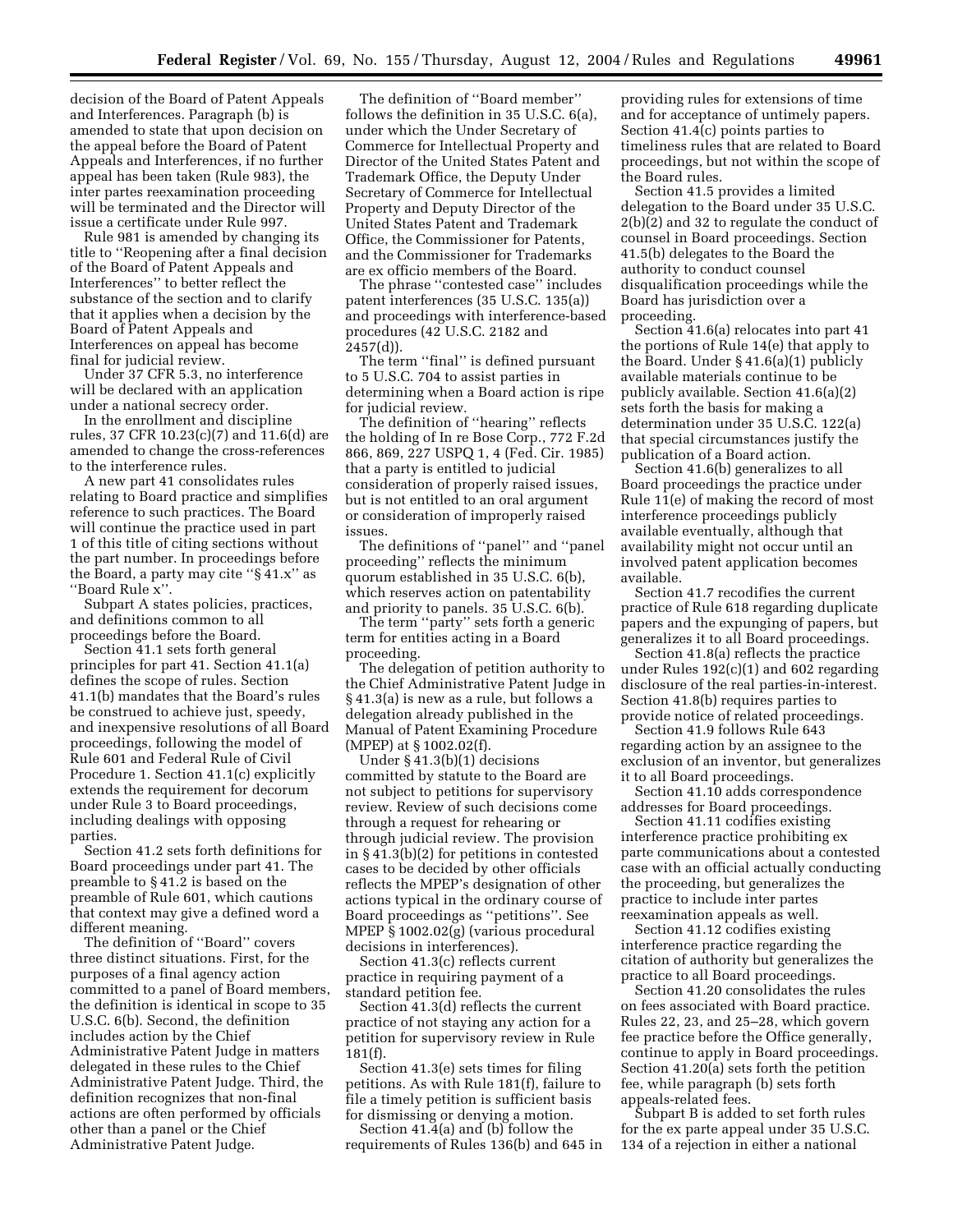decision of the Board of Patent Appeals and Interferences. Paragraph (b) is amended to state that upon decision on the appeal before the Board of Patent Appeals and Interferences, if no further appeal has been taken (Rule 983), the inter partes reexamination proceeding will be terminated and the Director will issue a certificate under Rule 997.

Rule 981 is amended by changing its title to ''Reopening after a final decision of the Board of Patent Appeals and Interferences'' to better reflect the substance of the section and to clarify that it applies when a decision by the Board of Patent Appeals and Interferences on appeal has become final for judicial review.

Under 37 CFR 5.3, no interference will be declared with an application under a national secrecy order.

In the enrollment and discipline rules, 37 CFR 10.23(c)(7) and 11.6(d) are amended to change the cross-references to the interference rules.

A new part 41 consolidates rules relating to Board practice and simplifies reference to such practices. The Board will continue the practice used in part 1 of this title of citing sections without the part number. In proceedings before the Board, a party may cite ''§ 41.x'' as ''Board Rule x''.

Subpart A states policies, practices, and definitions common to all proceedings before the Board.

Section 41.1 sets forth general principles for part 41. Section 41.1(a) defines the scope of rules. Section 41.1(b) mandates that the Board's rules be construed to achieve just, speedy, and inexpensive resolutions of all Board proceedings, following the model of Rule 601 and Federal Rule of Civil Procedure 1. Section 41.1(c) explicitly extends the requirement for decorum under Rule 3 to Board proceedings, including dealings with opposing parties.

Section 41.2 sets forth definitions for Board proceedings under part 41. The preamble to § 41.2 is based on the preamble of Rule 601, which cautions that context may give a defined word a different meaning.

The definition of ''Board'' covers three distinct situations. First, for the purposes of a final agency action committed to a panel of Board members, the definition is identical in scope to 35 U.S.C. 6(b). Second, the definition includes action by the Chief Administrative Patent Judge in matters delegated in these rules to the Chief Administrative Patent Judge. Third, the definition recognizes that non-final actions are often performed by officials other than a panel or the Chief Administrative Patent Judge.

The definition of ''Board member'' follows the definition in 35 U.S.C. 6(a), under which the Under Secretary of Commerce for Intellectual Property and Director of the United States Patent and Trademark Office, the Deputy Under Secretary of Commerce for Intellectual Property and Deputy Director of the United States Patent and Trademark Office, the Commissioner for Patents, and the Commissioner for Trademarks are ex officio members of the Board.

The phrase ''contested case'' includes patent interferences (35 U.S.C. 135(a)) and proceedings with interference-based procedures (42 U.S.C. 2182 and  $2457(d)$ ).

The term ''final'' is defined pursuant to 5 U.S.C. 704 to assist parties in determining when a Board action is ripe for judicial review.

The definition of ''hearing'' reflects the holding of In re Bose Corp., 772 F.2d 866, 869, 227 USPQ 1, 4 (Fed. Cir. 1985) that a party is entitled to judicial consideration of properly raised issues, but is not entitled to an oral argument or consideration of improperly raised issues.

The definitions of ''panel'' and ''panel proceeding'' reflects the minimum quorum established in 35 U.S.C. 6(b), which reserves action on patentability and priority to panels. 35 U.S.C. 6(b).

The term ''party'' sets forth a generic term for entities acting in a Board proceeding.

The delegation of petition authority to the Chief Administrative Patent Judge in § 41.3(a) is new as a rule, but follows a delegation already published in the Manual of Patent Examining Procedure (MPEP) at § 1002.02(f).

Under § 41.3(b)(1) decisions committed by statute to the Board are not subject to petitions for supervisory review. Review of such decisions come through a request for rehearing or through judicial review. The provision in § 41.3(b)(2) for petitions in contested cases to be decided by other officials reflects the MPEP's designation of other actions typical in the ordinary course of Board proceedings as ''petitions''. See MPEP § 1002.02(g) (various procedural decisions in interferences).

Section 41.3(c) reflects current practice in requiring payment of a standard petition fee.

Section 41.3(d) reflects the current practice of not staying any action for a petition for supervisory review in Rule 181(f).

Section 41.3(e) sets times for filing petitions. As with Rule 181(f), failure to file a timely petition is sufficient basis for dismissing or denying a motion.

Section 41.4(a) and (b) follow the requirements of Rules 136(b) and 645 in

providing rules for extensions of time and for acceptance of untimely papers. Section 41.4(c) points parties to timeliness rules that are related to Board proceedings, but not within the scope of the Board rules.

Section 41.5 provides a limited delegation to the Board under 35 U.S.C. 2(b)(2) and 32 to regulate the conduct of counsel in Board proceedings. Section 41.5(b) delegates to the Board the authority to conduct counsel disqualification proceedings while the Board has jurisdiction over a proceeding.

Section 41.6(a) relocates into part 41 the portions of Rule 14(e) that apply to the Board. Under § 41.6(a)(1) publicly available materials continue to be publicly available. Section 41.6(a)(2) sets forth the basis for making a determination under 35 U.S.C. 122(a) that special circumstances justify the publication of a Board action.

Section 41.6(b) generalizes to all Board proceedings the practice under Rule 11(e) of making the record of most interference proceedings publicly available eventually, although that availability might not occur until an involved patent application becomes available.

Section 41.7 recodifies the current practice of Rule 618 regarding duplicate papers and the expunging of papers, but generalizes it to all Board proceedings.

Section 41.8(a) reflects the practice under Rules 192(c)(1) and 602 regarding disclosure of the real parties-in-interest. Section 41.8(b) requires parties to provide notice of related proceedings.

Section 41.9 follows Rule 643 regarding action by an assignee to the exclusion of an inventor, but generalizes it to all Board proceedings.

Section 41.10 adds correspondence addresses for Board proceedings.

Section 41.11 codifies existing interference practice prohibiting ex parte communications about a contested case with an official actually conducting the proceeding, but generalizes the practice to include inter partes reexamination appeals as well.

Section 41.12 codifies existing interference practice regarding the citation of authority but generalizes the practice to all Board proceedings.

Section 41.20 consolidates the rules on fees associated with Board practice. Rules 22, 23, and 25–28, which govern fee practice before the Office generally, continue to apply in Board proceedings. Section 41.20(a) sets forth the petition fee, while paragraph (b) sets forth appeals-related fees.

Subpart B is added to set forth rules for the ex parte appeal under 35 U.S.C. 134 of a rejection in either a national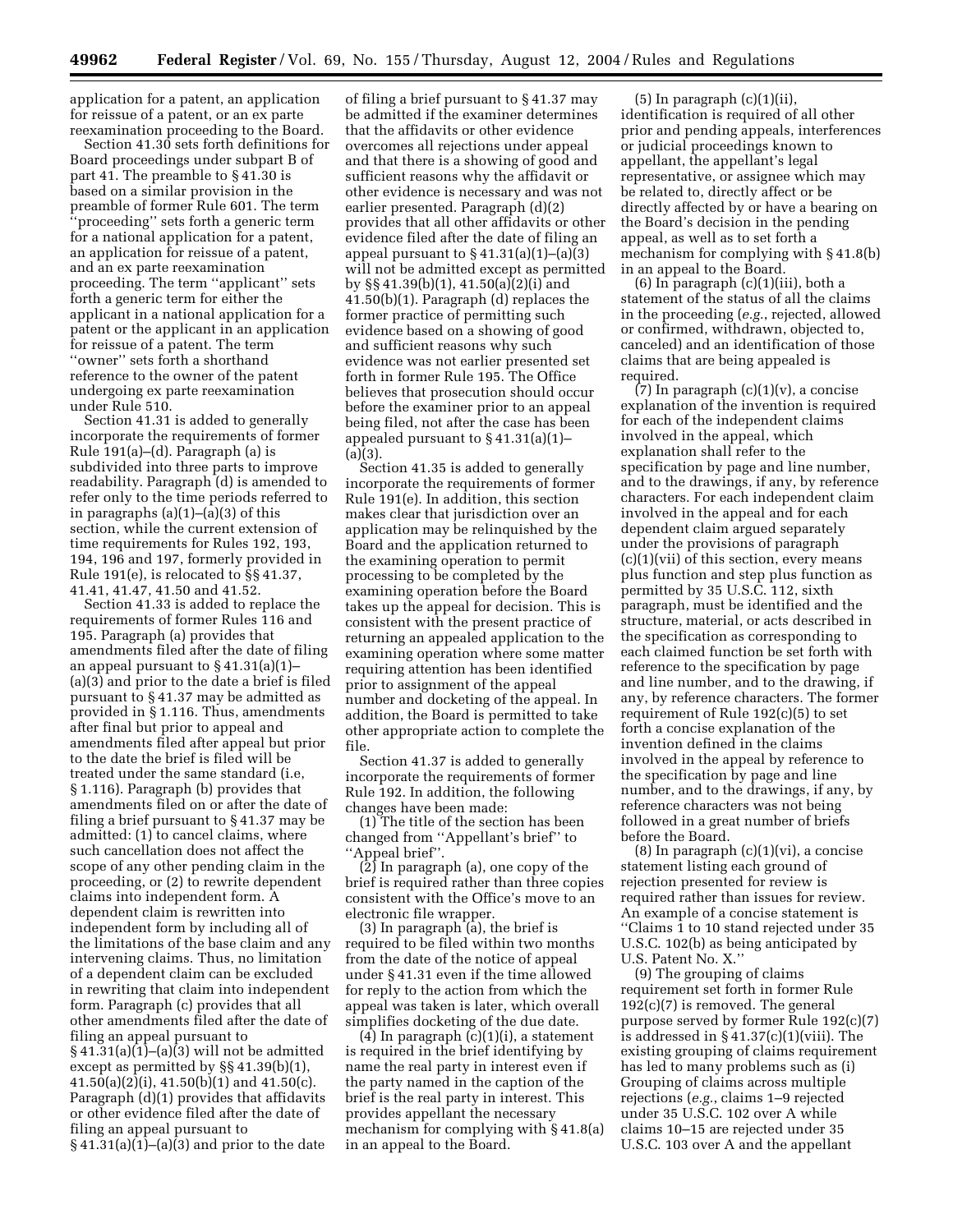application for a patent, an application for reissue of a patent, or an ex parte reexamination proceeding to the Board.

Section 41.30 sets forth definitions for Board proceedings under subpart B of part 41. The preamble to § 41.30 is based on a similar provision in the preamble of former Rule 601. The term 'proceeding" sets forth a generic term for a national application for a patent, an application for reissue of a patent, and an ex parte reexamination proceeding. The term ''applicant'' sets forth a generic term for either the applicant in a national application for a patent or the applicant in an application for reissue of a patent. The term ''owner'' sets forth a shorthand reference to the owner of the patent undergoing ex parte reexamination under Rule 510.

Section 41.31 is added to generally incorporate the requirements of former Rule 191(a)–(d). Paragraph (a) is subdivided into three parts to improve readability. Paragraph (d) is amended to refer only to the time periods referred to in paragraphs  $(a)(1)$ – $(a)(3)$  of this section, while the current extension of time requirements for Rules 192, 193, 194, 196 and 197, formerly provided in Rule 191(e), is relocated to §§ 41.37, 41.41, 41.47, 41.50 and 41.52.

Section 41.33 is added to replace the requirements of former Rules 116 and 195. Paragraph (a) provides that amendments filed after the date of filing an appeal pursuant to § 41.31(a)(1)– (a)(3) and prior to the date a brief is filed pursuant to § 41.37 may be admitted as provided in § 1.116. Thus, amendments after final but prior to appeal and amendments filed after appeal but prior to the date the brief is filed will be treated under the same standard (i.e, § 1.116). Paragraph (b) provides that amendments filed on or after the date of filing a brief pursuant to § 41.37 may be admitted: (1) to cancel claims, where such cancellation does not affect the scope of any other pending claim in the proceeding, or (2) to rewrite dependent claims into independent form. A dependent claim is rewritten into independent form by including all of the limitations of the base claim and any intervening claims. Thus, no limitation of a dependent claim can be excluded in rewriting that claim into independent form. Paragraph (c) provides that all other amendments filed after the date of filing an appeal pursuant to  $§ 41.31(a)(1)–(a)(3)$  will not be admitted except as permitted by §§ 41.39(b)(1),  $41.50(a)(2)(i)$ ,  $41.50(b)(1)$  and  $41.50(c)$ . Paragraph (d)(1) provides that affidavits or other evidence filed after the date of filing an appeal pursuant to  $§ 41.31(a)(1)–(a)(3)$  and prior to the date

of filing a brief pursuant to § 41.37 may be admitted if the examiner determines that the affidavits or other evidence overcomes all rejections under appeal and that there is a showing of good and sufficient reasons why the affidavit or other evidence is necessary and was not earlier presented. Paragraph (d)(2) provides that all other affidavits or other evidence filed after the date of filing an appeal pursuant to  $\S 41.31(a)(1)–(a)(3)$ will not be admitted except as permitted by §§ 41.39(b)(1), 41.50(a)(2)(i) and 41.50(b)(1). Paragraph (d) replaces the former practice of permitting such evidence based on a showing of good and sufficient reasons why such evidence was not earlier presented set forth in former Rule 195. The Office believes that prosecution should occur before the examiner prior to an appeal being filed, not after the case has been appealed pursuant to § 41.31(a)(1)–  $(a)(3)$ .

Section 41.35 is added to generally incorporate the requirements of former Rule 191(e). In addition, this section makes clear that jurisdiction over an application may be relinquished by the Board and the application returned to the examining operation to permit processing to be completed by the examining operation before the Board takes up the appeal for decision. This is consistent with the present practice of returning an appealed application to the examining operation where some matter requiring attention has been identified prior to assignment of the appeal number and docketing of the appeal. In addition, the Board is permitted to take other appropriate action to complete the file.

Section 41.37 is added to generally incorporate the requirements of former Rule 192. In addition, the following changes have been made:

(1) The title of the section has been changed from ''Appellant's brief'' to ''Appeal brief''.

(2) In paragraph (a), one copy of the brief is required rather than three copies consistent with the Office's move to an electronic file wrapper.

(3) In paragraph (a), the brief is required to be filed within two months from the date of the notice of appeal under § 41.31 even if the time allowed for reply to the action from which the appeal was taken is later, which overall simplifies docketing of the due date.

(4) In paragraph (c)(1)(i), a statement is required in the brief identifying by name the real party in interest even if the party named in the caption of the brief is the real party in interest. This provides appellant the necessary mechanism for complying with § 41.8(a) in an appeal to the Board.

 $(5)$  In paragraph  $(c)(1)(ii)$ , identification is required of all other prior and pending appeals, interferences or judicial proceedings known to appellant, the appellant's legal representative, or assignee which may be related to, directly affect or be directly affected by or have a bearing on the Board's decision in the pending appeal, as well as to set forth a mechanism for complying with § 41.8(b) in an appeal to the Board.

 $(6)$  In paragraph  $(c)(1)(iii)$ , both a statement of the status of all the claims in the proceeding (*e.g.*, rejected, allowed or confirmed, withdrawn, objected to, canceled) and an identification of those claims that are being appealed is required.

 $(7)$  In paragraph  $(c)(1)(v)$ , a concise explanation of the invention is required for each of the independent claims involved in the appeal, which explanation shall refer to the specification by page and line number, and to the drawings, if any, by reference characters. For each independent claim involved in the appeal and for each dependent claim argued separately under the provisions of paragraph  $(c)(1)(vii)$  of this section, every means plus function and step plus function as permitted by 35 U.S.C. 112, sixth paragraph, must be identified and the structure, material, or acts described in the specification as corresponding to each claimed function be set forth with reference to the specification by page and line number, and to the drawing, if any, by reference characters. The former requirement of Rule 192(c)(5) to set forth a concise explanation of the invention defined in the claims involved in the appeal by reference to the specification by page and line number, and to the drawings, if any, by reference characters was not being followed in a great number of briefs before the Board.

(8) In paragraph (c)(1)(vi), a concise statement listing each ground of rejection presented for review is required rather than issues for review. An example of a concise statement is ''Claims 1 to 10 stand rejected under 35 U.S.C. 102(b) as being anticipated by U.S. Patent No. X.''

(9) The grouping of claims requirement set forth in former Rule 192(c)(7) is removed. The general purpose served by former Rule 192(c)(7) is addressed in § 41.37(c)(1)(viii). The existing grouping of claims requirement has led to many problems such as (i) Grouping of claims across multiple rejections (*e.g.*, claims 1–9 rejected under 35 U.S.C. 102 over A while claims 10–15 are rejected under 35 U.S.C. 103 over A and the appellant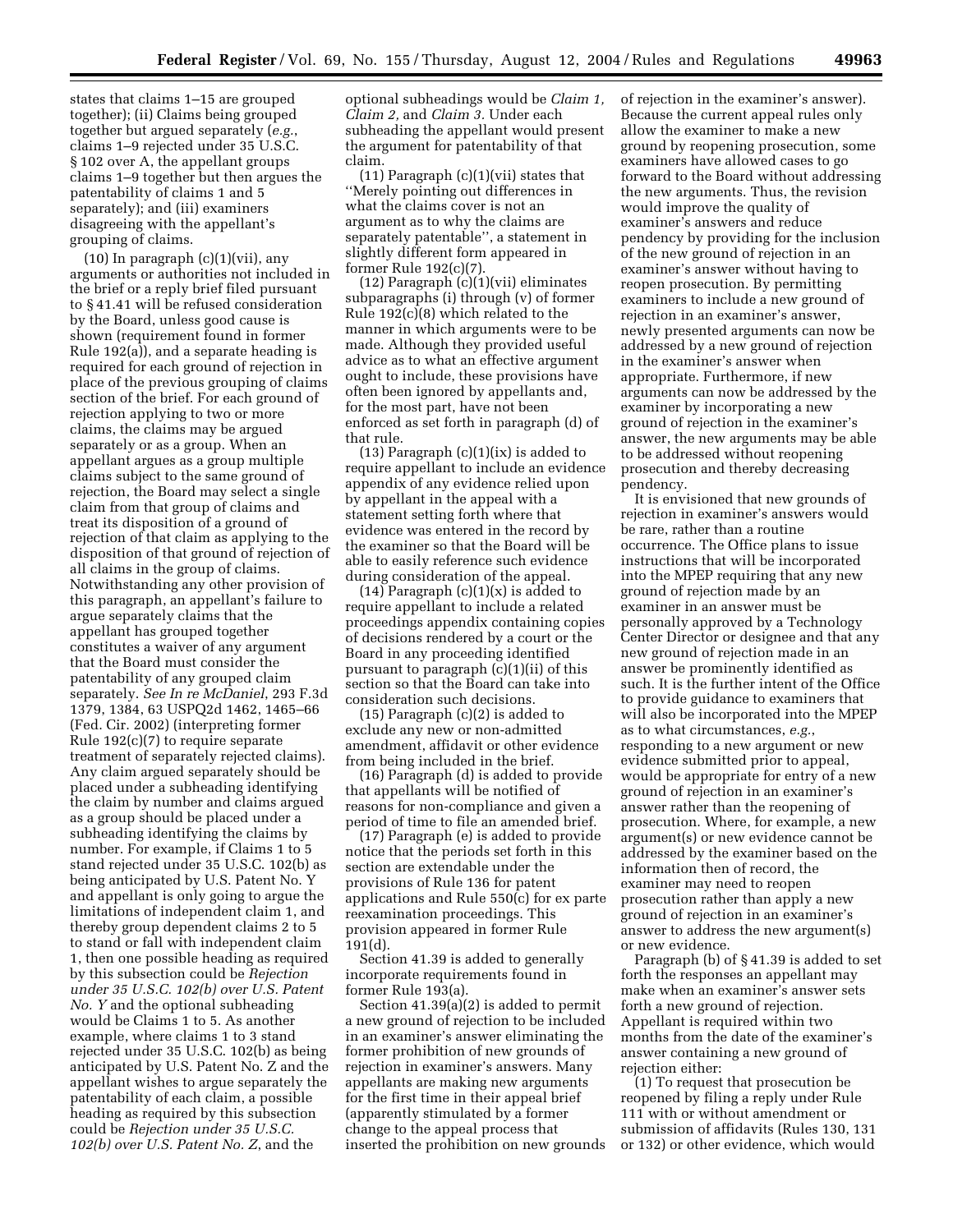states that claims 1–15 are grouped together); (ii) Claims being grouped together but argued separately (*e.g.*, claims 1–9 rejected under 35 U.S.C. § 102 over A, the appellant groups claims 1–9 together but then argues the patentability of claims 1 and 5 separately); and (iii) examiners disagreeing with the appellant's grouping of claims.

(10) In paragraph  $(c)(1)(vii)$ , any arguments or authorities not included in the brief or a reply brief filed pursuant to § 41.41 will be refused consideration by the Board, unless good cause is shown (requirement found in former Rule 192(a)), and a separate heading is required for each ground of rejection in place of the previous grouping of claims section of the brief. For each ground of rejection applying to two or more claims, the claims may be argued separately or as a group. When an appellant argues as a group multiple claims subject to the same ground of rejection, the Board may select a single claim from that group of claims and treat its disposition of a ground of rejection of that claim as applying to the disposition of that ground of rejection of all claims in the group of claims. Notwithstanding any other provision of this paragraph, an appellant's failure to argue separately claims that the appellant has grouped together constitutes a waiver of any argument that the Board must consider the patentability of any grouped claim separately. *See In re McDaniel*, 293 F.3d 1379, 1384, 63 USPQ2d 1462, 1465–66 (Fed. Cir. 2002) (interpreting former Rule 192(c)(7) to require separate treatment of separately rejected claims). Any claim argued separately should be placed under a subheading identifying the claim by number and claims argued as a group should be placed under a subheading identifying the claims by number. For example, if Claims 1 to 5 stand rejected under 35 U.S.C. 102(b) as being anticipated by U.S. Patent No. Y and appellant is only going to argue the limitations of independent claim 1, and thereby group dependent claims 2 to 5 to stand or fall with independent claim 1, then one possible heading as required by this subsection could be *Rejection under 35 U.S.C. 102(b) over U.S. Patent No. Y* and the optional subheading would be Claims 1 to 5. As another example, where claims 1 to 3 stand rejected under 35 U.S.C. 102(b) as being anticipated by U.S. Patent No. Z and the appellant wishes to argue separately the patentability of each claim, a possible heading as required by this subsection could be *Rejection under 35 U.S.C. 102(b) over U.S. Patent No. Z*, and the

optional subheadings would be *Claim 1, Claim 2,* and *Claim 3.* Under each subheading the appellant would present the argument for patentability of that claim.

 $(11)$  Paragraph  $(c)(1)(vii)$  states that ''Merely pointing out differences in what the claims cover is not an argument as to why the claims are separately patentable'', a statement in slightly different form appeared in former Rule 192(c)(7).

(12) Paragraph (c)(1)(vii) eliminates subparagraphs (i) through (v) of former Rule 192(c)(8) which related to the manner in which arguments were to be made. Although they provided useful advice as to what an effective argument ought to include, these provisions have often been ignored by appellants and, for the most part, have not been enforced as set forth in paragraph (d) of that rule.

(13) Paragraph  $(c)(1)(ix)$  is added to require appellant to include an evidence appendix of any evidence relied upon by appellant in the appeal with a statement setting forth where that evidence was entered in the record by the examiner so that the Board will be able to easily reference such evidence during consideration of the appeal.

 $(14)$  Paragraph  $(c)(1)(x)$  is added to require appellant to include a related proceedings appendix containing copies of decisions rendered by a court or the Board in any proceeding identified pursuant to paragraph (c)(1)(ii) of this section so that the Board can take into consideration such decisions.

(15) Paragraph (c)(2) is added to exclude any new or non-admitted amendment, affidavit or other evidence from being included in the brief.

(16) Paragraph (d) is added to provide that appellants will be notified of reasons for non-compliance and given a period of time to file an amended brief.

(17) Paragraph (e) is added to provide notice that the periods set forth in this section are extendable under the provisions of Rule 136 for patent applications and Rule 550(c) for ex parte reexamination proceedings. This provision appeared in former Rule 191(d).

Section 41.39 is added to generally incorporate requirements found in former Rule 193(a).

Section 41.39(a)(2) is added to permit a new ground of rejection to be included in an examiner's answer eliminating the former prohibition of new grounds of rejection in examiner's answers. Many appellants are making new arguments for the first time in their appeal brief (apparently stimulated by a former change to the appeal process that inserted the prohibition on new grounds of rejection in the examiner's answer). Because the current appeal rules only allow the examiner to make a new ground by reopening prosecution, some examiners have allowed cases to go forward to the Board without addressing the new arguments. Thus, the revision would improve the quality of examiner's answers and reduce pendency by providing for the inclusion of the new ground of rejection in an examiner's answer without having to reopen prosecution. By permitting examiners to include a new ground of rejection in an examiner's answer, newly presented arguments can now be addressed by a new ground of rejection in the examiner's answer when appropriate. Furthermore, if new arguments can now be addressed by the examiner by incorporating a new ground of rejection in the examiner's answer, the new arguments may be able to be addressed without reopening prosecution and thereby decreasing pendency.

It is envisioned that new grounds of rejection in examiner's answers would be rare, rather than a routine occurrence. The Office plans to issue instructions that will be incorporated into the MPEP requiring that any new ground of rejection made by an examiner in an answer must be personally approved by a Technology Center Director or designee and that any new ground of rejection made in an answer be prominently identified as such. It is the further intent of the Office to provide guidance to examiners that will also be incorporated into the MPEP as to what circumstances, *e.g.*, responding to a new argument or new evidence submitted prior to appeal, would be appropriate for entry of a new ground of rejection in an examiner's answer rather than the reopening of prosecution. Where, for example, a new argument(s) or new evidence cannot be addressed by the examiner based on the information then of record, the examiner may need to reopen prosecution rather than apply a new ground of rejection in an examiner's answer to address the new argument(s) or new evidence.

Paragraph (b) of § 41.39 is added to set forth the responses an appellant may make when an examiner's answer sets forth a new ground of rejection. Appellant is required within two months from the date of the examiner's answer containing a new ground of rejection either:

(1) To request that prosecution be reopened by filing a reply under Rule 111 with or without amendment or submission of affidavits (Rules 130, 131 or 132) or other evidence, which would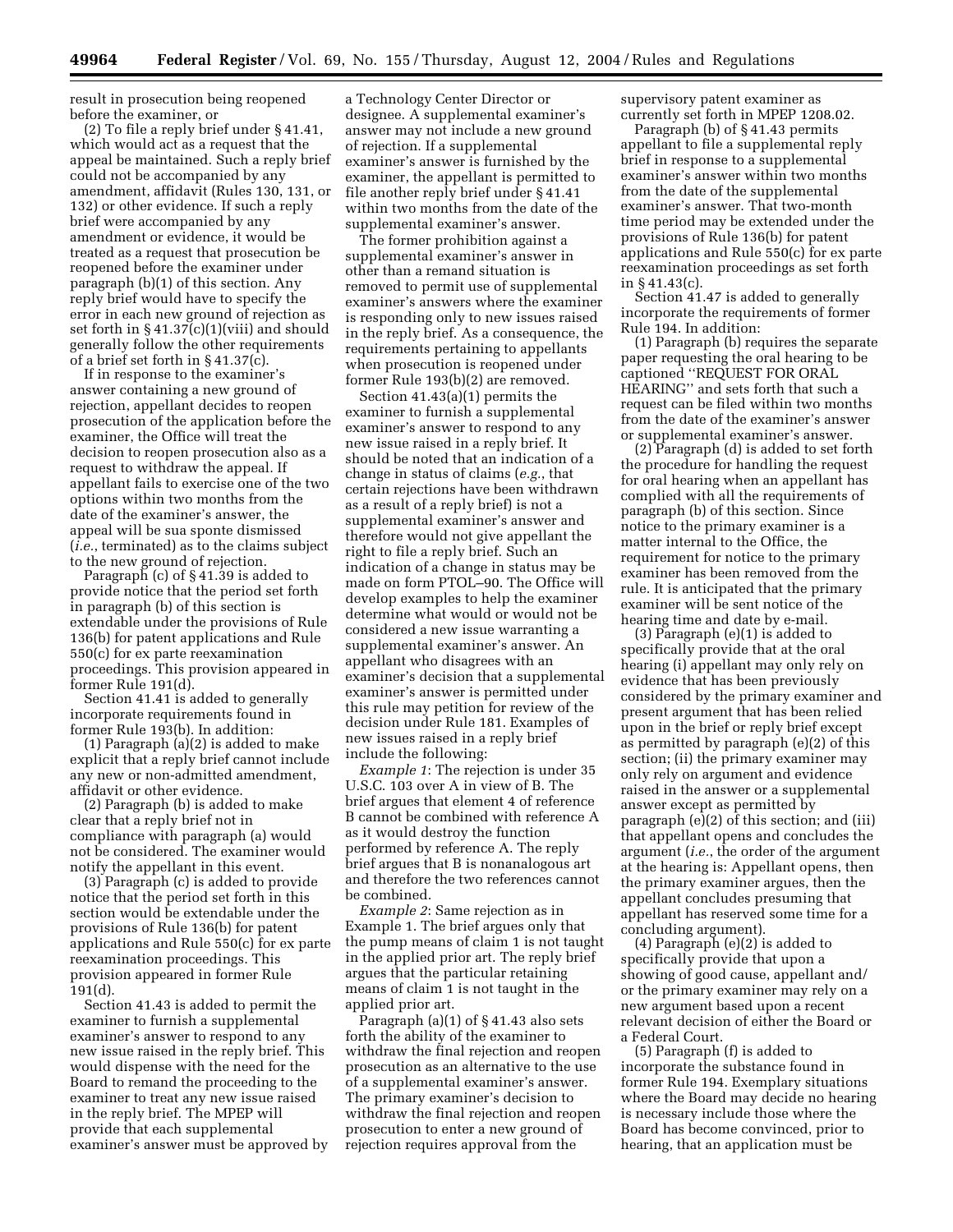result in prosecution being reopened before the examiner, or

(2) To file a reply brief under § 41.41, which would act as a request that the appeal be maintained. Such a reply brief could not be accompanied by any amendment, affidavit (Rules 130, 131, or 132) or other evidence. If such a reply brief were accompanied by any amendment or evidence, it would be treated as a request that prosecution be reopened before the examiner under paragraph (b)(1) of this section. Any reply brief would have to specify the error in each new ground of rejection as set forth in § 41.37(c)(1)(viii) and should generally follow the other requirements of a brief set forth in § 41.37(c).

If in response to the examiner's answer containing a new ground of rejection, appellant decides to reopen prosecution of the application before the examiner, the Office will treat the decision to reopen prosecution also as a request to withdraw the appeal. If appellant fails to exercise one of the two options within two months from the date of the examiner's answer, the appeal will be sua sponte dismissed (*i.e.*, terminated) as to the claims subject to the new ground of rejection.

Paragraph (c) of § 41.39 is added to provide notice that the period set forth in paragraph (b) of this section is extendable under the provisions of Rule 136(b) for patent applications and Rule 550(c) for ex parte reexamination proceedings. This provision appeared in former Rule 191(d).

Section 41.41 is added to generally incorporate requirements found in former Rule 193(b). In addition:

(1) Paragraph (a)(2) is added to make explicit that a reply brief cannot include any new or non-admitted amendment, affidavit or other evidence.

(2) Paragraph (b) is added to make clear that a reply brief not in compliance with paragraph (a) would not be considered. The examiner would notify the appellant in this event.

(3) Paragraph (c) is added to provide notice that the period set forth in this section would be extendable under the provisions of Rule 136(b) for patent applications and Rule 550(c) for ex parte reexamination proceedings. This provision appeared in former Rule 191(d).

Section 41.43 is added to permit the examiner to furnish a supplemental examiner's answer to respond to any new issue raised in the reply brief. This would dispense with the need for the Board to remand the proceeding to the examiner to treat any new issue raised in the reply brief. The MPEP will provide that each supplemental examiner's answer must be approved by

a Technology Center Director or designee. A supplemental examiner's answer may not include a new ground of rejection. If a supplemental examiner's answer is furnished by the examiner, the appellant is permitted to file another reply brief under § 41.41 within two months from the date of the supplemental examiner's answer.

The former prohibition against a supplemental examiner's answer in other than a remand situation is removed to permit use of supplemental examiner's answers where the examiner is responding only to new issues raised in the reply brief. As a consequence, the requirements pertaining to appellants when prosecution is reopened under former Rule 193(b)(2) are removed.

Section 41.43(a)(1) permits the examiner to furnish a supplemental examiner's answer to respond to any new issue raised in a reply brief. It should be noted that an indication of a change in status of claims (*e.g.*, that certain rejections have been withdrawn as a result of a reply brief) is not a supplemental examiner's answer and therefore would not give appellant the right to file a reply brief. Such an indication of a change in status may be made on form PTOL–90. The Office will develop examples to help the examiner determine what would or would not be considered a new issue warranting a supplemental examiner's answer. An appellant who disagrees with an examiner's decision that a supplemental examiner's answer is permitted under this rule may petition for review of the decision under Rule 181. Examples of new issues raised in a reply brief include the following:

*Example 1*: The rejection is under 35 U.S.C. 103 over A in view of B. The brief argues that element 4 of reference B cannot be combined with reference A as it would destroy the function performed by reference A. The reply brief argues that B is nonanalogous art and therefore the two references cannot be combined.

*Example 2*: Same rejection as in Example 1. The brief argues only that the pump means of claim 1 is not taught in the applied prior art. The reply brief argues that the particular retaining means of claim 1 is not taught in the applied prior art.

Paragraph (a)(1) of § 41.43 also sets forth the ability of the examiner to withdraw the final rejection and reopen prosecution as an alternative to the use of a supplemental examiner's answer. The primary examiner's decision to withdraw the final rejection and reopen prosecution to enter a new ground of rejection requires approval from the

supervisory patent examiner as currently set forth in MPEP 1208.02.

Paragraph (b) of § 41.43 permits appellant to file a supplemental reply brief in response to a supplemental examiner's answer within two months from the date of the supplemental examiner's answer. That two-month time period may be extended under the provisions of Rule 136(b) for patent applications and Rule 550(c) for ex parte reexamination proceedings as set forth in § 41.43(c).

Section 41.47 is added to generally incorporate the requirements of former Rule 194. In addition:

(1) Paragraph (b) requires the separate paper requesting the oral hearing to be captioned ''REQUEST FOR ORAL HEARING'' and sets forth that such a request can be filed within two months from the date of the examiner's answer or supplemental examiner's answer.

(2) Paragraph (d) is added to set forth the procedure for handling the request for oral hearing when an appellant has complied with all the requirements of paragraph (b) of this section. Since notice to the primary examiner is a matter internal to the Office, the requirement for notice to the primary examiner has been removed from the rule. It is anticipated that the primary examiner will be sent notice of the hearing time and date by e-mail.

(3) Paragraph (e)(1) is added to specifically provide that at the oral hearing (i) appellant may only rely on evidence that has been previously considered by the primary examiner and present argument that has been relied upon in the brief or reply brief except as permitted by paragraph (e)(2) of this section; (ii) the primary examiner may only rely on argument and evidence raised in the answer or a supplemental answer except as permitted by paragraph (e)(2) of this section; and (iii) that appellant opens and concludes the argument (*i.e.*, the order of the argument at the hearing is: Appellant opens, then the primary examiner argues, then the appellant concludes presuming that appellant has reserved some time for a concluding argument).

(4) Paragraph (e)(2) is added to specifically provide that upon a showing of good cause, appellant and/ or the primary examiner may rely on a new argument based upon a recent relevant decision of either the Board or a Federal Court.

(5) Paragraph (f) is added to incorporate the substance found in former Rule 194. Exemplary situations where the Board may decide no hearing is necessary include those where the Board has become convinced, prior to hearing, that an application must be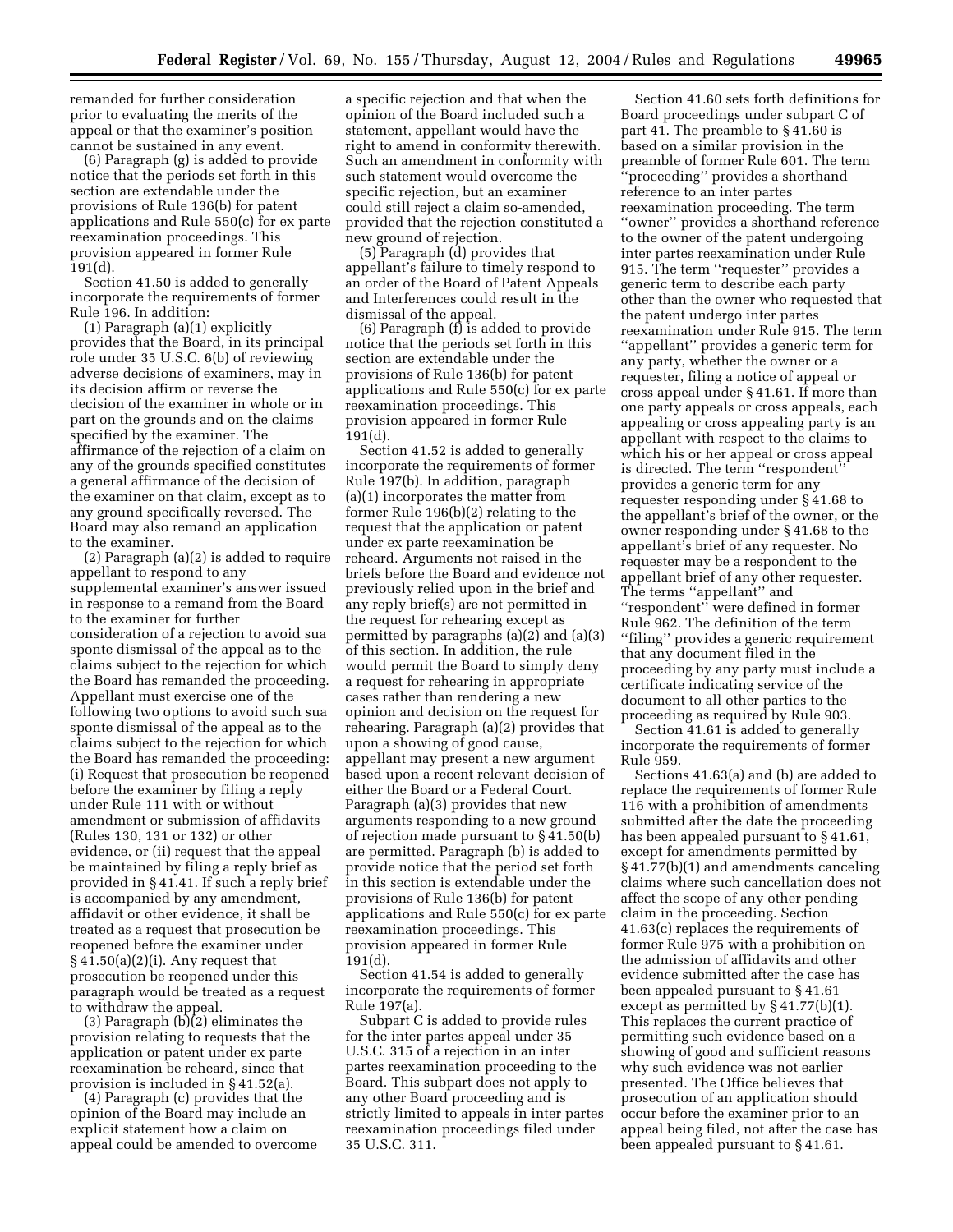remanded for further consideration prior to evaluating the merits of the appeal or that the examiner's position cannot be sustained in any event.

(6) Paragraph (g) is added to provide notice that the periods set forth in this section are extendable under the provisions of Rule 136(b) for patent applications and Rule 550(c) for ex parte reexamination proceedings. This provision appeared in former Rule 191(d).

Section 41.50 is added to generally incorporate the requirements of former Rule 196. In addition:

(1) Paragraph (a)(1) explicitly provides that the Board, in its principal role under 35 U.S.C. 6(b) of reviewing adverse decisions of examiners, may in its decision affirm or reverse the decision of the examiner in whole or in part on the grounds and on the claims specified by the examiner. The affirmance of the rejection of a claim on any of the grounds specified constitutes a general affirmance of the decision of the examiner on that claim, except as to any ground specifically reversed. The Board may also remand an application to the examiner.

(2) Paragraph (a)(2) is added to require appellant to respond to any supplemental examiner's answer issued in response to a remand from the Board to the examiner for further consideration of a rejection to avoid sua sponte dismissal of the appeal as to the claims subject to the rejection for which the Board has remanded the proceeding. Appellant must exercise one of the following two options to avoid such sua sponte dismissal of the appeal as to the claims subject to the rejection for which the Board has remanded the proceeding: (i) Request that prosecution be reopened before the examiner by filing a reply under Rule 111 with or without amendment or submission of affidavits (Rules 130, 131 or 132) or other evidence, or (ii) request that the appeal be maintained by filing a reply brief as provided in § 41.41. If such a reply brief is accompanied by any amendment, affidavit or other evidence, it shall be treated as a request that prosecution be reopened before the examiner under  $§ 41.50(a)(2)(i)$ . Any request that prosecution be reopened under this paragraph would be treated as a request to withdraw the appeal.

(3) Paragraph (b)(2) eliminates the provision relating to requests that the application or patent under ex parte reexamination be reheard, since that provision is included in § 41.52(a).

(4) Paragraph (c) provides that the opinion of the Board may include an explicit statement how a claim on appeal could be amended to overcome

a specific rejection and that when the opinion of the Board included such a statement, appellant would have the right to amend in conformity therewith. Such an amendment in conformity with such statement would overcome the specific rejection, but an examiner could still reject a claim so-amended, provided that the rejection constituted a new ground of rejection.

(5) Paragraph (d) provides that appellant's failure to timely respond to an order of the Board of Patent Appeals and Interferences could result in the dismissal of the appeal.

(6) Paragraph (f) is added to provide notice that the periods set forth in this section are extendable under the provisions of Rule 136(b) for patent applications and Rule 550(c) for ex parte reexamination proceedings. This provision appeared in former Rule 191(d).

Section 41.52 is added to generally incorporate the requirements of former Rule 197(b). In addition, paragraph (a)(1) incorporates the matter from former Rule 196(b)(2) relating to the request that the application or patent under ex parte reexamination be reheard. Arguments not raised in the briefs before the Board and evidence not previously relied upon in the brief and any reply brief(s) are not permitted in the request for rehearing except as permitted by paragraphs (a)(2) and (a)(3) of this section. In addition, the rule would permit the Board to simply deny a request for rehearing in appropriate cases rather than rendering a new opinion and decision on the request for rehearing. Paragraph (a)(2) provides that upon a showing of good cause, appellant may present a new argument based upon a recent relevant decision of either the Board or a Federal Court. Paragraph (a)(3) provides that new arguments responding to a new ground of rejection made pursuant to § 41.50(b) are permitted. Paragraph (b) is added to provide notice that the period set forth in this section is extendable under the provisions of Rule 136(b) for patent applications and Rule 550(c) for ex parte reexamination proceedings. This provision appeared in former Rule 191(d).

Section 41.54 is added to generally incorporate the requirements of former Rule 197(a).

Subpart C is added to provide rules for the inter partes appeal under 35 U.S.C. 315 of a rejection in an inter partes reexamination proceeding to the Board. This subpart does not apply to any other Board proceeding and is strictly limited to appeals in inter partes reexamination proceedings filed under 35 U.S.C. 311.

Section 41.60 sets forth definitions for Board proceedings under subpart C of part 41. The preamble to § 41.60 is based on a similar provision in the preamble of former Rule 601. The term ''proceeding'' provides a shorthand reference to an inter partes reexamination proceeding. The term ''owner'' provides a shorthand reference to the owner of the patent undergoing inter partes reexamination under Rule 915. The term ''requester'' provides a generic term to describe each party other than the owner who requested that the patent undergo inter partes reexamination under Rule 915. The term ''appellant'' provides a generic term for any party, whether the owner or a requester, filing a notice of appeal or cross appeal under § 41.61. If more than one party appeals or cross appeals, each appealing or cross appealing party is an appellant with respect to the claims to which his or her appeal or cross appeal is directed. The term "respondent" provides a generic term for any requester responding under § 41.68 to the appellant's brief of the owner, or the owner responding under § 41.68 to the appellant's brief of any requester. No requester may be a respondent to the appellant brief of any other requester. The terms ''appellant'' and ''respondent'' were defined in former Rule 962. The definition of the term ''filing'' provides a generic requirement that any document filed in the proceeding by any party must include a certificate indicating service of the document to all other parties to the proceeding as required by Rule 903.

Section 41.61 is added to generally incorporate the requirements of former Rule 959.

Sections 41.63(a) and (b) are added to replace the requirements of former Rule 116 with a prohibition of amendments submitted after the date the proceeding has been appealed pursuant to § 41.61, except for amendments permitted by § 41.77(b)(1) and amendments canceling claims where such cancellation does not affect the scope of any other pending claim in the proceeding. Section 41.63(c) replaces the requirements of former Rule 975 with a prohibition on the admission of affidavits and other evidence submitted after the case has been appealed pursuant to § 41.61 except as permitted by § 41.77(b)(1). This replaces the current practice of permitting such evidence based on a showing of good and sufficient reasons why such evidence was not earlier presented. The Office believes that prosecution of an application should occur before the examiner prior to an appeal being filed, not after the case has been appealed pursuant to § 41.61.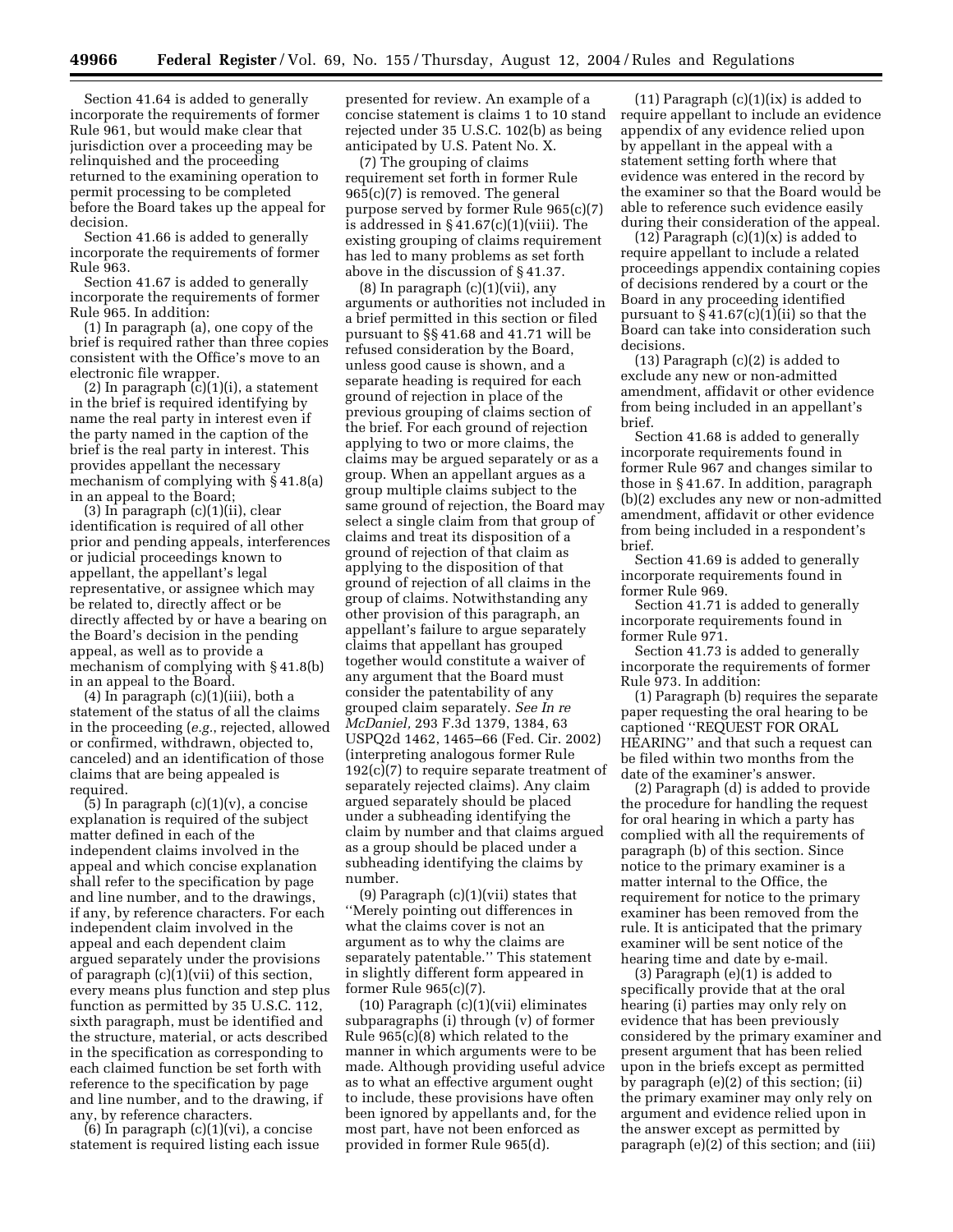Section 41.64 is added to generally incorporate the requirements of former Rule 961, but would make clear that jurisdiction over a proceeding may be relinquished and the proceeding returned to the examining operation to permit processing to be completed before the Board takes up the appeal for decision.

Section 41.66 is added to generally incorporate the requirements of former Rule 963.

Section 41.67 is added to generally incorporate the requirements of former Rule 965. In addition:

(1) In paragraph (a), one copy of the brief is required rather than three copies consistent with the Office's move to an electronic file wrapper.

(2) In paragraph (c)(1)(i), a statement in the brief is required identifying by name the real party in interest even if the party named in the caption of the brief is the real party in interest. This provides appellant the necessary mechanism of complying with § 41.8(a) in an appeal to the Board;

(3) In paragraph (c)(1)(ii), clear identification is required of all other prior and pending appeals, interferences or judicial proceedings known to appellant, the appellant's legal representative, or assignee which may be related to, directly affect or be directly affected by or have a bearing on the Board's decision in the pending appeal, as well as to provide a mechanism of complying with § 41.8(b) in an appeal to the Board.

(4) In paragraph (c)(1)(iii), both a statement of the status of all the claims in the proceeding (*e.g.*, rejected, allowed or confirmed, withdrawn, objected to, canceled) and an identification of those claims that are being appealed is required.

 $(5)$  In paragraph  $(c)(1)(v)$ , a concise explanation is required of the subject matter defined in each of the independent claims involved in the appeal and which concise explanation shall refer to the specification by page and line number, and to the drawings, if any, by reference characters. For each independent claim involved in the appeal and each dependent claim argued separately under the provisions of paragraph (c)(1)(vii) of this section, every means plus function and step plus function as permitted by 35 U.S.C. 112, sixth paragraph, must be identified and the structure, material, or acts described in the specification as corresponding to each claimed function be set forth with reference to the specification by page and line number, and to the drawing, if any, by reference characters.

 $(6)$  In paragraph  $(c)(1)(vi)$ , a concise statement is required listing each issue

presented for review. An example of a concise statement is claims 1 to 10 stand rejected under 35 U.S.C. 102(b) as being anticipated by U.S. Patent No. X.

(7) The grouping of claims requirement set forth in former Rule 965(c)(7) is removed. The general purpose served by former Rule 965(c)(7) is addressed in § 41.67(c)(1)(viii). The existing grouping of claims requirement has led to many problems as set forth above in the discussion of § 41.37.

 $(8)$  In paragraph  $(c)(1)(vii)$ , any arguments or authorities not included in a brief permitted in this section or filed pursuant to §§ 41.68 and 41.71 will be refused consideration by the Board, unless good cause is shown, and a separate heading is required for each ground of rejection in place of the previous grouping of claims section of the brief. For each ground of rejection applying to two or more claims, the claims may be argued separately or as a group. When an appellant argues as a group multiple claims subject to the same ground of rejection, the Board may select a single claim from that group of claims and treat its disposition of a ground of rejection of that claim as applying to the disposition of that ground of rejection of all claims in the group of claims. Notwithstanding any other provision of this paragraph, an appellant's failure to argue separately claims that appellant has grouped together would constitute a waiver of any argument that the Board must consider the patentability of any grouped claim separately. *See In re McDaniel,* 293 F.3d 1379, 1384, 63 USPQ2d 1462, 1465–66 (Fed. Cir. 2002) (interpreting analogous former Rule 192(c)(7) to require separate treatment of separately rejected claims). Any claim argued separately should be placed under a subheading identifying the claim by number and that claims argued as a group should be placed under a subheading identifying the claims by number.

(9) Paragraph  $(c)(1)(vii)$  states that ''Merely pointing out differences in what the claims cover is not an argument as to why the claims are separately patentable.'' This statement in slightly different form appeared in former Rule 965(c)(7).

(10) Paragraph (c)(1)(vii) eliminates subparagraphs (i) through (v) of former Rule 965(c)(8) which related to the manner in which arguments were to be made. Although providing useful advice as to what an effective argument ought to include, these provisions have often been ignored by appellants and, for the most part, have not been enforced as provided in former Rule 965(d).

 $(11)$  Paragraph  $(c)(1)(ix)$  is added to require appellant to include an evidence appendix of any evidence relied upon by appellant in the appeal with a statement setting forth where that evidence was entered in the record by the examiner so that the Board would be able to reference such evidence easily during their consideration of the appeal.

 $(12)$  Paragraph  $(c)(1)(x)$  is added to require appellant to include a related proceedings appendix containing copies of decisions rendered by a court or the Board in any proceeding identified pursuant to  $\S 41.67(c)(1)(ii)$  so that the Board can take into consideration such decisions.

(13) Paragraph (c)(2) is added to exclude any new or non-admitted amendment, affidavit or other evidence from being included in an appellant's brief.

Section 41.68 is added to generally incorporate requirements found in former Rule 967 and changes similar to those in § 41.67. In addition, paragraph (b)(2) excludes any new or non-admitted amendment, affidavit or other evidence from being included in a respondent's brief.

Section 41.69 is added to generally incorporate requirements found in former Rule 969.

Section 41.71 is added to generally incorporate requirements found in former Rule 971.

Section 41.73 is added to generally incorporate the requirements of former Rule 973. In addition:

(1) Paragraph (b) requires the separate paper requesting the oral hearing to be captioned ''REQUEST FOR ORAL HEARING'' and that such a request can be filed within two months from the date of the examiner's answer.

(2) Paragraph (d) is added to provide the procedure for handling the request for oral hearing in which a party has complied with all the requirements of paragraph (b) of this section. Since notice to the primary examiner is a matter internal to the Office, the requirement for notice to the primary examiner has been removed from the rule. It is anticipated that the primary examiner will be sent notice of the hearing time and date by e-mail.

(3) Paragraph (e)(1) is added to specifically provide that at the oral hearing (i) parties may only rely on evidence that has been previously considered by the primary examiner and present argument that has been relied upon in the briefs except as permitted by paragraph (e)(2) of this section; (ii) the primary examiner may only rely on argument and evidence relied upon in the answer except as permitted by paragraph (e)(2) of this section; and (iii)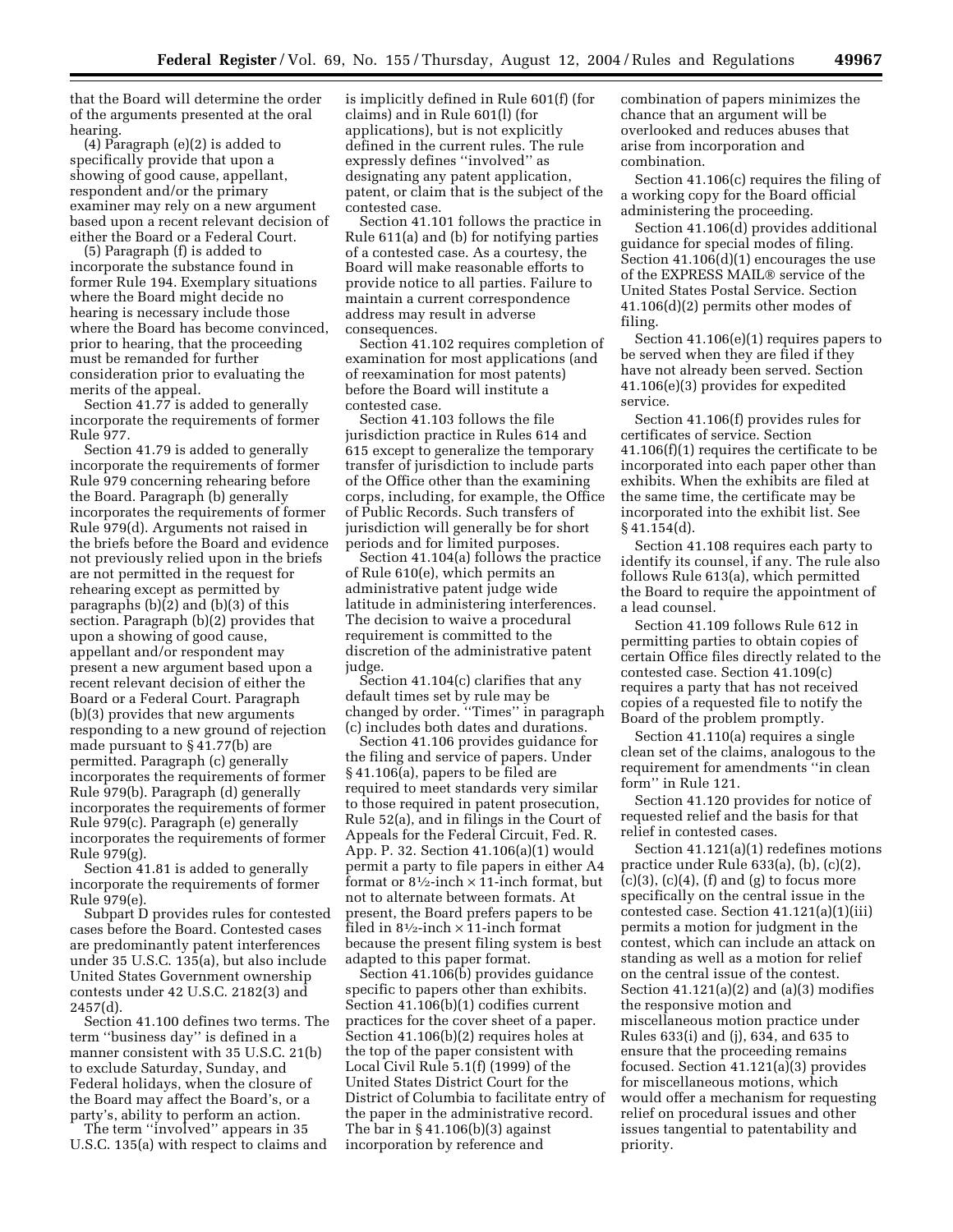that the Board will determine the order of the arguments presented at the oral hearing.

(4) Paragraph (e)(2) is added to specifically provide that upon a showing of good cause, appellant, respondent and/or the primary examiner may rely on a new argument based upon a recent relevant decision of either the Board or a Federal Court.

(5) Paragraph (f) is added to incorporate the substance found in former Rule 194. Exemplary situations where the Board might decide no hearing is necessary include those where the Board has become convinced, prior to hearing, that the proceeding must be remanded for further consideration prior to evaluating the merits of the appeal.

Section 41.77 is added to generally incorporate the requirements of former Rule 977.

Section 41.79 is added to generally incorporate the requirements of former Rule 979 concerning rehearing before the Board. Paragraph (b) generally incorporates the requirements of former Rule 979(d). Arguments not raised in the briefs before the Board and evidence not previously relied upon in the briefs are not permitted in the request for rehearing except as permitted by paragraphs (b)(2) and (b)(3) of this section. Paragraph (b)(2) provides that upon a showing of good cause, appellant and/or respondent may present a new argument based upon a recent relevant decision of either the Board or a Federal Court. Paragraph (b)(3) provides that new arguments responding to a new ground of rejection made pursuant to § 41.77(b) are permitted. Paragraph (c) generally incorporates the requirements of former Rule 979(b). Paragraph (d) generally incorporates the requirements of former Rule 979(c). Paragraph (e) generally incorporates the requirements of former Rule 979(g).

Section 41.81 is added to generally incorporate the requirements of former Rule 979(e).

Subpart D provides rules for contested cases before the Board. Contested cases are predominantly patent interferences under 35 U.S.C. 135(a), but also include United States Government ownership contests under 42 U.S.C. 2182(3) and 2457(d).

Section 41.100 defines two terms. The term ''business day'' is defined in a manner consistent with 35 U.S.C. 21(b) to exclude Saturday, Sunday, and Federal holidays, when the closure of the Board may affect the Board's, or a party's, ability to perform an action.

The term ''involved'' appears in 35 U.S.C. 135(a) with respect to claims and is implicitly defined in Rule 601(f) (for claims) and in Rule 601(l) (for applications), but is not explicitly defined in the current rules. The rule expressly defines ''involved'' as designating any patent application, patent, or claim that is the subject of the contested case.

Section 41.101 follows the practice in Rule 611(a) and (b) for notifying parties of a contested case. As a courtesy, the Board will make reasonable efforts to provide notice to all parties. Failure to maintain a current correspondence address may result in adverse consequences.

Section 41.102 requires completion of examination for most applications (and of reexamination for most patents) before the Board will institute a contested case.

Section 41.103 follows the file jurisdiction practice in Rules 614 and 615 except to generalize the temporary transfer of jurisdiction to include parts of the Office other than the examining corps, including, for example, the Office of Public Records. Such transfers of jurisdiction will generally be for short periods and for limited purposes.

Section 41.104(a) follows the practice of Rule 610(e), which permits an administrative patent judge wide latitude in administering interferences. The decision to waive a procedural requirement is committed to the discretion of the administrative patent judge.

Section 41.104(c) clarifies that any default times set by rule may be changed by order. ''Times'' in paragraph (c) includes both dates and durations.

Section 41.106 provides guidance for the filing and service of papers. Under § 41.106(a), papers to be filed are required to meet standards very similar to those required in patent prosecution, Rule 52(a), and in filings in the Court of Appeals for the Federal Circuit, Fed. R. App. P. 32. Section 41.106(a)(1) would permit a party to file papers in either A4 format or  $8\frac{1}{2}$ -inch  $\times$  11-inch format, but not to alternate between formats. At present, the Board prefers papers to be filed in  $8\frac{1}{2}$ -inch  $\times$  11-inch format because the present filing system is best adapted to this paper format.

Section 41.106(b) provides guidance specific to papers other than exhibits. Section 41.106(b)(1) codifies current practices for the cover sheet of a paper. Section 41.106(b)(2) requires holes at the top of the paper consistent with Local Civil Rule 5.1(f) (1999) of the United States District Court for the District of Columbia to facilitate entry of the paper in the administrative record. The bar in  $\S$  41.106(b)(3) against incorporation by reference and

combination of papers minimizes the chance that an argument will be overlooked and reduces abuses that arise from incorporation and combination.

Section 41.106(c) requires the filing of a working copy for the Board official administering the proceeding.

Section 41.106(d) provides additional guidance for special modes of filing. Section 41.106(d)(1) encourages the use of the EXPRESS MAIL<sup>®</sup> service of the United States Postal Service. Section 41.106(d)(2) permits other modes of filing.

Section 41.106(e)(1) requires papers to be served when they are filed if they have not already been served. Section 41.106(e)(3) provides for expedited service.

Section 41.106(f) provides rules for certificates of service. Section 41.106(f)(1) requires the certificate to be incorporated into each paper other than exhibits. When the exhibits are filed at the same time, the certificate may be incorporated into the exhibit list. See  $§$  41.154(d).

Section 41.108 requires each party to identify its counsel, if any. The rule also follows Rule 613(a), which permitted the Board to require the appointment of a lead counsel.

Section 41.109 follows Rule 612 in permitting parties to obtain copies of certain Office files directly related to the contested case. Section 41.109(c) requires a party that has not received copies of a requested file to notify the Board of the problem promptly.

Section 41.110(a) requires a single clean set of the claims, analogous to the requirement for amendments ''in clean form'' in Rule 121.

Section 41.120 provides for notice of requested relief and the basis for that relief in contested cases.

Section 41.121(a)(1) redefines motions practice under Rule 633(a), (b), (c)(2),  $(c)(3)$ ,  $(c)(4)$ ,  $(f)$  and  $(g)$  to focus more specifically on the central issue in the contested case. Section 41.121(a)(1)(iii) permits a motion for judgment in the contest, which can include an attack on standing as well as a motion for relief on the central issue of the contest. Section  $41.121(a)(2)$  and  $(a)(3)$  modifies the responsive motion and miscellaneous motion practice under Rules 633(i) and (j), 634, and 635 to ensure that the proceeding remains focused. Section  $41.121(a)(3)$  provides for miscellaneous motions, which would offer a mechanism for requesting relief on procedural issues and other issues tangential to patentability and priority.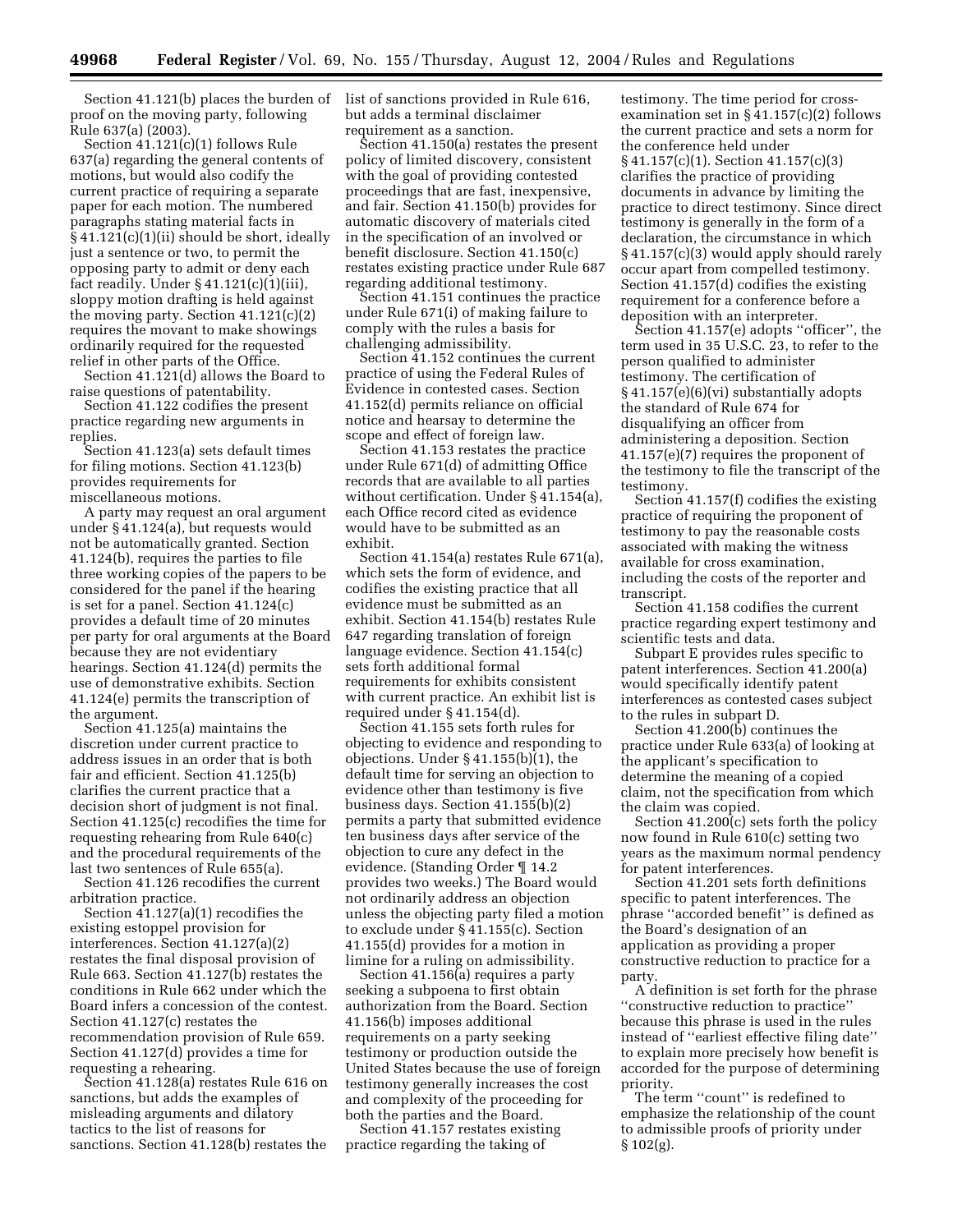Section 41.121(b) places the burden of proof on the moving party, following Rule 637(a) (2003).

Section 41.121(c)(1) follows Rule 637(a) regarding the general contents of motions, but would also codify the current practice of requiring a separate paper for each motion. The numbered paragraphs stating material facts in § 41.121(c)(1)(ii) should be short, ideally just a sentence or two, to permit the opposing party to admit or deny each fact readily. Under  $§$  41.121(c)(1)(iii), sloppy motion drafting is held against the moving party. Section 41.121(c)(2) requires the movant to make showings ordinarily required for the requested relief in other parts of the Office.

Section 41.121(d) allows the Board to raise questions of patentability.

Section 41.122 codifies the present practice regarding new arguments in replies.

Section 41.123(a) sets default times for filing motions. Section 41.123(b) provides requirements for miscellaneous motions.

A party may request an oral argument under § 41.124(a), but requests would not be automatically granted. Section 41.124(b), requires the parties to file three working copies of the papers to be considered for the panel if the hearing is set for a panel. Section 41.124(c) provides a default time of 20 minutes per party for oral arguments at the Board because they are not evidentiary hearings. Section 41.124(d) permits the use of demonstrative exhibits. Section 41.124(e) permits the transcription of the argument.

Section 41.125(a) maintains the discretion under current practice to address issues in an order that is both fair and efficient. Section 41.125(b) clarifies the current practice that a decision short of judgment is not final. Section 41.125(c) recodifies the time for requesting rehearing from Rule 640(c) and the procedural requirements of the last two sentences of Rule 655(a).

Section 41.126 recodifies the current arbitration practice.

Section 41.127(a)(1) recodifies the existing estoppel provision for interferences. Section 41.127(a)(2) restates the final disposal provision of Rule 663. Section 41.127(b) restates the conditions in Rule 662 under which the Board infers a concession of the contest. Section 41.127(c) restates the recommendation provision of Rule 659. Section 41.127(d) provides a time for requesting a rehearing.

Section 41.128(a) restates Rule 616 on sanctions, but adds the examples of misleading arguments and dilatory tactics to the list of reasons for sanctions. Section 41.128(b) restates the

list of sanctions provided in Rule 616, but adds a terminal disclaimer requirement as a sanction.

Section 41.150(a) restates the present policy of limited discovery, consistent with the goal of providing contested proceedings that are fast, inexpensive, and fair. Section 41.150(b) provides for automatic discovery of materials cited in the specification of an involved or benefit disclosure. Section 41.150(c) restates existing practice under Rule 687 regarding additional testimony.

Section 41.151 continues the practice under Rule 671(i) of making failure to comply with the rules a basis for challenging admissibility.

Section 41.152 continues the current practice of using the Federal Rules of Evidence in contested cases. Section 41.152(d) permits reliance on official notice and hearsay to determine the scope and effect of foreign law.

Section 41.153 restates the practice under Rule 671(d) of admitting Office records that are available to all parties without certification. Under § 41.154(a), each Office record cited as evidence would have to be submitted as an exhibit.

Section 41.154(a) restates Rule 671(a), which sets the form of evidence, and codifies the existing practice that all evidence must be submitted as an exhibit. Section 41.154(b) restates Rule 647 regarding translation of foreign language evidence. Section 41.154(c) sets forth additional formal requirements for exhibits consistent with current practice. An exhibit list is required under § 41.154(d).

Section 41.155 sets forth rules for objecting to evidence and responding to objections. Under § 41.155(b)(1), the default time for serving an objection to evidence other than testimony is five business days. Section 41.155(b)(2) permits a party that submitted evidence ten business days after service of the objection to cure any defect in the evidence. (Standing Order ¶ 14.2 provides two weeks.) The Board would not ordinarily address an objection unless the objecting party filed a motion to exclude under § 41.155(c). Section 41.155(d) provides for a motion in limine for a ruling on admissibility.

Section 41.156(a) requires a party seeking a subpoena to first obtain authorization from the Board. Section 41.156(b) imposes additional requirements on a party seeking testimony or production outside the United States because the use of foreign testimony generally increases the cost and complexity of the proceeding for both the parties and the Board.

Section 41.157 restates existing practice regarding the taking of

testimony. The time period for crossexamination set in § 41.157(c)(2) follows the current practice and sets a norm for the conference held under § 41.157(c)(1). Section 41.157(c)(3) clarifies the practice of providing documents in advance by limiting the practice to direct testimony. Since direct testimony is generally in the form of a declaration, the circumstance in which § 41.157(c)(3) would apply should rarely occur apart from compelled testimony. Section 41.157(d) codifies the existing requirement for a conference before a deposition with an interpreter.

Section 41.157(e) adopts ''officer'', the term used in 35 U.S.C. 23, to refer to the person qualified to administer testimony. The certification of § 41.157(e)(6)(vi) substantially adopts the standard of Rule 674 for disqualifying an officer from administering a deposition. Section 41.157(e)(7) requires the proponent of the testimony to file the transcript of the testimony.

Section 41.157(f) codifies the existing practice of requiring the proponent of testimony to pay the reasonable costs associated with making the witness available for cross examination, including the costs of the reporter and transcript.

Section 41.158 codifies the current practice regarding expert testimony and scientific tests and data.

Subpart E provides rules specific to patent interferences. Section 41.200(a) would specifically identify patent interferences as contested cases subject to the rules in subpart D.

Section 41.200<sup>(b)</sup> continues the practice under Rule 633(a) of looking at the applicant's specification to determine the meaning of a copied claim, not the specification from which the claim was copied.

Section 41.200(c) sets forth the policy now found in Rule 610(c) setting two years as the maximum normal pendency for patent interferences.

Section 41.201 sets forth definitions specific to patent interferences. The phrase ''accorded benefit'' is defined as the Board's designation of an application as providing a proper constructive reduction to practice for a party.

A definition is set forth for the phrase ''constructive reduction to practice'' because this phrase is used in the rules instead of ''earliest effective filing date'' to explain more precisely how benefit is accorded for the purpose of determining priority.

The term "count" is redefined to emphasize the relationship of the count to admissible proofs of priority under § 102(g).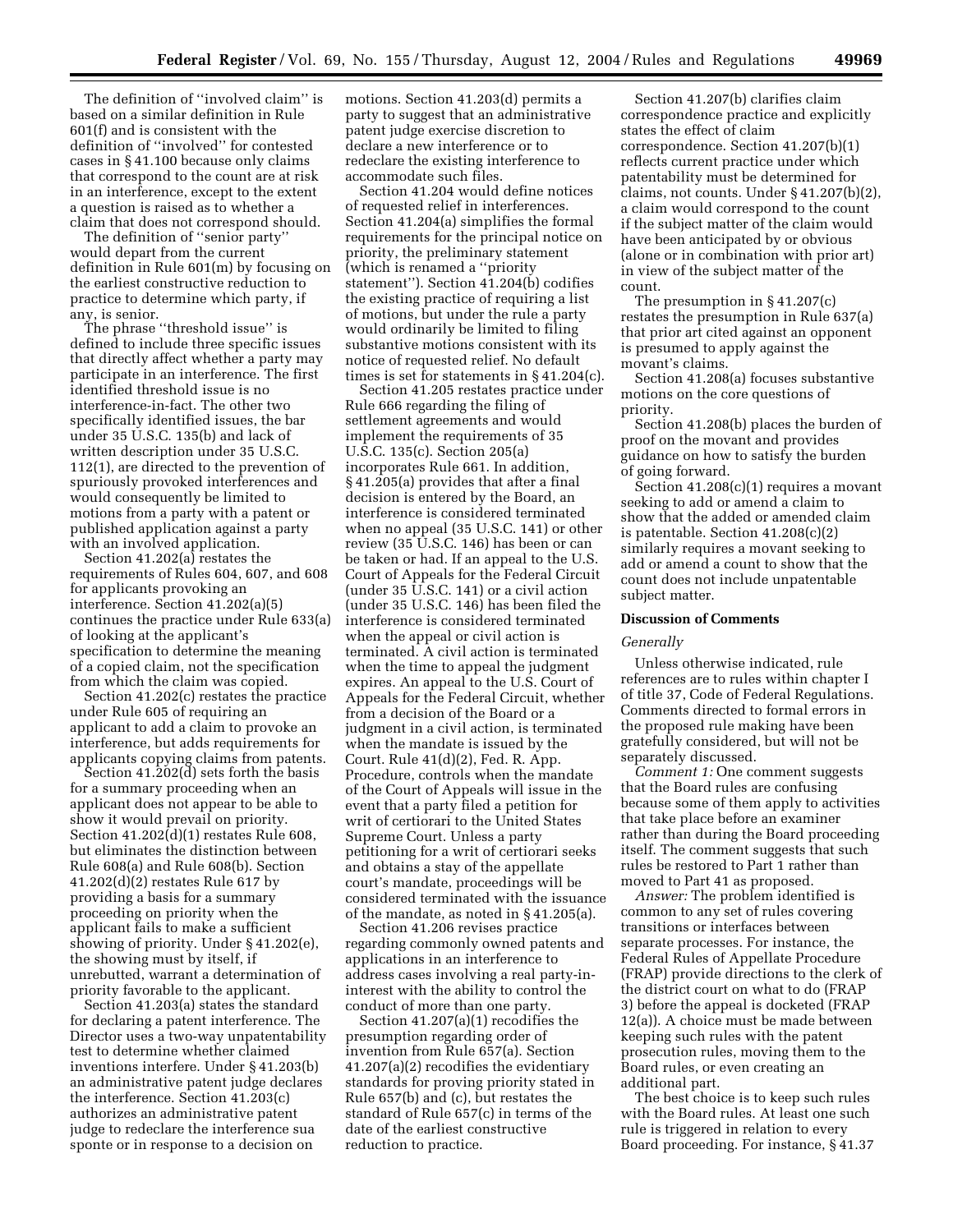The definition of ''involved claim'' is based on a similar definition in Rule 601(f) and is consistent with the definition of ''involved'' for contested cases in § 41.100 because only claims that correspond to the count are at risk in an interference, except to the extent a question is raised as to whether a claim that does not correspond should.

The definition of ''senior party'' would depart from the current definition in Rule 601(m) by focusing on the earliest constructive reduction to practice to determine which party, if any, is senior.

The phrase ''threshold issue'' is defined to include three specific issues that directly affect whether a party may participate in an interference. The first identified threshold issue is no interference-in-fact. The other two specifically identified issues, the bar under 35 U.S.C. 135(b) and lack of written description under 35 U.S.C. 112(1), are directed to the prevention of spuriously provoked interferences and would consequently be limited to motions from a party with a patent or published application against a party with an involved application.

Section 41.202(a) restates the requirements of Rules 604, 607, and 608 for applicants provoking an interference. Section 41.202(a)(5) continues the practice under Rule 633(a) of looking at the applicant's specification to determine the meaning of a copied claim, not the specification from which the claim was copied.

Section 41.202(c) restates the practice under Rule 605 of requiring an applicant to add a claim to provoke an interference, but adds requirements for applicants copying claims from patents.

Section 41.202(d) sets forth the basis for a summary proceeding when an applicant does not appear to be able to show it would prevail on priority. Section 41.202(d)(1) restates Rule 608, but eliminates the distinction between Rule 608(a) and Rule 608(b). Section 41.202(d)(2) restates Rule 617 by providing a basis for a summary proceeding on priority when the applicant fails to make a sufficient showing of priority. Under § 41.202(e), the showing must by itself, if unrebutted, warrant a determination of priority favorable to the applicant.

Section 41.203(a) states the standard for declaring a patent interference. The Director uses a two-way unpatentability test to determine whether claimed inventions interfere. Under § 41.203(b) an administrative patent judge declares the interference. Section 41.203(c) authorizes an administrative patent judge to redeclare the interference sua sponte or in response to a decision on

motions. Section 41.203(d) permits a party to suggest that an administrative patent judge exercise discretion to declare a new interference or to redeclare the existing interference to accommodate such files.

Section 41.204 would define notices of requested relief in interferences. Section 41.204(a) simplifies the formal requirements for the principal notice on priority, the preliminary statement (which is renamed a ''priority statement''). Section 41.204(b) codifies the existing practice of requiring a list of motions, but under the rule a party would ordinarily be limited to filing substantive motions consistent with its notice of requested relief. No default times is set for statements in § 41.204(c).

Section 41.205 restates practice under Rule 666 regarding the filing of settlement agreements and would implement the requirements of 35 U.S.C. 135(c). Section 205(a) incorporates Rule 661. In addition, § 41.205(a) provides that after a final decision is entered by the Board, an interference is considered terminated when no appeal (35 U.S.C. 141) or other review (35 U.S.C. 146) has been or can be taken or had. If an appeal to the U.S. Court of Appeals for the Federal Circuit (under 35 U.S.C. 141) or a civil action (under 35 U.S.C. 146) has been filed the interference is considered terminated when the appeal or civil action is terminated. A civil action is terminated when the time to appeal the judgment expires. An appeal to the U.S. Court of Appeals for the Federal Circuit, whether from a decision of the Board or a judgment in a civil action, is terminated when the mandate is issued by the Court. Rule 41(d)(2), Fed. R. App. Procedure, controls when the mandate of the Court of Appeals will issue in the event that a party filed a petition for writ of certiorari to the United States Supreme Court. Unless a party petitioning for a writ of certiorari seeks and obtains a stay of the appellate court's mandate, proceedings will be considered terminated with the issuance of the mandate, as noted in § 41.205(a).

Section 41.206 revises practice regarding commonly owned patents and applications in an interference to address cases involving a real party-ininterest with the ability to control the conduct of more than one party.

Section 41.207(a)(1) recodifies the presumption regarding order of invention from Rule 657(a). Section 41.207(a)(2) recodifies the evidentiary standards for proving priority stated in Rule 657(b) and (c), but restates the standard of Rule 657(c) in terms of the date of the earliest constructive reduction to practice.

Section 41.207(b) clarifies claim correspondence practice and explicitly states the effect of claim correspondence. Section 41.207(b)(1) reflects current practice under which patentability must be determined for claims, not counts. Under § 41.207(b)(2), a claim would correspond to the count if the subject matter of the claim would have been anticipated by or obvious (alone or in combination with prior art) in view of the subject matter of the count.

The presumption in § 41.207(c) restates the presumption in Rule 637(a) that prior art cited against an opponent is presumed to apply against the movant's claims.

Section 41.208(a) focuses substantive motions on the core questions of priority.

Section 41.208(b) places the burden of proof on the movant and provides guidance on how to satisfy the burden of going forward.

Section 41.208(c)(1) requires a movant seeking to add or amend a claim to show that the added or amended claim is patentable. Section 41.208(c)(2) similarly requires a movant seeking to add or amend a count to show that the count does not include unpatentable subject matter.

#### **Discussion of Comments**

#### *Generally*

Unless otherwise indicated, rule references are to rules within chapter I of title 37, Code of Federal Regulations. Comments directed to formal errors in the proposed rule making have been gratefully considered, but will not be separately discussed.

*Comment 1:* One comment suggests that the Board rules are confusing because some of them apply to activities that take place before an examiner rather than during the Board proceeding itself. The comment suggests that such rules be restored to Part 1 rather than moved to Part 41 as proposed.

*Answer:* The problem identified is common to any set of rules covering transitions or interfaces between separate processes. For instance, the Federal Rules of Appellate Procedure (FRAP) provide directions to the clerk of the district court on what to do (FRAP 3) before the appeal is docketed (FRAP 12(a)). A choice must be made between keeping such rules with the patent prosecution rules, moving them to the Board rules, or even creating an additional part.

The best choice is to keep such rules with the Board rules. At least one such rule is triggered in relation to every Board proceeding. For instance, § 41.37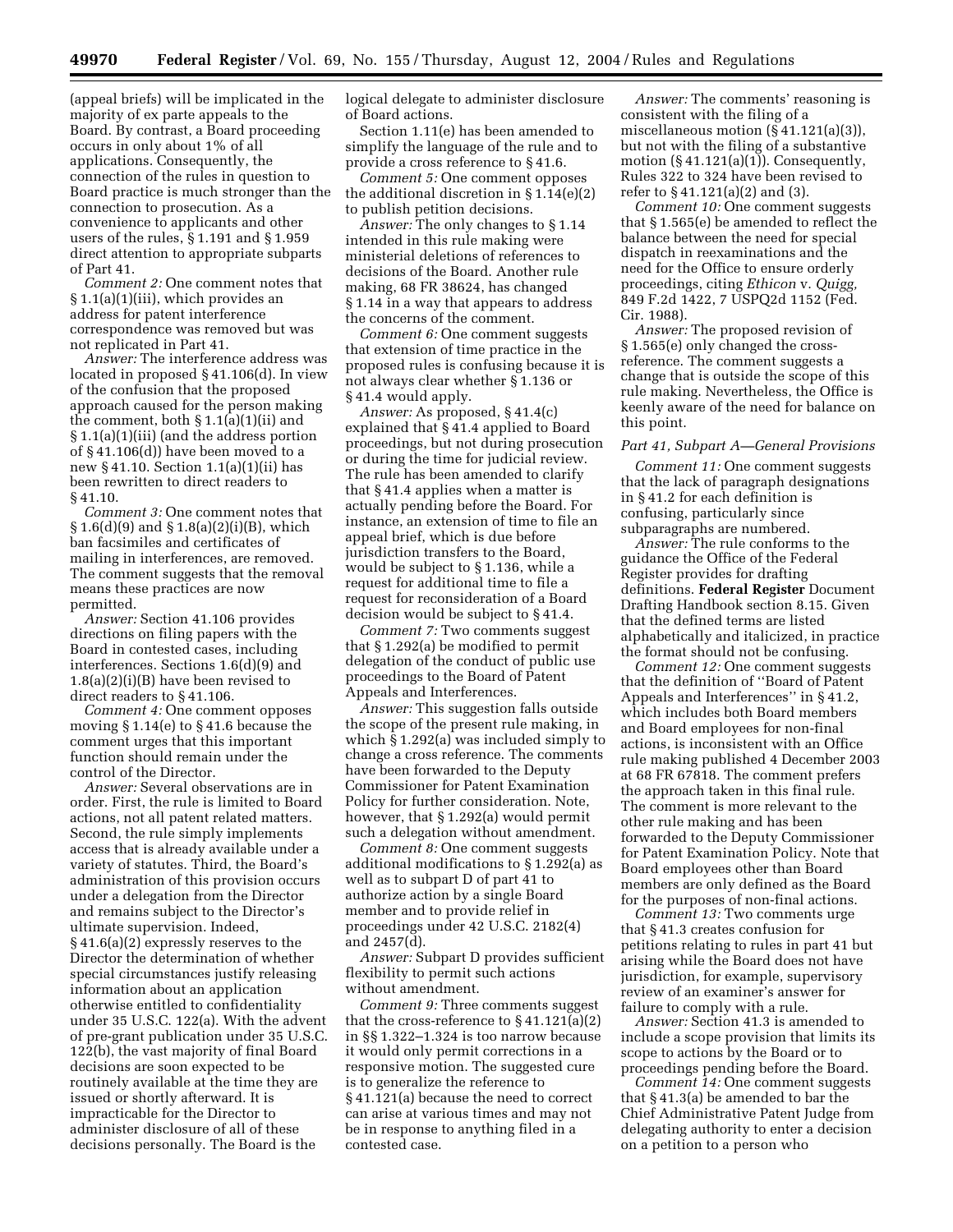(appeal briefs) will be implicated in the majority of ex parte appeals to the Board. By contrast, a Board proceeding occurs in only about 1% of all applications. Consequently, the connection of the rules in question to Board practice is much stronger than the connection to prosecution. As a convenience to applicants and other users of the rules, § 1.191 and § 1.959 direct attention to appropriate subparts of Part 41.

*Comment 2:* One comment notes that § 1.1(a)(1)(iii), which provides an address for patent interference correspondence was removed but was not replicated in Part 41.

*Answer:* The interference address was located in proposed § 41.106(d). In view of the confusion that the proposed approach caused for the person making the comment, both § 1.1(a)(1)(ii) and § 1.1(a)(1)(iii) (and the address portion of § 41.106(d)) have been moved to a new § 41.10. Section 1.1(a)(1)(ii) has been rewritten to direct readers to § 41.10.

*Comment 3:* One comment notes that  $§ 1.6(d)(9)$  and  $§ 1.8(a)(2)(i)(B)$ , which ban facsimiles and certificates of mailing in interferences, are removed. The comment suggests that the removal means these practices are now permitted.

*Answer:* Section 41.106 provides directions on filing papers with the Board in contested cases, including interferences. Sections 1.6(d)(9) and 1.8(a)(2)(i)(B) have been revised to direct readers to § 41.106.

*Comment 4:* One comment opposes moving § 1.14(e) to § 41.6 because the comment urges that this important function should remain under the control of the Director.

*Answer:* Several observations are in order. First, the rule is limited to Board actions, not all patent related matters. Second, the rule simply implements access that is already available under a variety of statutes. Third, the Board's administration of this provision occurs under a delegation from the Director and remains subject to the Director's ultimate supervision. Indeed, § 41.6(a)(2) expressly reserves to the Director the determination of whether special circumstances justify releasing information about an application otherwise entitled to confidentiality under 35 U.S.C. 122(a). With the advent of pre-grant publication under 35 U.S.C. 122(b), the vast majority of final Board decisions are soon expected to be routinely available at the time they are issued or shortly afterward. It is impracticable for the Director to administer disclosure of all of these decisions personally. The Board is the

logical delegate to administer disclosure of Board actions.

Section 1.11(e) has been amended to simplify the language of the rule and to provide a cross reference to § 41.6.

*Comment 5:* One comment opposes the additional discretion in § 1.14(e)(2) to publish petition decisions.

*Answer:* The only changes to § 1.14 intended in this rule making were ministerial deletions of references to decisions of the Board. Another rule making, 68 FR 38624, has changed § 1.14 in a way that appears to address the concerns of the comment.

*Comment 6:* One comment suggests that extension of time practice in the proposed rules is confusing because it is not always clear whether § 1.136 or § 41.4 would apply.

*Answer:* As proposed, § 41.4(c) explained that § 41.4 applied to Board proceedings, but not during prosecution or during the time for judicial review. The rule has been amended to clarify that § 41.4 applies when a matter is actually pending before the Board. For instance, an extension of time to file an appeal brief, which is due before jurisdiction transfers to the Board, would be subject to § 1.136, while a request for additional time to file a request for reconsideration of a Board decision would be subject to § 41.4.

*Comment 7:* Two comments suggest that § 1.292(a) be modified to permit delegation of the conduct of public use proceedings to the Board of Patent Appeals and Interferences.

*Answer:* This suggestion falls outside the scope of the present rule making, in which § 1.292(a) was included simply to change a cross reference. The comments have been forwarded to the Deputy Commissioner for Patent Examination Policy for further consideration. Note, however, that § 1.292(a) would permit such a delegation without amendment.

*Comment 8:* One comment suggests additional modifications to § 1.292(a) as well as to subpart D of part 41 to authorize action by a single Board member and to provide relief in proceedings under 42 U.S.C. 2182(4) and 2457(d).

*Answer:* Subpart D provides sufficient flexibility to permit such actions without amendment.

*Comment 9:* Three comments suggest that the cross-reference to § 41.121(a)(2) in §§ 1.322–1.324 is too narrow because it would only permit corrections in a responsive motion. The suggested cure is to generalize the reference to § 41.121(a) because the need to correct can arise at various times and may not be in response to anything filed in a contested case.

*Answer:* The comments' reasoning is consistent with the filing of a miscellaneous motion (§ 41.121(a)(3)), but not with the filing of a substantive motion (§ 41.121(a)(1)). Consequently, Rules 322 to 324 have been revised to refer to § 41.121(a)(2) and (3).

*Comment 10:* One comment suggests that § 1.565(e) be amended to reflect the balance between the need for special dispatch in reexaminations and the need for the Office to ensure orderly proceedings, citing *Ethicon* v. *Quigg,*  849 F.2d 1422, 7 USPQ2d 1152 (Fed. Cir. 1988).

*Answer:* The proposed revision of § 1.565(e) only changed the crossreference. The comment suggests a change that is outside the scope of this rule making. Nevertheless, the Office is keenly aware of the need for balance on this point.

#### *Part 41, Subpart A—General Provisions*

*Comment 11:* One comment suggests that the lack of paragraph designations in § 41.2 for each definition is confusing, particularly since subparagraphs are numbered.

*Answer:* The rule conforms to the guidance the Office of the Federal Register provides for drafting definitions. **Federal Register** Document Drafting Handbook section 8.15. Given that the defined terms are listed alphabetically and italicized, in practice the format should not be confusing.

*Comment 12:* One comment suggests that the definition of ''Board of Patent Appeals and Interferences'' in § 41.2, which includes both Board members and Board employees for non-final actions, is inconsistent with an Office rule making published 4 December 2003 at 68 FR 67818. The comment prefers the approach taken in this final rule. The comment is more relevant to the other rule making and has been forwarded to the Deputy Commissioner for Patent Examination Policy. Note that Board employees other than Board members are only defined as the Board for the purposes of non-final actions.

*Comment 13:* Two comments urge that § 41.3 creates confusion for petitions relating to rules in part 41 but arising while the Board does not have jurisdiction, for example, supervisory review of an examiner's answer for failure to comply with a rule.

*Answer:* Section 41.3 is amended to include a scope provision that limits its scope to actions by the Board or to proceedings pending before the Board.

*Comment 14:* One comment suggests that § 41.3(a) be amended to bar the Chief Administrative Patent Judge from delegating authority to enter a decision on a petition to a person who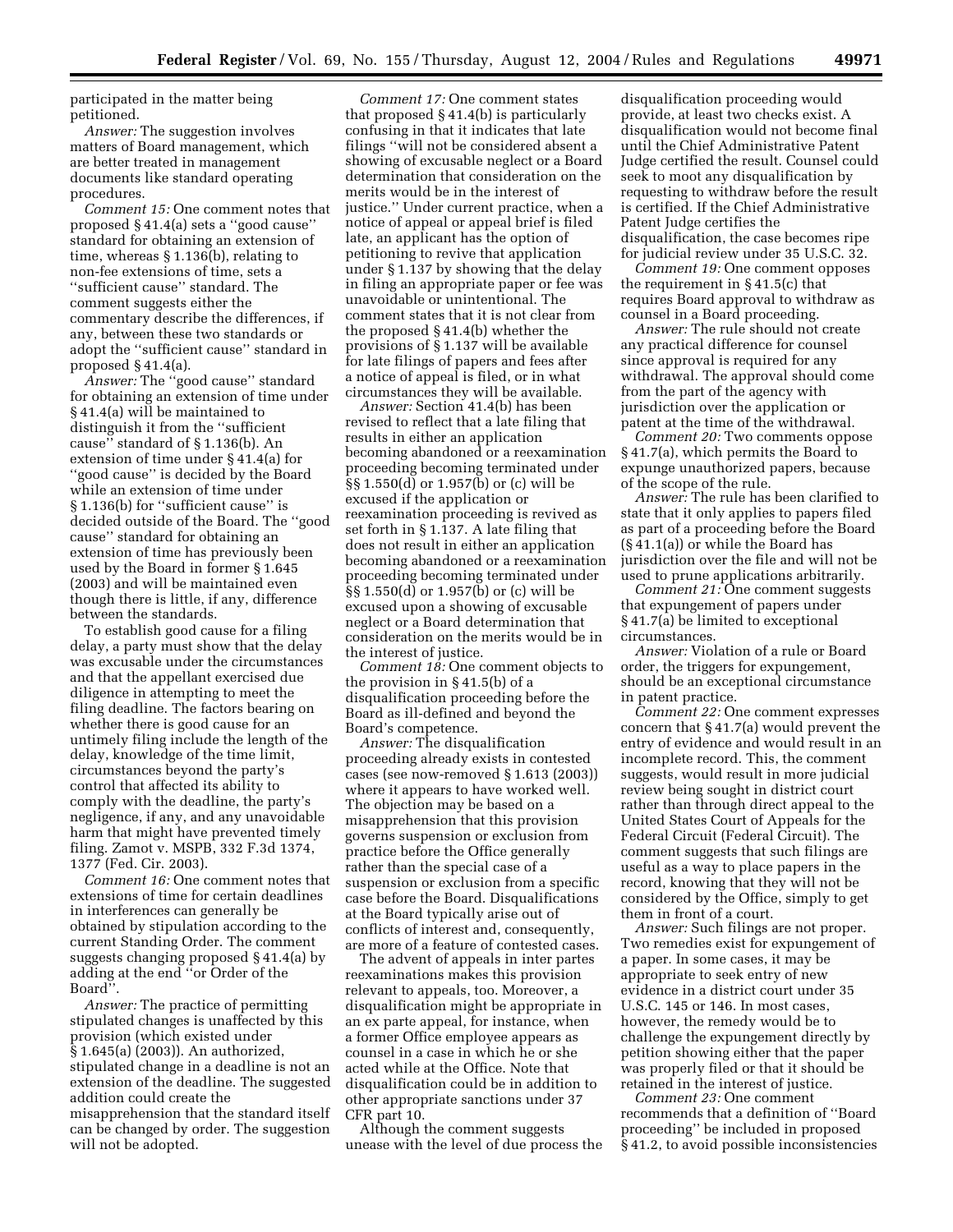participated in the matter being petitioned.

*Answer:* The suggestion involves matters of Board management, which are better treated in management documents like standard operating procedures.

*Comment 15:* One comment notes that proposed § 41.4(a) sets a ''good cause'' standard for obtaining an extension of time, whereas § 1.136(b), relating to non-fee extensions of time, sets a ''sufficient cause'' standard. The comment suggests either the commentary describe the differences, if any, between these two standards or adopt the ''sufficient cause'' standard in proposed § 41.4(a).

*Answer:* The ''good cause'' standard for obtaining an extension of time under § 41.4(a) will be maintained to distinguish it from the ''sufficient cause'' standard of § 1.136(b). An extension of time under § 41.4(a) for ''good cause'' is decided by the Board while an extension of time under § 1.136(b) for ''sufficient cause'' is decided outside of the Board. The ''good cause'' standard for obtaining an extension of time has previously been used by the Board in former § 1.645 (2003) and will be maintained even though there is little, if any, difference between the standards.

To establish good cause for a filing delay, a party must show that the delay was excusable under the circumstances and that the appellant exercised due diligence in attempting to meet the filing deadline. The factors bearing on whether there is good cause for an untimely filing include the length of the delay, knowledge of the time limit, circumstances beyond the party's control that affected its ability to comply with the deadline, the party's negligence, if any, and any unavoidable harm that might have prevented timely filing. Zamot v. MSPB, 332 F.3d 1374, 1377 (Fed. Cir. 2003).

*Comment 16:* One comment notes that extensions of time for certain deadlines in interferences can generally be obtained by stipulation according to the current Standing Order. The comment suggests changing proposed § 41.4(a) by adding at the end ''or Order of the Board''.

*Answer:* The practice of permitting stipulated changes is unaffected by this provision (which existed under § 1.645(a) (2003)). An authorized, stipulated change in a deadline is not an extension of the deadline. The suggested addition could create the misapprehension that the standard itself can be changed by order. The suggestion will not be adopted.

*Comment 17:* One comment states that proposed § 41.4(b) is particularly confusing in that it indicates that late filings ''will not be considered absent a showing of excusable neglect or a Board determination that consideration on the merits would be in the interest of justice.'' Under current practice, when a notice of appeal or appeal brief is filed late, an applicant has the option of petitioning to revive that application under § 1.137 by showing that the delay in filing an appropriate paper or fee was unavoidable or unintentional. The comment states that it is not clear from the proposed § 41.4(b) whether the provisions of § 1.137 will be available for late filings of papers and fees after a notice of appeal is filed, or in what circumstances they will be available.

*Answer:* Section 41.4(b) has been revised to reflect that a late filing that results in either an application becoming abandoned or a reexamination proceeding becoming terminated under §§ 1.550(d) or 1.957(b) or (c) will be excused if the application or reexamination proceeding is revived as set forth in § 1.137. A late filing that does not result in either an application becoming abandoned or a reexamination proceeding becoming terminated under §§ 1.550(d) or 1.957(b) or (c) will be excused upon a showing of excusable neglect or a Board determination that consideration on the merits would be in the interest of justice.

*Comment 18:* One comment objects to the provision in § 41.5(b) of a disqualification proceeding before the Board as ill-defined and beyond the Board's competence.

*Answer:* The disqualification proceeding already exists in contested cases (see now-removed § 1.613 (2003)) where it appears to have worked well. The objection may be based on a misapprehension that this provision governs suspension or exclusion from practice before the Office generally rather than the special case of a suspension or exclusion from a specific case before the Board. Disqualifications at the Board typically arise out of conflicts of interest and, consequently, are more of a feature of contested cases.

The advent of appeals in inter partes reexaminations makes this provision relevant to appeals, too. Moreover, a disqualification might be appropriate in an ex parte appeal, for instance, when a former Office employee appears as counsel in a case in which he or she acted while at the Office. Note that disqualification could be in addition to other appropriate sanctions under 37 CFR part 10.

Although the comment suggests unease with the level of due process the

disqualification proceeding would provide, at least two checks exist. A disqualification would not become final until the Chief Administrative Patent Judge certified the result. Counsel could seek to moot any disqualification by requesting to withdraw before the result is certified. If the Chief Administrative Patent Judge certifies the disqualification, the case becomes ripe for judicial review under 35 U.S.C. 32.

*Comment 19:* One comment opposes the requirement in § 41.5(c) that requires Board approval to withdraw as counsel in a Board proceeding.

*Answer:* The rule should not create any practical difference for counsel since approval is required for any withdrawal. The approval should come from the part of the agency with jurisdiction over the application or patent at the time of the withdrawal.

*Comment 20:* Two comments oppose § 41.7(a), which permits the Board to expunge unauthorized papers, because of the scope of the rule.

*Answer:* The rule has been clarified to state that it only applies to papers filed as part of a proceeding before the Board (§ 41.1(a)) or while the Board has jurisdiction over the file and will not be used to prune applications arbitrarily.

*Comment 21:* One comment suggests that expungement of papers under § 41.7(a) be limited to exceptional circumstances.

*Answer:* Violation of a rule or Board order, the triggers for expungement, should be an exceptional circumstance in patent practice.

*Comment 22:* One comment expresses concern that § 41.7(a) would prevent the entry of evidence and would result in an incomplete record. This, the comment suggests, would result in more judicial review being sought in district court rather than through direct appeal to the United States Court of Appeals for the Federal Circuit (Federal Circuit). The comment suggests that such filings are useful as a way to place papers in the record, knowing that they will not be considered by the Office, simply to get them in front of a court.

*Answer:* Such filings are not proper. Two remedies exist for expungement of a paper. In some cases, it may be appropriate to seek entry of new evidence in a district court under 35 U.S.C. 145 or 146. In most cases, however, the remedy would be to challenge the expungement directly by petition showing either that the paper was properly filed or that it should be retained in the interest of justice.

*Comment 23:* One comment recommends that a definition of ''Board proceeding'' be included in proposed § 41.2, to avoid possible inconsistencies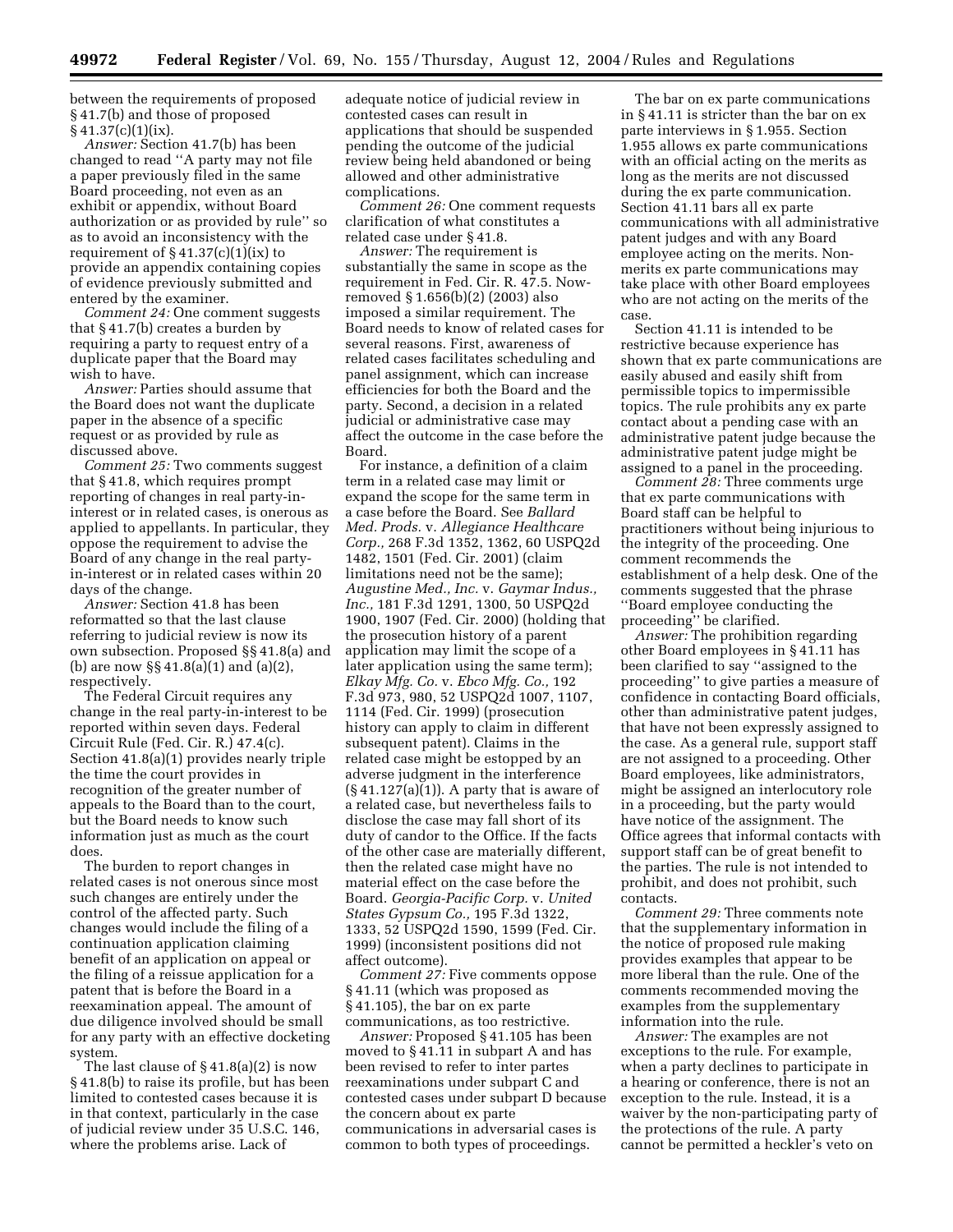between the requirements of proposed § 41.7(b) and those of proposed  $§ 41.37(c)(1)(ix).$ 

*Answer:* Section 41.7(b) has been changed to read ''A party may not file a paper previously filed in the same Board proceeding, not even as an exhibit or appendix, without Board authorization or as provided by rule'' so as to avoid an inconsistency with the requirement of  $\S 41.37(c)(1)(ix)$  to provide an appendix containing copies of evidence previously submitted and entered by the examiner.

*Comment 24:* One comment suggests that § 41.7(b) creates a burden by requiring a party to request entry of a duplicate paper that the Board may wish to have.

*Answer:* Parties should assume that the Board does not want the duplicate paper in the absence of a specific request or as provided by rule as discussed above.

*Comment 25:* Two comments suggest that § 41.8, which requires prompt reporting of changes in real party-ininterest or in related cases, is onerous as applied to appellants. In particular, they oppose the requirement to advise the Board of any change in the real partyin-interest or in related cases within 20 days of the change.

*Answer:* Section 41.8 has been reformatted so that the last clause referring to judicial review is now its own subsection. Proposed §§ 41.8(a) and (b) are now §§ 41.8(a)(1) and (a)(2), respectively.

The Federal Circuit requires any change in the real party-in-interest to be reported within seven days. Federal Circuit Rule (Fed. Cir. R.) 47.4(c). Section 41.8(a)(1) provides nearly triple the time the court provides in recognition of the greater number of appeals to the Board than to the court, but the Board needs to know such information just as much as the court does.

The burden to report changes in related cases is not onerous since most such changes are entirely under the control of the affected party. Such changes would include the filing of a continuation application claiming benefit of an application on appeal or the filing of a reissue application for a patent that is before the Board in a reexamination appeal. The amount of due diligence involved should be small for any party with an effective docketing system.

The last clause of  $\S 41.8(a)(2)$  is now § 41.8(b) to raise its profile, but has been limited to contested cases because it is in that context, particularly in the case of judicial review under 35 U.S.C. 146, where the problems arise. Lack of

adequate notice of judicial review in contested cases can result in applications that should be suspended pending the outcome of the judicial review being held abandoned or being allowed and other administrative complications.

*Comment 26:* One comment requests clarification of what constitutes a related case under § 41.8.

*Answer:* The requirement is substantially the same in scope as the requirement in Fed. Cir. R. 47.5. Nowremoved § 1.656(b)(2) (2003) also imposed a similar requirement. The Board needs to know of related cases for several reasons. First, awareness of related cases facilitates scheduling and panel assignment, which can increase efficiencies for both the Board and the party. Second, a decision in a related judicial or administrative case may affect the outcome in the case before the Board.

For instance, a definition of a claim term in a related case may limit or expand the scope for the same term in a case before the Board. See *Ballard Med. Prods.* v. *Allegiance Healthcare Corp.,* 268 F.3d 1352, 1362, 60 USPQ2d 1482, 1501 (Fed. Cir. 2001) (claim limitations need not be the same); *Augustine Med., Inc.* v. *Gaymar Indus., Inc.,* 181 F.3d 1291, 1300, 50 USPQ2d 1900, 1907 (Fed. Cir. 2000) (holding that the prosecution history of a parent application may limit the scope of a later application using the same term); *Elkay Mfg. Co.* v. *Ebco Mfg. Co.,* 192 F.3d 973, 980, 52 USPQ2d 1007, 1107, 1114 (Fed. Cir. 1999) (prosecution history can apply to claim in different subsequent patent). Claims in the related case might be estopped by an adverse judgment in the interference  $(\S 41.127(a)(1))$ . A party that is aware of a related case, but nevertheless fails to disclose the case may fall short of its duty of candor to the Office. If the facts of the other case are materially different, then the related case might have no material effect on the case before the Board. *Georgia-Pacific Corp.* v. *United States Gypsum Co.,* 195 F.3d 1322, 1333, 52 USPQ2d 1590, 1599 (Fed. Cir. 1999) (inconsistent positions did not affect outcome).

*Comment 27:* Five comments oppose § 41.11 (which was proposed as § 41.105), the bar on ex parte communications, as too restrictive.

*Answer:* Proposed § 41.105 has been moved to § 41.11 in subpart A and has been revised to refer to inter partes reexaminations under subpart C and contested cases under subpart D because the concern about ex parte communications in adversarial cases is common to both types of proceedings.

The bar on ex parte communications in § 41.11 is stricter than the bar on ex parte interviews in § 1.955. Section 1.955 allows ex parte communications with an official acting on the merits as long as the merits are not discussed during the ex parte communication. Section 41.11 bars all ex parte communications with all administrative patent judges and with any Board employee acting on the merits. Nonmerits ex parte communications may take place with other Board employees who are not acting on the merits of the case.

Section 41.11 is intended to be restrictive because experience has shown that ex parte communications are easily abused and easily shift from permissible topics to impermissible topics. The rule prohibits any ex parte contact about a pending case with an administrative patent judge because the administrative patent judge might be assigned to a panel in the proceeding.

*Comment 28:* Three comments urge that ex parte communications with Board staff can be helpful to practitioners without being injurious to the integrity of the proceeding. One comment recommends the establishment of a help desk. One of the comments suggested that the phrase ''Board employee conducting the proceeding'' be clarified.

*Answer:* The prohibition regarding other Board employees in § 41.11 has been clarified to say ''assigned to the proceeding'' to give parties a measure of confidence in contacting Board officials, other than administrative patent judges, that have not been expressly assigned to the case. As a general rule, support staff are not assigned to a proceeding. Other Board employees, like administrators, might be assigned an interlocutory role in a proceeding, but the party would have notice of the assignment. The Office agrees that informal contacts with support staff can be of great benefit to the parties. The rule is not intended to prohibit, and does not prohibit, such contacts.

*Comment 29:* Three comments note that the supplementary information in the notice of proposed rule making provides examples that appear to be more liberal than the rule. One of the comments recommended moving the examples from the supplementary information into the rule.

*Answer:* The examples are not exceptions to the rule. For example, when a party declines to participate in a hearing or conference, there is not an exception to the rule. Instead, it is a waiver by the non-participating party of the protections of the rule. A party cannot be permitted a heckler's veto on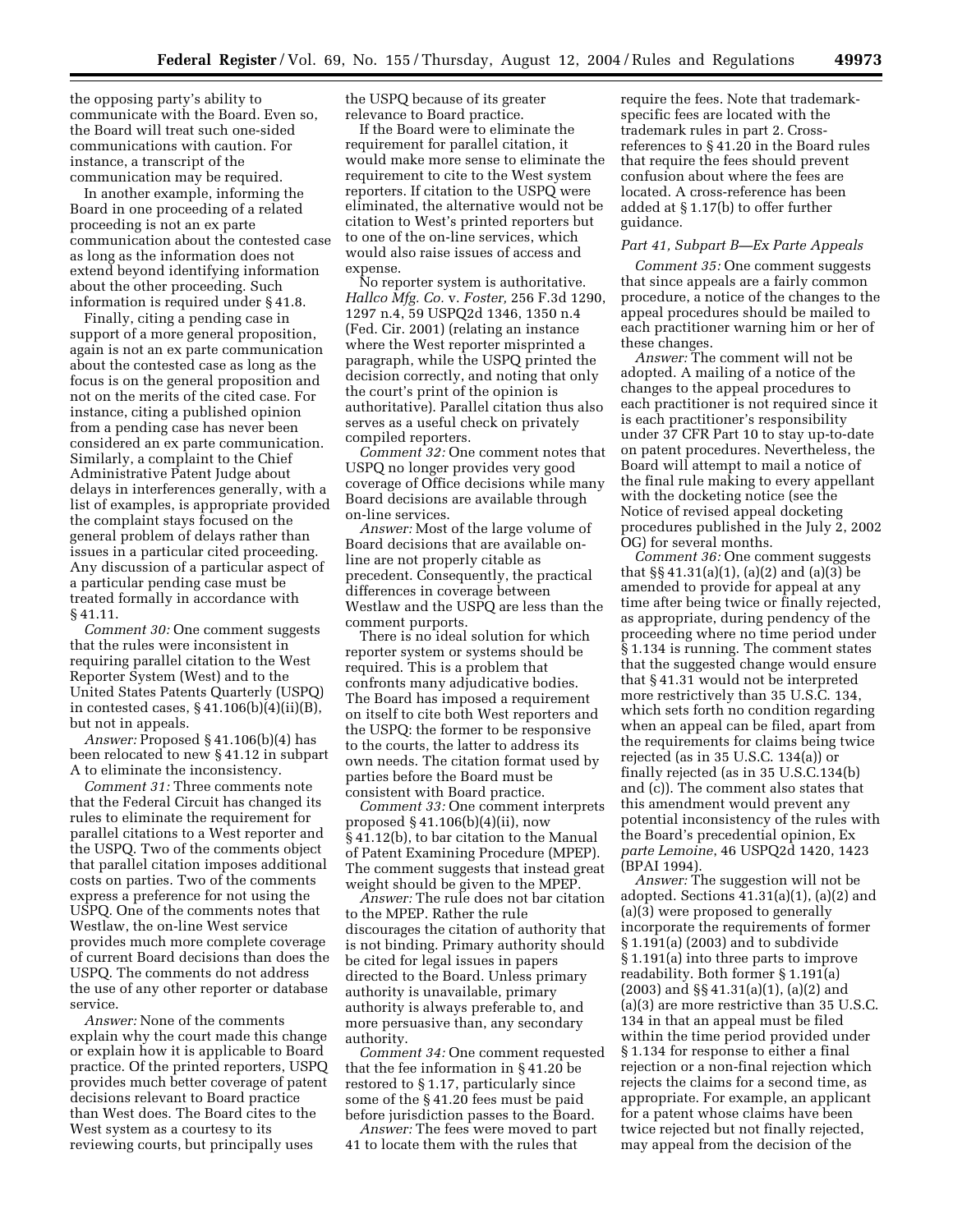the opposing party's ability to communicate with the Board. Even so, the Board will treat such one-sided communications with caution. For instance, a transcript of the communication may be required.

In another example, informing the Board in one proceeding of a related proceeding is not an ex parte communication about the contested case as long as the information does not extend beyond identifying information about the other proceeding. Such information is required under § 41.8.

Finally, citing a pending case in support of a more general proposition, again is not an ex parte communication about the contested case as long as the focus is on the general proposition and not on the merits of the cited case. For instance, citing a published opinion from a pending case has never been considered an ex parte communication. Similarly, a complaint to the Chief Administrative Patent Judge about delays in interferences generally, with a list of examples, is appropriate provided the complaint stays focused on the general problem of delays rather than issues in a particular cited proceeding. Any discussion of a particular aspect of a particular pending case must be treated formally in accordance with § 41.11.

*Comment 30:* One comment suggests that the rules were inconsistent in requiring parallel citation to the West Reporter System (West) and to the United States Patents Quarterly (USPQ) in contested cases,  $§$  41.106(b)(4)(ii)(B), but not in appeals.

*Answer:* Proposed § 41.106(b)(4) has been relocated to new § 41.12 in subpart A to eliminate the inconsistency.

*Comment 31:* Three comments note that the Federal Circuit has changed its rules to eliminate the requirement for parallel citations to a West reporter and the USPQ. Two of the comments object that parallel citation imposes additional costs on parties. Two of the comments express a preference for not using the USPQ. One of the comments notes that Westlaw, the on-line West service provides much more complete coverage of current Board decisions than does the USPQ. The comments do not address the use of any other reporter or database service.

*Answer:* None of the comments explain why the court made this change or explain how it is applicable to Board practice. Of the printed reporters, USPQ provides much better coverage of patent decisions relevant to Board practice than West does. The Board cites to the West system as a courtesy to its reviewing courts, but principally uses

the USPQ because of its greater relevance to Board practice.

If the Board were to eliminate the requirement for parallel citation, it would make more sense to eliminate the requirement to cite to the West system reporters. If citation to the USPQ were eliminated, the alternative would not be citation to West's printed reporters but to one of the on-line services, which would also raise issues of access and expense.

No reporter system is authoritative. *Hallco Mfg. Co.* v. *Foster,* 256 F.3d 1290, 1297 n.4, 59 USPQ2d 1346, 1350 n.4 (Fed. Cir. 2001) (relating an instance where the West reporter misprinted a paragraph, while the USPQ printed the decision correctly, and noting that only the court's print of the opinion is authoritative). Parallel citation thus also serves as a useful check on privately compiled reporters.

*Comment 32:* One comment notes that USPQ no longer provides very good coverage of Office decisions while many Board decisions are available through on-line services.

*Answer:* Most of the large volume of Board decisions that are available online are not properly citable as precedent. Consequently, the practical differences in coverage between Westlaw and the USPQ are less than the comment purports.

There is no ideal solution for which reporter system or systems should be required. This is a problem that confronts many adjudicative bodies. The Board has imposed a requirement on itself to cite both West reporters and the USPQ: the former to be responsive to the courts, the latter to address its own needs. The citation format used by parties before the Board must be consistent with Board practice.

*Comment 33:* One comment interprets proposed § 41.106(b)(4)(ii), now § 41.12(b), to bar citation to the Manual of Patent Examining Procedure (MPEP). The comment suggests that instead great weight should be given to the MPEP.

*Answer:* The rule does not bar citation to the MPEP. Rather the rule discourages the citation of authority that is not binding. Primary authority should be cited for legal issues in papers directed to the Board. Unless primary authority is unavailable, primary authority is always preferable to, and more persuasive than, any secondary authority.

*Comment 34:* One comment requested that the fee information in § 41.20 be restored to § 1.17, particularly since some of the § 41.20 fees must be paid before jurisdiction passes to the Board.

*Answer:* The fees were moved to part 41 to locate them with the rules that

require the fees. Note that trademarkspecific fees are located with the trademark rules in part 2. Crossreferences to § 41.20 in the Board rules that require the fees should prevent confusion about where the fees are located. A cross-reference has been added at § 1.17(b) to offer further guidance.

## *Part 41, Subpart B—Ex Parte Appeals*

*Comment 35:* One comment suggests that since appeals are a fairly common procedure, a notice of the changes to the appeal procedures should be mailed to each practitioner warning him or her of these changes.

*Answer:* The comment will not be adopted. A mailing of a notice of the changes to the appeal procedures to each practitioner is not required since it is each practitioner's responsibility under 37 CFR Part 10 to stay up-to-date on patent procedures. Nevertheless, the Board will attempt to mail a notice of the final rule making to every appellant with the docketing notice (see the Notice of revised appeal docketing procedures published in the July 2, 2002 OG) for several months.

*Comment 36:* One comment suggests that §§ 41.31(a)(1), (a)(2) and (a)(3) be amended to provide for appeal at any time after being twice or finally rejected, as appropriate, during pendency of the proceeding where no time period under § 1.134 is running. The comment states that the suggested change would ensure that § 41.31 would not be interpreted more restrictively than 35 U.S.C. 134, which sets forth no condition regarding when an appeal can be filed, apart from the requirements for claims being twice rejected (as in 35 U.S.C. 134(a)) or finally rejected (as in 35 U.S.C.134(b) and (c)). The comment also states that this amendment would prevent any potential inconsistency of the rules with the Board's precedential opinion, Ex *parte Lemoine*, 46 USPQ2d 1420, 1423 (BPAI 1994).

*Answer:* The suggestion will not be adopted. Sections 41.31(a)(1), (a)(2) and (a)(3) were proposed to generally incorporate the requirements of former § 1.191(a) (2003) and to subdivide § 1.191(a) into three parts to improve readability. Both former § 1.191(a) (2003) and §§ 41.31(a)(1), (a)(2) and (a)(3) are more restrictive than 35 U.S.C. 134 in that an appeal must be filed within the time period provided under § 1.134 for response to either a final rejection or a non-final rejection which rejects the claims for a second time, as appropriate. For example, an applicant for a patent whose claims have been twice rejected but not finally rejected, may appeal from the decision of the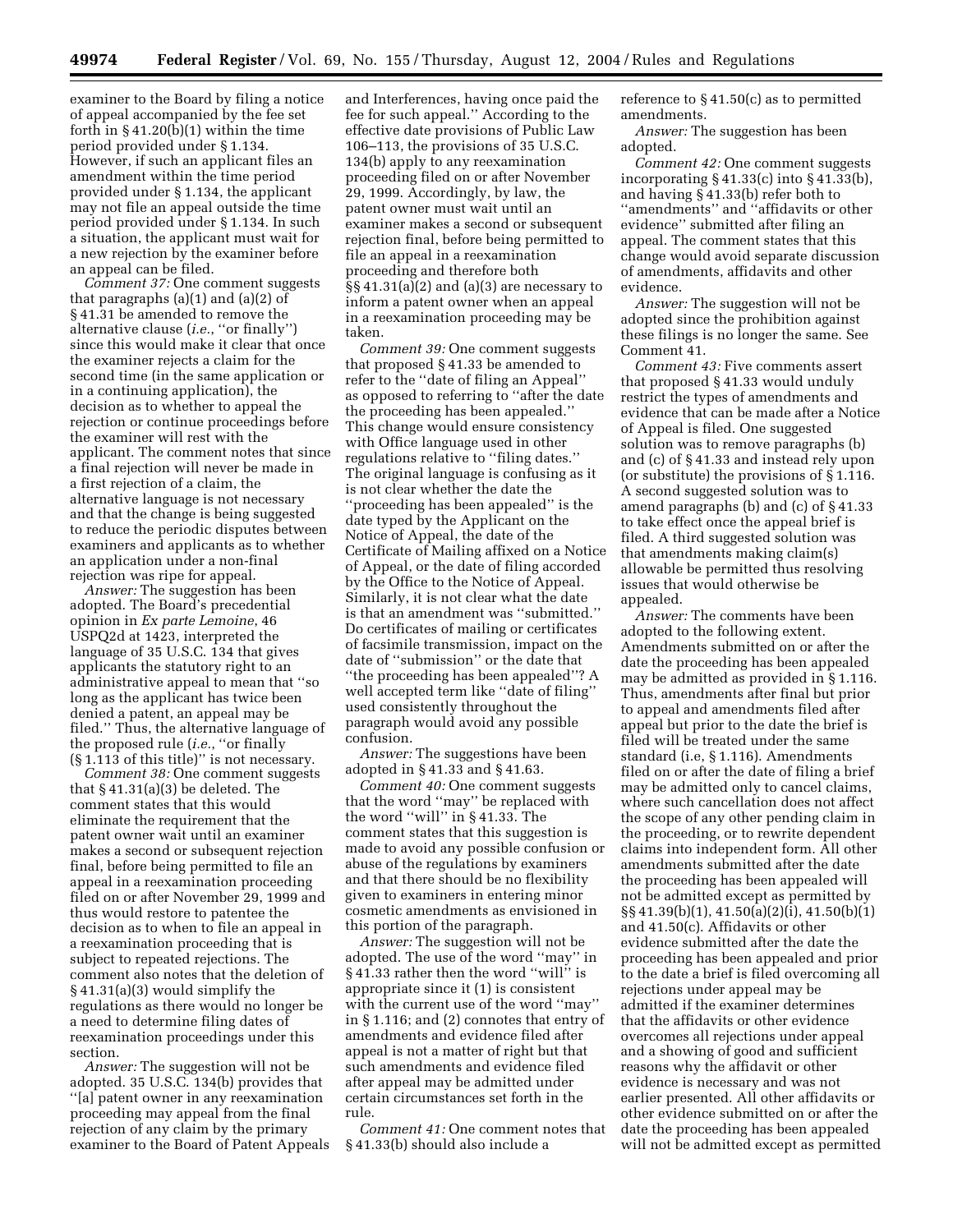examiner to the Board by filing a notice of appeal accompanied by the fee set forth in  $\S 41.20(b)(1)$  within the time period provided under § 1.134. However, if such an applicant files an amendment within the time period provided under § 1.134, the applicant may not file an appeal outside the time period provided under § 1.134. In such a situation, the applicant must wait for a new rejection by the examiner before an appeal can be filed.

*Comment 37:* One comment suggests that paragraphs  $(a)(1)$  and  $(a)(2)$  of § 41.31 be amended to remove the alternative clause (*i.e.*, ''or finally'') since this would make it clear that once the examiner rejects a claim for the second time (in the same application or in a continuing application), the decision as to whether to appeal the rejection or continue proceedings before the examiner will rest with the applicant. The comment notes that since a final rejection will never be made in a first rejection of a claim, the alternative language is not necessary and that the change is being suggested to reduce the periodic disputes between examiners and applicants as to whether an application under a non-final rejection was ripe for appeal.

*Answer:* The suggestion has been adopted. The Board's precedential opinion in *Ex parte Lemoine*, 46 USPQ2d at 1423, interpreted the language of 35 U.S.C. 134 that gives applicants the statutory right to an administrative appeal to mean that ''so long as the applicant has twice been denied a patent, an appeal may be filed.'' Thus, the alternative language of the proposed rule (*i.e.*, ''or finally (§ 1.113 of this title)'' is not necessary.

*Comment 38:* One comment suggests that § 41.31(a)(3) be deleted. The comment states that this would eliminate the requirement that the patent owner wait until an examiner makes a second or subsequent rejection final, before being permitted to file an appeal in a reexamination proceeding filed on or after November 29, 1999 and thus would restore to patentee the decision as to when to file an appeal in a reexamination proceeding that is subject to repeated rejections. The comment also notes that the deletion of § 41.31(a)(3) would simplify the regulations as there would no longer be a need to determine filing dates of reexamination proceedings under this section.

*Answer:* The suggestion will not be adopted. 35 U.S.C. 134(b) provides that ''[a] patent owner in any reexamination proceeding may appeal from the final rejection of any claim by the primary examiner to the Board of Patent Appeals

and Interferences, having once paid the fee for such appeal.'' According to the effective date provisions of Public Law 106–113, the provisions of 35 U.S.C. 134(b) apply to any reexamination proceeding filed on or after November 29, 1999. Accordingly, by law, the patent owner must wait until an examiner makes a second or subsequent rejection final, before being permitted to file an appeal in a reexamination proceeding and therefore both §§ 41.31(a)(2) and (a)(3) are necessary to inform a patent owner when an appeal in a reexamination proceeding may be taken.

*Comment 39:* One comment suggests that proposed § 41.33 be amended to refer to the ''date of filing an Appeal'' as opposed to referring to ''after the date the proceeding has been appealed.'' This change would ensure consistency with Office language used in other regulations relative to ''filing dates.'' The original language is confusing as it is not clear whether the date the ''proceeding has been appealed'' is the date typed by the Applicant on the Notice of Appeal, the date of the Certificate of Mailing affixed on a Notice of Appeal, or the date of filing accorded by the Office to the Notice of Appeal. Similarly, it is not clear what the date is that an amendment was ''submitted.'' Do certificates of mailing or certificates of facsimile transmission, impact on the date of ''submission'' or the date that ''the proceeding has been appealed''? A well accepted term like ''date of filing'' used consistently throughout the paragraph would avoid any possible confusion.

*Answer:* The suggestions have been adopted in § 41.33 and § 41.63.

*Comment 40:* One comment suggests that the word ''may'' be replaced with the word ''will'' in § 41.33. The comment states that this suggestion is made to avoid any possible confusion or abuse of the regulations by examiners and that there should be no flexibility given to examiners in entering minor cosmetic amendments as envisioned in this portion of the paragraph.

*Answer:* The suggestion will not be adopted. The use of the word ''may'' in § 41.33 rather then the word ''will'' is appropriate since it (1) is consistent with the current use of the word ''may'' in § 1.116; and (2) connotes that entry of amendments and evidence filed after appeal is not a matter of right but that such amendments and evidence filed after appeal may be admitted under certain circumstances set forth in the rule.

*Comment 41:* One comment notes that § 41.33(b) should also include a

reference to § 41.50(c) as to permitted amendments.

*Answer:* The suggestion has been adopted.

*Comment 42:* One comment suggests incorporating § 41.33(c) into § 41.33(b), and having § 41.33(b) refer both to ''amendments'' and ''affidavits or other evidence'' submitted after filing an appeal. The comment states that this change would avoid separate discussion of amendments, affidavits and other evidence.

*Answer:* The suggestion will not be adopted since the prohibition against these filings is no longer the same. See Comment 41.

*Comment 43:* Five comments assert that proposed § 41.33 would unduly restrict the types of amendments and evidence that can be made after a Notice of Appeal is filed. One suggested solution was to remove paragraphs (b) and (c) of § 41.33 and instead rely upon (or substitute) the provisions of § 1.116. A second suggested solution was to amend paragraphs (b) and (c) of § 41.33 to take effect once the appeal brief is filed. A third suggested solution was that amendments making claim(s) allowable be permitted thus resolving issues that would otherwise be appealed.

*Answer:* The comments have been adopted to the following extent. Amendments submitted on or after the date the proceeding has been appealed may be admitted as provided in § 1.116. Thus, amendments after final but prior to appeal and amendments filed after appeal but prior to the date the brief is filed will be treated under the same standard (i.e, § 1.116). Amendments filed on or after the date of filing a brief may be admitted only to cancel claims, where such cancellation does not affect the scope of any other pending claim in the proceeding, or to rewrite dependent claims into independent form. All other amendments submitted after the date the proceeding has been appealed will not be admitted except as permitted by §§ 41.39(b)(1), 41.50(a)(2)(i), 41.50(b)(1) and 41.50(c). Affidavits or other evidence submitted after the date the proceeding has been appealed and prior to the date a brief is filed overcoming all rejections under appeal may be admitted if the examiner determines that the affidavits or other evidence overcomes all rejections under appeal and a showing of good and sufficient reasons why the affidavit or other evidence is necessary and was not earlier presented. All other affidavits or other evidence submitted on or after the date the proceeding has been appealed will not be admitted except as permitted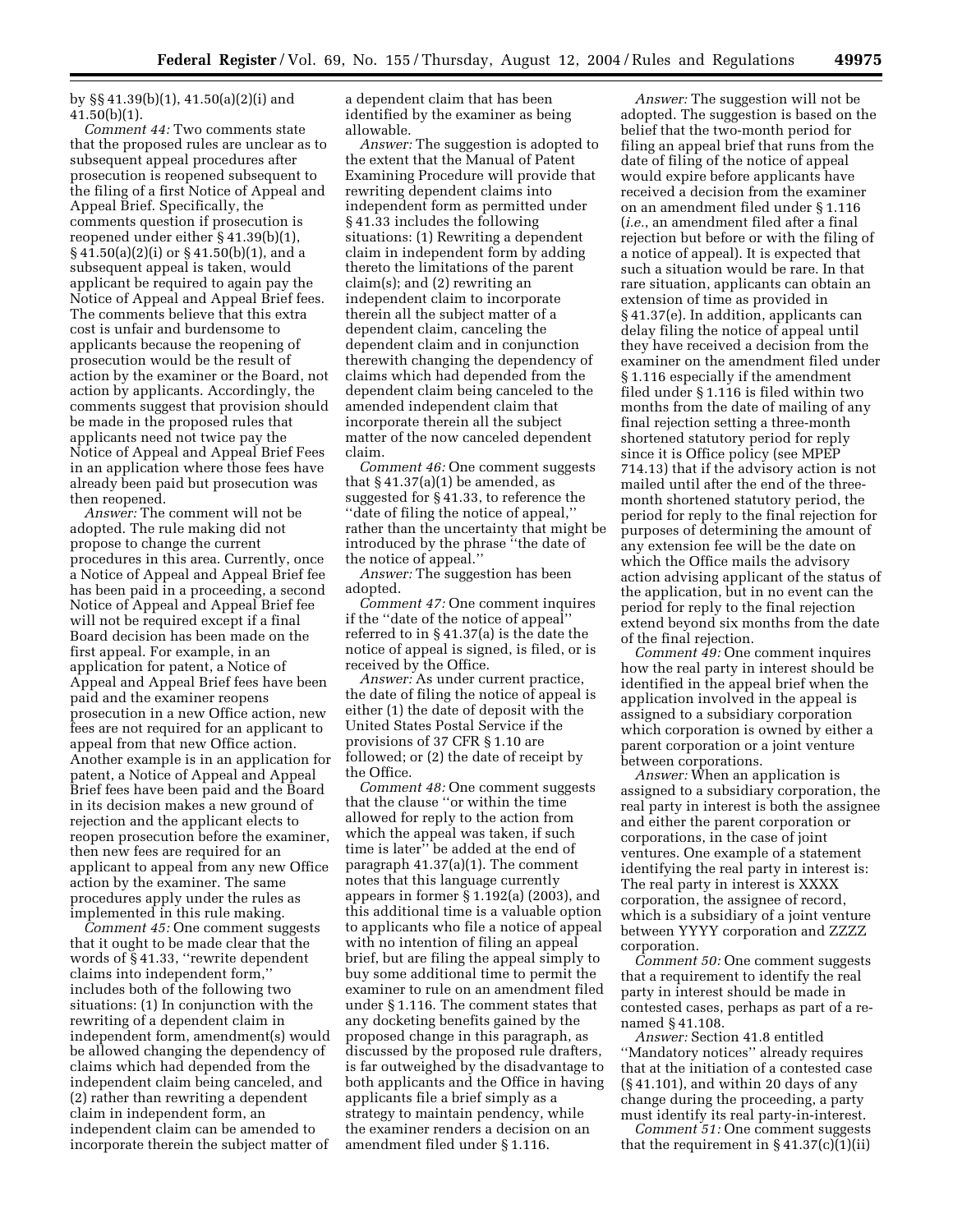by §§ 41.39(b)(1), 41.50(a)(2)(i) and  $41.50(b)(1)$ .

*Comment 44:* Two comments state that the proposed rules are unclear as to subsequent appeal procedures after prosecution is reopened subsequent to the filing of a first Notice of Appeal and Appeal Brief. Specifically, the comments question if prosecution is reopened under either § 41.39(b)(1), § 41.50(a)(2)(i) or § 41.50(b)(1), and a subsequent appeal is taken, would applicant be required to again pay the Notice of Appeal and Appeal Brief fees. The comments believe that this extra cost is unfair and burdensome to applicants because the reopening of prosecution would be the result of action by the examiner or the Board, not action by applicants. Accordingly, the comments suggest that provision should be made in the proposed rules that applicants need not twice pay the Notice of Appeal and Appeal Brief Fees in an application where those fees have already been paid but prosecution was then reopened.

*Answer:* The comment will not be adopted. The rule making did not propose to change the current procedures in this area. Currently, once a Notice of Appeal and Appeal Brief fee has been paid in a proceeding, a second Notice of Appeal and Appeal Brief fee will not be required except if a final Board decision has been made on the first appeal. For example, in an application for patent, a Notice of Appeal and Appeal Brief fees have been paid and the examiner reopens prosecution in a new Office action, new fees are not required for an applicant to appeal from that new Office action. Another example is in an application for patent, a Notice of Appeal and Appeal Brief fees have been paid and the Board in its decision makes a new ground of rejection and the applicant elects to reopen prosecution before the examiner, then new fees are required for an applicant to appeal from any new Office action by the examiner. The same procedures apply under the rules as implemented in this rule making.

*Comment 45:* One comment suggests that it ought to be made clear that the words of § 41.33, ''rewrite dependent claims into independent form,'' includes both of the following two situations: (1) In conjunction with the rewriting of a dependent claim in independent form, amendment(s) would be allowed changing the dependency of claims which had depended from the independent claim being canceled, and (2) rather than rewriting a dependent claim in independent form, an independent claim can be amended to incorporate therein the subject matter of

a dependent claim that has been identified by the examiner as being allowable.

*Answer:* The suggestion is adopted to the extent that the Manual of Patent Examining Procedure will provide that rewriting dependent claims into independent form as permitted under § 41.33 includes the following situations: (1) Rewriting a dependent claim in independent form by adding thereto the limitations of the parent claim(s); and (2) rewriting an independent claim to incorporate therein all the subject matter of a dependent claim, canceling the dependent claim and in conjunction therewith changing the dependency of claims which had depended from the dependent claim being canceled to the amended independent claim that incorporate therein all the subject matter of the now canceled dependent claim.

*Comment 46:* One comment suggests that  $\S 41.37(a)(1)$  be amended, as suggested for § 41.33, to reference the ''date of filing the notice of appeal,'' rather than the uncertainty that might be introduced by the phrase ''the date of the notice of appeal.''

*Answer:* The suggestion has been adopted.

*Comment 47:* One comment inquires if the ''date of the notice of appeal'' referred to in § 41.37(a) is the date the notice of appeal is signed, is filed, or is received by the Office.

*Answer:* As under current practice, the date of filing the notice of appeal is either (1) the date of deposit with the United States Postal Service if the provisions of 37 CFR § 1.10 are followed; or (2) the date of receipt by the Office.

*Comment 48:* One comment suggests that the clause ''or within the time allowed for reply to the action from which the appeal was taken, if such time is later'' be added at the end of paragraph 41.37(a)(1). The comment notes that this language currently appears in former § 1.192(a) (2003), and this additional time is a valuable option to applicants who file a notice of appeal with no intention of filing an appeal brief, but are filing the appeal simply to buy some additional time to permit the examiner to rule on an amendment filed under § 1.116. The comment states that any docketing benefits gained by the proposed change in this paragraph, as discussed by the proposed rule drafters, is far outweighed by the disadvantage to both applicants and the Office in having applicants file a brief simply as a strategy to maintain pendency, while the examiner renders a decision on an amendment filed under § 1.116.

*Answer:* The suggestion will not be adopted. The suggestion is based on the belief that the two-month period for filing an appeal brief that runs from the date of filing of the notice of appeal would expire before applicants have received a decision from the examiner on an amendment filed under § 1.116 (*i.e.*, an amendment filed after a final rejection but before or with the filing of a notice of appeal). It is expected that such a situation would be rare. In that rare situation, applicants can obtain an extension of time as provided in § 41.37(e). In addition, applicants can delay filing the notice of appeal until they have received a decision from the examiner on the amendment filed under § 1.116 especially if the amendment filed under § 1.116 is filed within two months from the date of mailing of any final rejection setting a three-month shortened statutory period for reply since it is Office policy (see MPEP 714.13) that if the advisory action is not mailed until after the end of the threemonth shortened statutory period, the period for reply to the final rejection for purposes of determining the amount of any extension fee will be the date on which the Office mails the advisory action advising applicant of the status of the application, but in no event can the period for reply to the final rejection extend beyond six months from the date of the final rejection.

*Comment 49:* One comment inquires how the real party in interest should be identified in the appeal brief when the application involved in the appeal is assigned to a subsidiary corporation which corporation is owned by either a parent corporation or a joint venture between corporations.

*Answer:* When an application is assigned to a subsidiary corporation, the real party in interest is both the assignee and either the parent corporation or corporations, in the case of joint ventures. One example of a statement identifying the real party in interest is: The real party in interest is XXXX corporation, the assignee of record, which is a subsidiary of a joint venture between YYYY corporation and ZZZZ corporation.

*Comment 50:* One comment suggests that a requirement to identify the real party in interest should be made in contested cases, perhaps as part of a renamed § 41.108.

*Answer:* Section 41.8 entitled ''Mandatory notices'' already requires that at the initiation of a contested case  $(S<sub>41.101</sub>)$ , and within 20 days of any change during the proceeding, a party must identify its real party-in-interest.

*Comment 51:* One comment suggests that the requirement in  $\S 41.37(c)(1)(ii)$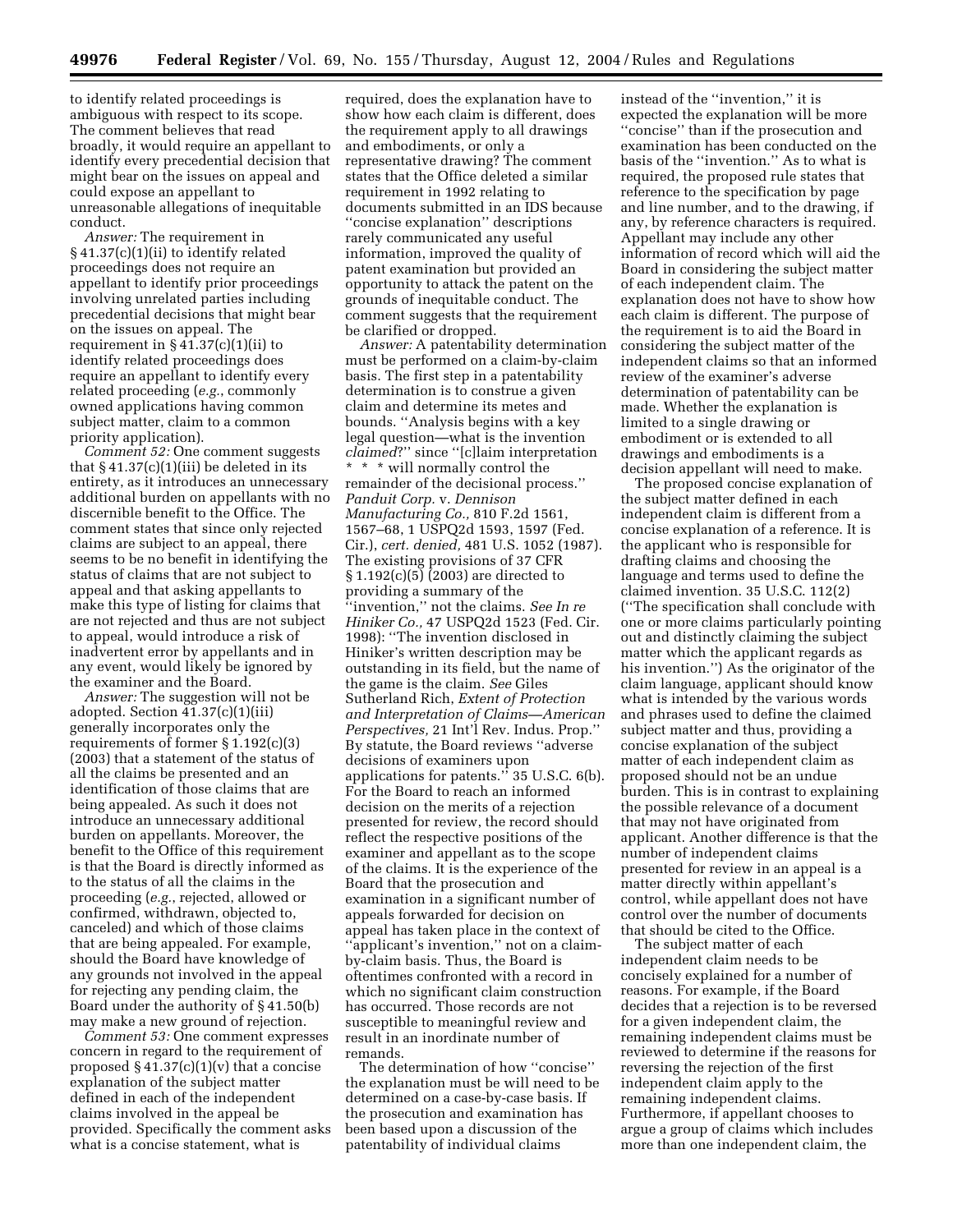to identify related proceedings is ambiguous with respect to its scope. The comment believes that read broadly, it would require an appellant to identify every precedential decision that might bear on the issues on appeal and could expose an appellant to unreasonable allegations of inequitable conduct.

*Answer:* The requirement in § 41.37(c)(1)(ii) to identify related proceedings does not require an appellant to identify prior proceedings involving unrelated parties including precedential decisions that might bear on the issues on appeal. The requirement in  $\S 41.37(c)(1)(ii)$  to identify related proceedings does require an appellant to identify every related proceeding (*e.g.*, commonly owned applications having common subject matter, claim to a common priority application).

*Comment 52:* One comment suggests that  $\S 41.37(c)(1)(iii)$  be deleted in its entirety, as it introduces an unnecessary additional burden on appellants with no discernible benefit to the Office. The comment states that since only rejected claims are subject to an appeal, there seems to be no benefit in identifying the status of claims that are not subject to appeal and that asking appellants to make this type of listing for claims that are not rejected and thus are not subject to appeal, would introduce a risk of inadvertent error by appellants and in any event, would likely be ignored by the examiner and the Board.

*Answer:* The suggestion will not be adopted. Section 41.37(c)(1)(iii) generally incorporates only the requirements of former § 1.192(c)(3) (2003) that a statement of the status of all the claims be presented and an identification of those claims that are being appealed. As such it does not introduce an unnecessary additional burden on appellants. Moreover, the benefit to the Office of this requirement is that the Board is directly informed as to the status of all the claims in the proceeding (*e.g.*, rejected, allowed or confirmed, withdrawn, objected to, canceled) and which of those claims that are being appealed. For example, should the Board have knowledge of any grounds not involved in the appeal for rejecting any pending claim, the Board under the authority of § 41.50(b) may make a new ground of rejection.

*Comment 53:* One comment expresses concern in regard to the requirement of proposed  $\S 41.37(c)(1)(v)$  that a concise explanation of the subject matter defined in each of the independent claims involved in the appeal be provided. Specifically the comment asks what is a concise statement, what is

required, does the explanation have to show how each claim is different, does the requirement apply to all drawings and embodiments, or only a representative drawing? The comment states that the Office deleted a similar requirement in 1992 relating to documents submitted in an IDS because ''concise explanation'' descriptions rarely communicated any useful information, improved the quality of patent examination but provided an opportunity to attack the patent on the grounds of inequitable conduct. The comment suggests that the requirement be clarified or dropped.

*Answer:* A patentability determination must be performed on a claim-by-claim basis. The first step in a patentability determination is to construe a given claim and determine its metes and bounds. ''Analysis begins with a key legal question—what is the invention *claimed*?'' since ''[c]laim interpretation \* \* \* will normally control the remainder of the decisional process.'' *Panduit Corp.* v. *Dennison Manufacturing Co.,* 810 F.2d 1561, 1567–68, 1 USPQ2d 1593, 1597 (Fed. Cir.), *cert. denied,* 481 U.S. 1052 (1987). The existing provisions of 37 CFR § 1.192(c)(5) (2003) are directed to providing a summary of the ''invention,'' not the claims. *See In re Hiniker Co.,* 47 USPQ2d 1523 (Fed. Cir. 1998): ''The invention disclosed in Hiniker's written description may be outstanding in its field, but the name of the game is the claim. *See* Giles Sutherland Rich, *Extent of Protection and Interpretation of Claims—American Perspectives,* 21 Int'l Rev. Indus. Prop.'' By statute, the Board reviews ''adverse decisions of examiners upon applications for patents.'' 35 U.S.C. 6(b). For the Board to reach an informed decision on the merits of a rejection presented for review, the record should reflect the respective positions of the examiner and appellant as to the scope of the claims. It is the experience of the Board that the prosecution and examination in a significant number of appeals forwarded for decision on appeal has taken place in the context of ''applicant's invention,'' not on a claimby-claim basis. Thus, the Board is oftentimes confronted with a record in which no significant claim construction has occurred. Those records are not susceptible to meaningful review and result in an inordinate number of remands.

The determination of how ''concise'' the explanation must be will need to be determined on a case-by-case basis. If the prosecution and examination has been based upon a discussion of the patentability of individual claims

instead of the ''invention,'' it is expected the explanation will be more ''concise'' than if the prosecution and examination has been conducted on the basis of the ''invention.'' As to what is required, the proposed rule states that reference to the specification by page and line number, and to the drawing, if any, by reference characters is required. Appellant may include any other information of record which will aid the Board in considering the subject matter of each independent claim. The explanation does not have to show how each claim is different. The purpose of the requirement is to aid the Board in considering the subject matter of the independent claims so that an informed review of the examiner's adverse determination of patentability can be made. Whether the explanation is limited to a single drawing or embodiment or is extended to all drawings and embodiments is a decision appellant will need to make.

The proposed concise explanation of the subject matter defined in each independent claim is different from a concise explanation of a reference. It is the applicant who is responsible for drafting claims and choosing the language and terms used to define the claimed invention. 35 U.S.C. 112(2) (''The specification shall conclude with one or more claims particularly pointing out and distinctly claiming the subject matter which the applicant regards as his invention.'') As the originator of the claim language, applicant should know what is intended by the various words and phrases used to define the claimed subject matter and thus, providing a concise explanation of the subject matter of each independent claim as proposed should not be an undue burden. This is in contrast to explaining the possible relevance of a document that may not have originated from applicant. Another difference is that the number of independent claims presented for review in an appeal is a matter directly within appellant's control, while appellant does not have control over the number of documents that should be cited to the Office.

The subject matter of each independent claim needs to be concisely explained for a number of reasons. For example, if the Board decides that a rejection is to be reversed for a given independent claim, the remaining independent claims must be reviewed to determine if the reasons for reversing the rejection of the first independent claim apply to the remaining independent claims. Furthermore, if appellant chooses to argue a group of claims which includes more than one independent claim, the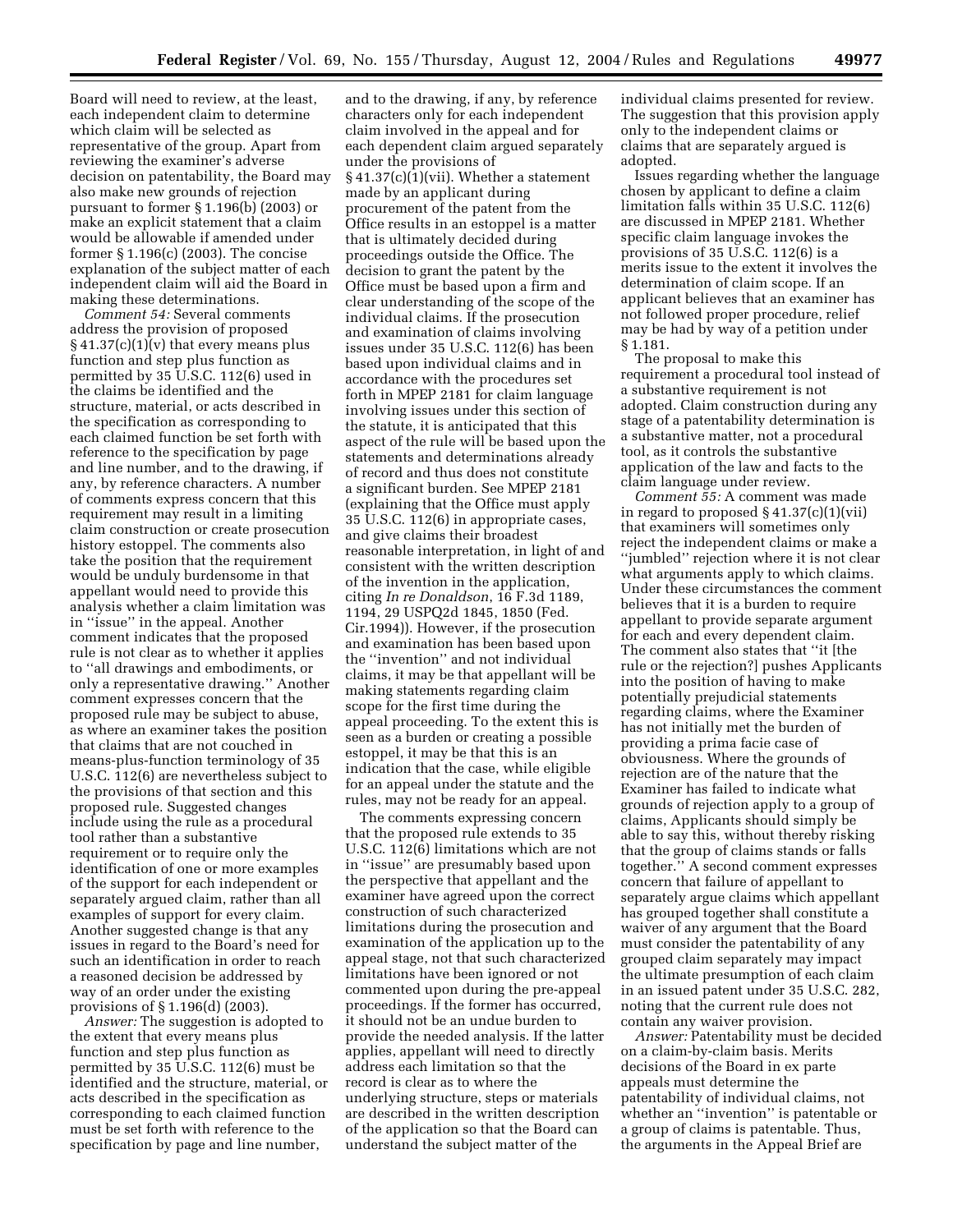Board will need to review, at the least, each independent claim to determine which claim will be selected as representative of the group. Apart from reviewing the examiner's adverse decision on patentability, the Board may also make new grounds of rejection pursuant to former § 1.196(b) (2003) or make an explicit statement that a claim would be allowable if amended under former § 1.196(c) (2003). The concise explanation of the subject matter of each independent claim will aid the Board in making these determinations.

*Comment 54:* Several comments address the provision of proposed  $§ 41.37(c)(1)(v)$  that every means plus function and step plus function as permitted by 35 U.S.C. 112(6) used in the claims be identified and the structure, material, or acts described in the specification as corresponding to each claimed function be set forth with reference to the specification by page and line number, and to the drawing, if any, by reference characters. A number of comments express concern that this requirement may result in a limiting claim construction or create prosecution history estoppel. The comments also take the position that the requirement would be unduly burdensome in that appellant would need to provide this analysis whether a claim limitation was in ''issue'' in the appeal. Another comment indicates that the proposed rule is not clear as to whether it applies to ''all drawings and embodiments, or only a representative drawing.'' Another comment expresses concern that the proposed rule may be subject to abuse, as where an examiner takes the position that claims that are not couched in means-plus-function terminology of 35 U.S.C. 112(6) are nevertheless subject to the provisions of that section and this proposed rule. Suggested changes include using the rule as a procedural tool rather than a substantive requirement or to require only the identification of one or more examples of the support for each independent or separately argued claim, rather than all examples of support for every claim. Another suggested change is that any issues in regard to the Board's need for such an identification in order to reach a reasoned decision be addressed by way of an order under the existing provisions of § 1.196(d) (2003).

*Answer:* The suggestion is adopted to the extent that every means plus function and step plus function as permitted by 35 U.S.C. 112(6) must be identified and the structure, material, or acts described in the specification as corresponding to each claimed function must be set forth with reference to the specification by page and line number,

and to the drawing, if any, by reference characters only for each independent claim involved in the appeal and for each dependent claim argued separately under the provisions of  $§41.37(c)(1)(vii)$ . Whether a statement made by an applicant during procurement of the patent from the Office results in an estoppel is a matter that is ultimately decided during proceedings outside the Office. The decision to grant the patent by the Office must be based upon a firm and clear understanding of the scope of the individual claims. If the prosecution and examination of claims involving issues under 35 U.S.C. 112(6) has been based upon individual claims and in accordance with the procedures set forth in MPEP 2181 for claim language involving issues under this section of the statute, it is anticipated that this aspect of the rule will be based upon the statements and determinations already of record and thus does not constitute a significant burden. See MPEP 2181 (explaining that the Office must apply 35 U.S.C. 112(6) in appropriate cases, and give claims their broadest reasonable interpretation, in light of and consistent with the written description of the invention in the application, citing *In re Donaldson*, 16 F.3d 1189, 1194, 29 USPQ2d 1845, 1850 (Fed. Cir.1994)). However, if the prosecution and examination has been based upon the ''invention'' and not individual claims, it may be that appellant will be making statements regarding claim scope for the first time during the appeal proceeding. To the extent this is seen as a burden or creating a possible estoppel, it may be that this is an indication that the case, while eligible for an appeal under the statute and the rules, may not be ready for an appeal.

The comments expressing concern that the proposed rule extends to 35 U.S.C. 112(6) limitations which are not in ''issue'' are presumably based upon the perspective that appellant and the examiner have agreed upon the correct construction of such characterized limitations during the prosecution and examination of the application up to the appeal stage, not that such characterized limitations have been ignored or not commented upon during the pre-appeal proceedings. If the former has occurred, it should not be an undue burden to provide the needed analysis. If the latter applies, appellant will need to directly address each limitation so that the record is clear as to where the underlying structure, steps or materials are described in the written description of the application so that the Board can understand the subject matter of the

individual claims presented for review. The suggestion that this provision apply only to the independent claims or claims that are separately argued is adopted.

Issues regarding whether the language chosen by applicant to define a claim limitation falls within 35 U.S.C. 112(6) are discussed in MPEP 2181. Whether specific claim language invokes the provisions of 35 U.S.C. 112(6) is a merits issue to the extent it involves the determination of claim scope. If an applicant believes that an examiner has not followed proper procedure, relief may be had by way of a petition under § 1.181.

The proposal to make this requirement a procedural tool instead of a substantive requirement is not adopted. Claim construction during any stage of a patentability determination is a substantive matter, not a procedural tool, as it controls the substantive application of the law and facts to the claim language under review.

*Comment 55:* A comment was made in regard to proposed  $\S 41.37(c)(1)(vii)$ that examiners will sometimes only reject the independent claims or make a ''jumbled'' rejection where it is not clear what arguments apply to which claims. Under these circumstances the comment believes that it is a burden to require appellant to provide separate argument for each and every dependent claim. The comment also states that ''it [the rule or the rejection?] pushes Applicants into the position of having to make potentially prejudicial statements regarding claims, where the Examiner has not initially met the burden of providing a prima facie case of obviousness. Where the grounds of rejection are of the nature that the Examiner has failed to indicate what grounds of rejection apply to a group of claims, Applicants should simply be able to say this, without thereby risking that the group of claims stands or falls together.'' A second comment expresses concern that failure of appellant to separately argue claims which appellant has grouped together shall constitute a waiver of any argument that the Board must consider the patentability of any grouped claim separately may impact the ultimate presumption of each claim in an issued patent under 35 U.S.C. 282, noting that the current rule does not contain any waiver provision.

*Answer:* Patentability must be decided on a claim-by-claim basis. Merits decisions of the Board in ex parte appeals must determine the patentability of individual claims, not whether an ''invention'' is patentable or a group of claims is patentable. Thus, the arguments in the Appeal Brief are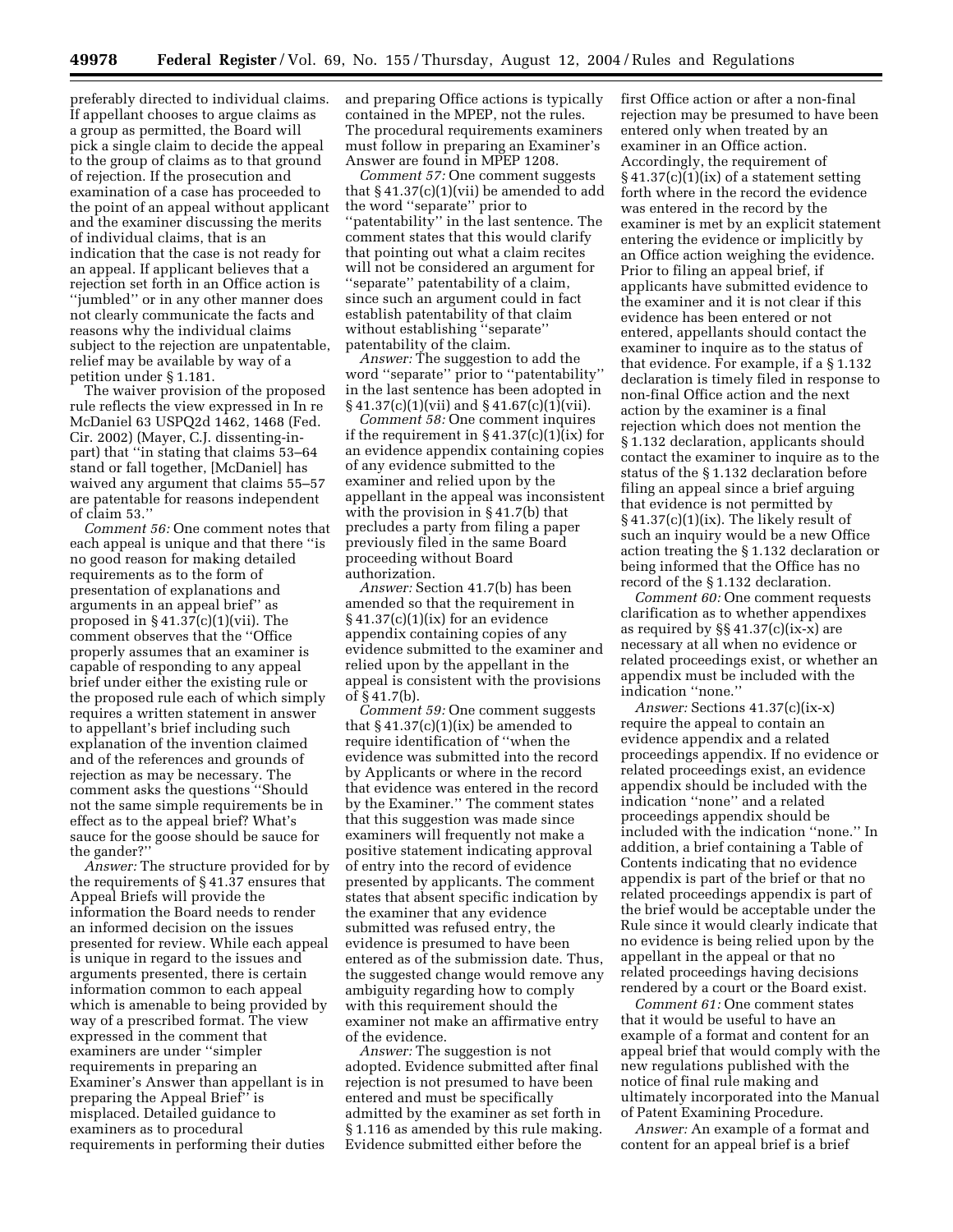preferably directed to individual claims. If appellant chooses to argue claims as a group as permitted, the Board will pick a single claim to decide the appeal to the group of claims as to that ground of rejection. If the prosecution and examination of a case has proceeded to the point of an appeal without applicant and the examiner discussing the merits of individual claims, that is an indication that the case is not ready for an appeal. If applicant believes that a rejection set forth in an Office action is ''jumbled'' or in any other manner does not clearly communicate the facts and reasons why the individual claims subject to the rejection are unpatentable, relief may be available by way of a petition under § 1.181.

The waiver provision of the proposed rule reflects the view expressed in In re McDaniel 63 USPQ2d 1462, 1468 (Fed. Cir. 2002) (Mayer, C.J. dissenting-inpart) that ''in stating that claims 53–64 stand or fall together, [McDaniel] has waived any argument that claims 55–57 are patentable for reasons independent of claim 53.''

*Comment 56:* One comment notes that each appeal is unique and that there ''is no good reason for making detailed requirements as to the form of presentation of explanations and arguments in an appeal brief'' as proposed in  $\S 41.37(c)(1)(vii)$ . The comment observes that the ''Office properly assumes that an examiner is capable of responding to any appeal brief under either the existing rule or the proposed rule each of which simply requires a written statement in answer to appellant's brief including such explanation of the invention claimed and of the references and grounds of rejection as may be necessary. The comment asks the questions ''Should not the same simple requirements be in effect as to the appeal brief? What's sauce for the goose should be sauce for the gander?''

*Answer:* The structure provided for by the requirements of § 41.37 ensures that Appeal Briefs will provide the information the Board needs to render an informed decision on the issues presented for review. While each appeal is unique in regard to the issues and arguments presented, there is certain information common to each appeal which is amenable to being provided by way of a prescribed format. The view expressed in the comment that examiners are under ''simpler requirements in preparing an Examiner's Answer than appellant is in preparing the Appeal Brief'' is misplaced. Detailed guidance to examiners as to procedural requirements in performing their duties

and preparing Office actions is typically contained in the MPEP, not the rules. The procedural requirements examiners must follow in preparing an Examiner's Answer are found in MPEP 1208.

*Comment 57:* One comment suggests that § 41.37(c)(1)(vii) be amended to add the word ''separate'' prior to 'patentability'' in the last sentence. The comment states that this would clarify that pointing out what a claim recites will not be considered an argument for ''separate'' patentability of a claim, since such an argument could in fact establish patentability of that claim without establishing ''separate'' patentability of the claim.

*Answer:* The suggestion to add the word ''separate'' prior to ''patentability'' in the last sentence has been adopted in  $\S 41.37(c)(1)(vii)$  and  $\S 41.67(c)(1)(vii)$ .

*Comment 58:* One comment inquires if the requirement in  $\S 41.37(c)(1)(ix)$  for an evidence appendix containing copies of any evidence submitted to the examiner and relied upon by the appellant in the appeal was inconsistent with the provision in § 41.7(b) that precludes a party from filing a paper previously filed in the same Board proceeding without Board authorization.

*Answer:* Section 41.7(b) has been amended so that the requirement in  $§ 41.37(c)(1)(ix)$  for an evidence appendix containing copies of any evidence submitted to the examiner and relied upon by the appellant in the appeal is consistent with the provisions of § 41.7(b).

*Comment 59:* One comment suggests that  $§ 41.37(c)(1)(ix)$  be amended to require identification of ''when the evidence was submitted into the record by Applicants or where in the record that evidence was entered in the record by the Examiner.'' The comment states that this suggestion was made since examiners will frequently not make a positive statement indicating approval of entry into the record of evidence presented by applicants. The comment states that absent specific indication by the examiner that any evidence submitted was refused entry, the evidence is presumed to have been entered as of the submission date. Thus, the suggested change would remove any ambiguity regarding how to comply with this requirement should the examiner not make an affirmative entry of the evidence.

*Answer:* The suggestion is not adopted. Evidence submitted after final rejection is not presumed to have been entered and must be specifically admitted by the examiner as set forth in § 1.116 as amended by this rule making. Evidence submitted either before the

first Office action or after a non-final rejection may be presumed to have been entered only when treated by an examiner in an Office action. Accordingly, the requirement of  $\S 41.37(c)(1)(ix)$  of a statement setting forth where in the record the evidence was entered in the record by the examiner is met by an explicit statement entering the evidence or implicitly by an Office action weighing the evidence. Prior to filing an appeal brief, if applicants have submitted evidence to the examiner and it is not clear if this evidence has been entered or not entered, appellants should contact the examiner to inquire as to the status of that evidence. For example, if a § 1.132 declaration is timely filed in response to non-final Office action and the next action by the examiner is a final rejection which does not mention the § 1.132 declaration, applicants should contact the examiner to inquire as to the status of the § 1.132 declaration before filing an appeal since a brief arguing that evidence is not permitted by § 41.37(c)(1)(ix). The likely result of such an inquiry would be a new Office action treating the § 1.132 declaration or being informed that the Office has no record of the § 1.132 declaration.

*Comment 60:* One comment requests clarification as to whether appendixes as required by §§ 41.37(c)(ix-x) are necessary at all when no evidence or related proceedings exist, or whether an appendix must be included with the indication ''none.''

*Answer:* Sections 41.37(c)(ix-x) require the appeal to contain an evidence appendix and a related proceedings appendix. If no evidence or related proceedings exist, an evidence appendix should be included with the indication ''none'' and a related proceedings appendix should be included with the indication ''none.'' In addition, a brief containing a Table of Contents indicating that no evidence appendix is part of the brief or that no related proceedings appendix is part of the brief would be acceptable under the Rule since it would clearly indicate that no evidence is being relied upon by the appellant in the appeal or that no related proceedings having decisions rendered by a court or the Board exist.

*Comment 61:* One comment states that it would be useful to have an example of a format and content for an appeal brief that would comply with the new regulations published with the notice of final rule making and ultimately incorporated into the Manual of Patent Examining Procedure.

*Answer:* An example of a format and content for an appeal brief is a brief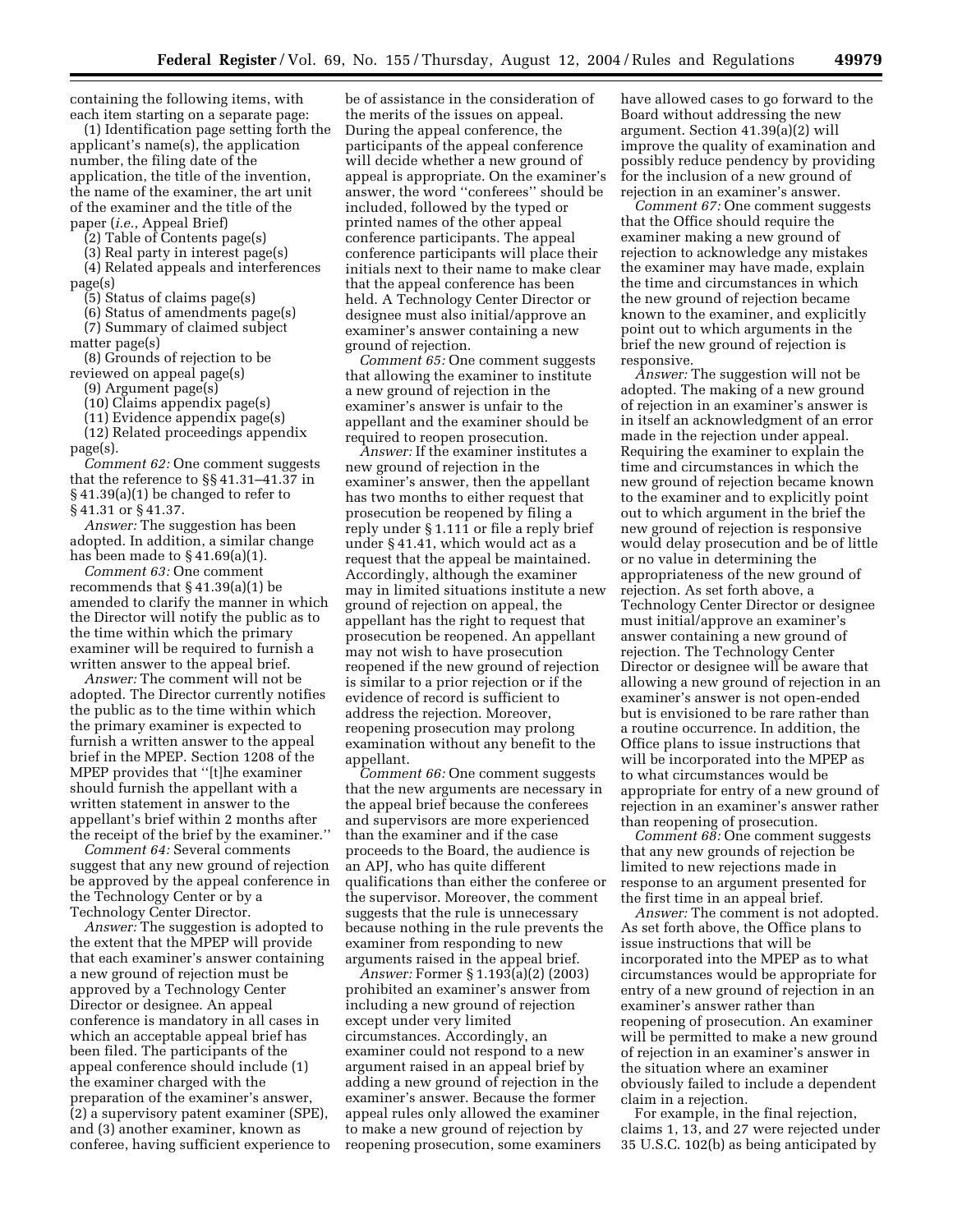containing the following items, with each item starting on a separate page:

(1) Identification page setting forth the applicant's name(s), the application number, the filing date of the application, the title of the invention, the name of the examiner, the art unit of the examiner and the title of the paper (*i.e.*, Appeal Brief)

(2) Table of Contents page(s)

(3) Real party in interest page(s)

(4) Related appeals and interferences page(s)

(5) Status of claims page(s)

(6) Status of amendments page(s)

(7) Summary of claimed subject matter page(s)

(8) Grounds of rejection to be reviewed on appeal page(s)

(9) Argument page(s)

(10) Claims appendix page(s)

(11) Evidence appendix page(s)

(12) Related proceedings appendix page(s).

*Comment 62:* One comment suggests that the reference to §§ 41.31–41.37 in § 41.39(a)(1) be changed to refer to § 41.31 or § 41.37.

*Answer:* The suggestion has been adopted. In addition, a similar change has been made to § 41.69(a)(1).

*Comment 63:* One comment recommends that § 41.39(a)(1) be amended to clarify the manner in which the Director will notify the public as to the time within which the primary examiner will be required to furnish a written answer to the appeal brief.

*Answer:* The comment will not be adopted. The Director currently notifies the public as to the time within which the primary examiner is expected to furnish a written answer to the appeal brief in the MPEP. Section 1208 of the MPEP provides that ''[t]he examiner should furnish the appellant with a written statement in answer to the appellant's brief within 2 months after the receipt of the brief by the examiner.''

*Comment 64:* Several comments suggest that any new ground of rejection be approved by the appeal conference in the Technology Center or by a Technology Center Director.

*Answer:* The suggestion is adopted to the extent that the MPEP will provide that each examiner's answer containing a new ground of rejection must be approved by a Technology Center Director or designee. An appeal conference is mandatory in all cases in which an acceptable appeal brief has been filed. The participants of the appeal conference should include (1) the examiner charged with the preparation of the examiner's answer, (2) a supervisory patent examiner (SPE), and (3) another examiner, known as conferee, having sufficient experience to

be of assistance in the consideration of the merits of the issues on appeal. During the appeal conference, the participants of the appeal conference will decide whether a new ground of appeal is appropriate. On the examiner's answer, the word ''conferees'' should be included, followed by the typed or printed names of the other appeal conference participants. The appeal conference participants will place their initials next to their name to make clear that the appeal conference has been held. A Technology Center Director or designee must also initial/approve an examiner's answer containing a new ground of rejection.

*Comment 65:* One comment suggests that allowing the examiner to institute a new ground of rejection in the examiner's answer is unfair to the appellant and the examiner should be required to reopen prosecution.

*Answer:* If the examiner institutes a new ground of rejection in the examiner's answer, then the appellant has two months to either request that prosecution be reopened by filing a reply under § 1.111 or file a reply brief under § 41.41, which would act as a request that the appeal be maintained. Accordingly, although the examiner may in limited situations institute a new ground of rejection on appeal, the appellant has the right to request that prosecution be reopened. An appellant may not wish to have prosecution reopened if the new ground of rejection is similar to a prior rejection or if the evidence of record is sufficient to address the rejection. Moreover, reopening prosecution may prolong examination without any benefit to the appellant.

*Comment 66:* One comment suggests that the new arguments are necessary in the appeal brief because the conferees and supervisors are more experienced than the examiner and if the case proceeds to the Board, the audience is an APJ, who has quite different qualifications than either the conferee or the supervisor. Moreover, the comment suggests that the rule is unnecessary because nothing in the rule prevents the examiner from responding to new arguments raised in the appeal brief.

*Answer:* Former § 1.193(a)(2) (2003) prohibited an examiner's answer from including a new ground of rejection except under very limited circumstances. Accordingly, an examiner could not respond to a new argument raised in an appeal brief by adding a new ground of rejection in the examiner's answer. Because the former appeal rules only allowed the examiner to make a new ground of rejection by reopening prosecution, some examiners have allowed cases to go forward to the Board without addressing the new argument. Section 41.39(a)(2) will improve the quality of examination and possibly reduce pendency by providing for the inclusion of a new ground of rejection in an examiner's answer.

*Comment 67:* One comment suggests that the Office should require the examiner making a new ground of rejection to acknowledge any mistakes the examiner may have made, explain the time and circumstances in which the new ground of rejection became known to the examiner, and explicitly point out to which arguments in the brief the new ground of rejection is responsive.

*Answer:* The suggestion will not be adopted. The making of a new ground of rejection in an examiner's answer is in itself an acknowledgment of an error made in the rejection under appeal. Requiring the examiner to explain the time and circumstances in which the new ground of rejection became known to the examiner and to explicitly point out to which argument in the brief the new ground of rejection is responsive would delay prosecution and be of little or no value in determining the appropriateness of the new ground of rejection. As set forth above, a Technology Center Director or designee must initial/approve an examiner's answer containing a new ground of rejection. The Technology Center Director or designee will be aware that allowing a new ground of rejection in an examiner's answer is not open-ended but is envisioned to be rare rather than a routine occurrence. In addition, the Office plans to issue instructions that will be incorporated into the MPEP as to what circumstances would be appropriate for entry of a new ground of rejection in an examiner's answer rather than reopening of prosecution.

*Comment 68:* One comment suggests that any new grounds of rejection be limited to new rejections made in response to an argument presented for the first time in an appeal brief.

*Answer:* The comment is not adopted. As set forth above, the Office plans to issue instructions that will be incorporated into the MPEP as to what circumstances would be appropriate for entry of a new ground of rejection in an examiner's answer rather than reopening of prosecution. An examiner will be permitted to make a new ground of rejection in an examiner's answer in the situation where an examiner obviously failed to include a dependent claim in a rejection.

For example, in the final rejection, claims 1, 13, and 27 were rejected under 35 U.S.C. 102(b) as being anticipated by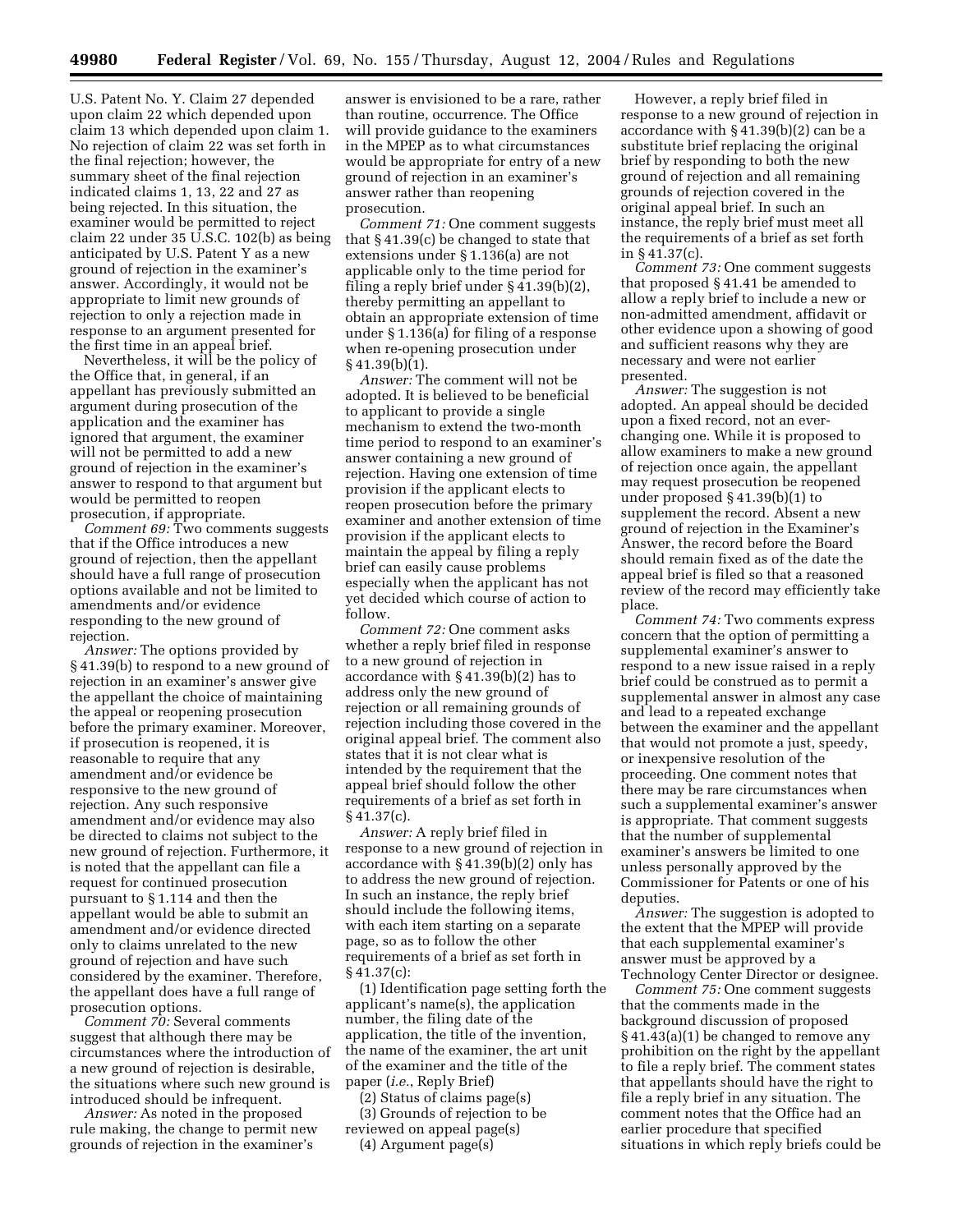U.S. Patent No. Y. Claim 27 depended upon claim 22 which depended upon claim 13 which depended upon claim 1. No rejection of claim 22 was set forth in the final rejection; however, the summary sheet of the final rejection indicated claims 1, 13, 22 and 27 as being rejected. In this situation, the examiner would be permitted to reject claim 22 under 35 U.S.C. 102(b) as being anticipated by U.S. Patent Y as a new ground of rejection in the examiner's answer. Accordingly, it would not be appropriate to limit new grounds of rejection to only a rejection made in response to an argument presented for the first time in an appeal brief.

Nevertheless, it will be the policy of the Office that, in general, if an appellant has previously submitted an argument during prosecution of the application and the examiner has ignored that argument, the examiner will not be permitted to add a new ground of rejection in the examiner's answer to respond to that argument but would be permitted to reopen prosecution, if appropriate.

*Comment 69:* Two comments suggests that if the Office introduces a new ground of rejection, then the appellant should have a full range of prosecution options available and not be limited to amendments and/or evidence responding to the new ground of rejection.

*Answer:* The options provided by § 41.39(b) to respond to a new ground of rejection in an examiner's answer give the appellant the choice of maintaining the appeal or reopening prosecution before the primary examiner. Moreover, if prosecution is reopened, it is reasonable to require that any amendment and/or evidence be responsive to the new ground of rejection. Any such responsive amendment and/or evidence may also be directed to claims not subject to the new ground of rejection. Furthermore, it is noted that the appellant can file a request for continued prosecution pursuant to § 1.114 and then the appellant would be able to submit an amendment and/or evidence directed only to claims unrelated to the new ground of rejection and have such considered by the examiner. Therefore, the appellant does have a full range of prosecution options.

*Comment 70:* Several comments suggest that although there may be circumstances where the introduction of a new ground of rejection is desirable, the situations where such new ground is introduced should be infrequent.

*Answer:* As noted in the proposed rule making, the change to permit new grounds of rejection in the examiner's

answer is envisioned to be a rare, rather than routine, occurrence. The Office will provide guidance to the examiners in the MPEP as to what circumstances would be appropriate for entry of a new ground of rejection in an examiner's answer rather than reopening prosecution.

*Comment 71:* One comment suggests that § 41.39(c) be changed to state that extensions under § 1.136(a) are not applicable only to the time period for filing a reply brief under § 41.39(b)(2), thereby permitting an appellant to obtain an appropriate extension of time under § 1.136(a) for filing of a response when re-opening prosecution under § 41.39(b)(1).

*Answer:* The comment will not be adopted. It is believed to be beneficial to applicant to provide a single mechanism to extend the two-month time period to respond to an examiner's answer containing a new ground of rejection. Having one extension of time provision if the applicant elects to reopen prosecution before the primary examiner and another extension of time provision if the applicant elects to maintain the appeal by filing a reply brief can easily cause problems especially when the applicant has not yet decided which course of action to follow.

*Comment 72:* One comment asks whether a reply brief filed in response to a new ground of rejection in accordance with § 41.39(b)(2) has to address only the new ground of rejection or all remaining grounds of rejection including those covered in the original appeal brief. The comment also states that it is not clear what is intended by the requirement that the appeal brief should follow the other requirements of a brief as set forth in  $§$  41.37(c).

*Answer:* A reply brief filed in response to a new ground of rejection in accordance with § 41.39(b)(2) only has to address the new ground of rejection. In such an instance, the reply brief should include the following items, with each item starting on a separate page, so as to follow the other requirements of a brief as set forth in  $§ 41.37(c):$ 

(1) Identification page setting forth the applicant's name(s), the application number, the filing date of the application, the title of the invention, the name of the examiner, the art unit of the examiner and the title of the paper (*i.e.*, Reply Brief)

(2) Status of claims page(s) (3) Grounds of rejection to be reviewed on appeal page(s) (4) Argument page(s)

However, a reply brief filed in response to a new ground of rejection in accordance with § 41.39(b)(2) can be a substitute brief replacing the original brief by responding to both the new ground of rejection and all remaining grounds of rejection covered in the original appeal brief. In such an instance, the reply brief must meet all the requirements of a brief as set forth in § 41.37(c).

*Comment 73:* One comment suggests that proposed § 41.41 be amended to allow a reply brief to include a new or non-admitted amendment, affidavit or other evidence upon a showing of good and sufficient reasons why they are necessary and were not earlier presented.

*Answer:* The suggestion is not adopted. An appeal should be decided upon a fixed record, not an everchanging one. While it is proposed to allow examiners to make a new ground of rejection once again, the appellant may request prosecution be reopened under proposed § 41.39(b)(1) to supplement the record. Absent a new ground of rejection in the Examiner's Answer, the record before the Board should remain fixed as of the date the appeal brief is filed so that a reasoned review of the record may efficiently take place.

*Comment 74:* Two comments express concern that the option of permitting a supplemental examiner's answer to respond to a new issue raised in a reply brief could be construed as to permit a supplemental answer in almost any case and lead to a repeated exchange between the examiner and the appellant that would not promote a just, speedy, or inexpensive resolution of the proceeding. One comment notes that there may be rare circumstances when such a supplemental examiner's answer is appropriate. That comment suggests that the number of supplemental examiner's answers be limited to one unless personally approved by the Commissioner for Patents or one of his deputies.

*Answer:* The suggestion is adopted to the extent that the MPEP will provide that each supplemental examiner's answer must be approved by a Technology Center Director or designee.

*Comment 75:* One comment suggests that the comments made in the background discussion of proposed § 41.43(a)(1) be changed to remove any prohibition on the right by the appellant to file a reply brief. The comment states that appellants should have the right to file a reply brief in any situation. The comment notes that the Office had an earlier procedure that specified situations in which reply briefs could be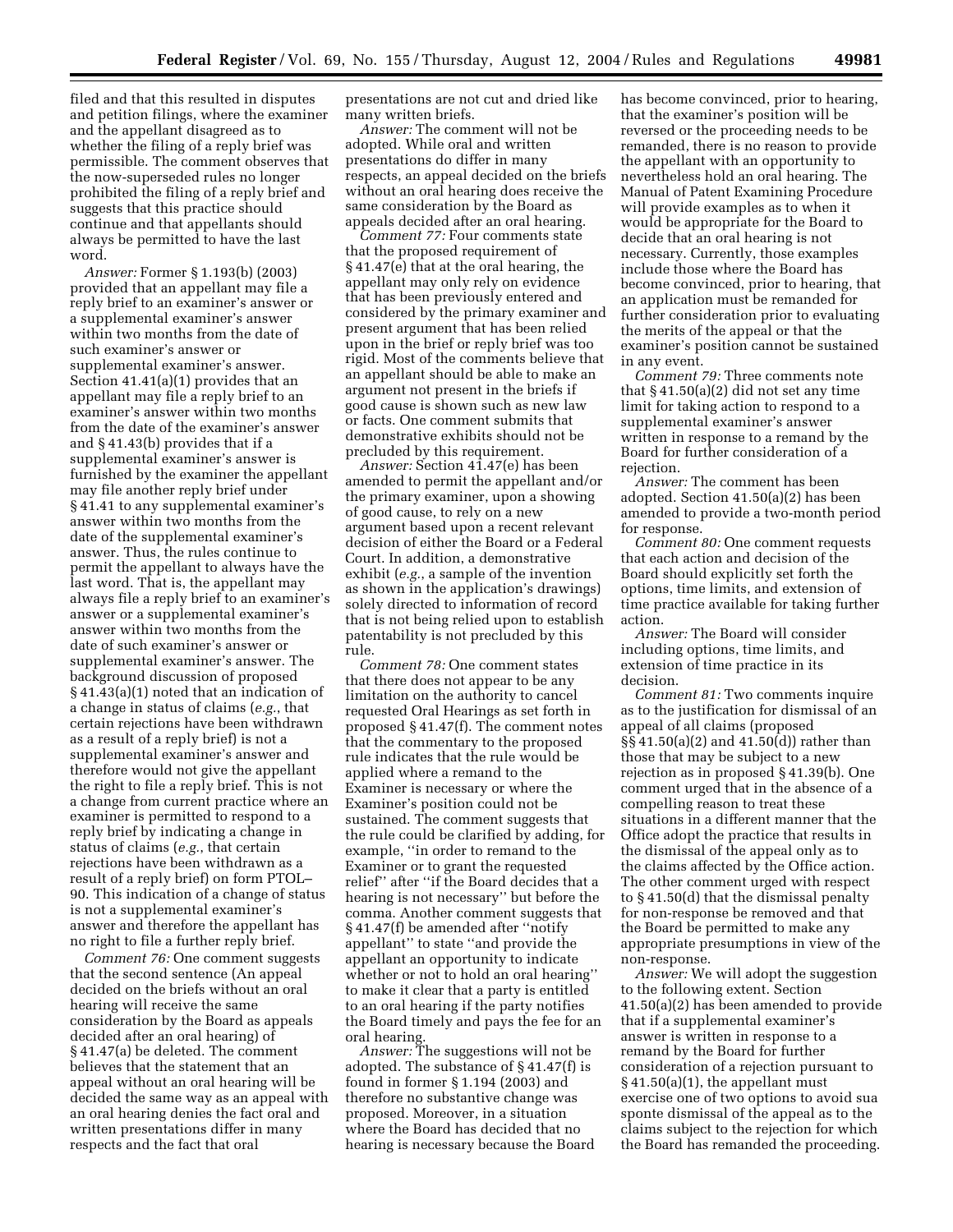filed and that this resulted in disputes and petition filings, where the examiner and the appellant disagreed as to whether the filing of a reply brief was permissible. The comment observes that the now-superseded rules no longer prohibited the filing of a reply brief and suggests that this practice should continue and that appellants should always be permitted to have the last word.

*Answer:* Former § 1.193(b) (2003) provided that an appellant may file a reply brief to an examiner's answer or a supplemental examiner's answer within two months from the date of such examiner's answer or supplemental examiner's answer. Section 41.41(a)(1) provides that an appellant may file a reply brief to an examiner's answer within two months from the date of the examiner's answer and § 41.43(b) provides that if a supplemental examiner's answer is furnished by the examiner the appellant may file another reply brief under § 41.41 to any supplemental examiner's answer within two months from the date of the supplemental examiner's answer. Thus, the rules continue to permit the appellant to always have the last word. That is, the appellant may always file a reply brief to an examiner's answer or a supplemental examiner's answer within two months from the date of such examiner's answer or supplemental examiner's answer. The background discussion of proposed § 41.43(a)(1) noted that an indication of a change in status of claims (*e.g.*, that certain rejections have been withdrawn as a result of a reply brief) is not a supplemental examiner's answer and therefore would not give the appellant the right to file a reply brief. This is not a change from current practice where an examiner is permitted to respond to a reply brief by indicating a change in status of claims (*e.g.*, that certain rejections have been withdrawn as a result of a reply brief) on form PTOL– 90. This indication of a change of status is not a supplemental examiner's answer and therefore the appellant has no right to file a further reply brief.

*Comment 76:* One comment suggests that the second sentence (An appeal decided on the briefs without an oral hearing will receive the same consideration by the Board as appeals decided after an oral hearing) of § 41.47(a) be deleted. The comment believes that the statement that an appeal without an oral hearing will be decided the same way as an appeal with an oral hearing denies the fact oral and written presentations differ in many respects and the fact that oral

presentations are not cut and dried like many written briefs.

*Answer:* The comment will not be adopted. While oral and written presentations do differ in many respects, an appeal decided on the briefs without an oral hearing does receive the same consideration by the Board as appeals decided after an oral hearing.

*Comment 77:* Four comments state that the proposed requirement of § 41.47(e) that at the oral hearing, the appellant may only rely on evidence that has been previously entered and considered by the primary examiner and present argument that has been relied upon in the brief or reply brief was too rigid. Most of the comments believe that an appellant should be able to make an argument not present in the briefs if good cause is shown such as new law or facts. One comment submits that demonstrative exhibits should not be precluded by this requirement.

*Answer:* Section 41.47(e) has been amended to permit the appellant and/or the primary examiner, upon a showing of good cause, to rely on a new argument based upon a recent relevant decision of either the Board or a Federal Court. In addition, a demonstrative exhibit (*e.g.*, a sample of the invention as shown in the application's drawings) solely directed to information of record that is not being relied upon to establish patentability is not precluded by this rule.

*Comment 78:* One comment states that there does not appear to be any limitation on the authority to cancel requested Oral Hearings as set forth in proposed § 41.47(f). The comment notes that the commentary to the proposed rule indicates that the rule would be applied where a remand to the Examiner is necessary or where the Examiner's position could not be sustained. The comment suggests that the rule could be clarified by adding, for example, ''in order to remand to the Examiner or to grant the requested relief'' after ''if the Board decides that a hearing is not necessary'' but before the comma. Another comment suggests that § 41.47(f) be amended after ''notify appellant'' to state ''and provide the appellant an opportunity to indicate whether or not to hold an oral hearing'' to make it clear that a party is entitled to an oral hearing if the party notifies the Board timely and pays the fee for an oral hearing.

*Answer:* The suggestions will not be adopted. The substance of § 41.47(f) is found in former § 1.194 (2003) and therefore no substantive change was proposed. Moreover, in a situation where the Board has decided that no hearing is necessary because the Board has become convinced, prior to hearing, that the examiner's position will be reversed or the proceeding needs to be remanded, there is no reason to provide the appellant with an opportunity to nevertheless hold an oral hearing. The Manual of Patent Examining Procedure will provide examples as to when it would be appropriate for the Board to decide that an oral hearing is not necessary. Currently, those examples include those where the Board has become convinced, prior to hearing, that an application must be remanded for further consideration prior to evaluating the merits of the appeal or that the examiner's position cannot be sustained in any event.

*Comment 79:* Three comments note that  $§ 41.50(a)(2)$  did not set any time limit for taking action to respond to a supplemental examiner's answer written in response to a remand by the Board for further consideration of a rejection.

*Answer:* The comment has been adopted. Section 41.50(a)(2) has been amended to provide a two-month period for response.

*Comment 80:* One comment requests that each action and decision of the Board should explicitly set forth the options, time limits, and extension of time practice available for taking further action.

*Answer:* The Board will consider including options, time limits, and extension of time practice in its decision.

*Comment 81:* Two comments inquire as to the justification for dismissal of an appeal of all claims (proposed §§ 41.50(a)(2) and 41.50(d)) rather than those that may be subject to a new rejection as in proposed § 41.39(b). One comment urged that in the absence of a compelling reason to treat these situations in a different manner that the Office adopt the practice that results in the dismissal of the appeal only as to the claims affected by the Office action. The other comment urged with respect to § 41.50(d) that the dismissal penalty for non-response be removed and that the Board be permitted to make any appropriate presumptions in view of the non-response.

*Answer:* We will adopt the suggestion to the following extent. Section 41.50(a)(2) has been amended to provide that if a supplemental examiner's answer is written in response to a remand by the Board for further consideration of a rejection pursuant to § 41.50(a)(1), the appellant must exercise one of two options to avoid sua sponte dismissal of the appeal as to the claims subject to the rejection for which the Board has remanded the proceeding.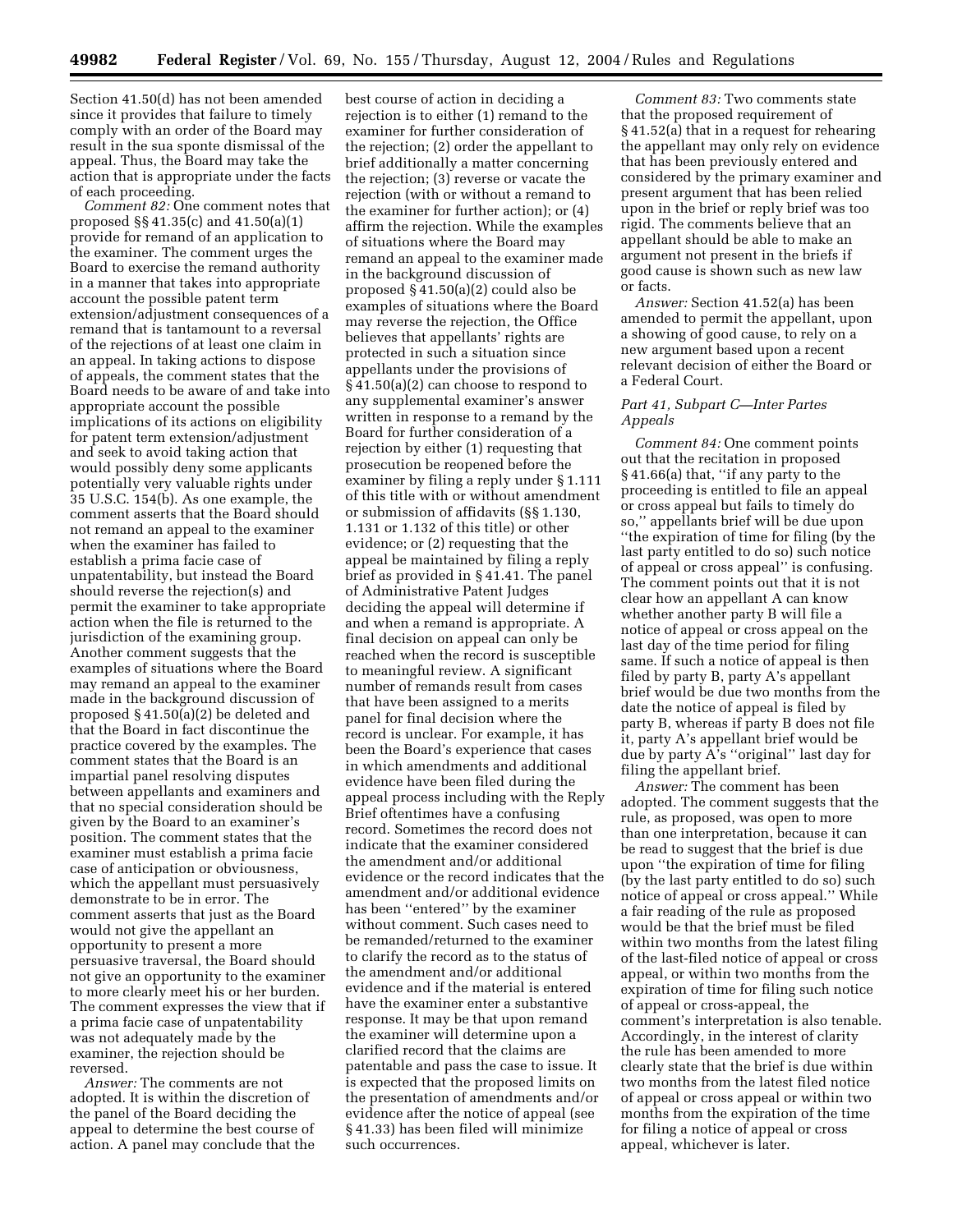Section 41.50(d) has not been amended since it provides that failure to timely comply with an order of the Board may result in the sua sponte dismissal of the appeal. Thus, the Board may take the action that is appropriate under the facts of each proceeding.

*Comment 82:* One comment notes that proposed §§ 41.35(c) and 41.50(a)(1) provide for remand of an application to the examiner. The comment urges the Board to exercise the remand authority in a manner that takes into appropriate account the possible patent term extension/adjustment consequences of a remand that is tantamount to a reversal of the rejections of at least one claim in an appeal. In taking actions to dispose of appeals, the comment states that the Board needs to be aware of and take into appropriate account the possible implications of its actions on eligibility for patent term extension/adjustment and seek to avoid taking action that would possibly deny some applicants potentially very valuable rights under 35 U.S.C. 154(b). As one example, the comment asserts that the Board should not remand an appeal to the examiner when the examiner has failed to establish a prima facie case of unpatentability, but instead the Board should reverse the rejection(s) and permit the examiner to take appropriate action when the file is returned to the jurisdiction of the examining group. Another comment suggests that the examples of situations where the Board may remand an appeal to the examiner made in the background discussion of proposed § 41.50(a)(2) be deleted and that the Board in fact discontinue the practice covered by the examples. The comment states that the Board is an impartial panel resolving disputes between appellants and examiners and that no special consideration should be given by the Board to an examiner's position. The comment states that the examiner must establish a prima facie case of anticipation or obviousness, which the appellant must persuasively demonstrate to be in error. The comment asserts that just as the Board would not give the appellant an opportunity to present a more persuasive traversal, the Board should not give an opportunity to the examiner to more clearly meet his or her burden. The comment expresses the view that if a prima facie case of unpatentability was not adequately made by the examiner, the rejection should be reversed.

*Answer:* The comments are not adopted. It is within the discretion of the panel of the Board deciding the appeal to determine the best course of action. A panel may conclude that the

best course of action in deciding a rejection is to either (1) remand to the examiner for further consideration of the rejection; (2) order the appellant to brief additionally a matter concerning the rejection; (3) reverse or vacate the rejection (with or without a remand to the examiner for further action); or (4) affirm the rejection. While the examples of situations where the Board may remand an appeal to the examiner made in the background discussion of proposed § 41.50(a)(2) could also be examples of situations where the Board may reverse the rejection, the Office believes that appellants' rights are protected in such a situation since appellants under the provisions of § 41.50(a)(2) can choose to respond to any supplemental examiner's answer written in response to a remand by the Board for further consideration of a rejection by either (1) requesting that prosecution be reopened before the examiner by filing a reply under § 1.111 of this title with or without amendment or submission of affidavits (§§ 1.130, 1.131 or 1.132 of this title) or other evidence; or (2) requesting that the appeal be maintained by filing a reply brief as provided in § 41.41. The panel of Administrative Patent Judges deciding the appeal will determine if and when a remand is appropriate. A final decision on appeal can only be reached when the record is susceptible to meaningful review. A significant number of remands result from cases that have been assigned to a merits panel for final decision where the record is unclear. For example, it has been the Board's experience that cases in which amendments and additional evidence have been filed during the appeal process including with the Reply Brief oftentimes have a confusing record. Sometimes the record does not indicate that the examiner considered the amendment and/or additional evidence or the record indicates that the amendment and/or additional evidence has been ''entered'' by the examiner without comment. Such cases need to be remanded/returned to the examiner to clarify the record as to the status of the amendment and/or additional evidence and if the material is entered have the examiner enter a substantive response. It may be that upon remand the examiner will determine upon a clarified record that the claims are patentable and pass the case to issue. It is expected that the proposed limits on the presentation of amendments and/or evidence after the notice of appeal (see § 41.33) has been filed will minimize such occurrences.

*Comment 83:* Two comments state that the proposed requirement of § 41.52(a) that in a request for rehearing the appellant may only rely on evidence that has been previously entered and considered by the primary examiner and present argument that has been relied upon in the brief or reply brief was too rigid. The comments believe that an appellant should be able to make an argument not present in the briefs if good cause is shown such as new law or facts.

*Answer:* Section 41.52(a) has been amended to permit the appellant, upon a showing of good cause, to rely on a new argument based upon a recent relevant decision of either the Board or a Federal Court.

## *Part 41, Subpart C—Inter Partes Appeals*

*Comment 84:* One comment points out that the recitation in proposed § 41.66(a) that, ''if any party to the proceeding is entitled to file an appeal or cross appeal but fails to timely do so,'' appellants brief will be due upon ''the expiration of time for filing (by the last party entitled to do so) such notice of appeal or cross appeal'' is confusing. The comment points out that it is not clear how an appellant A can know whether another party B will file a notice of appeal or cross appeal on the last day of the time period for filing same. If such a notice of appeal is then filed by party B, party A's appellant brief would be due two months from the date the notice of appeal is filed by party B, whereas if party B does not file it, party A's appellant brief would be due by party A's ''original'' last day for filing the appellant brief.

*Answer:* The comment has been adopted. The comment suggests that the rule, as proposed, was open to more than one interpretation, because it can be read to suggest that the brief is due upon ''the expiration of time for filing (by the last party entitled to do so) such notice of appeal or cross appeal.'' While a fair reading of the rule as proposed would be that the brief must be filed within two months from the latest filing of the last-filed notice of appeal or cross appeal, or within two months from the expiration of time for filing such notice of appeal or cross-appeal, the comment's interpretation is also tenable. Accordingly, in the interest of clarity the rule has been amended to more clearly state that the brief is due within two months from the latest filed notice of appeal or cross appeal or within two months from the expiration of the time for filing a notice of appeal or cross appeal, whichever is later.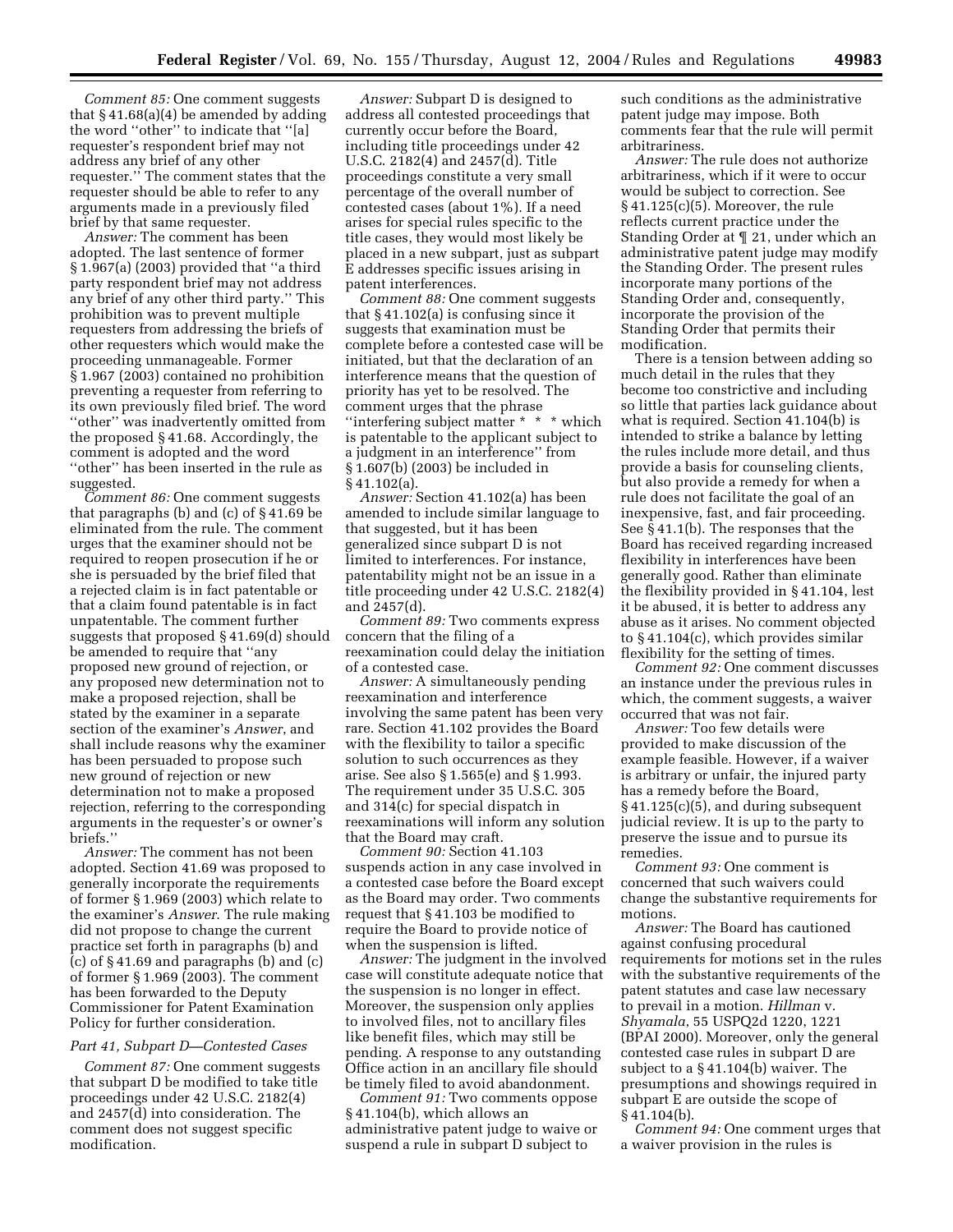*Comment 85:* One comment suggests that  $§$  41.68(a)(4) be amended by adding the word ''other'' to indicate that ''[a] requester's respondent brief may not address any brief of any other requester.'' The comment states that the requester should be able to refer to any arguments made in a previously filed brief by that same requester.

*Answer:* The comment has been adopted. The last sentence of former § 1.967(a) (2003) provided that ''a third party respondent brief may not address any brief of any other third party.'' This prohibition was to prevent multiple requesters from addressing the briefs of other requesters which would make the proceeding unmanageable. Former § 1.967 (2003) contained no prohibition preventing a requester from referring to its own previously filed brief. The word ''other'' was inadvertently omitted from the proposed § 41.68. Accordingly, the comment is adopted and the word ''other'' has been inserted in the rule as suggested.

*Comment 86:* One comment suggests that paragraphs (b) and (c) of § 41.69 be eliminated from the rule. The comment urges that the examiner should not be required to reopen prosecution if he or she is persuaded by the brief filed that a rejected claim is in fact patentable or that a claim found patentable is in fact unpatentable. The comment further suggests that proposed § 41.69(d) should be amended to require that ''any proposed new ground of rejection, or any proposed new determination not to make a proposed rejection, shall be stated by the examiner in a separate section of the examiner's *Answer*, and shall include reasons why the examiner has been persuaded to propose such new ground of rejection or new determination not to make a proposed rejection, referring to the corresponding arguments in the requester's or owner's briefs.''

*Answer:* The comment has not been adopted. Section 41.69 was proposed to generally incorporate the requirements of former § 1.969 (2003) which relate to the examiner's *Answer*. The rule making did not propose to change the current practice set forth in paragraphs (b) and (c) of § 41.69 and paragraphs (b) and (c) of former § 1.969 (2003). The comment has been forwarded to the Deputy Commissioner for Patent Examination Policy for further consideration.

#### *Part 41, Subpart D—Contested Cases*

*Comment 87:* One comment suggests that subpart D be modified to take title proceedings under 42 U.S.C. 2182(4) and 2457(d) into consideration. The comment does not suggest specific modification.

*Answer:* Subpart D is designed to address all contested proceedings that currently occur before the Board, including title proceedings under 42 U.S.C. 2182(4) and 2457(d). Title proceedings constitute a very small percentage of the overall number of contested cases (about 1%). If a need arises for special rules specific to the title cases, they would most likely be placed in a new subpart, just as subpart E addresses specific issues arising in patent interferences.

*Comment 88:* One comment suggests that § 41.102(a) is confusing since it suggests that examination must be complete before a contested case will be initiated, but that the declaration of an interference means that the question of priority has yet to be resolved. The comment urges that the phrase ''interfering subject matter \* \* \* which is patentable to the applicant subject to a judgment in an interference'' from § 1.607(b) (2003) be included in § 41.102(a).

*Answer:* Section 41.102(a) has been amended to include similar language to that suggested, but it has been generalized since subpart D is not limited to interferences. For instance, patentability might not be an issue in a title proceeding under 42 U.S.C. 2182(4) and 2457(d).

*Comment 89:* Two comments express concern that the filing of a reexamination could delay the initiation of a contested case.

*Answer:* A simultaneously pending reexamination and interference involving the same patent has been very rare. Section 41.102 provides the Board with the flexibility to tailor a specific solution to such occurrences as they arise. See also § 1.565(e) and § 1.993. The requirement under 35 U.S.C. 305 and 314(c) for special dispatch in reexaminations will inform any solution that the Board may craft.

*Comment 90:* Section 41.103 suspends action in any case involved in a contested case before the Board except as the Board may order. Two comments request that § 41.103 be modified to require the Board to provide notice of when the suspension is lifted.

*Answer:* The judgment in the involved case will constitute adequate notice that the suspension is no longer in effect. Moreover, the suspension only applies to involved files, not to ancillary files like benefit files, which may still be pending. A response to any outstanding Office action in an ancillary file should be timely filed to avoid abandonment.

*Comment 91:* Two comments oppose § 41.104(b), which allows an administrative patent judge to waive or suspend a rule in subpart D subject to

such conditions as the administrative patent judge may impose. Both comments fear that the rule will permit arbitrariness.

*Answer:* The rule does not authorize arbitrariness, which if it were to occur would be subject to correction. See § 41.125(c)(5). Moreover, the rule reflects current practice under the Standing Order at ¶ 21, under which an administrative patent judge may modify the Standing Order. The present rules incorporate many portions of the Standing Order and, consequently, incorporate the provision of the Standing Order that permits their modification.

There is a tension between adding so much detail in the rules that they become too constrictive and including so little that parties lack guidance about what is required. Section 41.104(b) is intended to strike a balance by letting the rules include more detail, and thus provide a basis for counseling clients, but also provide a remedy for when a rule does not facilitate the goal of an inexpensive, fast, and fair proceeding. See § 41.1(b). The responses that the Board has received regarding increased flexibility in interferences have been generally good. Rather than eliminate the flexibility provided in § 41.104, lest it be abused, it is better to address any abuse as it arises. No comment objected to § 41.104(c), which provides similar flexibility for the setting of times.

*Comment 92:* One comment discusses an instance under the previous rules in which, the comment suggests, a waiver occurred that was not fair.

*Answer:* Too few details were provided to make discussion of the example feasible. However, if a waiver is arbitrary or unfair, the injured party has a remedy before the Board, § 41.125(c)(5), and during subsequent judicial review. It is up to the party to preserve the issue and to pursue its remedies.

*Comment 93:* One comment is concerned that such waivers could change the substantive requirements for motions.

*Answer:* The Board has cautioned against confusing procedural requirements for motions set in the rules with the substantive requirements of the patent statutes and case law necessary to prevail in a motion. *Hillman* v. *Shyamala*, 55 USPQ2d 1220, 1221 (BPAI 2000). Moreover, only the general contested case rules in subpart D are subject to a § 41.104(b) waiver. The presumptions and showings required in subpart E are outside the scope of § 41.104(b).

*Comment 94:* One comment urges that a waiver provision in the rules is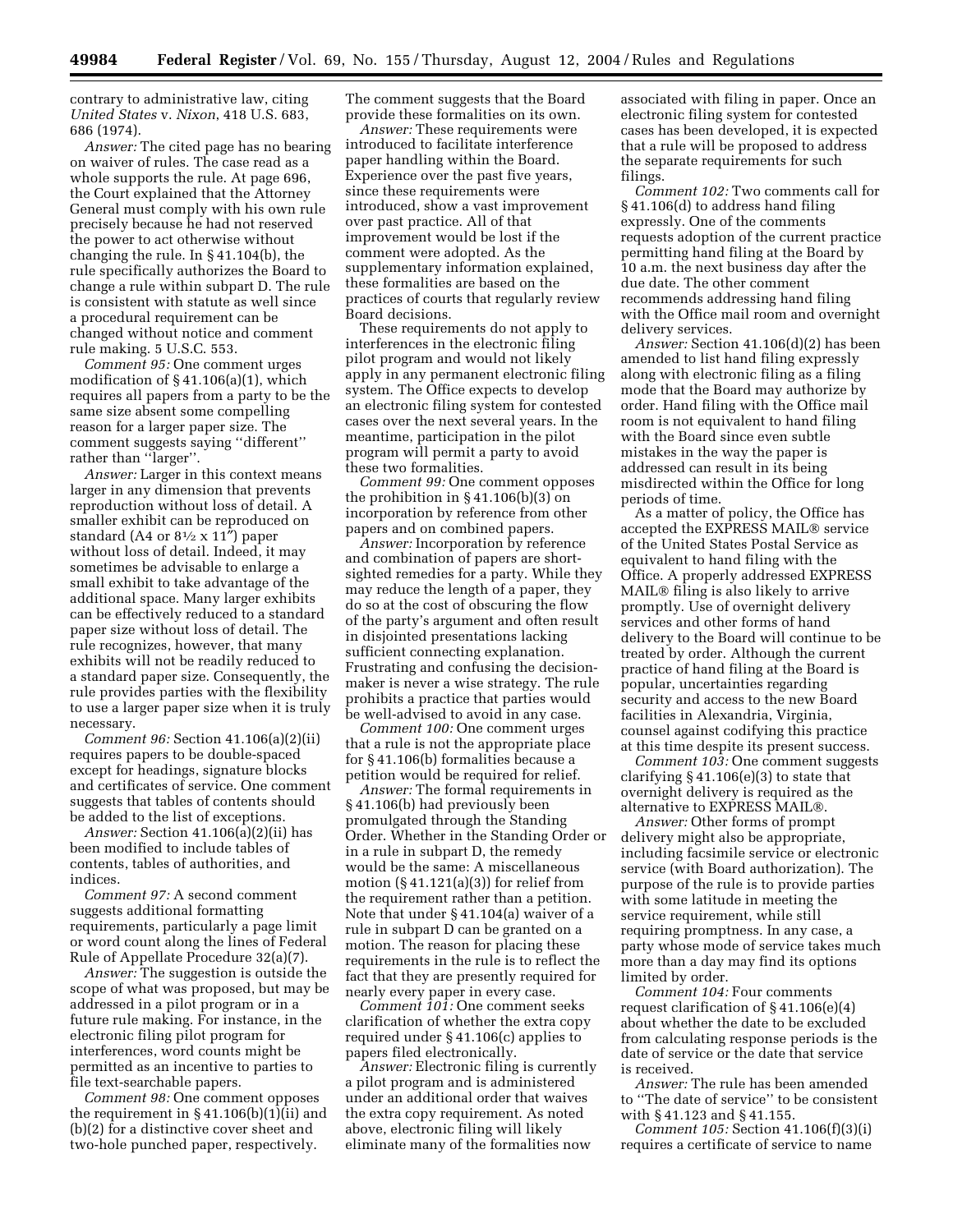contrary to administrative law, citing *United States* v. *Nixon*, 418 U.S. 683, 686 (1974).

*Answer:* The cited page has no bearing on waiver of rules. The case read as a whole supports the rule. At page 696, the Court explained that the Attorney General must comply with his own rule precisely because he had not reserved the power to act otherwise without changing the rule. In § 41.104(b), the rule specifically authorizes the Board to change a rule within subpart D. The rule is consistent with statute as well since a procedural requirement can be changed without notice and comment rule making. 5 U.S.C. 553.

*Comment 95:* One comment urges modification of § 41.106(a)(1), which requires all papers from a party to be the same size absent some compelling reason for a larger paper size. The comment suggests saying ''different'' rather than "larger".

*Answer:* Larger in this context means larger in any dimension that prevents reproduction without loss of detail. A smaller exhibit can be reproduced on standard (A4 or  $8\frac{1}{2} \times 11''$ ) paper without loss of detail. Indeed, it may sometimes be advisable to enlarge a small exhibit to take advantage of the additional space. Many larger exhibits can be effectively reduced to a standard paper size without loss of detail. The rule recognizes, however, that many exhibits will not be readily reduced to a standard paper size. Consequently, the rule provides parties with the flexibility to use a larger paper size when it is truly necessary.

*Comment 96:* Section 41.106(a)(2)(ii) requires papers to be double-spaced except for headings, signature blocks and certificates of service. One comment suggests that tables of contents should be added to the list of exceptions.

*Answer:* Section 41.106(a)(2)(ii) has been modified to include tables of contents, tables of authorities, and indices.

*Comment 97:* A second comment suggests additional formatting requirements, particularly a page limit or word count along the lines of Federal Rule of Appellate Procedure 32(a)(7).

*Answer:* The suggestion is outside the scope of what was proposed, but may be addressed in a pilot program or in a future rule making. For instance, in the electronic filing pilot program for interferences, word counts might be permitted as an incentive to parties to file text-searchable papers.

*Comment 98:* One comment opposes the requirement in  $\S 41.106(b)(1)(ii)$  and (b)(2) for a distinctive cover sheet and two-hole punched paper, respectively.

The comment suggests that the Board provide these formalities on its own.

*Answer:* These requirements were introduced to facilitate interference paper handling within the Board. Experience over the past five years, since these requirements were introduced, show a vast improvement over past practice. All of that improvement would be lost if the comment were adopted. As the supplementary information explained, these formalities are based on the practices of courts that regularly review Board decisions.

These requirements do not apply to interferences in the electronic filing pilot program and would not likely apply in any permanent electronic filing system. The Office expects to develop an electronic filing system for contested cases over the next several years. In the meantime, participation in the pilot program will permit a party to avoid these two formalities.

*Comment 99:* One comment opposes the prohibition in § 41.106(b)(3) on incorporation by reference from other papers and on combined papers.

*Answer:* Incorporation by reference and combination of papers are shortsighted remedies for a party. While they may reduce the length of a paper, they do so at the cost of obscuring the flow of the party's argument and often result in disjointed presentations lacking sufficient connecting explanation. Frustrating and confusing the decisionmaker is never a wise strategy. The rule prohibits a practice that parties would be well-advised to avoid in any case.

*Comment 100:* One comment urges that a rule is not the appropriate place for § 41.106(b) formalities because a petition would be required for relief.

*Answer:* The formal requirements in § 41.106(b) had previously been promulgated through the Standing Order. Whether in the Standing Order or in a rule in subpart D, the remedy would be the same: A miscellaneous motion  $(\S 41.121(a)(3))$  for relief from the requirement rather than a petition. Note that under § 41.104(a) waiver of a rule in subpart D can be granted on a motion. The reason for placing these requirements in the rule is to reflect the fact that they are presently required for nearly every paper in every case.

*Comment 101:* One comment seeks clarification of whether the extra copy required under § 41.106(c) applies to papers filed electronically.

*Answer:* Electronic filing is currently a pilot program and is administered under an additional order that waives the extra copy requirement. As noted above, electronic filing will likely eliminate many of the formalities now

associated with filing in paper. Once an electronic filing system for contested cases has been developed, it is expected that a rule will be proposed to address the separate requirements for such filings.

*Comment 102:* Two comments call for § 41.106(d) to address hand filing expressly. One of the comments requests adoption of the current practice permitting hand filing at the Board by 10 a.m. the next business day after the due date. The other comment recommends addressing hand filing with the Office mail room and overnight delivery services.

*Answer:* Section 41.106(d)(2) has been amended to list hand filing expressly along with electronic filing as a filing mode that the Board may authorize by order. Hand filing with the Office mail room is not equivalent to hand filing with the Board since even subtle mistakes in the way the paper is addressed can result in its being misdirected within the Office for long periods of time.

As a matter of policy, the Office has accepted the EXPRESS MAIL® service of the United States Postal Service as equivalent to hand filing with the Office. A properly addressed EXPRESS MAIL<sup>®</sup> filing is also likely to arrive promptly. Use of overnight delivery services and other forms of hand delivery to the Board will continue to be treated by order. Although the current practice of hand filing at the Board is popular, uncertainties regarding security and access to the new Board facilities in Alexandria, Virginia, counsel against codifying this practice at this time despite its present success.

*Comment 103:* One comment suggests clarifying § 41.106(e)(3) to state that overnight delivery is required as the alternative to EXPRESS MAIL<sup>®</sup>.

*Answer:* Other forms of prompt delivery might also be appropriate, including facsimile service or electronic service (with Board authorization). The purpose of the rule is to provide parties with some latitude in meeting the service requirement, while still requiring promptness. In any case, a party whose mode of service takes much more than a day may find its options limited by order.

*Comment 104:* Four comments request clarification of § 41.106(e)(4) about whether the date to be excluded from calculating response periods is the date of service or the date that service is received.

*Answer:* The rule has been amended to ''The date of service'' to be consistent with § 41.123 and § 41.155.

*Comment 105:* Section 41.106(f)(3)(i) requires a certificate of service to name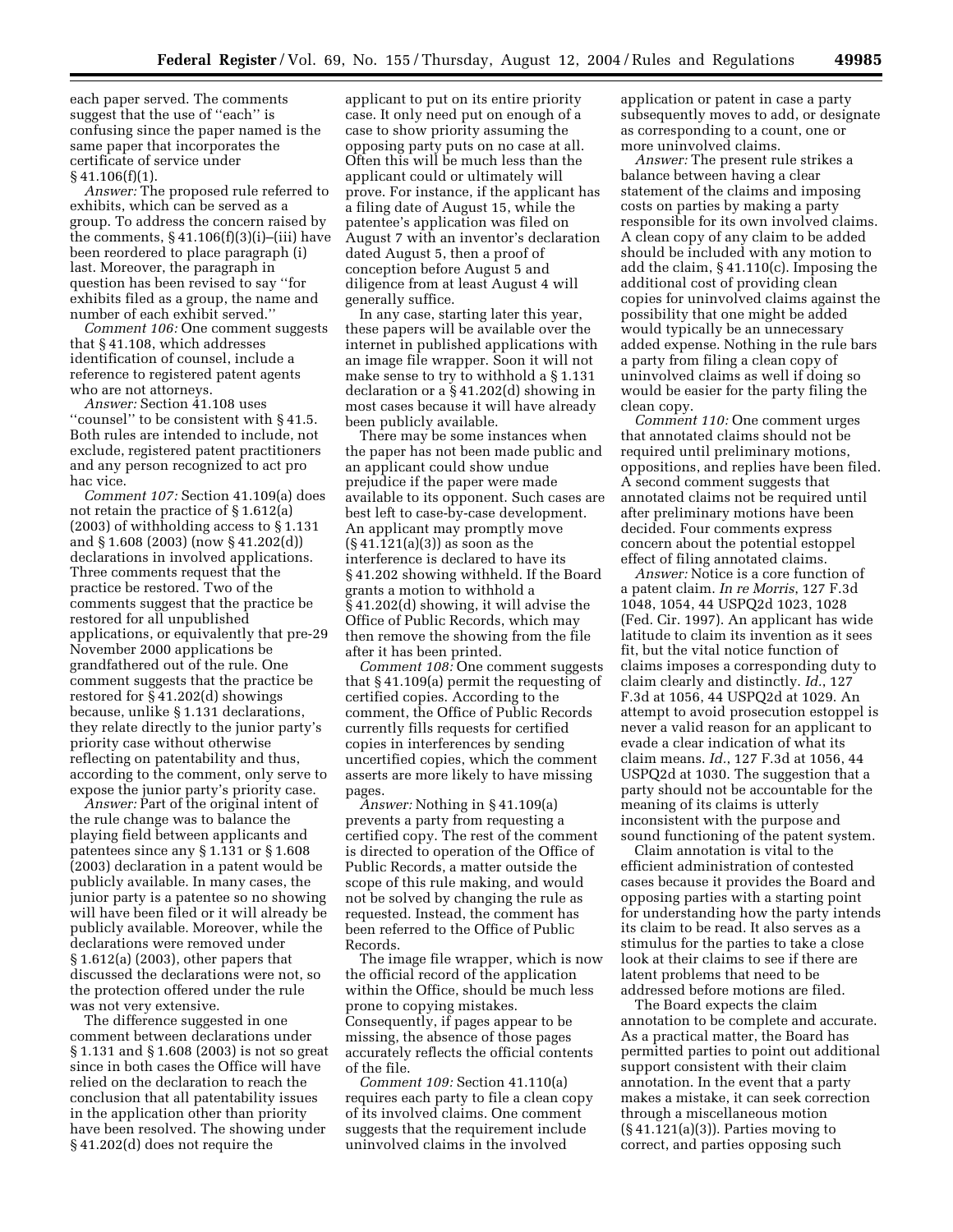each paper served. The comments suggest that the use of ''each'' is confusing since the paper named is the same paper that incorporates the certificate of service under § 41.106(f)(1).

*Answer:* The proposed rule referred to exhibits, which can be served as a group. To address the concern raised by the comments,  $§$  41.106 $(f)(3)(i)$ – $(iii)$  have been reordered to place paragraph (i) last. Moreover, the paragraph in question has been revised to say ''for exhibits filed as a group, the name and number of each exhibit served.''

*Comment 106:* One comment suggests that § 41.108, which addresses identification of counsel, include a reference to registered patent agents who are not attorneys.

*Answer:* Section 41.108 uses ''counsel'' to be consistent with § 41.5. Both rules are intended to include, not exclude, registered patent practitioners and any person recognized to act pro hac vice.

*Comment 107:* Section 41.109(a) does not retain the practice of § 1.612(a) (2003) of withholding access to § 1.131 and § 1.608 (2003) (now § 41.202(d)) declarations in involved applications. Three comments request that the practice be restored. Two of the comments suggest that the practice be restored for all unpublished applications, or equivalently that pre-29 November 2000 applications be grandfathered out of the rule. One comment suggests that the practice be restored for § 41.202(d) showings because, unlike § 1.131 declarations, they relate directly to the junior party's priority case without otherwise reflecting on patentability and thus, according to the comment, only serve to expose the junior party's priority case.

*Answer:* Part of the original intent of the rule change was to balance the playing field between applicants and patentees since any § 1.131 or § 1.608 (2003) declaration in a patent would be publicly available. In many cases, the junior party is a patentee so no showing will have been filed or it will already be publicly available. Moreover, while the declarations were removed under § 1.612(a) (2003), other papers that discussed the declarations were not, so the protection offered under the rule was not very extensive.

The difference suggested in one comment between declarations under § 1.131 and § 1.608 (2003) is not so great since in both cases the Office will have relied on the declaration to reach the conclusion that all patentability issues in the application other than priority have been resolved. The showing under § 41.202(d) does not require the

applicant to put on its entire priority case. It only need put on enough of a case to show priority assuming the opposing party puts on no case at all. Often this will be much less than the applicant could or ultimately will prove. For instance, if the applicant has a filing date of August 15, while the patentee's application was filed on August 7 with an inventor's declaration dated August 5, then a proof of conception before August 5 and diligence from at least August 4 will generally suffice.

In any case, starting later this year, these papers will be available over the internet in published applications with an image file wrapper. Soon it will not make sense to try to withhold a § 1.131 declaration or a § 41.202(d) showing in most cases because it will have already been publicly available.

There may be some instances when the paper has not been made public and an applicant could show undue prejudice if the paper were made available to its opponent. Such cases are best left to case-by-case development. An applicant may promptly move (§ 41.121(a)(3)) as soon as the interference is declared to have its § 41.202 showing withheld. If the Board grants a motion to withhold a § 41.202(d) showing, it will advise the Office of Public Records, which may then remove the showing from the file after it has been printed.

*Comment 108:* One comment suggests that § 41.109(a) permit the requesting of certified copies. According to the comment, the Office of Public Records currently fills requests for certified copies in interferences by sending uncertified copies, which the comment asserts are more likely to have missing pages.

*Answer:* Nothing in § 41.109(a) prevents a party from requesting a certified copy. The rest of the comment is directed to operation of the Office of Public Records, a matter outside the scope of this rule making, and would not be solved by changing the rule as requested. Instead, the comment has been referred to the Office of Public Records.

The image file wrapper, which is now the official record of the application within the Office, should be much less prone to copying mistakes. Consequently, if pages appear to be missing, the absence of those pages accurately reflects the official contents of the file.

*Comment 109:* Section 41.110(a) requires each party to file a clean copy of its involved claims. One comment suggests that the requirement include uninvolved claims in the involved

application or patent in case a party subsequently moves to add, or designate as corresponding to a count, one or more uninvolved claims.

*Answer:* The present rule strikes a balance between having a clear statement of the claims and imposing costs on parties by making a party responsible for its own involved claims. A clean copy of any claim to be added should be included with any motion to add the claim, § 41.110(c). Imposing the additional cost of providing clean copies for uninvolved claims against the possibility that one might be added would typically be an unnecessary added expense. Nothing in the rule bars a party from filing a clean copy of uninvolved claims as well if doing so would be easier for the party filing the clean copy.

*Comment 110:* One comment urges that annotated claims should not be required until preliminary motions, oppositions, and replies have been filed. A second comment suggests that annotated claims not be required until after preliminary motions have been decided. Four comments express concern about the potential estoppel effect of filing annotated claims.

*Answer:* Notice is a core function of a patent claim. *In re Morris*, 127 F.3d 1048, 1054, 44 USPQ2d 1023, 1028 (Fed. Cir. 1997). An applicant has wide latitude to claim its invention as it sees fit, but the vital notice function of claims imposes a corresponding duty to claim clearly and distinctly. *Id.*, 127 F.3d at 1056, 44 USPQ2d at 1029. An attempt to avoid prosecution estoppel is never a valid reason for an applicant to evade a clear indication of what its claim means. *Id.*, 127 F.3d at 1056, 44 USPQ2d at 1030. The suggestion that a party should not be accountable for the meaning of its claims is utterly inconsistent with the purpose and sound functioning of the patent system.

Claim annotation is vital to the efficient administration of contested cases because it provides the Board and opposing parties with a starting point for understanding how the party intends its claim to be read. It also serves as a stimulus for the parties to take a close look at their claims to see if there are latent problems that need to be addressed before motions are filed.

The Board expects the claim annotation to be complete and accurate. As a practical matter, the Board has permitted parties to point out additional support consistent with their claim annotation. In the event that a party makes a mistake, it can seek correction through a miscellaneous motion (§ 41.121(a)(3)). Parties moving to correct, and parties opposing such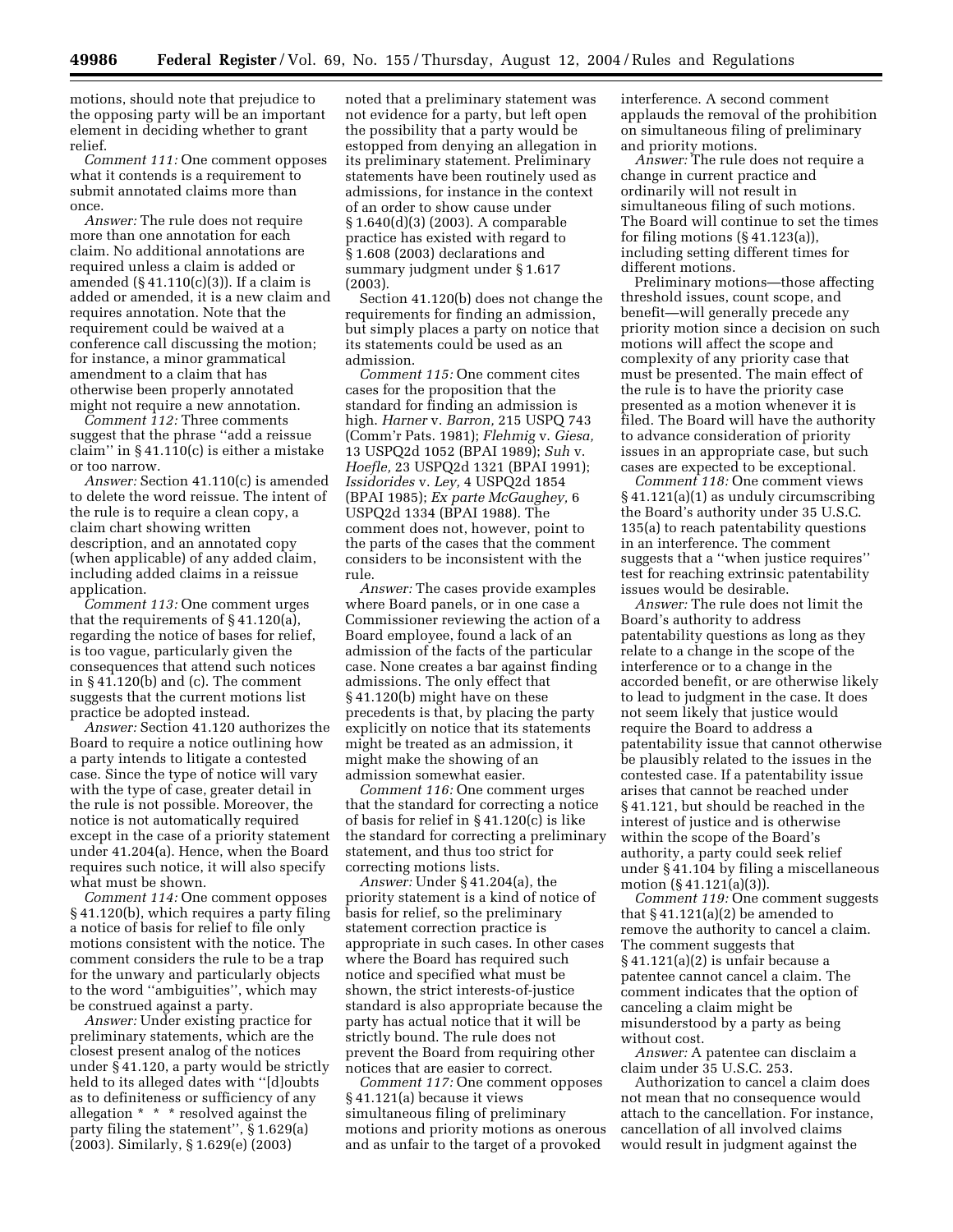motions, should note that prejudice to the opposing party will be an important element in deciding whether to grant relief.

*Comment 111:* One comment opposes what it contends is a requirement to submit annotated claims more than once.

*Answer:* The rule does not require more than one annotation for each claim. No additional annotations are required unless a claim is added or amended  $(\S 41.110(c)(3))$ . If a claim is added or amended, it is a new claim and requires annotation. Note that the requirement could be waived at a conference call discussing the motion; for instance, a minor grammatical amendment to a claim that has otherwise been properly annotated might not require a new annotation.

*Comment 112:* Three comments suggest that the phrase ''add a reissue claim'' in § 41.110(c) is either a mistake or too narrow.

*Answer:* Section 41.110(c) is amended to delete the word reissue. The intent of the rule is to require a clean copy, a claim chart showing written description, and an annotated copy (when applicable) of any added claim, including added claims in a reissue application.

*Comment 113:* One comment urges that the requirements of § 41.120(a), regarding the notice of bases for relief, is too vague, particularly given the consequences that attend such notices in  $§$  41.120(b) and (c). The comment suggests that the current motions list practice be adopted instead.

*Answer:* Section 41.120 authorizes the Board to require a notice outlining how a party intends to litigate a contested case. Since the type of notice will vary with the type of case, greater detail in the rule is not possible. Moreover, the notice is not automatically required except in the case of a priority statement under 41.204(a). Hence, when the Board requires such notice, it will also specify what must be shown.

*Comment 114:* One comment opposes § 41.120(b), which requires a party filing a notice of basis for relief to file only motions consistent with the notice. The comment considers the rule to be a trap for the unwary and particularly objects to the word ''ambiguities'', which may be construed against a party.

*Answer:* Under existing practice for preliminary statements, which are the closest present analog of the notices under § 41.120, a party would be strictly held to its alleged dates with ''[d]oubts as to definiteness or sufficiency of any allegation \* \* \* resolved against the party filing the statement'', § 1.629(a) (2003). Similarly, § 1.629(e) (2003)

noted that a preliminary statement was not evidence for a party, but left open the possibility that a party would be estopped from denying an allegation in its preliminary statement. Preliminary statements have been routinely used as admissions, for instance in the context of an order to show cause under § 1.640(d)(3) (2003). A comparable practice has existed with regard to § 1.608 (2003) declarations and summary judgment under § 1.617 (2003).

Section 41.120(b) does not change the requirements for finding an admission, but simply places a party on notice that its statements could be used as an admission.

*Comment 115:* One comment cites cases for the proposition that the standard for finding an admission is high. *Harner* v. *Barron,* 215 USPQ 743 (Comm'r Pats. 1981); *Flehmig* v. *Giesa,*  13 USPQ2d 1052 (BPAI 1989); *Suh* v. *Hoefle,* 23 USPQ2d 1321 (BPAI 1991); *Issidorides* v. *Ley,* 4 USPQ2d 1854 (BPAI 1985); *Ex parte McGaughey,* 6 USPQ2d 1334 (BPAI 1988). The comment does not, however, point to the parts of the cases that the comment considers to be inconsistent with the rule.

*Answer:* The cases provide examples where Board panels, or in one case a Commissioner reviewing the action of a Board employee, found a lack of an admission of the facts of the particular case. None creates a bar against finding admissions. The only effect that § 41.120(b) might have on these precedents is that, by placing the party explicitly on notice that its statements might be treated as an admission, it might make the showing of an admission somewhat easier.

*Comment 116:* One comment urges that the standard for correcting a notice of basis for relief in § 41.120(c) is like the standard for correcting a preliminary statement, and thus too strict for correcting motions lists.

*Answer:* Under § 41.204(a), the priority statement is a kind of notice of basis for relief, so the preliminary statement correction practice is appropriate in such cases. In other cases where the Board has required such notice and specified what must be shown, the strict interests-of-justice standard is also appropriate because the party has actual notice that it will be strictly bound. The rule does not prevent the Board from requiring other notices that are easier to correct.

*Comment 117:* One comment opposes § 41.121(a) because it views simultaneous filing of preliminary motions and priority motions as onerous and as unfair to the target of a provoked

interference. A second comment applauds the removal of the prohibition on simultaneous filing of preliminary and priority motions.

*Answer:* The rule does not require a change in current practice and ordinarily will not result in simultaneous filing of such motions. The Board will continue to set the times for filing motions (§ 41.123(a)), including setting different times for different motions.

Preliminary motions—those affecting threshold issues, count scope, and benefit—will generally precede any priority motion since a decision on such motions will affect the scope and complexity of any priority case that must be presented. The main effect of the rule is to have the priority case presented as a motion whenever it is filed. The Board will have the authority to advance consideration of priority issues in an appropriate case, but such cases are expected to be exceptional.

*Comment 118:* One comment views § 41.121(a)(1) as unduly circumscribing the Board's authority under 35 U.S.C. 135(a) to reach patentability questions in an interference. The comment suggests that a ''when justice requires'' test for reaching extrinsic patentability issues would be desirable.

*Answer:* The rule does not limit the Board's authority to address patentability questions as long as they relate to a change in the scope of the interference or to a change in the accorded benefit, or are otherwise likely to lead to judgment in the case. It does not seem likely that justice would require the Board to address a patentability issue that cannot otherwise be plausibly related to the issues in the contested case. If a patentability issue arises that cannot be reached under § 41.121, but should be reached in the interest of justice and is otherwise within the scope of the Board's authority, a party could seek relief under § 41.104 by filing a miscellaneous motion (§ 41.121(a)(3)).

*Comment 119:* One comment suggests that  $\S 41.121(a)(2)$  be amended to remove the authority to cancel a claim. The comment suggests that § 41.121(a)(2) is unfair because a patentee cannot cancel a claim. The comment indicates that the option of canceling a claim might be misunderstood by a party as being without cost.

*Answer:* A patentee can disclaim a claim under 35 U.S.C. 253.

Authorization to cancel a claim does not mean that no consequence would attach to the cancellation. For instance, cancellation of all involved claims would result in judgment against the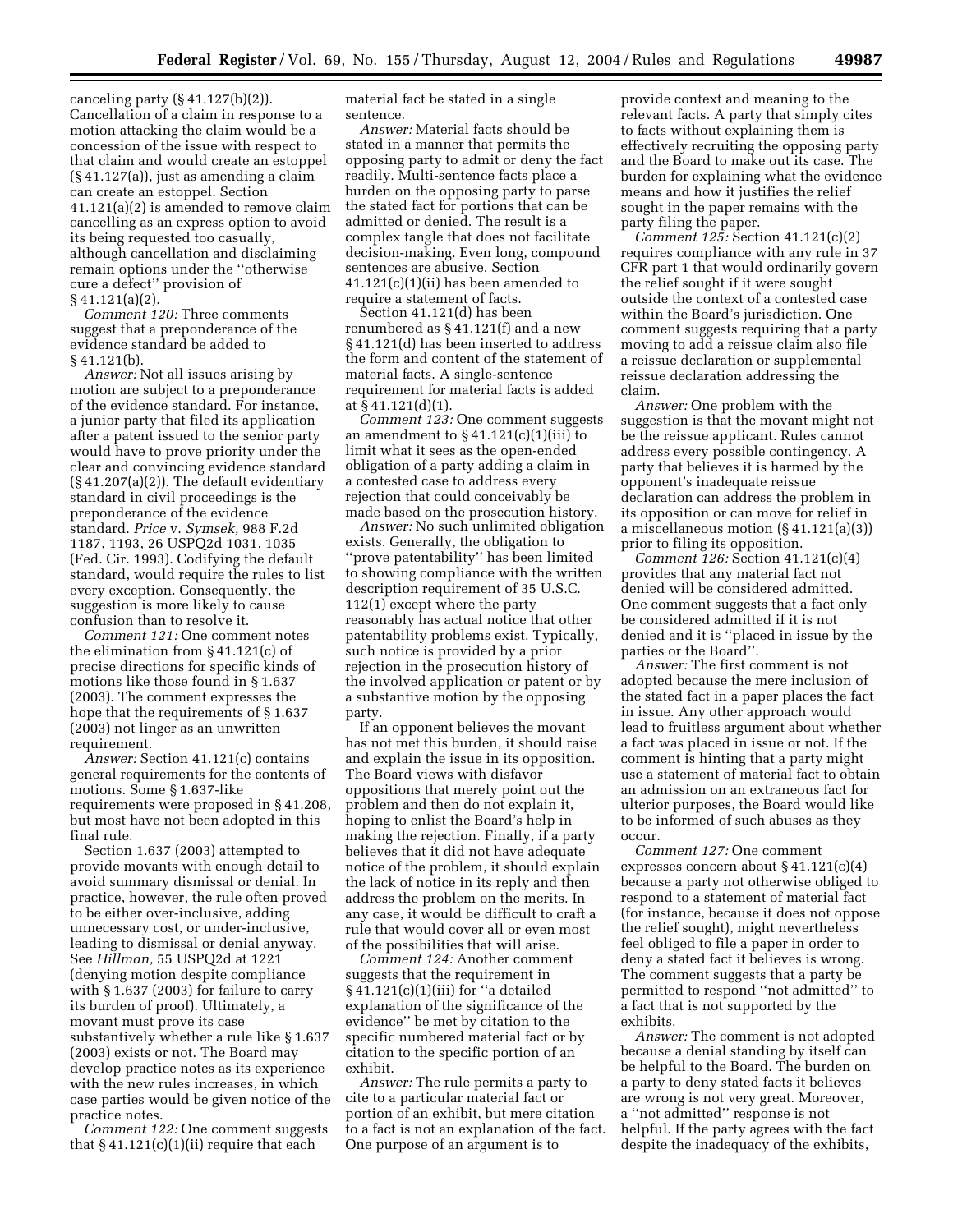canceling party  $(\S 41.127(b)(2))$ . Cancellation of a claim in response to a motion attacking the claim would be a concession of the issue with respect to that claim and would create an estoppel (§ 41.127(a)), just as amending a claim can create an estoppel. Section 41.121(a)(2) is amended to remove claim cancelling as an express option to avoid its being requested too casually, although cancellation and disclaiming remain options under the ''otherwise cure a defect'' provision of § 41.121(a)(2).

*Comment 120:* Three comments suggest that a preponderance of the evidence standard be added to § 41.121(b).

*Answer:* Not all issues arising by motion are subject to a preponderance of the evidence standard. For instance, a junior party that filed its application after a patent issued to the senior party would have to prove priority under the clear and convincing evidence standard (§ 41.207(a)(2)). The default evidentiary standard in civil proceedings is the preponderance of the evidence standard. *Price* v. *Symsek,* 988 F.2d 1187, 1193, 26 USPQ2d 1031, 1035 (Fed. Cir. 1993). Codifying the default standard, would require the rules to list every exception. Consequently, the suggestion is more likely to cause confusion than to resolve it.

*Comment 121:* One comment notes the elimination from § 41.121(c) of precise directions for specific kinds of motions like those found in § 1.637 (2003). The comment expresses the hope that the requirements of § 1.637 (2003) not linger as an unwritten requirement.

*Answer:* Section 41.121(c) contains general requirements for the contents of motions. Some § 1.637-like requirements were proposed in § 41.208, but most have not been adopted in this final rule.

Section 1.637 (2003) attempted to provide movants with enough detail to avoid summary dismissal or denial. In practice, however, the rule often proved to be either over-inclusive, adding unnecessary cost, or under-inclusive, leading to dismissal or denial anyway. See *Hillman,* 55 USPQ2d at 1221 (denying motion despite compliance with § 1.637 (2003) for failure to carry its burden of proof). Ultimately, a movant must prove its case substantively whether a rule like § 1.637 (2003) exists or not. The Board may develop practice notes as its experience with the new rules increases, in which case parties would be given notice of the practice notes.

*Comment 122:* One comment suggests that  $§$  41.121(c)(1)(ii) require that each

material fact be stated in a single sentence.

*Answer:* Material facts should be stated in a manner that permits the opposing party to admit or deny the fact readily. Multi-sentence facts place a burden on the opposing party to parse the stated fact for portions that can be admitted or denied. The result is a complex tangle that does not facilitate decision-making. Even long, compound sentences are abusive. Section 41.121(c)(1)(ii) has been amended to require a statement of facts.

Section 41.121(d) has been renumbered as § 41.121(f) and a new § 41.121(d) has been inserted to address the form and content of the statement of material facts. A single-sentence requirement for material facts is added at § 41.121(d)(1).

*Comment 123:* One comment suggests an amendment to  $\S 41.121(c)(1)(iii)$  to limit what it sees as the open-ended obligation of a party adding a claim in a contested case to address every rejection that could conceivably be made based on the prosecution history.

*Answer:* No such unlimited obligation exists. Generally, the obligation to ''prove patentability'' has been limited to showing compliance with the written description requirement of 35 U.S.C. 112(1) except where the party reasonably has actual notice that other patentability problems exist. Typically, such notice is provided by a prior rejection in the prosecution history of the involved application or patent or by a substantive motion by the opposing party.

If an opponent believes the movant has not met this burden, it should raise and explain the issue in its opposition. The Board views with disfavor oppositions that merely point out the problem and then do not explain it, hoping to enlist the Board's help in making the rejection. Finally, if a party believes that it did not have adequate notice of the problem, it should explain the lack of notice in its reply and then address the problem on the merits. In any case, it would be difficult to craft a rule that would cover all or even most of the possibilities that will arise.

*Comment 124:* Another comment suggests that the requirement in § 41.121(c)(1)(iii) for ''a detailed explanation of the significance of the evidence'' be met by citation to the specific numbered material fact or by citation to the specific portion of an exhibit.

*Answer:* The rule permits a party to cite to a particular material fact or portion of an exhibit, but mere citation to a fact is not an explanation of the fact. One purpose of an argument is to

provide context and meaning to the relevant facts. A party that simply cites to facts without explaining them is effectively recruiting the opposing party and the Board to make out its case. The burden for explaining what the evidence means and how it justifies the relief sought in the paper remains with the party filing the paper.

*Comment 125:* Section 41.121(c)(2) requires compliance with any rule in 37 CFR part 1 that would ordinarily govern the relief sought if it were sought outside the context of a contested case within the Board's jurisdiction. One comment suggests requiring that a party moving to add a reissue claim also file a reissue declaration or supplemental reissue declaration addressing the claim.

*Answer:* One problem with the suggestion is that the movant might not be the reissue applicant. Rules cannot address every possible contingency. A party that believes it is harmed by the opponent's inadequate reissue declaration can address the problem in its opposition or can move for relief in a miscellaneous motion (§ 41.121(a)(3)) prior to filing its opposition.

*Comment 126:* Section 41.121(c)(4) provides that any material fact not denied will be considered admitted. One comment suggests that a fact only be considered admitted if it is not denied and it is ''placed in issue by the parties or the Board''.

*Answer:* The first comment is not adopted because the mere inclusion of the stated fact in a paper places the fact in issue. Any other approach would lead to fruitless argument about whether a fact was placed in issue or not. If the comment is hinting that a party might use a statement of material fact to obtain an admission on an extraneous fact for ulterior purposes, the Board would like to be informed of such abuses as they occur.

*Comment 127:* One comment expresses concern about § 41.121(c)(4) because a party not otherwise obliged to respond to a statement of material fact (for instance, because it does not oppose the relief sought), might nevertheless feel obliged to file a paper in order to deny a stated fact it believes is wrong. The comment suggests that a party be permitted to respond ''not admitted'' to a fact that is not supported by the exhibits.

*Answer:* The comment is not adopted because a denial standing by itself can be helpful to the Board. The burden on a party to deny stated facts it believes are wrong is not very great. Moreover, a ''not admitted'' response is not helpful. If the party agrees with the fact despite the inadequacy of the exhibits,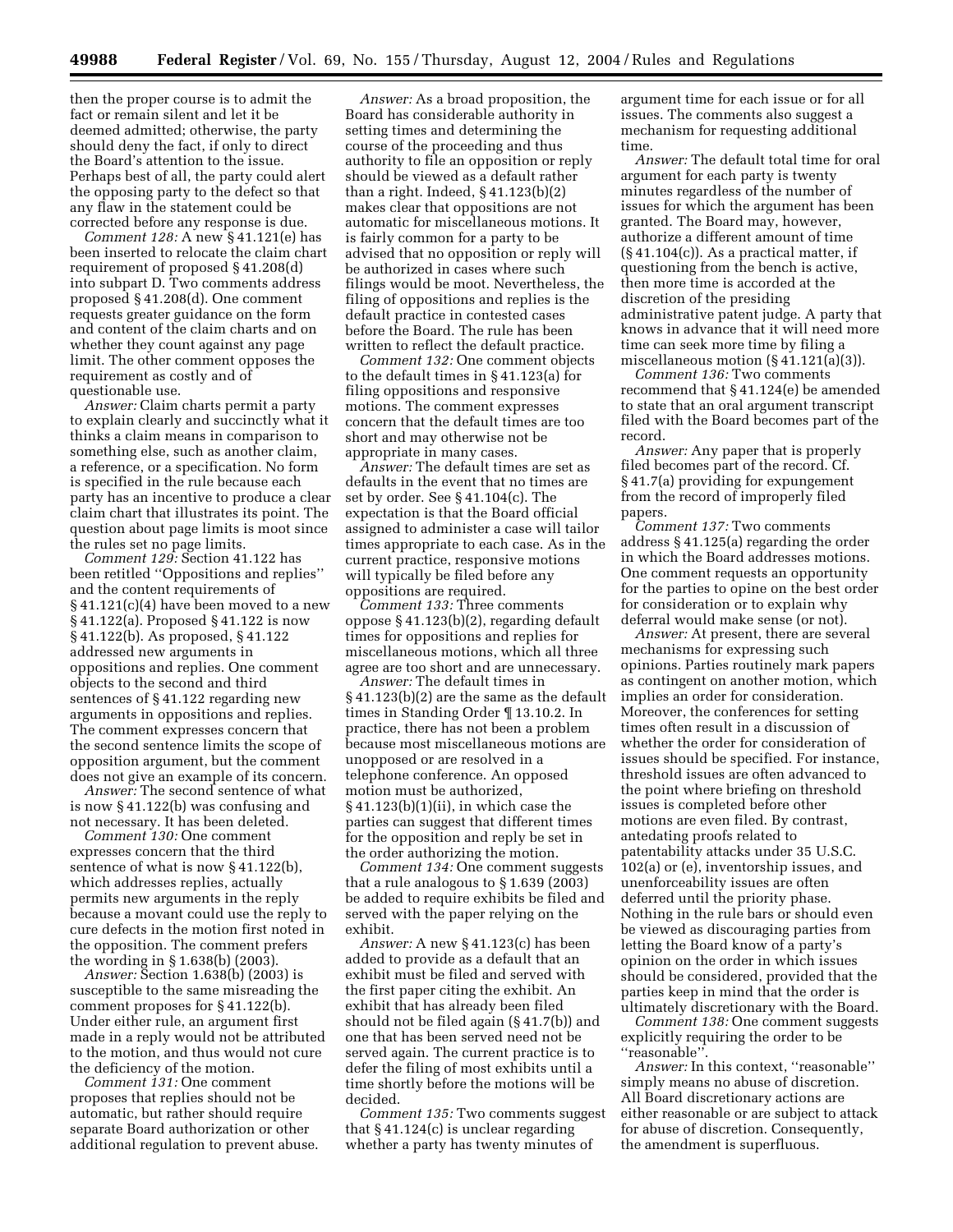then the proper course is to admit the fact or remain silent and let it be deemed admitted; otherwise, the party should deny the fact, if only to direct the Board's attention to the issue. Perhaps best of all, the party could alert the opposing party to the defect so that any flaw in the statement could be corrected before any response is due.

*Comment 128:* A new § 41.121(e) has been inserted to relocate the claim chart requirement of proposed § 41.208(d) into subpart D. Two comments address proposed § 41.208(d). One comment requests greater guidance on the form and content of the claim charts and on whether they count against any page limit. The other comment opposes the requirement as costly and of questionable use.

*Answer:* Claim charts permit a party to explain clearly and succinctly what it thinks a claim means in comparison to something else, such as another claim, a reference, or a specification. No form is specified in the rule because each party has an incentive to produce a clear claim chart that illustrates its point. The question about page limits is moot since the rules set no page limits.

*Comment 129:* Section 41.122 has been retitled ''Oppositions and replies'' and the content requirements of  $§ 41.121(c)(4)$  have been moved to a new § 41.122(a). Proposed § 41.122 is now § 41.122(b). As proposed, § 41.122 addressed new arguments in oppositions and replies. One comment objects to the second and third sentences of § 41.122 regarding new arguments in oppositions and replies. The comment expresses concern that the second sentence limits the scope of opposition argument, but the comment does not give an example of its concern.

*Answer:* The second sentence of what is now § 41.122(b) was confusing and not necessary. It has been deleted.

*Comment 130:* One comment expresses concern that the third sentence of what is now § 41.122(b), which addresses replies, actually permits new arguments in the reply because a movant could use the reply to cure defects in the motion first noted in the opposition. The comment prefers the wording in § 1.638(b) (2003).

*Answer:* Section 1.638(b) (2003) is susceptible to the same misreading the comment proposes for § 41.122(b). Under either rule, an argument first made in a reply would not be attributed to the motion, and thus would not cure the deficiency of the motion.

*Comment 131:* One comment proposes that replies should not be automatic, but rather should require separate Board authorization or other additional regulation to prevent abuse.

*Answer:* As a broad proposition, the Board has considerable authority in setting times and determining the course of the proceeding and thus authority to file an opposition or reply should be viewed as a default rather than a right. Indeed, § 41.123(b)(2) makes clear that oppositions are not automatic for miscellaneous motions. It is fairly common for a party to be advised that no opposition or reply will be authorized in cases where such filings would be moot. Nevertheless, the filing of oppositions and replies is the default practice in contested cases before the Board. The rule has been written to reflect the default practice.

*Comment 132:* One comment objects to the default times in § 41.123(a) for filing oppositions and responsive motions. The comment expresses concern that the default times are too short and may otherwise not be appropriate in many cases.

*Answer:* The default times are set as defaults in the event that no times are set by order. See § 41.104(c). The expectation is that the Board official assigned to administer a case will tailor times appropriate to each case. As in the current practice, responsive motions will typically be filed before any oppositions are required.

*Comment 133:* Three comments oppose § 41.123(b)(2), regarding default times for oppositions and replies for miscellaneous motions, which all three agree are too short and are unnecessary.

*Answer:* The default times in § 41.123(b)(2) are the same as the default times in Standing Order ¶ 13.10.2. In practice, there has not been a problem because most miscellaneous motions are unopposed or are resolved in a telephone conference. An opposed motion must be authorized, § 41.123(b)(1)(ii), in which case the parties can suggest that different times for the opposition and reply be set in the order authorizing the motion.

*Comment 134:* One comment suggests that a rule analogous to § 1.639 (2003) be added to require exhibits be filed and served with the paper relying on the exhibit.

*Answer:* A new § 41.123(c) has been added to provide as a default that an exhibit must be filed and served with the first paper citing the exhibit. An exhibit that has already been filed should not be filed again (§ 41.7(b)) and one that has been served need not be served again. The current practice is to defer the filing of most exhibits until a time shortly before the motions will be decided.

*Comment 135:* Two comments suggest that § 41.124(c) is unclear regarding whether a party has twenty minutes of

argument time for each issue or for all issues. The comments also suggest a mechanism for requesting additional time.

*Answer:* The default total time for oral argument for each party is twenty minutes regardless of the number of issues for which the argument has been granted. The Board may, however, authorize a different amount of time  $(\S 41.104(c))$ . As a practical matter, if questioning from the bench is active, then more time is accorded at the discretion of the presiding administrative patent judge. A party that knows in advance that it will need more time can seek more time by filing a miscellaneous motion (§ 41.121(a)(3)).

*Comment 136:* Two comments recommend that § 41.124(e) be amended to state that an oral argument transcript filed with the Board becomes part of the record.

*Answer:* Any paper that is properly filed becomes part of the record. Cf. § 41.7(a) providing for expungement from the record of improperly filed papers.

*Comment 137:* Two comments address § 41.125(a) regarding the order in which the Board addresses motions. One comment requests an opportunity for the parties to opine on the best order for consideration or to explain why deferral would make sense (or not).

*Answer:* At present, there are several mechanisms for expressing such opinions. Parties routinely mark papers as contingent on another motion, which implies an order for consideration. Moreover, the conferences for setting times often result in a discussion of whether the order for consideration of issues should be specified. For instance, threshold issues are often advanced to the point where briefing on threshold issues is completed before other motions are even filed. By contrast, antedating proofs related to patentability attacks under 35 U.S.C. 102(a) or (e), inventorship issues, and unenforceability issues are often deferred until the priority phase. Nothing in the rule bars or should even be viewed as discouraging parties from letting the Board know of a party's opinion on the order in which issues should be considered, provided that the parties keep in mind that the order is ultimately discretionary with the Board.

*Comment 138:* One comment suggests explicitly requiring the order to be ''reasonable''.

Answer: In this context, "reasonable" simply means no abuse of discretion. All Board discretionary actions are either reasonable or are subject to attack for abuse of discretion. Consequently, the amendment is superfluous.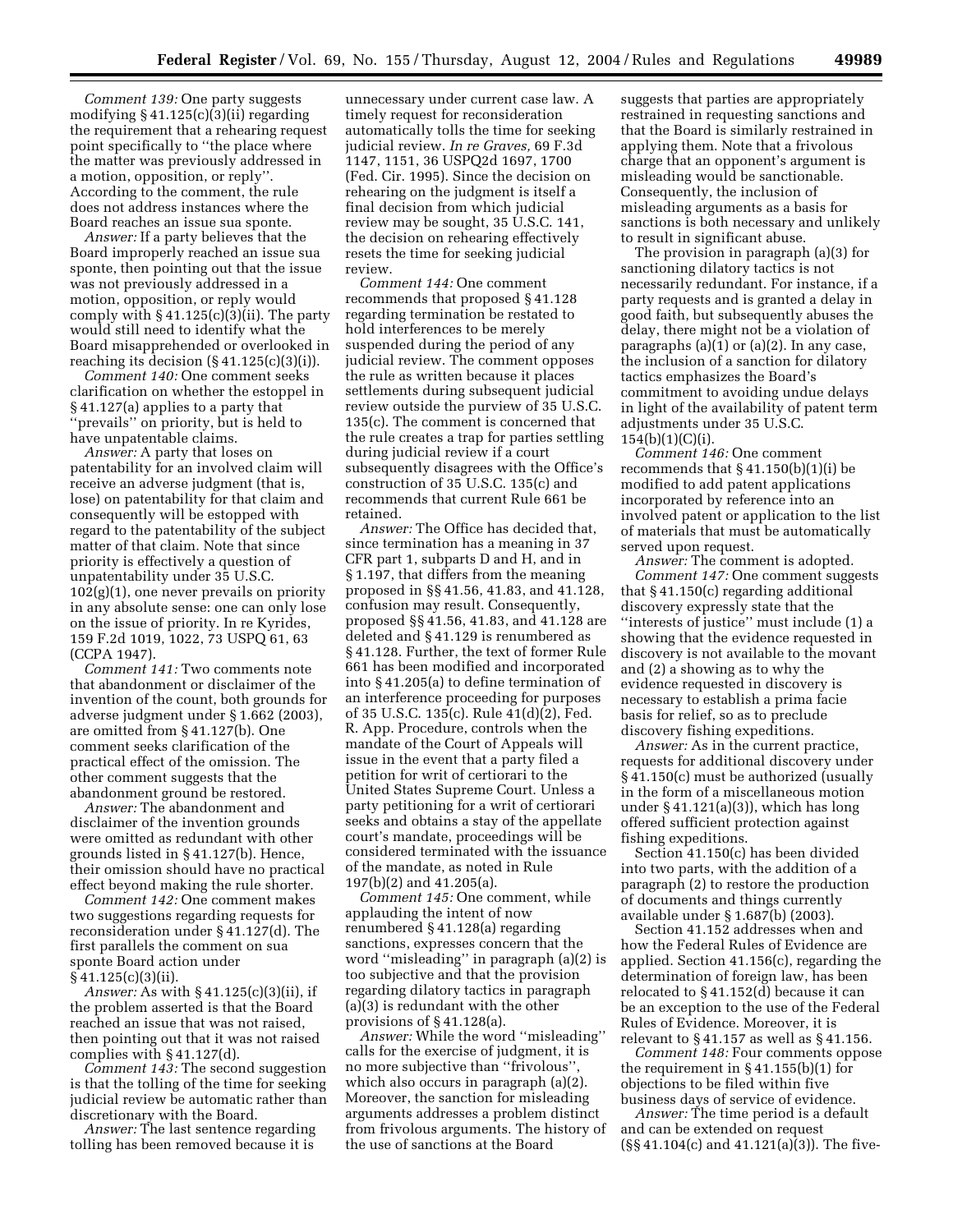*Comment 139:* One party suggests modifying § 41.125(c)(3)(ii) regarding the requirement that a rehearing request point specifically to ''the place where the matter was previously addressed in a motion, opposition, or reply''. According to the comment, the rule does not address instances where the Board reaches an issue sua sponte.

*Answer:* If a party believes that the Board improperly reached an issue sua sponte, then pointing out that the issue was not previously addressed in a motion, opposition, or reply would comply with  $§$  41.125(c)(3)(ii). The party would still need to identify what the Board misapprehended or overlooked in reaching its decision  $(\S 41.125(c)(3)(i))$ .

*Comment 140:* One comment seeks clarification on whether the estoppel in § 41.127(a) applies to a party that ''prevails'' on priority, but is held to have unpatentable claims.

*Answer:* A party that loses on patentability for an involved claim will receive an adverse judgment (that is, lose) on patentability for that claim and consequently will be estopped with regard to the patentability of the subject matter of that claim. Note that since priority is effectively a question of unpatentability under 35 U.S.C. 102(g)(1), one never prevails on priority in any absolute sense: one can only lose on the issue of priority. In re Kyrides, 159 F.2d 1019, 1022, 73 USPQ 61, 63 (CCPA 1947).

*Comment 141:* Two comments note that abandonment or disclaimer of the invention of the count, both grounds for adverse judgment under § 1.662 (2003), are omitted from § 41.127(b). One comment seeks clarification of the practical effect of the omission. The other comment suggests that the abandonment ground be restored.

*Answer:* The abandonment and disclaimer of the invention grounds were omitted as redundant with other grounds listed in § 41.127(b). Hence, their omission should have no practical effect beyond making the rule shorter.

*Comment 142:* One comment makes two suggestions regarding requests for reconsideration under § 41.127(d). The first parallels the comment on sua sponte Board action under § 41.125(c)(3)(ii).

*Answer:* As with § 41.125(c)(3)(ii), if the problem asserted is that the Board reached an issue that was not raised, then pointing out that it was not raised complies with § 41.127(d).

*Comment 143:* The second suggestion is that the tolling of the time for seeking judicial review be automatic rather than discretionary with the Board.

*Answer:* The last sentence regarding tolling has been removed because it is

unnecessary under current case law. A timely request for reconsideration automatically tolls the time for seeking judicial review. *In re Graves,* 69 F.3d 1147, 1151, 36 USPQ2d 1697, 1700 (Fed. Cir. 1995). Since the decision on rehearing on the judgment is itself a final decision from which judicial review may be sought, 35 U.S.C. 141, the decision on rehearing effectively resets the time for seeking judicial review.

*Comment 144:* One comment recommends that proposed § 41.128 regarding termination be restated to hold interferences to be merely suspended during the period of any judicial review. The comment opposes the rule as written because it places settlements during subsequent judicial review outside the purview of 35 U.S.C. 135(c). The comment is concerned that the rule creates a trap for parties settling during judicial review if a court subsequently disagrees with the Office's construction of 35 U.S.C. 135(c) and recommends that current Rule 661 be retained.

*Answer:* The Office has decided that, since termination has a meaning in 37 CFR part 1, subparts D and H, and in § 1.197, that differs from the meaning proposed in §§ 41.56, 41.83, and 41.128, confusion may result. Consequently, proposed §§ 41.56, 41.83, and 41.128 are deleted and § 41.129 is renumbered as § 41.128. Further, the text of former Rule 661 has been modified and incorporated into § 41.205(a) to define termination of an interference proceeding for purposes of 35 U.S.C. 135(c). Rule 41(d)(2), Fed. R. App. Procedure, controls when the mandate of the Court of Appeals will issue in the event that a party filed a petition for writ of certiorari to the United States Supreme Court. Unless a party petitioning for a writ of certiorari seeks and obtains a stay of the appellate court's mandate, proceedings will be considered terminated with the issuance of the mandate, as noted in Rule 197(b)(2) and 41.205(a).

*Comment 145:* One comment, while applauding the intent of now renumbered § 41.128(a) regarding sanctions, expresses concern that the word ''misleading'' in paragraph (a)(2) is too subjective and that the provision regarding dilatory tactics in paragraph (a)(3) is redundant with the other provisions of § 41.128(a).

*Answer:* While the word ''misleading'' calls for the exercise of judgment, it is no more subjective than "frivolous" which also occurs in paragraph (a)(2). Moreover, the sanction for misleading arguments addresses a problem distinct from frivolous arguments. The history of the use of sanctions at the Board

suggests that parties are appropriately restrained in requesting sanctions and that the Board is similarly restrained in applying them. Note that a frivolous charge that an opponent's argument is misleading would be sanctionable. Consequently, the inclusion of misleading arguments as a basis for sanctions is both necessary and unlikely to result in significant abuse.

The provision in paragraph (a)(3) for sanctioning dilatory tactics is not necessarily redundant. For instance, if a party requests and is granted a delay in good faith, but subsequently abuses the delay, there might not be a violation of paragraphs (a)(1) or (a)(2). In any case, the inclusion of a sanction for dilatory tactics emphasizes the Board's commitment to avoiding undue delays in light of the availability of patent term adjustments under 35 U.S.C.  $154(b)(1)(C)(i)$ .

*Comment 146:* One comment recommends that  $§$  41.150(b)(1)(i) be modified to add patent applications incorporated by reference into an involved patent or application to the list of materials that must be automatically served upon request.

*Answer:* The comment is adopted. *Comment 147:* One comment suggests that § 41.150(c) regarding additional discovery expressly state that the ''interests of justice'' must include (1) a showing that the evidence requested in discovery is not available to the movant and (2) a showing as to why the evidence requested in discovery is necessary to establish a prima facie basis for relief, so as to preclude discovery fishing expeditions.

*Answer:* As in the current practice, requests for additional discovery under § 41.150(c) must be authorized (usually in the form of a miscellaneous motion under  $\S 41.121(a)(3)$ , which has long offered sufficient protection against fishing expeditions.

Section 41.150(c) has been divided into two parts, with the addition of a paragraph (2) to restore the production of documents and things currently available under § 1.687(b) (2003).

Section 41.152 addresses when and how the Federal Rules of Evidence are applied. Section 41.156(c), regarding the determination of foreign law, has been relocated to § 41.152(d) because it can be an exception to the use of the Federal Rules of Evidence. Moreover, it is relevant to § 41.157 as well as § 41.156.

*Comment 148:* Four comments oppose the requirement in § 41.155(b)(1) for objections to be filed within five business days of service of evidence.

*Answer:* The time period is a default and can be extended on request (§§ 41.104(c) and 41.121(a)(3)). The five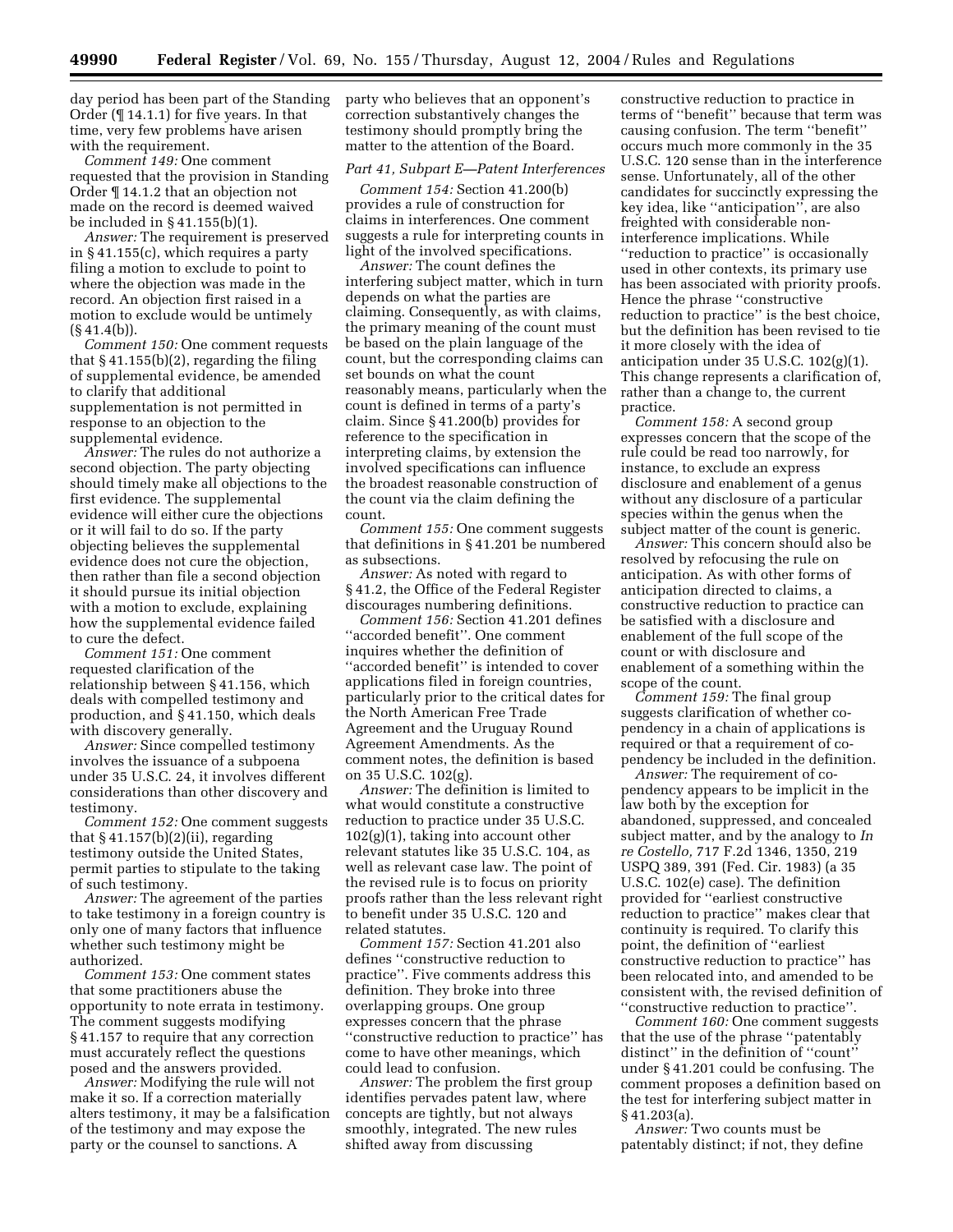day period has been part of the Standing Order (¶ 14.1.1) for five years. In that time, very few problems have arisen with the requirement.

*Comment 149:* One comment requested that the provision in Standing Order ¶ 14.1.2 that an objection not made on the record is deemed waived be included in § 41.155(b)(1).

*Answer:* The requirement is preserved in § 41.155(c), which requires a party filing a motion to exclude to point to where the objection was made in the record. An objection first raised in a motion to exclude would be untimely  $(\S 41.4(b)).$ 

*Comment 150:* One comment requests that § 41.155(b)(2), regarding the filing of supplemental evidence, be amended to clarify that additional supplementation is not permitted in response to an objection to the supplemental evidence.

*Answer:* The rules do not authorize a second objection. The party objecting should timely make all objections to the first evidence. The supplemental evidence will either cure the objections or it will fail to do so. If the party objecting believes the supplemental evidence does not cure the objection, then rather than file a second objection it should pursue its initial objection with a motion to exclude, explaining how the supplemental evidence failed to cure the defect.

*Comment 151:* One comment requested clarification of the relationship between § 41.156, which deals with compelled testimony and production, and § 41.150, which deals with discovery generally.

*Answer:* Since compelled testimony involves the issuance of a subpoena under 35 U.S.C. 24, it involves different considerations than other discovery and testimony.

*Comment 152:* One comment suggests that  $§$  41.157(b)(2)(ii), regarding testimony outside the United States, permit parties to stipulate to the taking of such testimony.

*Answer:* The agreement of the parties to take testimony in a foreign country is only one of many factors that influence whether such testimony might be authorized.

*Comment 153:* One comment states that some practitioners abuse the opportunity to note errata in testimony. The comment suggests modifying § 41.157 to require that any correction must accurately reflect the questions posed and the answers provided.

*Answer:* Modifying the rule will not make it so. If a correction materially alters testimony, it may be a falsification of the testimony and may expose the party or the counsel to sanctions. A

party who believes that an opponent's correction substantively changes the testimony should promptly bring the matter to the attention of the Board.

## *Part 41, Subpart E—Patent Interferences*

*Comment 154:* Section 41.200(b) provides a rule of construction for claims in interferences. One comment suggests a rule for interpreting counts in light of the involved specifications.

*Answer:* The count defines the interfering subject matter, which in turn depends on what the parties are claiming. Consequently, as with claims, the primary meaning of the count must be based on the plain language of the count, but the corresponding claims can set bounds on what the count reasonably means, particularly when the count is defined in terms of a party's claim. Since § 41.200(b) provides for reference to the specification in interpreting claims, by extension the involved specifications can influence the broadest reasonable construction of the count via the claim defining the count.

*Comment 155:* One comment suggests that definitions in § 41.201 be numbered as subsections.

*Answer:* As noted with regard to § 41.2, the Office of the Federal Register discourages numbering definitions.

*Comment 156:* Section 41.201 defines ''accorded benefit''. One comment inquires whether the definition of "accorded benefit" is intended to cover applications filed in foreign countries, particularly prior to the critical dates for the North American Free Trade Agreement and the Uruguay Round Agreement Amendments. As the comment notes, the definition is based on 35 U.S.C. 102(g).

*Answer:* The definition is limited to what would constitute a constructive reduction to practice under 35 U.S.C.  $102(g)(1)$ , taking into account other relevant statutes like 35 U.S.C. 104, as well as relevant case law. The point of the revised rule is to focus on priority proofs rather than the less relevant right to benefit under 35 U.S.C. 120 and related statutes.

*Comment 157:* Section 41.201 also defines ''constructive reduction to practice''. Five comments address this definition. They broke into three overlapping groups. One group expresses concern that the phrase ''constructive reduction to practice'' has come to have other meanings, which could lead to confusion.

*Answer:* The problem the first group identifies pervades patent law, where concepts are tightly, but not always smoothly, integrated. The new rules shifted away from discussing

constructive reduction to practice in terms of ''benefit'' because that term was causing confusion. The term ''benefit'' occurs much more commonly in the 35 U.S.C. 120 sense than in the interference sense. Unfortunately, all of the other candidates for succinctly expressing the key idea, like ''anticipation'', are also freighted with considerable noninterference implications. While ''reduction to practice'' is occasionally used in other contexts, its primary use has been associated with priority proofs. Hence the phrase ''constructive reduction to practice'' is the best choice, but the definition has been revised to tie it more closely with the idea of anticipation under 35 U.S.C. 102(g)(1). This change represents a clarification of, rather than a change to, the current practice.

*Comment 158:* A second group expresses concern that the scope of the rule could be read too narrowly, for instance, to exclude an express disclosure and enablement of a genus without any disclosure of a particular species within the genus when the subject matter of the count is generic.

*Answer:* This concern should also be resolved by refocusing the rule on anticipation. As with other forms of anticipation directed to claims, a constructive reduction to practice can be satisfied with a disclosure and enablement of the full scope of the count or with disclosure and enablement of a something within the scope of the count.

*Comment 159:* The final group suggests clarification of whether copendency in a chain of applications is required or that a requirement of copendency be included in the definition.

*Answer:* The requirement of copendency appears to be implicit in the law both by the exception for abandoned, suppressed, and concealed subject matter, and by the analogy to *In re Costello,* 717 F.2d 1346, 1350, 219 USPQ 389, 391 (Fed. Cir. 1983) (a 35 U.S.C. 102(e) case). The definition provided for ''earliest constructive reduction to practice'' makes clear that continuity is required. To clarify this point, the definition of ''earliest constructive reduction to practice'' has been relocated into, and amended to be consistent with, the revised definition of ''constructive reduction to practice''.

*Comment 160:* One comment suggests that the use of the phrase ''patentably distinct'' in the definition of ''count'' under § 41.201 could be confusing. The comment proposes a definition based on the test for interfering subject matter in § 41.203(a).

*Answer:* Two counts must be patentably distinct; if not, they define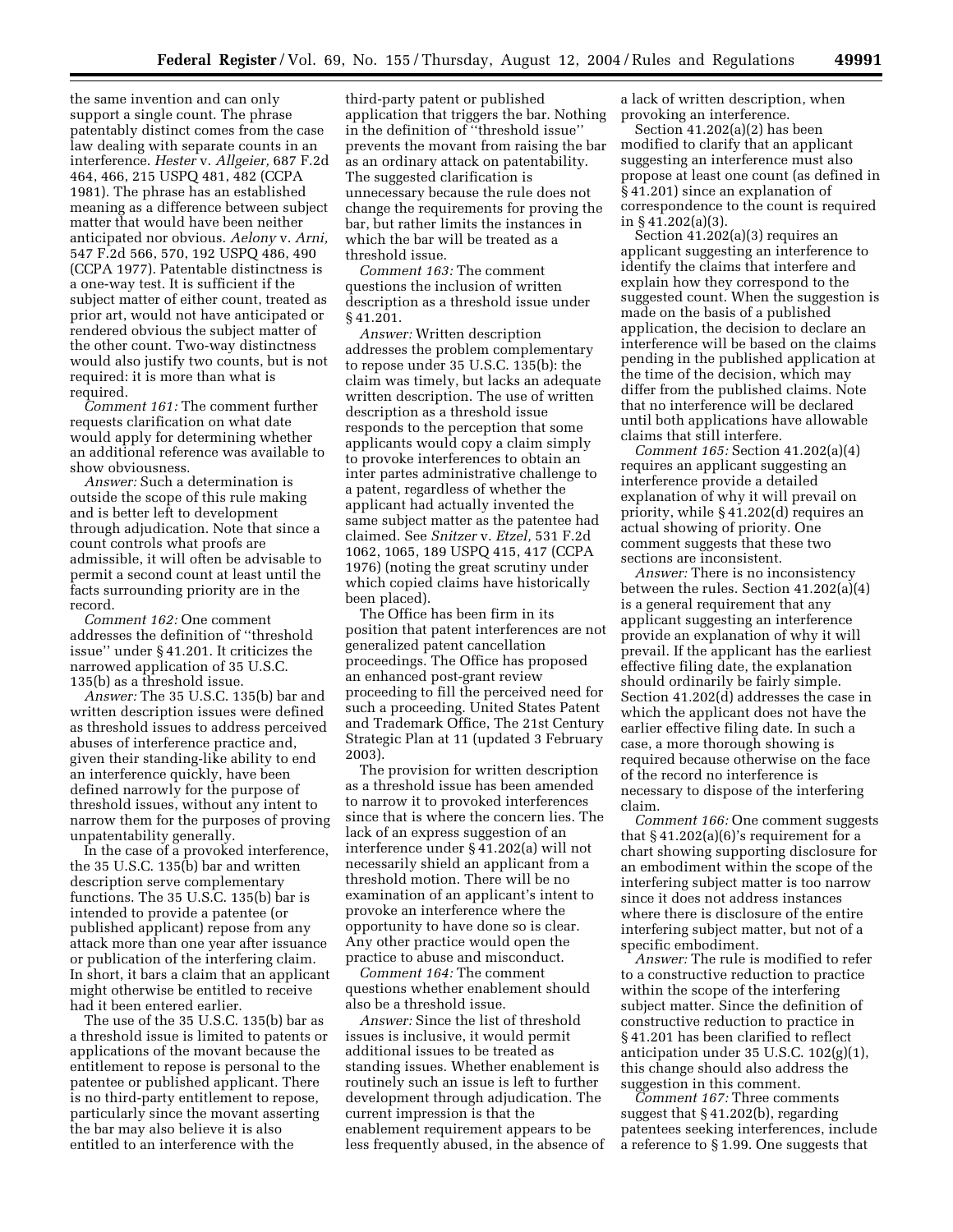the same invention and can only support a single count. The phrase patentably distinct comes from the case law dealing with separate counts in an interference. *Hester* v. *Allgeier,* 687 F.2d 464, 466, 215 USPQ 481, 482 (CCPA 1981). The phrase has an established meaning as a difference between subject matter that would have been neither anticipated nor obvious. *Aelony* v. *Arni,*  547 F.2d 566, 570, 192 USPQ 486, 490 (CCPA 1977). Patentable distinctness is a one-way test. It is sufficient if the subject matter of either count, treated as prior art, would not have anticipated or rendered obvious the subject matter of the other count. Two-way distinctness would also justify two counts, but is not required: it is more than what is required.

*Comment 161:* The comment further requests clarification on what date would apply for determining whether an additional reference was available to show obviousness.

*Answer:* Such a determination is outside the scope of this rule making and is better left to development through adjudication. Note that since a count controls what proofs are admissible, it will often be advisable to permit a second count at least until the facts surrounding priority are in the record.

*Comment 162:* One comment addresses the definition of ''threshold issue'' under § 41.201. It criticizes the narrowed application of 35 U.S.C. 135(b) as a threshold issue.

*Answer:* The 35 U.S.C. 135(b) bar and written description issues were defined as threshold issues to address perceived abuses of interference practice and, given their standing-like ability to end an interference quickly, have been defined narrowly for the purpose of threshold issues, without any intent to narrow them for the purposes of proving unpatentability generally.

In the case of a provoked interference, the 35 U.S.C. 135(b) bar and written description serve complementary functions. The 35 U.S.C. 135(b) bar is intended to provide a patentee (or published applicant) repose from any attack more than one year after issuance or publication of the interfering claim. In short, it bars a claim that an applicant might otherwise be entitled to receive had it been entered earlier.

The use of the 35 U.S.C. 135(b) bar as a threshold issue is limited to patents or applications of the movant because the entitlement to repose is personal to the patentee or published applicant. There is no third-party entitlement to repose, particularly since the movant asserting the bar may also believe it is also entitled to an interference with the

third-party patent or published application that triggers the bar. Nothing in the definition of ''threshold issue'' prevents the movant from raising the bar as an ordinary attack on patentability. The suggested clarification is unnecessary because the rule does not change the requirements for proving the bar, but rather limits the instances in which the bar will be treated as a threshold issue.

*Comment 163:* The comment questions the inclusion of written description as a threshold issue under § 41.201.

*Answer:* Written description addresses the problem complementary to repose under 35 U.S.C. 135(b): the claim was timely, but lacks an adequate written description. The use of written description as a threshold issue responds to the perception that some applicants would copy a claim simply to provoke interferences to obtain an inter partes administrative challenge to a patent, regardless of whether the applicant had actually invented the same subject matter as the patentee had claimed. See *Snitzer* v. *Etzel,* 531 F.2d 1062, 1065, 189 USPQ 415, 417 (CCPA 1976) (noting the great scrutiny under which copied claims have historically been placed).

The Office has been firm in its position that patent interferences are not generalized patent cancellation proceedings. The Office has proposed an enhanced post-grant review proceeding to fill the perceived need for such a proceeding. United States Patent and Trademark Office, The 21st Century Strategic Plan at 11 (updated 3 February 2003).

The provision for written description as a threshold issue has been amended to narrow it to provoked interferences since that is where the concern lies. The lack of an express suggestion of an interference under § 41.202(a) will not necessarily shield an applicant from a threshold motion. There will be no examination of an applicant's intent to provoke an interference where the opportunity to have done so is clear. Any other practice would open the practice to abuse and misconduct.

*Comment 164:* The comment questions whether enablement should also be a threshold issue.

*Answer:* Since the list of threshold issues is inclusive, it would permit additional issues to be treated as standing issues. Whether enablement is routinely such an issue is left to further development through adjudication. The current impression is that the enablement requirement appears to be less frequently abused, in the absence of a lack of written description, when provoking an interference.

Section 41.202(a)(2) has been modified to clarify that an applicant suggesting an interference must also propose at least one count (as defined in § 41.201) since an explanation of correspondence to the count is required in § 41.202(a)(3).

Section 41.202(a)(3) requires an applicant suggesting an interference to identify the claims that interfere and explain how they correspond to the suggested count. When the suggestion is made on the basis of a published application, the decision to declare an interference will be based on the claims pending in the published application at the time of the decision, which may differ from the published claims. Note that no interference will be declared until both applications have allowable claims that still interfere.

*Comment 165:* Section 41.202(a)(4) requires an applicant suggesting an interference provide a detailed explanation of why it will prevail on priority, while § 41.202(d) requires an actual showing of priority. One comment suggests that these two sections are inconsistent.

*Answer:* There is no inconsistency between the rules. Section 41.202(a)(4) is a general requirement that any applicant suggesting an interference provide an explanation of why it will prevail. If the applicant has the earliest effective filing date, the explanation should ordinarily be fairly simple. Section 41.202(d) addresses the case in which the applicant does not have the earlier effective filing date. In such a case, a more thorough showing is required because otherwise on the face of the record no interference is necessary to dispose of the interfering claim.

*Comment 166:* One comment suggests that  $§ 41.202(a)(6)'s$  requirement for a chart showing supporting disclosure for an embodiment within the scope of the interfering subject matter is too narrow since it does not address instances where there is disclosure of the entire interfering subject matter, but not of a specific embodiment.

*Answer:* The rule is modified to refer to a constructive reduction to practice within the scope of the interfering subject matter. Since the definition of constructive reduction to practice in § 41.201 has been clarified to reflect anticipation under 35 U.S.C. 102(g)(1), this change should also address the suggestion in this comment.

*Comment 167:* Three comments suggest that § 41.202(b), regarding patentees seeking interferences, include a reference to § 1.99. One suggests that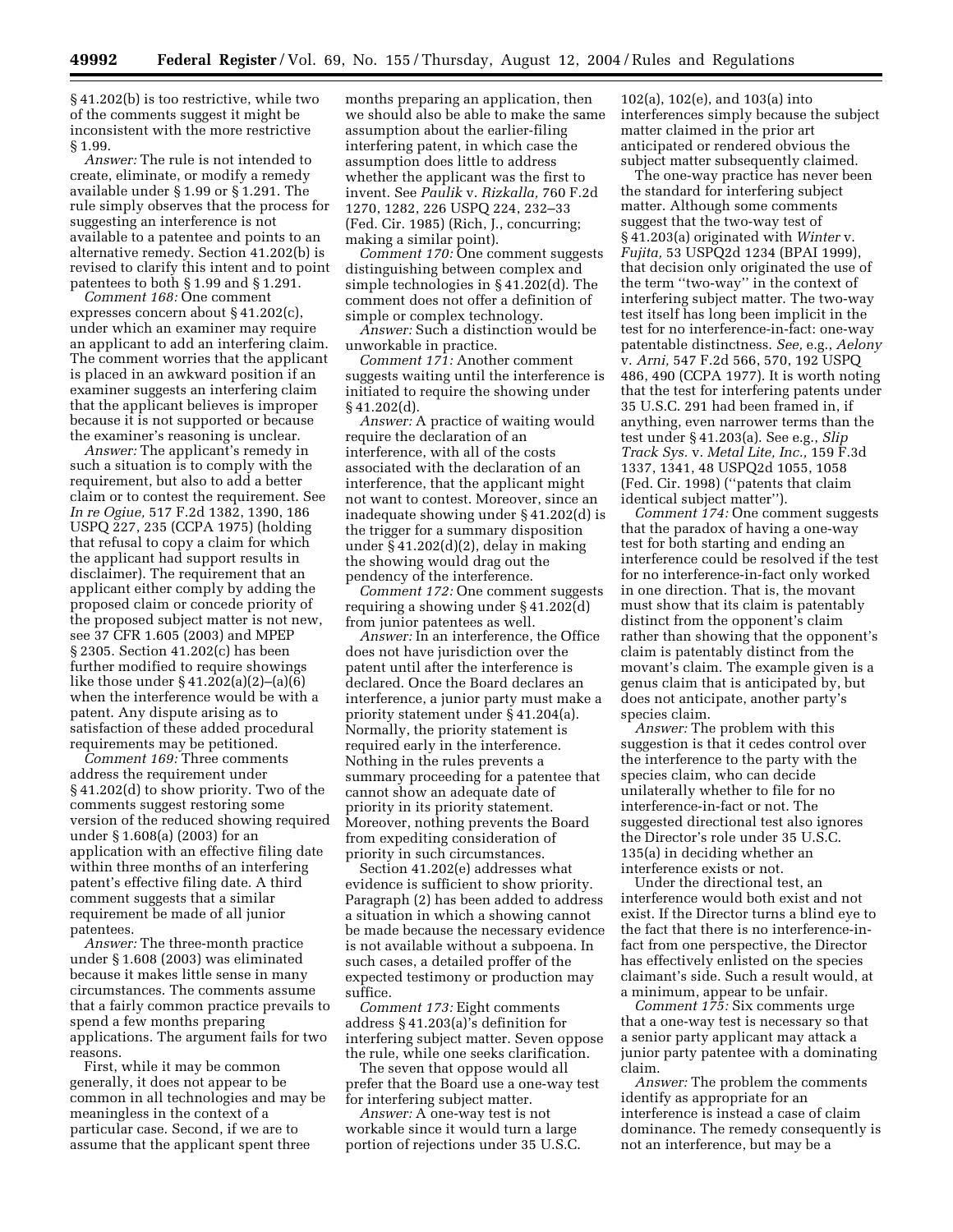§ 41.202(b) is too restrictive, while two of the comments suggest it might be inconsistent with the more restrictive § 1.99.

*Answer:* The rule is not intended to create, eliminate, or modify a remedy available under § 1.99 or § 1.291. The rule simply observes that the process for suggesting an interference is not available to a patentee and points to an alternative remedy. Section 41.202(b) is revised to clarify this intent and to point patentees to both § 1.99 and § 1.291.

*Comment 168:* One comment expresses concern about § 41.202(c), under which an examiner may require an applicant to add an interfering claim. The comment worries that the applicant is placed in an awkward position if an examiner suggests an interfering claim that the applicant believes is improper because it is not supported or because the examiner's reasoning is unclear.

*Answer:* The applicant's remedy in such a situation is to comply with the requirement, but also to add a better claim or to contest the requirement. See *In re Ogiue,* 517 F.2d 1382, 1390, 186 USPQ 227, 235 (CCPA 1975) (holding that refusal to copy a claim for which the applicant had support results in disclaimer). The requirement that an applicant either comply by adding the proposed claim or concede priority of the proposed subject matter is not new, see 37 CFR 1.605 (2003) and MPEP § 2305. Section 41.202(c) has been further modified to require showings like those under § 41.202(a)(2)–(a)(6) when the interference would be with a patent. Any dispute arising as to satisfaction of these added procedural requirements may be petitioned.

*Comment 169:* Three comments address the requirement under § 41.202(d) to show priority. Two of the comments suggest restoring some version of the reduced showing required under § 1.608(a) (2003) for an application with an effective filing date within three months of an interfering patent's effective filing date. A third comment suggests that a similar requirement be made of all junior patentees.

*Answer:* The three-month practice under § 1.608 (2003) was eliminated because it makes little sense in many circumstances. The comments assume that a fairly common practice prevails to spend a few months preparing applications. The argument fails for two reasons.

First, while it may be common generally, it does not appear to be common in all technologies and may be meaningless in the context of a particular case. Second, if we are to assume that the applicant spent three

months preparing an application, then we should also be able to make the same assumption about the earlier-filing interfering patent, in which case the assumption does little to address whether the applicant was the first to invent. See *Paulik* v. *Rizkalla,* 760 F.2d 1270, 1282, 226 USPQ 224, 232–33 (Fed. Cir. 1985) (Rich, J., concurring; making a similar point).

*Comment 170:* One comment suggests distinguishing between complex and simple technologies in § 41.202(d). The comment does not offer a definition of simple or complex technology.

*Answer:* Such a distinction would be unworkable in practice.

*Comment 171:* Another comment suggests waiting until the interference is initiated to require the showing under § 41.202(d).

*Answer:* A practice of waiting would require the declaration of an interference, with all of the costs associated with the declaration of an interference, that the applicant might not want to contest. Moreover, since an inadequate showing under § 41.202(d) is the trigger for a summary disposition under  $\S 41.202(d)(2)$ , delay in making the showing would drag out the pendency of the interference.

*Comment 172:* One comment suggests requiring a showing under § 41.202(d) from junior patentees as well.

*Answer:* In an interference, the Office does not have jurisdiction over the patent until after the interference is declared. Once the Board declares an interference, a junior party must make a priority statement under § 41.204(a). Normally, the priority statement is required early in the interference. Nothing in the rules prevents a summary proceeding for a patentee that cannot show an adequate date of priority in its priority statement. Moreover, nothing prevents the Board from expediting consideration of priority in such circumstances.

Section 41.202(e) addresses what evidence is sufficient to show priority. Paragraph (2) has been added to address a situation in which a showing cannot be made because the necessary evidence is not available without a subpoena. In such cases, a detailed proffer of the expected testimony or production may suffice.

*Comment 173:* Eight comments address § 41.203(a)'s definition for interfering subject matter. Seven oppose the rule, while one seeks clarification.

The seven that oppose would all prefer that the Board use a one-way test for interfering subject matter.

*Answer:* A one-way test is not workable since it would turn a large portion of rejections under 35 U.S.C.

102(a), 102(e), and 103(a) into interferences simply because the subject matter claimed in the prior art anticipated or rendered obvious the subject matter subsequently claimed.

The one-way practice has never been the standard for interfering subject matter. Although some comments suggest that the two-way test of § 41.203(a) originated with *Winter* v. *Fujita,* 53 USPQ2d 1234 (BPAI 1999), that decision only originated the use of the term ''two-way'' in the context of interfering subject matter. The two-way test itself has long been implicit in the test for no interference-in-fact: one-way patentable distinctness. *See,* e.g., *Aelony*  v. *Arni,* 547 F.2d 566, 570, 192 USPQ 486, 490 (CCPA 1977). It is worth noting that the test for interfering patents under 35 U.S.C. 291 had been framed in, if anything, even narrower terms than the test under § 41.203(a). See e.g., *Slip Track Sys.* v. *Metal Lite, Inc.,* 159 F.3d 1337, 1341, 48 USPQ2d 1055, 1058 (Fed. Cir. 1998) (''patents that claim identical subject matter'').

*Comment 174:* One comment suggests that the paradox of having a one-way test for both starting and ending an interference could be resolved if the test for no interference-in-fact only worked in one direction. That is, the movant must show that its claim is patentably distinct from the opponent's claim rather than showing that the opponent's claim is patentably distinct from the movant's claim. The example given is a genus claim that is anticipated by, but does not anticipate, another party's species claim.

*Answer:* The problem with this suggestion is that it cedes control over the interference to the party with the species claim, who can decide unilaterally whether to file for no interference-in-fact or not. The suggested directional test also ignores the Director's role under 35 U.S.C. 135(a) in deciding whether an interference exists or not.

Under the directional test, an interference would both exist and not exist. If the Director turns a blind eye to the fact that there is no interference-infact from one perspective, the Director has effectively enlisted on the species claimant's side. Such a result would, at a minimum, appear to be unfair.

*Comment 175:* Six comments urge that a one-way test is necessary so that a senior party applicant may attack a junior party patentee with a dominating claim.

*Answer:* The problem the comments identify as appropriate for an interference is instead a case of claim dominance. The remedy consequently is not an interference, but may be a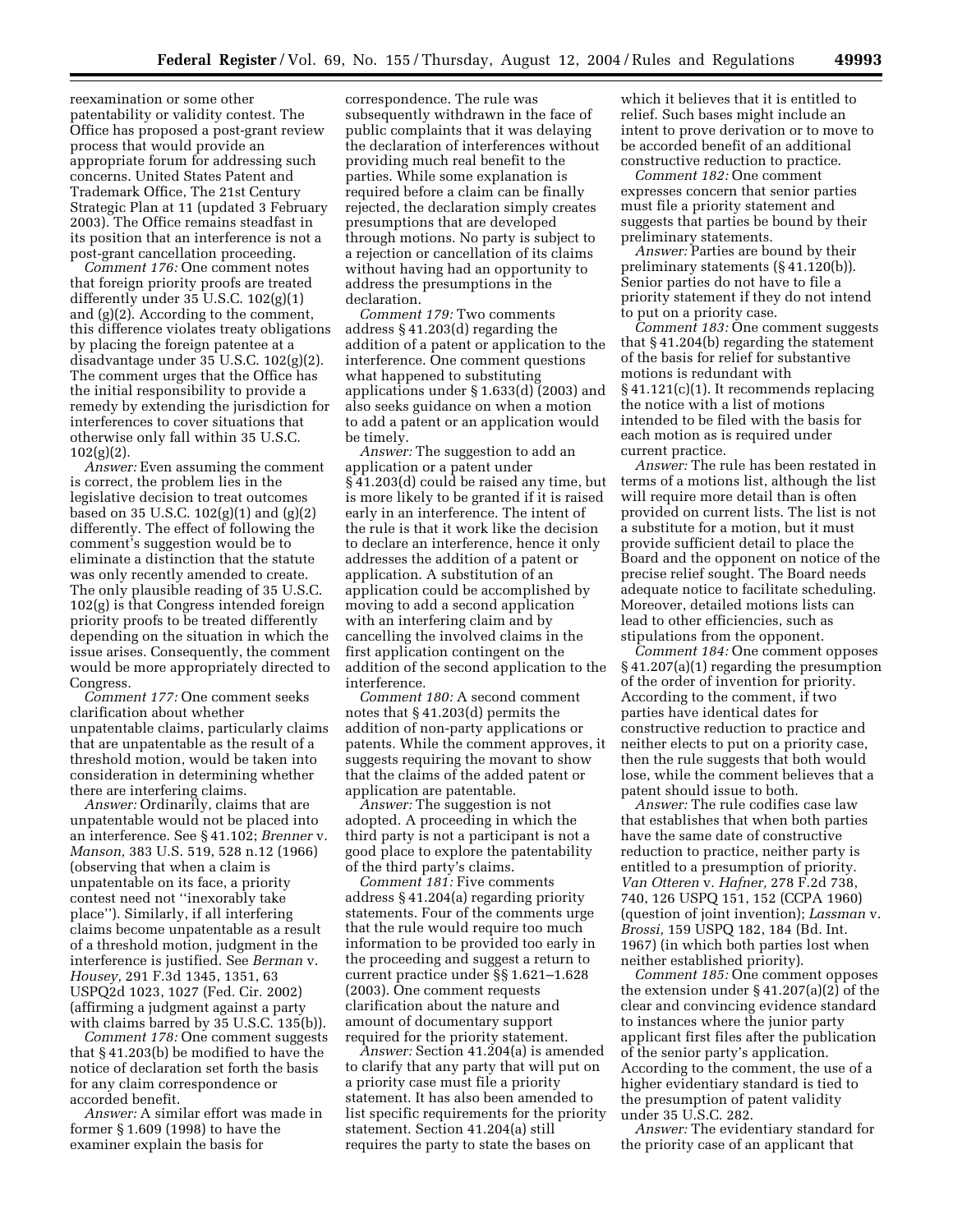reexamination or some other patentability or validity contest. The Office has proposed a post-grant review process that would provide an appropriate forum for addressing such concerns. United States Patent and Trademark Office, The 21st Century Strategic Plan at 11 (updated 3 February 2003). The Office remains steadfast in its position that an interference is not a post-grant cancellation proceeding.

*Comment 176:* One comment notes that foreign priority proofs are treated differently under 35 U.S.C. 102(g)(1) and (g)(2). According to the comment, this difference violates treaty obligations by placing the foreign patentee at a disadvantage under 35 U.S.C. 102(g)(2). The comment urges that the Office has the initial responsibility to provide a remedy by extending the jurisdiction for interferences to cover situations that otherwise only fall within 35 U.S.C.  $102(g)(2)$ .

*Answer:* Even assuming the comment is correct, the problem lies in the legislative decision to treat outcomes based on 35 U.S.C. 102(g)(1) and (g)(2) differently. The effect of following the comment's suggestion would be to eliminate a distinction that the statute was only recently amended to create. The only plausible reading of 35 U.S.C. 102(g) is that Congress intended foreign priority proofs to be treated differently depending on the situation in which the issue arises. Consequently, the comment would be more appropriately directed to Congress.

*Comment 177:* One comment seeks clarification about whether unpatentable claims, particularly claims that are unpatentable as the result of a threshold motion, would be taken into consideration in determining whether there are interfering claims.

*Answer:* Ordinarily, claims that are unpatentable would not be placed into an interference. See § 41.102; *Brenner* v. *Manson,* 383 U.S. 519, 528 n.12 (1966) (observing that when a claim is unpatentable on its face, a priority contest need not ''inexorably take place''). Similarly, if all interfering claims become unpatentable as a result of a threshold motion, judgment in the interference is justified. See *Berman* v. *Housey,* 291 F.3d 1345, 1351, 63 USPQ2d 1023, 1027 (Fed. Cir. 2002) (affirming a judgment against a party with claims barred by 35 U.S.C. 135(b)).

*Comment 178:* One comment suggests that § 41.203(b) be modified to have the notice of declaration set forth the basis for any claim correspondence or accorded benefit.

*Answer:* A similar effort was made in former § 1.609 (1998) to have the examiner explain the basis for

correspondence. The rule was subsequently withdrawn in the face of public complaints that it was delaying the declaration of interferences without providing much real benefit to the parties. While some explanation is required before a claim can be finally rejected, the declaration simply creates presumptions that are developed through motions. No party is subject to a rejection or cancellation of its claims without having had an opportunity to address the presumptions in the declaration.

*Comment 179:* Two comments address § 41.203(d) regarding the addition of a patent or application to the interference. One comment questions what happened to substituting applications under § 1.633(d) (2003) and also seeks guidance on when a motion to add a patent or an application would be timely.

*Answer:* The suggestion to add an application or a patent under § 41.203(d) could be raised any time, but is more likely to be granted if it is raised early in an interference. The intent of the rule is that it work like the decision to declare an interference, hence it only addresses the addition of a patent or application. A substitution of an application could be accomplished by moving to add a second application with an interfering claim and by cancelling the involved claims in the first application contingent on the addition of the second application to the interference.

*Comment 180:* A second comment notes that § 41.203(d) permits the addition of non-party applications or patents. While the comment approves, it suggests requiring the movant to show that the claims of the added patent or application are patentable.

*Answer:* The suggestion is not adopted. A proceeding in which the third party is not a participant is not a good place to explore the patentability of the third party's claims.

*Comment 181:* Five comments address § 41.204(a) regarding priority statements. Four of the comments urge that the rule would require too much information to be provided too early in the proceeding and suggest a return to current practice under §§ 1.621–1.628 (2003). One comment requests clarification about the nature and amount of documentary support required for the priority statement.

*Answer:* Section 41.204(a) is amended to clarify that any party that will put on a priority case must file a priority statement. It has also been amended to list specific requirements for the priority statement. Section 41.204(a) still requires the party to state the bases on

which it believes that it is entitled to relief. Such bases might include an intent to prove derivation or to move to be accorded benefit of an additional constructive reduction to practice.

*Comment 182:* One comment expresses concern that senior parties must file a priority statement and suggests that parties be bound by their preliminary statements.

*Answer:* Parties are bound by their preliminary statements (§ 41.120(b)). Senior parties do not have to file a priority statement if they do not intend to put on a priority case.

*Comment 183:* One comment suggests that § 41.204(b) regarding the statement of the basis for relief for substantive motions is redundant with § 41.121(c)(1). It recommends replacing the notice with a list of motions intended to be filed with the basis for each motion as is required under current practice.

*Answer:* The rule has been restated in terms of a motions list, although the list will require more detail than is often provided on current lists. The list is not a substitute for a motion, but it must provide sufficient detail to place the Board and the opponent on notice of the precise relief sought. The Board needs adequate notice to facilitate scheduling. Moreover, detailed motions lists can lead to other efficiencies, such as stipulations from the opponent.

*Comment 184:* One comment opposes § 41.207(a)(1) regarding the presumption of the order of invention for priority. According to the comment, if two parties have identical dates for constructive reduction to practice and neither elects to put on a priority case, then the rule suggests that both would lose, while the comment believes that a patent should issue to both.

*Answer:* The rule codifies case law that establishes that when both parties have the same date of constructive reduction to practice, neither party is entitled to a presumption of priority. *Van Otteren* v. *Hafner,* 278 F.2d 738, 740, 126 USPQ 151, 152 (CCPA 1960) (question of joint invention); *Lassman* v. *Brossi,* 159 USPQ 182, 184 (Bd. Int. 1967) (in which both parties lost when neither established priority).

*Comment 185:* One comment opposes the extension under  $\S 41.207(a)(2)$  of the clear and convincing evidence standard to instances where the junior party applicant first files after the publication of the senior party's application. According to the comment, the use of a higher evidentiary standard is tied to the presumption of patent validity under 35 U.S.C. 282.

*Answer:* The evidentiary standard for the priority case of an applicant that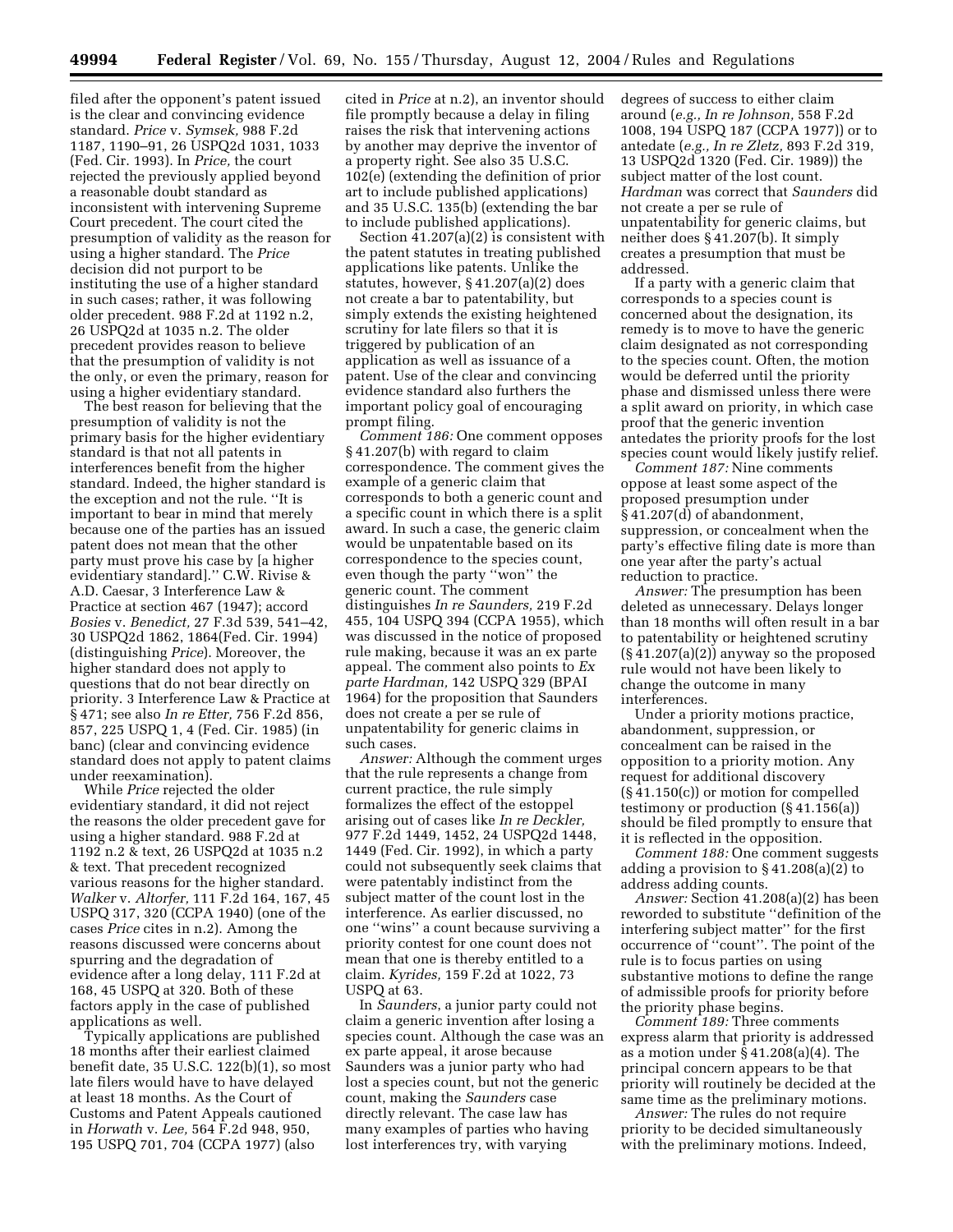filed after the opponent's patent issued is the clear and convincing evidence standard. *Price* v. *Symsek,* 988 F.2d 1187, 1190–91, 26 USPQ2d 1031, 1033 (Fed. Cir. 1993). In *Price,* the court rejected the previously applied beyond a reasonable doubt standard as inconsistent with intervening Supreme Court precedent. The court cited the presumption of validity as the reason for using a higher standard. The *Price*  decision did not purport to be instituting the use of a higher standard in such cases; rather, it was following older precedent. 988 F.2d at 1192 n.2, 26 USPQ2d at 1035 n.2. The older precedent provides reason to believe that the presumption of validity is not the only, or even the primary, reason for using a higher evidentiary standard.

The best reason for believing that the presumption of validity is not the primary basis for the higher evidentiary standard is that not all patents in interferences benefit from the higher standard. Indeed, the higher standard is the exception and not the rule. ''It is important to bear in mind that merely because one of the parties has an issued patent does not mean that the other party must prove his case by [a higher evidentiary standard].'' C.W. Rivise & A.D. Caesar, 3 Interference Law & Practice at section 467 (1947); accord *Bosies* v. *Benedict,* 27 F.3d 539, 541–42, 30 USPQ2d 1862, 1864(Fed. Cir. 1994) (distinguishing *Price*). Moreover, the higher standard does not apply to questions that do not bear directly on priority. 3 Interference Law & Practice at § 471; see also *In re Etter,* 756 F.2d 856, 857, 225 USPQ 1, 4 (Fed. Cir. 1985) (in banc) (clear and convincing evidence standard does not apply to patent claims under reexamination).

While *Price* rejected the older evidentiary standard, it did not reject the reasons the older precedent gave for using a higher standard. 988 F.2d at 1192 n.2 & text, 26 USPQ2d at 1035 n.2 & text. That precedent recognized various reasons for the higher standard. *Walker* v. *Altorfer,* 111 F.2d 164, 167, 45 USPQ 317, 320 (CCPA 1940) (one of the cases *Price* cites in n.2). Among the reasons discussed were concerns about spurring and the degradation of evidence after a long delay, 111 F.2d at 168, 45 USPQ at 320. Both of these factors apply in the case of published applications as well.

Typically applications are published 18 months after their earliest claimed benefit date, 35 U.S.C. 122(b)(1), so most late filers would have to have delayed at least 18 months. As the Court of Customs and Patent Appeals cautioned in *Horwath* v. *Lee,* 564 F.2d 948, 950, 195 USPQ 701, 704 (CCPA 1977) (also

cited in *Price* at n.2), an inventor should file promptly because a delay in filing raises the risk that intervening actions by another may deprive the inventor of a property right. See also 35 U.S.C. 102(e) (extending the definition of prior art to include published applications) and 35 U.S.C. 135(b) (extending the bar to include published applications).

Section  $41.207(a)(2)$  is consistent with the patent statutes in treating published applications like patents. Unlike the statutes, however, § 41.207(a)(2) does not create a bar to patentability, but simply extends the existing heightened scrutiny for late filers so that it is triggered by publication of an application as well as issuance of a patent. Use of the clear and convincing evidence standard also furthers the important policy goal of encouraging prompt filing.

*Comment 186:* One comment opposes § 41.207(b) with regard to claim correspondence. The comment gives the example of a generic claim that corresponds to both a generic count and a specific count in which there is a split award. In such a case, the generic claim would be unpatentable based on its correspondence to the species count, even though the party ''won'' the generic count. The comment distinguishes *In re Saunders,* 219 F.2d 455, 104 USPQ 394 (CCPA 1955), which was discussed in the notice of proposed rule making, because it was an ex parte appeal. The comment also points to *Ex parte Hardman,* 142 USPQ 329 (BPAI 1964) for the proposition that Saunders does not create a per se rule of unpatentability for generic claims in such cases.

*Answer:* Although the comment urges that the rule represents a change from current practice, the rule simply formalizes the effect of the estoppel arising out of cases like *In re Deckler,*  977 F.2d 1449, 1452, 24 USPQ2d 1448, 1449 (Fed. Cir. 1992), in which a party could not subsequently seek claims that were patentably indistinct from the subject matter of the count lost in the interference. As earlier discussed, no one ''wins'' a count because surviving a priority contest for one count does not mean that one is thereby entitled to a claim. *Kyrides,* 159 F.2d at 1022, 73 USPQ at 63.

In *Saunders*, a junior party could not claim a generic invention after losing a species count. Although the case was an ex parte appeal, it arose because Saunders was a junior party who had lost a species count, but not the generic count, making the *Saunders* case directly relevant. The case law has many examples of parties who having lost interferences try, with varying

degrees of success to either claim around (*e.g., In re Johnson,* 558 F.2d 1008, 194 USPQ 187 (CCPA 1977)) or to antedate (*e.g., In re Zletz,* 893 F.2d 319, 13 USPQ2d 1320 (Fed. Cir. 1989)) the subject matter of the lost count. *Hardman* was correct that *Saunders* did not create a per se rule of unpatentability for generic claims, but neither does § 41.207(b). It simply creates a presumption that must be addressed.

If a party with a generic claim that corresponds to a species count is concerned about the designation, its remedy is to move to have the generic claim designated as not corresponding to the species count. Often, the motion would be deferred until the priority phase and dismissed unless there were a split award on priority, in which case proof that the generic invention antedates the priority proofs for the lost species count would likely justify relief.

*Comment 187:* Nine comments oppose at least some aspect of the proposed presumption under § 41.207(d) of abandonment, suppression, or concealment when the party's effective filing date is more than one year after the party's actual reduction to practice.

*Answer:* The presumption has been deleted as unnecessary. Delays longer than 18 months will often result in a bar to patentability or heightened scrutiny  $(S41.207(a)(2))$  anyway so the proposed rule would not have been likely to change the outcome in many interferences.

Under a priority motions practice, abandonment, suppression, or concealment can be raised in the opposition to a priority motion. Any request for additional discovery (§ 41.150(c)) or motion for compelled testimony or production (§ 41.156(a)) should be filed promptly to ensure that it is reflected in the opposition.

*Comment 188:* One comment suggests adding a provision to § 41.208(a)(2) to address adding counts.

*Answer:* Section 41.208(a)(2) has been reworded to substitute ''definition of the interfering subject matter'' for the first occurrence of ''count''. The point of the rule is to focus parties on using substantive motions to define the range of admissible proofs for priority before the priority phase begins.

*Comment 189:* Three comments express alarm that priority is addressed as a motion under  $\hat{\S}$  41.208(a)(4). The principal concern appears to be that priority will routinely be decided at the same time as the preliminary motions.

*Answer:* The rules do not require priority to be decided simultaneously with the preliminary motions. Indeed,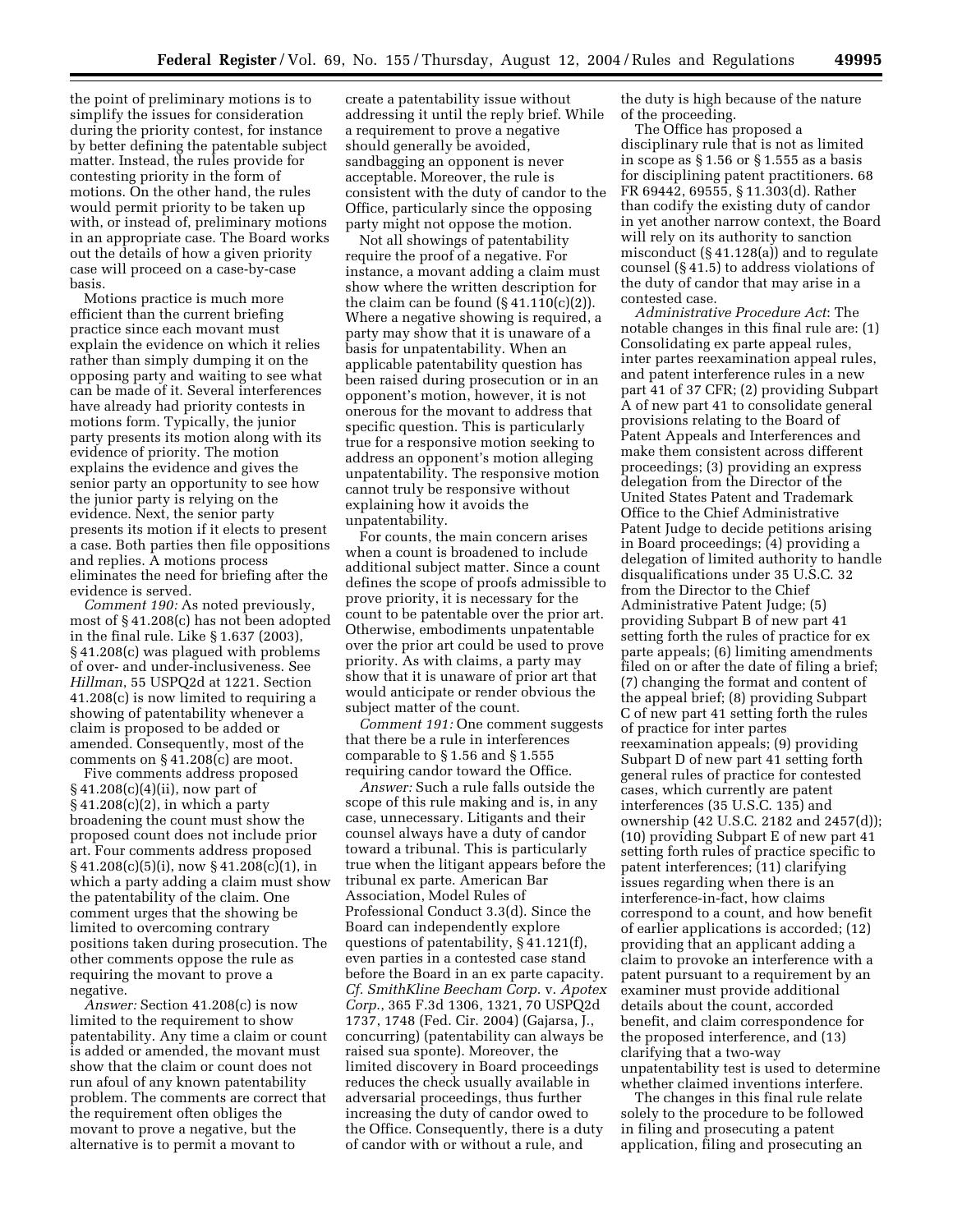the point of preliminary motions is to simplify the issues for consideration during the priority contest, for instance by better defining the patentable subject matter. Instead, the rules provide for contesting priority in the form of motions. On the other hand, the rules would permit priority to be taken up with, or instead of, preliminary motions in an appropriate case. The Board works out the details of how a given priority case will proceed on a case-by-case basis.

Motions practice is much more efficient than the current briefing practice since each movant must explain the evidence on which it relies rather than simply dumping it on the opposing party and waiting to see what can be made of it. Several interferences have already had priority contests in motions form. Typically, the junior party presents its motion along with its evidence of priority. The motion explains the evidence and gives the senior party an opportunity to see how the junior party is relying on the evidence. Next, the senior party presents its motion if it elects to present a case. Both parties then file oppositions and replies. A motions process eliminates the need for briefing after the evidence is served.

*Comment 190:* As noted previously, most of § 41.208(c) has not been adopted in the final rule. Like § 1.637 (2003), § 41.208(c) was plagued with problems of over- and under-inclusiveness. See *Hillman*, 55 USPQ2d at 1221. Section 41.208(c) is now limited to requiring a showing of patentability whenever a claim is proposed to be added or amended. Consequently, most of the comments on § 41.208(c) are moot.

Five comments address proposed § 41.208(c)(4)(ii), now part of § 41.208(c)(2), in which a party broadening the count must show the proposed count does not include prior art. Four comments address proposed § 41.208(c)(5)(i), now § 41.208(c)(1), in which a party adding a claim must show the patentability of the claim. One comment urges that the showing be limited to overcoming contrary positions taken during prosecution. The other comments oppose the rule as requiring the movant to prove a negative.

*Answer:* Section 41.208(c) is now limited to the requirement to show patentability. Any time a claim or count is added or amended, the movant must show that the claim or count does not run afoul of any known patentability problem. The comments are correct that the requirement often obliges the movant to prove a negative, but the alternative is to permit a movant to

create a patentability issue without addressing it until the reply brief. While a requirement to prove a negative should generally be avoided, sandbagging an opponent is never acceptable. Moreover, the rule is consistent with the duty of candor to the Office, particularly since the opposing party might not oppose the motion.

Not all showings of patentability require the proof of a negative. For instance, a movant adding a claim must show where the written description for the claim can be found  $(\S 41.110(c)(2))$ . Where a negative showing is required, a party may show that it is unaware of a basis for unpatentability. When an applicable patentability question has been raised during prosecution or in an opponent's motion, however, it is not onerous for the movant to address that specific question. This is particularly true for a responsive motion seeking to address an opponent's motion alleging unpatentability. The responsive motion cannot truly be responsive without explaining how it avoids the unpatentability.

For counts, the main concern arises when a count is broadened to include additional subject matter. Since a count defines the scope of proofs admissible to prove priority, it is necessary for the count to be patentable over the prior art. Otherwise, embodiments unpatentable over the prior art could be used to prove priority. As with claims, a party may show that it is unaware of prior art that would anticipate or render obvious the subject matter of the count.

*Comment 191:* One comment suggests that there be a rule in interferences comparable to § 1.56 and § 1.555 requiring candor toward the Office.

*Answer:* Such a rule falls outside the scope of this rule making and is, in any case, unnecessary. Litigants and their counsel always have a duty of candor toward a tribunal. This is particularly true when the litigant appears before the tribunal ex parte. American Bar Association, Model Rules of Professional Conduct 3.3(d). Since the Board can independently explore questions of patentability, § 41.121(f), even parties in a contested case stand before the Board in an ex parte capacity. *Cf. SmithKline Beecham Corp*. v. *Apotex Corp*., 365 F.3d 1306, 1321, 70 USPQ2d 1737, 1748 (Fed. Cir. 2004) (Gajarsa, J., concurring) (patentability can always be raised sua sponte). Moreover, the limited discovery in Board proceedings reduces the check usually available in adversarial proceedings, thus further increasing the duty of candor owed to the Office. Consequently, there is a duty of candor with or without a rule, and

the duty is high because of the nature of the proceeding.

The Office has proposed a disciplinary rule that is not as limited in scope as § 1.56 or § 1.555 as a basis for disciplining patent practitioners. 68 FR 69442, 69555, § 11.303(d). Rather than codify the existing duty of candor in yet another narrow context, the Board will rely on its authority to sanction misconduct (§ 41.128(a)) and to regulate counsel (§ 41.5) to address violations of the duty of candor that may arise in a contested case.

*Administrative Procedure Act*: The notable changes in this final rule are: (1) Consolidating ex parte appeal rules, inter partes reexamination appeal rules, and patent interference rules in a new part 41 of 37 CFR; (2) providing Subpart A of new part 41 to consolidate general provisions relating to the Board of Patent Appeals and Interferences and make them consistent across different proceedings; (3) providing an express delegation from the Director of the United States Patent and Trademark Office to the Chief Administrative Patent Judge to decide petitions arising in Board proceedings; (4) providing a delegation of limited authority to handle disqualifications under 35 U.S.C. 32 from the Director to the Chief Administrative Patent Judge; (5) providing Subpart B of new part 41 setting forth the rules of practice for ex parte appeals; (6) limiting amendments filed on or after the date of filing a brief; (7) changing the format and content of the appeal brief; (8) providing Subpart C of new part 41 setting forth the rules of practice for inter partes reexamination appeals; (9) providing Subpart D of new part 41 setting forth general rules of practice for contested cases, which currently are patent interferences (35 U.S.C. 135) and ownership (42 U.S.C. 2182 and 2457(d)); (10) providing Subpart E of new part 41 setting forth rules of practice specific to patent interferences; (11) clarifying issues regarding when there is an interference-in-fact, how claims correspond to a count, and how benefit of earlier applications is accorded; (12) providing that an applicant adding a claim to provoke an interference with a patent pursuant to a requirement by an examiner must provide additional details about the count, accorded benefit, and claim correspondence for the proposed interference, and (13) clarifying that a two-way unpatentability test is used to determine whether claimed inventions interfere.

The changes in this final rule relate solely to the procedure to be followed in filing and prosecuting a patent application, filing and prosecuting an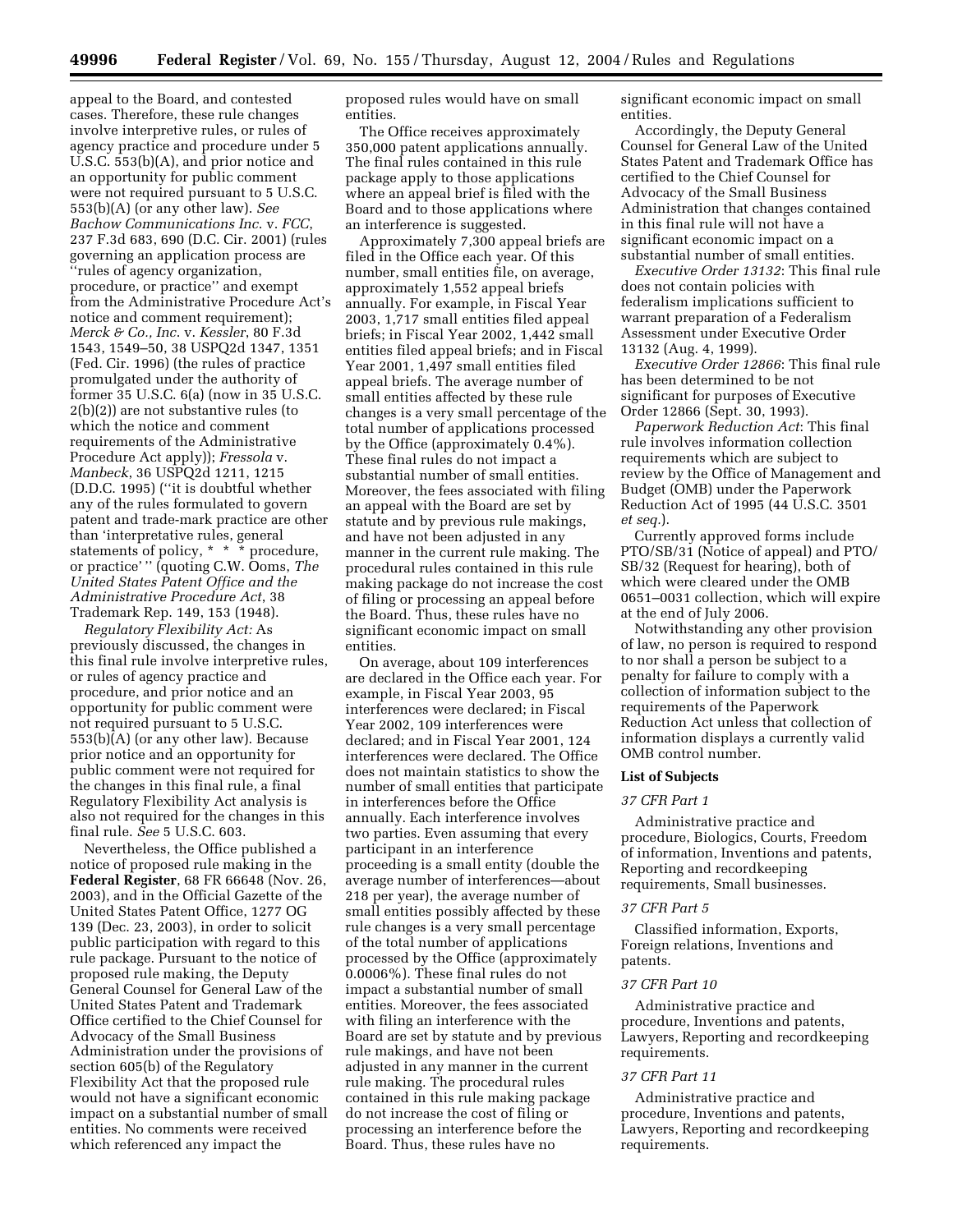appeal to the Board, and contested cases. Therefore, these rule changes involve interpretive rules, or rules of agency practice and procedure under 5 U.S.C. 553(b)(A), and prior notice and an opportunity for public comment were not required pursuant to 5 U.S.C. 553(b)(A) (or any other law). *See Bachow Communications Inc*. v. *FCC*, 237 F.3d 683, 690 (D.C. Cir. 2001) (rules governing an application process are ''rules of agency organization, procedure, or practice'' and exempt from the Administrative Procedure Act's notice and comment requirement); *Merck & Co., Inc*. v. *Kessler*, 80 F.3d 1543, 1549–50, 38 USPQ2d 1347, 1351 (Fed. Cir. 1996) (the rules of practice promulgated under the authority of former 35 U.S.C. 6(a) (now in 35 U.S.C. 2(b)(2)) are not substantive rules (to which the notice and comment requirements of the Administrative Procedure Act apply)); *Fressola* v. *Manbeck*, 36 USPQ2d 1211, 1215 (D.D.C. 1995) (''it is doubtful whether any of the rules formulated to govern patent and trade-mark practice are other than 'interpretative rules, general statements of policy, \* \* \* procedure, or practice' '' (quoting C.W. Ooms, *The United States Patent Office and the Administrative Procedure Act*, 38 Trademark Rep. 149, 153 (1948).

*Regulatory Flexibility Act:* As previously discussed, the changes in this final rule involve interpretive rules, or rules of agency practice and procedure, and prior notice and an opportunity for public comment were not required pursuant to 5 U.S.C. 553(b)(A) (or any other law). Because prior notice and an opportunity for public comment were not required for the changes in this final rule, a final Regulatory Flexibility Act analysis is also not required for the changes in this final rule. *See* 5 U.S.C. 603.

Nevertheless, the Office published a notice of proposed rule making in the **Federal Register**, 68 FR 66648 (Nov. 26, 2003), and in the Official Gazette of the United States Patent Office, 1277 OG 139 (Dec. 23, 2003), in order to solicit public participation with regard to this rule package. Pursuant to the notice of proposed rule making, the Deputy General Counsel for General Law of the United States Patent and Trademark Office certified to the Chief Counsel for Advocacy of the Small Business Administration under the provisions of section 605(b) of the Regulatory Flexibility Act that the proposed rule would not have a significant economic impact on a substantial number of small entities. No comments were received which referenced any impact the

proposed rules would have on small entities.

The Office receives approximately 350,000 patent applications annually. The final rules contained in this rule package apply to those applications where an appeal brief is filed with the Board and to those applications where an interference is suggested.

Approximately 7,300 appeal briefs are filed in the Office each year. Of this number, small entities file, on average, approximately 1,552 appeal briefs annually. For example, in Fiscal Year 2003, 1,717 small entities filed appeal briefs; in Fiscal Year 2002, 1,442 small entities filed appeal briefs; and in Fiscal Year 2001, 1,497 small entities filed appeal briefs. The average number of small entities affected by these rule changes is a very small percentage of the total number of applications processed by the Office (approximately 0.4%). These final rules do not impact a substantial number of small entities. Moreover, the fees associated with filing an appeal with the Board are set by statute and by previous rule makings, and have not been adjusted in any manner in the current rule making. The procedural rules contained in this rule making package do not increase the cost of filing or processing an appeal before the Board. Thus, these rules have no significant economic impact on small entities.

On average, about 109 interferences are declared in the Office each year. For example, in Fiscal Year 2003, 95 interferences were declared; in Fiscal Year 2002, 109 interferences were declared; and in Fiscal Year 2001, 124 interferences were declared. The Office does not maintain statistics to show the number of small entities that participate in interferences before the Office annually. Each interference involves two parties. Even assuming that every participant in an interference proceeding is a small entity (double the average number of interferences—about 218 per year), the average number of small entities possibly affected by these rule changes is a very small percentage of the total number of applications processed by the Office (approximately 0.0006%). These final rules do not impact a substantial number of small entities. Moreover, the fees associated with filing an interference with the Board are set by statute and by previous rule makings, and have not been adjusted in any manner in the current rule making. The procedural rules contained in this rule making package do not increase the cost of filing or processing an interference before the Board. Thus, these rules have no

significant economic impact on small entities.

Accordingly, the Deputy General Counsel for General Law of the United States Patent and Trademark Office has certified to the Chief Counsel for Advocacy of the Small Business Administration that changes contained in this final rule will not have a significant economic impact on a substantial number of small entities.

*Executive Order 13132*: This final rule does not contain policies with federalism implications sufficient to warrant preparation of a Federalism Assessment under Executive Order 13132 (Aug. 4, 1999).

*Executive Order 12866*: This final rule has been determined to be not significant for purposes of Executive Order 12866 (Sept. 30, 1993).

*Paperwork Reduction Act*: This final rule involves information collection requirements which are subject to review by the Office of Management and Budget (OMB) under the Paperwork Reduction Act of 1995 (44 U.S.C. 3501 *et seq.*).

Currently approved forms include PTO/SB/31 (Notice of appeal) and PTO/ SB/32 (Request for hearing), both of which were cleared under the OMB 0651–0031 collection, which will expire at the end of July 2006.

Notwithstanding any other provision of law, no person is required to respond to nor shall a person be subject to a penalty for failure to comply with a collection of information subject to the requirements of the Paperwork Reduction Act unless that collection of information displays a currently valid OMB control number.

#### **List of Subjects**

## *37 CFR Part 1*

Administrative practice and procedure, Biologics, Courts, Freedom of information, Inventions and patents, Reporting and recordkeeping requirements, Small businesses.

#### *37 CFR Part 5*

Classified information, Exports, Foreign relations, Inventions and patents.

## *37 CFR Part 10*

Administrative practice and procedure, Inventions and patents, Lawyers, Reporting and recordkeeping requirements.

## *37 CFR Part 11*

Administrative practice and procedure, Inventions and patents, Lawyers, Reporting and recordkeeping requirements.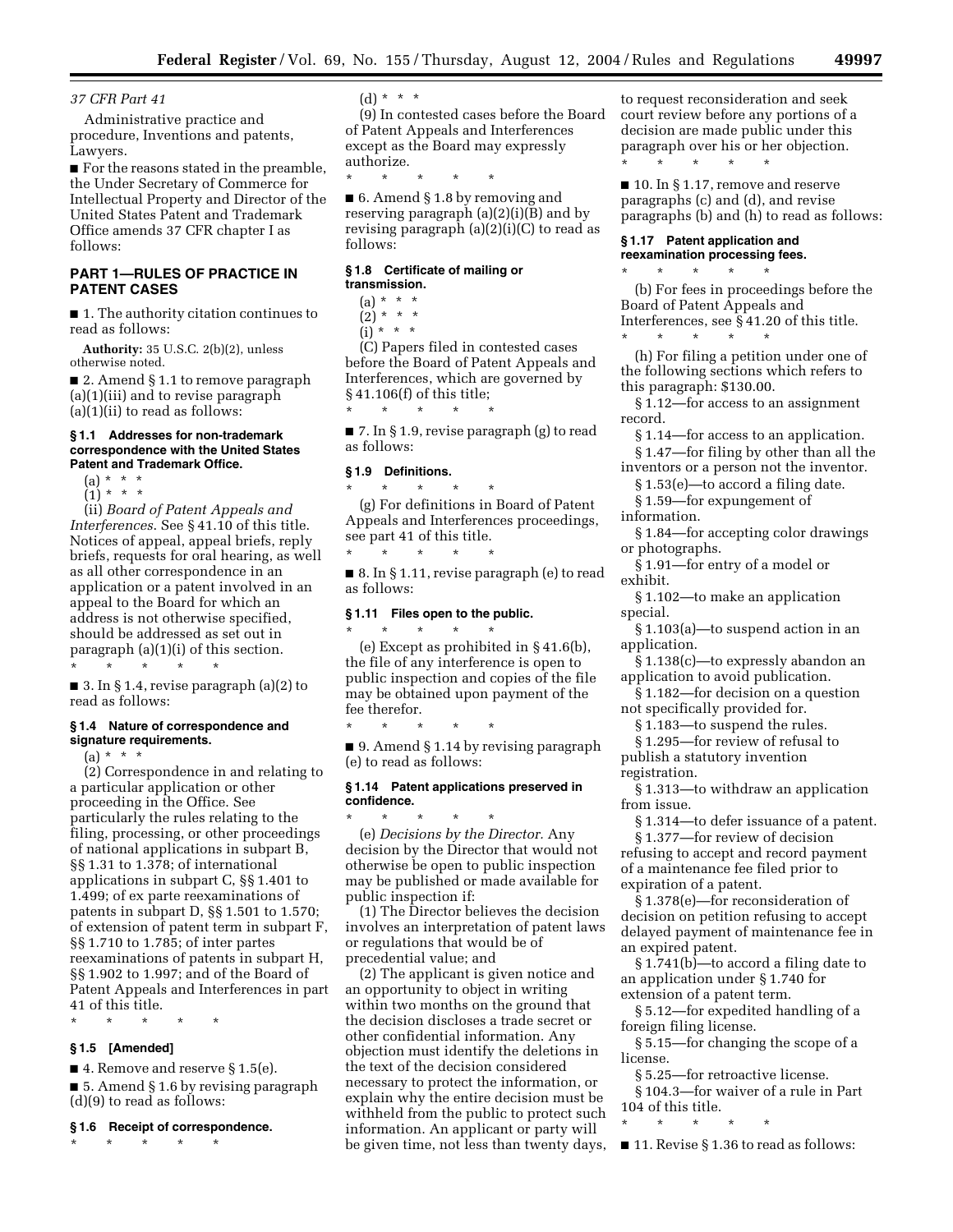## *37 CFR Part 41*

Administrative practice and procedure, Inventions and patents, Lawyers.

■ For the reasons stated in the preamble, the Under Secretary of Commerce for Intellectual Property and Director of the United States Patent and Trademark Office amends 37 CFR chapter I as follows:

## **PART 1—RULES OF PRACTICE IN PATENT CASES**

■ 1. The authority citation continues to read as follows:

**Authority:** 35 U.S.C. 2(b)(2), unless otherwise noted.

■ 2. Amend § 1.1 to remove paragraph (a)(1)(iii) and to revise paragraph  $(a)(1)(ii)$  to read as follows:

#### **§ 1.1 Addresses for non-trademark correspondence with the United States Patent and Trademark Office.**

 $(a) * * * *$ 

 $(1) * * * *$ 

(ii) *Board of Patent Appeals and Interferences*. See § 41.10 of this title. Notices of appeal, appeal briefs, reply briefs, requests for oral hearing, as well as all other correspondence in an application or a patent involved in an appeal to the Board for which an address is not otherwise specified, should be addressed as set out in paragraph (a)(1)(i) of this section. \* \* \* \* \*

■ 3. In § 1.4, revise paragraph (a)(2) to read as follows:

#### **§ 1.4 Nature of correspondence and signature requirements.**

 $(a) * * * *$ 

(2) Correspondence in and relating to a particular application or other proceeding in the Office. See particularly the rules relating to the filing, processing, or other proceedings of national applications in subpart B, §§ 1.31 to 1.378; of international applications in subpart C, §§ 1.401 to 1.499; of ex parte reexaminations of patents in subpart D, §§ 1.501 to 1.570; of extension of patent term in subpart F, §§ 1.710 to 1.785; of inter partes reexaminations of patents in subpart H, §§ 1.902 to 1.997; and of the Board of Patent Appeals and Interferences in part 41 of this title.

\* \* \* \* \*

## **§ 1.5 [Amended]**

■ 4. Remove and reserve § 1.5(e).

■ 5. Amend § 1.6 by revising paragraph (d)(9) to read as follows:

#### **§ 1.6 Receipt of correspondence.**

\* \* \* \* \*

 $(d) * * * *$ 

(9) In contested cases before the Board of Patent Appeals and Interferences except as the Board may expressly authorize.

\* \* \* \* \*

■ 6. Amend § 1.8 by removing and reserving paragraph (a)(2)(i)(B) and by revising paragraph (a)(2)(i)(C) to read as follows:

## **§ 1.8 Certificate of mailing or transmission.**

 $(a) * * * *$ 

 $(2) * * * *$  $(i) * * * *$ 

(C) Papers filed in contested cases before the Board of Patent Appeals and Interferences, which are governed by § 41.106(f) of this title;

\* \* \* \* \*

■ 7. In § 1.9, revise paragraph (g) to read as follows:

## **§ 1.9 Definitions.**

\* \* \* \* \*

(g) For definitions in Board of Patent Appeals and Interferences proceedings, see part 41 of this title. \* \* \* \* \*

■ 8. In § 1.11, revise paragraph (e) to read as follows:

## **§ 1.11 Files open to the public.**  \* \* \* \* \*

\* \* \* \* \*

(e) Except as prohibited in § 41.6(b), the file of any interference is open to public inspection and copies of the file may be obtained upon payment of the fee therefor.

■ 9. Amend § 1.14 by revising paragraph (e) to read as follows:

## **§ 1.14 Patent applications preserved in confidence.**

\* \* \* \* \* (e) *Decisions by the Director.* Any decision by the Director that would not otherwise be open to public inspection may be published or made available for public inspection if:

(1) The Director believes the decision involves an interpretation of patent laws or regulations that would be of precedential value; and

(2) The applicant is given notice and an opportunity to object in writing within two months on the ground that the decision discloses a trade secret or other confidential information. Any objection must identify the deletions in the text of the decision considered necessary to protect the information, or explain why the entire decision must be withheld from the public to protect such information. An applicant or party will be given time, not less than twenty days,

to request reconsideration and seek court review before any portions of a decision are made public under this paragraph over his or her objection. \* \* \* \* \*

■ 10. In § 1.17, remove and reserve paragraphs (c) and (d), and revise paragraphs (b) and (h) to read as follows:

#### **§ 1.17 Patent application and reexamination processing fees.**

\* \* \* \* \*

(b) For fees in proceedings before the Board of Patent Appeals and Interferences, see § 41.20 of this title. \* \* \* \* \*

(h) For filing a petition under one of the following sections which refers to this paragraph: \$130.00.

- § 1.12—for access to an assignment record.
- § 1.14—for access to an application.
- § 1.47—for filing by other than all the inventors or a person not the inventor.
- § 1.53(e)—to accord a filing date.
- § 1.59—for expungement of
- information.
- § 1.84—for accepting color drawings or photographs.
- § 1.91—for entry of a model or exhibit.
- § 1.102—to make an application special.
- § 1.103(a)—to suspend action in an application.
- § 1.138(c)—to expressly abandon an application to avoid publication.

§ 1.182—for decision on a question not specifically provided for.

- § 1.183—to suspend the rules.
- § 1.295—for review of refusal to publish a statutory invention
- registration.
- § 1.313—to withdraw an application from issue.
- § 1.314—to defer issuance of a patent.

§ 1.377—for review of decision refusing to accept and record payment of a maintenance fee filed prior to expiration of a patent.

§ 1.378(e)—for reconsideration of decision on petition refusing to accept delayed payment of maintenance fee in an expired patent.

§ 1.741(b)—to accord a filing date to an application under § 1.740 for extension of a patent term.

§ 5.12—for expedited handling of a foreign filing license.

§ 5.15—for changing the scope of a license.

§ 5.25—for retroactive license.

- § 104.3—for waiver of a rule in Part 104 of this title.
- \* \* \* \* \*

■ 11. Revise § 1.36 to read as follows: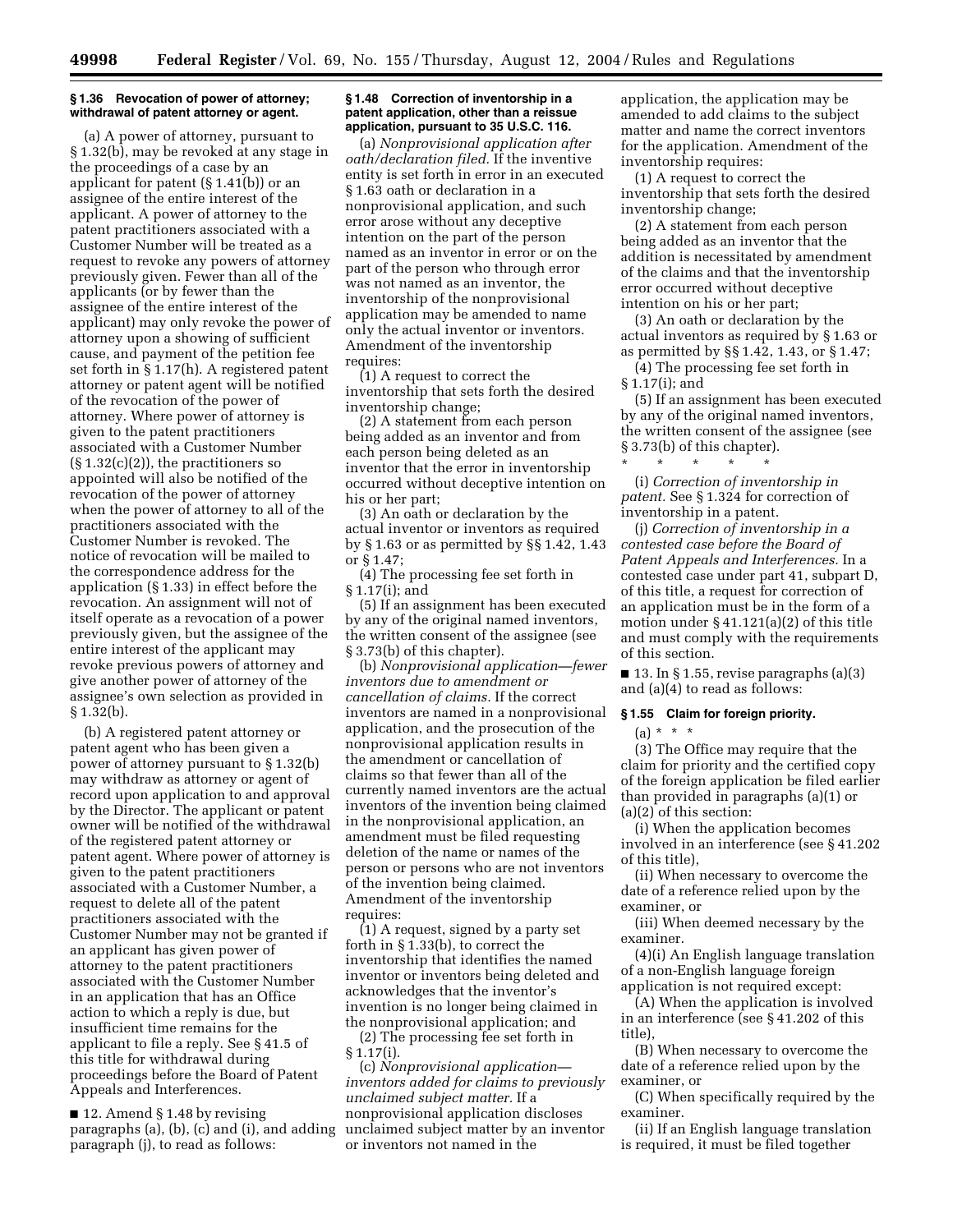#### **§ 1.36 Revocation of power of attorney; withdrawal of patent attorney or agent.**

(a) A power of attorney, pursuant to § 1.32(b), may be revoked at any stage in the proceedings of a case by an applicant for patent (§ 1.41(b)) or an assignee of the entire interest of the applicant. A power of attorney to the patent practitioners associated with a Customer Number will be treated as a request to revoke any powers of attorney previously given. Fewer than all of the applicants (or by fewer than the assignee of the entire interest of the applicant) may only revoke the power of attorney upon a showing of sufficient cause, and payment of the petition fee set forth in § 1.17(h). A registered patent attorney or patent agent will be notified of the revocation of the power of attorney. Where power of attorney is given to the patent practitioners associated with a Customer Number  $(\S 1.32(c)(2))$ , the practitioners so appointed will also be notified of the revocation of the power of attorney when the power of attorney to all of the practitioners associated with the Customer Number is revoked. The notice of revocation will be mailed to the correspondence address for the application (§ 1.33) in effect before the revocation. An assignment will not of itself operate as a revocation of a power previously given, but the assignee of the entire interest of the applicant may revoke previous powers of attorney and give another power of attorney of the assignee's own selection as provided in § 1.32(b).

(b) A registered patent attorney or patent agent who has been given a power of attorney pursuant to § 1.32(b) may withdraw as attorney or agent of record upon application to and approval by the Director. The applicant or patent owner will be notified of the withdrawal of the registered patent attorney or patent agent. Where power of attorney is given to the patent practitioners associated with a Customer Number, a request to delete all of the patent practitioners associated with the Customer Number may not be granted if an applicant has given power of attorney to the patent practitioners associated with the Customer Number in an application that has an Office action to which a reply is due, but insufficient time remains for the applicant to file a reply. See § 41.5 of this title for withdrawal during proceedings before the Board of Patent Appeals and Interferences.

■ 12. Amend § 1.48 by revising paragraphs (a), (b), (c) and (i), and adding paragraph (j), to read as follows:

#### **§ 1.48 Correction of inventorship in a patent application, other than a reissue application, pursuant to 35 U.S.C. 116.**

(a) *Nonprovisional application after oath/declaration filed.* If the inventive entity is set forth in error in an executed § 1.63 oath or declaration in a nonprovisional application, and such error arose without any deceptive intention on the part of the person named as an inventor in error or on the part of the person who through error was not named as an inventor, the inventorship of the nonprovisional application may be amended to name only the actual inventor or inventors. Amendment of the inventorship requires:

(1) A request to correct the inventorship that sets forth the desired inventorship change;

(2) A statement from each person being added as an inventor and from each person being deleted as an inventor that the error in inventorship occurred without deceptive intention on his or her part;

(3) An oath or declaration by the actual inventor or inventors as required by § 1.63 or as permitted by §§ 1.42, 1.43 or § 1.47;

(4) The processing fee set forth in § 1.17(i); and

(5) If an assignment has been executed by any of the original named inventors, the written consent of the assignee (see § 3.73(b) of this chapter).

(b) *Nonprovisional application—fewer inventors due to amendment or cancellation of claims.* If the correct inventors are named in a nonprovisional application, and the prosecution of the nonprovisional application results in the amendment or cancellation of claims so that fewer than all of the currently named inventors are the actual inventors of the invention being claimed in the nonprovisional application, an amendment must be filed requesting deletion of the name or names of the person or persons who are not inventors of the invention being claimed. Amendment of the inventorship requires:

(1) A request, signed by a party set forth in § 1.33(b), to correct the inventorship that identifies the named inventor or inventors being deleted and acknowledges that the inventor's invention is no longer being claimed in the nonprovisional application; and

(2) The processing fee set forth in § 1.17(i).

(c) *Nonprovisional application inventors added for claims to previously unclaimed subject matter.* If a nonprovisional application discloses unclaimed subject matter by an inventor or inventors not named in the

application, the application may be amended to add claims to the subject matter and name the correct inventors for the application. Amendment of the inventorship requires:

(1) A request to correct the inventorship that sets forth the desired inventorship change;

(2) A statement from each person being added as an inventor that the addition is necessitated by amendment of the claims and that the inventorship error occurred without deceptive intention on his or her part;

(3) An oath or declaration by the actual inventors as required by § 1.63 or as permitted by §§ 1.42, 1.43, or § 1.47;

(4) The processing fee set forth in § 1.17(i); and

(5) If an assignment has been executed by any of the original named inventors, the written consent of the assignee (see § 3.73(b) of this chapter).

(i) *Correction of inventorship in patent.* See § 1.324 for correction of inventorship in a patent.

\* \* \* \* \*

(j) *Correction of inventorship in a contested case before the Board of Patent Appeals and Interferences.* In a contested case under part 41, subpart D, of this title, a request for correction of an application must be in the form of a motion under  $\S 41.121(a)(2)$  of this title and must comply with the requirements of this section.

 $\blacksquare$  13. In § 1.55, revise paragraphs (a)(3) and (a)(4) to read as follows:

#### **§ 1.55 Claim for foreign priority.**

 $(a) * * * *$ 

(3) The Office may require that the claim for priority and the certified copy of the foreign application be filed earlier than provided in paragraphs (a)(1) or (a)(2) of this section:

(i) When the application becomes involved in an interference (see § 41.202 of this title),

(ii) When necessary to overcome the date of a reference relied upon by the examiner, or

(iii) When deemed necessary by the examiner.

(4)(i) An English language translation of a non-English language foreign application is not required except:

(A) When the application is involved in an interference (see § 41.202 of this title),

(B) When necessary to overcome the date of a reference relied upon by the examiner, or

(C) When specifically required by the examiner.

(ii) If an English language translation is required, it must be filed together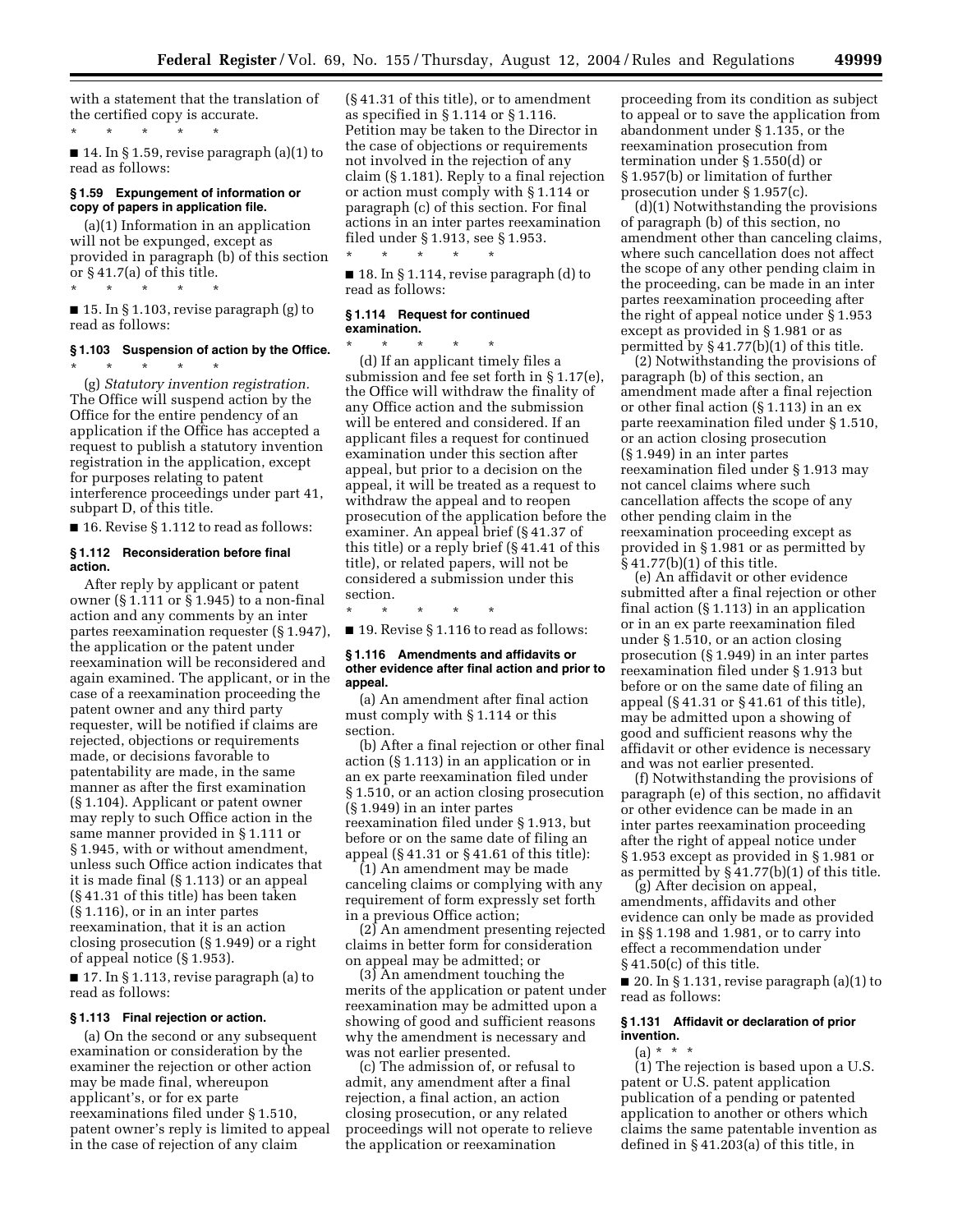with a statement that the translation of the certified copy is accurate.

\* \* \* \* \*

■ 14. In § 1.59, revise paragraph (a)(1) to read as follows:

## **§ 1.59 Expungement of information or copy of papers in application file.**

(a)(1) Information in an application will not be expunged, except as provided in paragraph (b) of this section or § 41.7(a) of this title.

\* \* \* \* \*

\* \* \* \* \*

 $\blacksquare$  15. In § 1.103, revise paragraph (g) to read as follows:

## **§ 1.103 Suspension of action by the Office.**

(g) *Statutory invention registration.*  The Office will suspend action by the Office for the entire pendency of an application if the Office has accepted a request to publish a statutory invention registration in the application, except for purposes relating to patent interference proceedings under part 41, subpart D, of this title.

■ 16. Revise § 1.112 to read as follows:

#### **§ 1.112 Reconsideration before final action.**

After reply by applicant or patent owner (§ 1.111 or § 1.945) to a non-final action and any comments by an inter partes reexamination requester (§ 1.947), the application or the patent under reexamination will be reconsidered and again examined. The applicant, or in the case of a reexamination proceeding the patent owner and any third party requester, will be notified if claims are rejected, objections or requirements made, or decisions favorable to patentability are made, in the same manner as after the first examination (§ 1.104). Applicant or patent owner may reply to such Office action in the same manner provided in § 1.111 or § 1.945, with or without amendment, unless such Office action indicates that it is made final (§ 1.113) or an appeal (§ 41.31 of this title) has been taken (§ 1.116), or in an inter partes reexamination, that it is an action closing prosecution (§ 1.949) or a right of appeal notice (§ 1.953).

■ 17. In § 1.113, revise paragraph (a) to read as follows:

## **§ 1.113 Final rejection or action.**

(a) On the second or any subsequent examination or consideration by the examiner the rejection or other action may be made final, whereupon applicant's, or for ex parte reexaminations filed under § 1.510, patent owner's reply is limited to appeal in the case of rejection of any claim

(§ 41.31 of this title), or to amendment as specified in § 1.114 or § 1.116. Petition may be taken to the Director in the case of objections or requirements not involved in the rejection of any claim (§ 1.181). Reply to a final rejection or action must comply with § 1.114 or paragraph (c) of this section. For final actions in an inter partes reexamination filed under § 1.913, see § 1.953.

■ 18. In § 1.114, revise paragraph (d) to read as follows:

#### **§ 1.114 Request for continued examination.**

\* \* \* \* \*

\* \* \* \* \* (d) If an applicant timely files a submission and fee set forth in § 1.17(e), the Office will withdraw the finality of any Office action and the submission will be entered and considered. If an applicant files a request for continued examination under this section after appeal, but prior to a decision on the appeal, it will be treated as a request to withdraw the appeal and to reopen prosecution of the application before the examiner. An appeal brief (§ 41.37 of this title) or a reply brief (§ 41.41 of this title), or related papers, will not be considered a submission under this section.

\* \* \* \* \*

■ 19. Revise § 1.116 to read as follows:

## **§ 1.116 Amendments and affidavits or other evidence after final action and prior to appeal.**

(a) An amendment after final action must comply with § 1.114 or this section.

(b) After a final rejection or other final action (§ 1.113) in an application or in an ex parte reexamination filed under § 1.510, or an action closing prosecution (§ 1.949) in an inter partes reexamination filed under § 1.913, but before or on the same date of filing an appeal (§ 41.31 or § 41.61 of this title):

(1) An amendment may be made canceling claims or complying with any requirement of form expressly set forth in a previous Office action;

(2) An amendment presenting rejected claims in better form for consideration on appeal may be admitted; or

(3) An amendment touching the merits of the application or patent under reexamination may be admitted upon a showing of good and sufficient reasons why the amendment is necessary and was not earlier presented.

(c) The admission of, or refusal to admit, any amendment after a final rejection, a final action, an action closing prosecution, or any related proceedings will not operate to relieve the application or reexamination

proceeding from its condition as subject to appeal or to save the application from abandonment under § 1.135, or the reexamination prosecution from termination under § 1.550(d) or § 1.957(b) or limitation of further prosecution under § 1.957(c).

(d)(1) Notwithstanding the provisions of paragraph (b) of this section, no amendment other than canceling claims, where such cancellation does not affect the scope of any other pending claim in the proceeding, can be made in an inter partes reexamination proceeding after the right of appeal notice under § 1.953 except as provided in § 1.981 or as permitted by § 41.77(b)(1) of this title.

(2) Notwithstanding the provisions of paragraph (b) of this section, an amendment made after a final rejection or other final action (§ 1.113) in an ex parte reexamination filed under § 1.510, or an action closing prosecution (§ 1.949) in an inter partes reexamination filed under § 1.913 may not cancel claims where such cancellation affects the scope of any other pending claim in the reexamination proceeding except as provided in § 1.981 or as permitted by § 41.77(b)(1) of this title.

(e) An affidavit or other evidence submitted after a final rejection or other final action (§ 1.113) in an application or in an ex parte reexamination filed under § 1.510, or an action closing prosecution (§ 1.949) in an inter partes reexamination filed under § 1.913 but before or on the same date of filing an appeal (§ 41.31 or § 41.61 of this title), may be admitted upon a showing of good and sufficient reasons why the affidavit or other evidence is necessary and was not earlier presented.

(f) Notwithstanding the provisions of paragraph (e) of this section, no affidavit or other evidence can be made in an inter partes reexamination proceeding after the right of appeal notice under § 1.953 except as provided in § 1.981 or as permitted by § 41.77(b)(1) of this title.

(g) After decision on appeal, amendments, affidavits and other evidence can only be made as provided in §§ 1.198 and 1.981, or to carry into effect a recommendation under § 41.50(c) of this title.

 $\blacksquare$  20. In § 1.131, revise paragraph (a)(1) to read as follows:

## **§ 1.131 Affidavit or declaration of prior invention.**

 $(a) * * * *$ 

(1) The rejection is based upon a U.S. patent or U.S. patent application publication of a pending or patented application to another or others which claims the same patentable invention as defined in § 41.203(a) of this title, in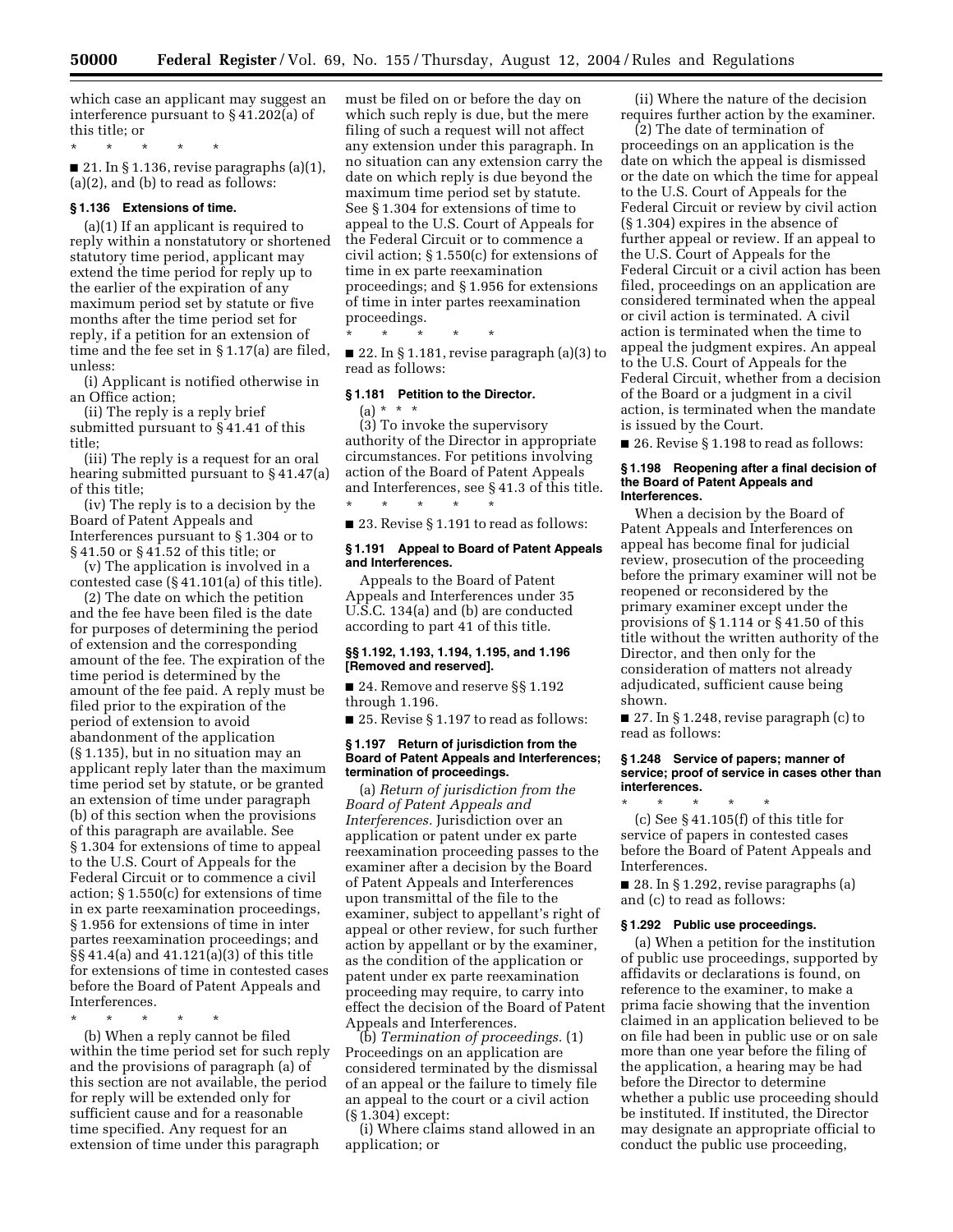which case an applicant may suggest an interference pursuant to § 41.202(a) of this title; or

\* \* \* \* \*

 $\blacksquare$  21. In § 1.136, revise paragraphs (a)(1), (a)(2), and (b) to read as follows:

## **§ 1.136 Extensions of time.**

(a)(1) If an applicant is required to reply within a nonstatutory or shortened statutory time period, applicant may extend the time period for reply up to the earlier of the expiration of any maximum period set by statute or five months after the time period set for reply, if a petition for an extension of time and the fee set in § 1.17(a) are filed, unless:

(i) Applicant is notified otherwise in an Office action;

(ii) The reply is a reply brief submitted pursuant to § 41.41 of this title;

(iii) The reply is a request for an oral hearing submitted pursuant to § 41.47(a) of this title;

(iv) The reply is to a decision by the Board of Patent Appeals and Interferences pursuant to § 1.304 or to § 41.50 or § 41.52 of this title; or

(v) The application is involved in a contested case (§ 41.101(a) of this title).

(2) The date on which the petition and the fee have been filed is the date for purposes of determining the period of extension and the corresponding amount of the fee. The expiration of the time period is determined by the amount of the fee paid. A reply must be filed prior to the expiration of the period of extension to avoid abandonment of the application (§ 1.135), but in no situation may an applicant reply later than the maximum time period set by statute, or be granted an extension of time under paragraph (b) of this section when the provisions of this paragraph are available. See § 1.304 for extensions of time to appeal to the U.S. Court of Appeals for the Federal Circuit or to commence a civil action; § 1.550(c) for extensions of time in ex parte reexamination proceedings, § 1.956 for extensions of time in inter partes reexamination proceedings; and §§ 41.4(a) and 41.121(a)(3) of this title for extensions of time in contested cases before the Board of Patent Appeals and Interferences.

\* \* \* \* \*

(b) When a reply cannot be filed within the time period set for such reply and the provisions of paragraph (a) of this section are not available, the period for reply will be extended only for sufficient cause and for a reasonable time specified. Any request for an extension of time under this paragraph

must be filed on or before the day on which such reply is due, but the mere filing of such a request will not affect any extension under this paragraph. In no situation can any extension carry the date on which reply is due beyond the maximum time period set by statute. See § 1.304 for extensions of time to appeal to the U.S. Court of Appeals for the Federal Circuit or to commence a civil action; § 1.550(c) for extensions of time in ex parte reexamination proceedings; and § 1.956 for extensions of time in inter partes reexamination proceedings.

\* \* \* \* \*

\* \* \* \* \*

 $\blacksquare$  22. In § 1.181, revise paragraph (a)(3) to read as follows:

## **§ 1.181 Petition to the Director.**

 $(a) * * *$ (3) To invoke the supervisory authority of the Director in appropriate circumstances. For petitions involving action of the Board of Patent Appeals and Interferences, see § 41.3 of this title.

■ 23. Revise § 1.191 to read as follows:

#### **§ 1.191 Appeal to Board of Patent Appeals and Interferences.**

Appeals to the Board of Patent Appeals and Interferences under 35 U.S.C. 134(a) and (b) are conducted according to part 41 of this title.

## **§§ 1.192, 1.193, 1.194, 1.195, and 1.196 [Removed and reserved].**

■ 24. Remove and reserve §§ 1.192 through 1.196.

■ 25. Revise § 1.197 to read as follows:

#### **§ 1.197 Return of jurisdiction from the Board of Patent Appeals and Interferences; termination of proceedings.**

(a) *Return of jurisdiction from the Board of Patent Appeals and Interferences.* Jurisdiction over an application or patent under ex parte reexamination proceeding passes to the examiner after a decision by the Board of Patent Appeals and Interferences upon transmittal of the file to the examiner, subject to appellant's right of appeal or other review, for such further action by appellant or by the examiner, as the condition of the application or patent under ex parte reexamination proceeding may require, to carry into effect the decision of the Board of Patent Appeals and Interferences.

(b) *Termination of proceedings.* (1) Proceedings on an application are considered terminated by the dismissal of an appeal or the failure to timely file an appeal to the court or a civil action (§ 1.304) except:

(i) Where claims stand allowed in an application; or

(ii) Where the nature of the decision requires further action by the examiner.

(2) The date of termination of proceedings on an application is the date on which the appeal is dismissed or the date on which the time for appeal to the U.S. Court of Appeals for the Federal Circuit or review by civil action (§ 1.304) expires in the absence of further appeal or review. If an appeal to the U.S. Court of Appeals for the Federal Circuit or a civil action has been filed, proceedings on an application are considered terminated when the appeal or civil action is terminated. A civil action is terminated when the time to appeal the judgment expires. An appeal to the U.S. Court of Appeals for the Federal Circuit, whether from a decision of the Board or a judgment in a civil action, is terminated when the mandate is issued by the Court.

■ 26. Revise § 1.198 to read as follows:

#### **§ 1.198 Reopening after a final decision of the Board of Patent Appeals and Interferences.**

When a decision by the Board of Patent Appeals and Interferences on appeal has become final for judicial review, prosecution of the proceeding before the primary examiner will not be reopened or reconsidered by the primary examiner except under the provisions of § 1.114 or § 41.50 of this title without the written authority of the Director, and then only for the consideration of matters not already adjudicated, sufficient cause being shown.

■ 27. In § 1.248, revise paragraph (c) to read as follows:

## **§ 1.248 Service of papers; manner of service; proof of service in cases other than interferences.**

\* \* \* \* \* (c) See § 41.105(f) of this title for service of papers in contested cases before the Board of Patent Appeals and Interferences.

■ 28. In § 1.292, revise paragraphs (a) and (c) to read as follows:

#### **§ 1.292 Public use proceedings.**

(a) When a petition for the institution of public use proceedings, supported by affidavits or declarations is found, on reference to the examiner, to make a prima facie showing that the invention claimed in an application believed to be on file had been in public use or on sale more than one year before the filing of the application, a hearing may be had before the Director to determine whether a public use proceeding should be instituted. If instituted, the Director may designate an appropriate official to conduct the public use proceeding,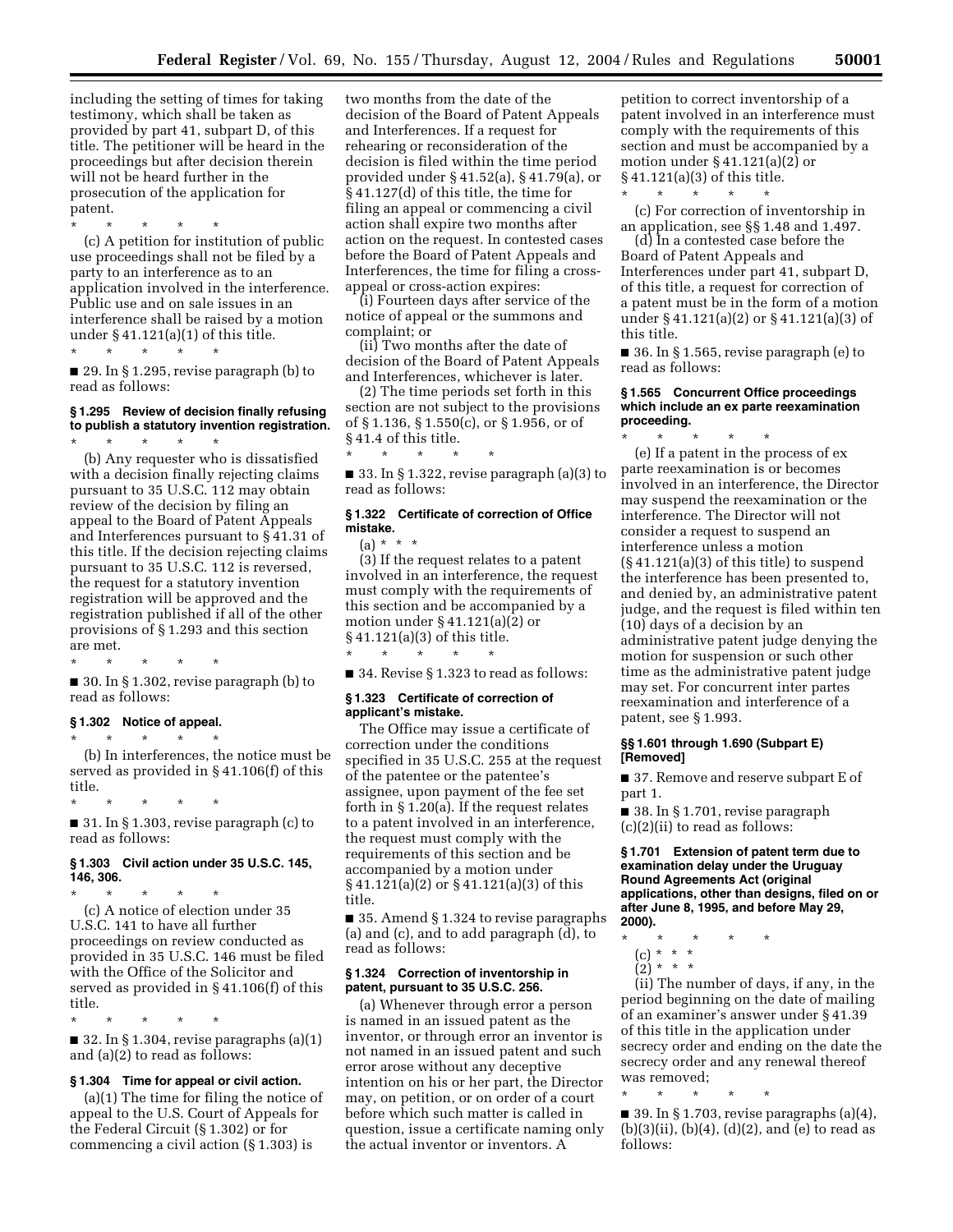including the setting of times for taking testimony, which shall be taken as provided by part 41, subpart D, of this title. The petitioner will be heard in the proceedings but after decision therein will not be heard further in the prosecution of the application for patent.

\* \* \* \* \* (c) A petition for institution of public use proceedings shall not be filed by a party to an interference as to an application involved in the interference. Public use and on sale issues in an interference shall be raised by a motion under  $§ 41.121(a)(1)$  of this title.  $\star$   $\qquad$   $\star$   $\qquad$   $\star$ 

■ 29. In § 1.295, revise paragraph (b) to read as follows:

#### **§ 1.295 Review of decision finally refusing to publish a statutory invention registration.**  \* \* \* \* \*

(b) Any requester who is dissatisfied with a decision finally rejecting claims pursuant to 35 U.S.C. 112 may obtain review of the decision by filing an appeal to the Board of Patent Appeals and Interferences pursuant to § 41.31 of this title. If the decision rejecting claims pursuant to 35 U.S.C. 112 is reversed, the request for a statutory invention registration will be approved and the registration published if all of the other provisions of § 1.293 and this section are met.

\* \* \* \* \*  $\blacksquare$  30. In § 1.302, revise paragraph (b) to read as follows:

#### **§ 1.302 Notice of appeal.**

 $\star$   $\qquad$   $\star$   $\qquad$   $\star$ 

(b) In interferences, the notice must be served as provided in § 41.106(f) of this title.

\* \* \* \* \* ■ 31. In § 1.303, revise paragraph (c) to read as follows:

## **§ 1.303 Civil action under 35 U.S.C. 145, 146, 306.**

\* \* \* \* \* (c) A notice of election under 35 U.S.C. 141 to have all further proceedings on review conducted as provided in 35 U.S.C. 146 must be filed with the Office of the Solicitor and served as provided in § 41.106(f) of this title.

\* \* \* \* \*  $\blacksquare$  32. In § 1.304, revise paragraphs (a)(1) and (a)(2) to read as follows:

## **§ 1.304 Time for appeal or civil action.**

(a)(1) The time for filing the notice of appeal to the U.S. Court of Appeals for the Federal Circuit (§ 1.302) or for commencing a civil action (§ 1.303) is

two months from the date of the decision of the Board of Patent Appeals and Interferences. If a request for rehearing or reconsideration of the decision is filed within the time period provided under § 41.52(a), § 41.79(a), or § 41.127(d) of this title, the time for filing an appeal or commencing a civil action shall expire two months after action on the request. In contested cases before the Board of Patent Appeals and Interferences, the time for filing a crossappeal or cross-action expires:

(i) Fourteen days after service of the notice of appeal or the summons and complaint; or

(ii) Two months after the date of decision of the Board of Patent Appeals and Interferences, whichever is later.

(2) The time periods set forth in this section are not subject to the provisions of § 1.136, § 1.550(c), or § 1.956, or of § 41.4 of this title.

\* \* \* \* \* ■ 33. In § 1.322, revise paragraph  $(a)(3)$  to read as follows:

## **§ 1.322 Certificate of correction of Office mistake.**

 $(a) * * * *$ 

(3) If the request relates to a patent involved in an interference, the request must comply with the requirements of this section and be accompanied by a motion under  $\S 41.121(a)(2)$  or § 41.121(a)(3) of this title.

■ 34. Revise § 1.323 to read as follows:

#### **§ 1.323 Certificate of correction of applicant's mistake.**

\* \* \* \* \*

The Office may issue a certificate of correction under the conditions specified in 35 U.S.C. 255 at the request of the patentee or the patentee's assignee, upon payment of the fee set forth in § 1.20(a). If the request relates to a patent involved in an interference, the request must comply with the requirements of this section and be accompanied by a motion under § 41.121(a)(2) or § 41.121(a)(3) of this title.

■ 35. Amend § 1.324 to revise paragraphs (a) and (c), and to add paragraph (d), to read as follows:

## **§ 1.324 Correction of inventorship in patent, pursuant to 35 U.S.C. 256.**

(a) Whenever through error a person is named in an issued patent as the inventor, or through error an inventor is not named in an issued patent and such error arose without any deceptive intention on his or her part, the Director may, on petition, or on order of a court before which such matter is called in question, issue a certificate naming only the actual inventor or inventors. A

petition to correct inventorship of a patent involved in an interference must comply with the requirements of this section and must be accompanied by a motion under  $\S 41.121(a)(2)$  or § 41.121(a)(3) of this title.

\* \* \* \* \*

(c) For correction of inventorship in an application, see §§ 1.48 and 1.497.

(d) In a contested case before the Board of Patent Appeals and Interferences under part 41, subpart D, of this title, a request for correction of a patent must be in the form of a motion under § 41.121(a)(2) or § 41.121(a)(3) of this title.

■ 36. In § 1.565, revise paragraph (e) to read as follows:

## **§ 1.565 Concurrent Office proceedings which include an ex parte reexamination proceeding.**  -<br>\* \* \* \* \*

(e) If a patent in the process of ex parte reexamination is or becomes involved in an interference, the Director may suspend the reexamination or the interference. The Director will not consider a request to suspend an interference unless a motion  $(\S 41.121(a)(3)$  of this title) to suspend the interference has been presented to, and denied by, an administrative patent judge, and the request is filed within ten (10) days of a decision by an administrative patent judge denying the motion for suspension or such other time as the administrative patent judge may set. For concurrent inter partes reexamination and interference of a patent, see § 1.993.

## **§§ 1.601 through 1.690 (Subpart E) [Removed]**

■ 37. Remove and reserve subpart E of part 1.

■ 38. In § 1.701, revise paragraph (c)(2)(ii) to read as follows:

**§ 1.701 Extension of patent term due to examination delay under the Uruguay Round Agreements Act (original applications, other than designs, filed on or after June 8, 1995, and before May 29, 2000).** 

- \* \* \* \* \*
	- (c) \* \* \*
	- $(2)^*$  \* \* \*

(ii) The number of days, if any, in the period beginning on the date of mailing of an examiner's answer under § 41.39 of this title in the application under secrecy order and ending on the date the secrecy order and any renewal thereof was removed;

\* \* \* \* \*

■ 39. In § 1.703, revise paragraphs  $(a)(4)$ ,  $(b)(3)(ii)$ ,  $(b)(4)$ ,  $(d)(2)$ , and  $(e)$  to read as follows: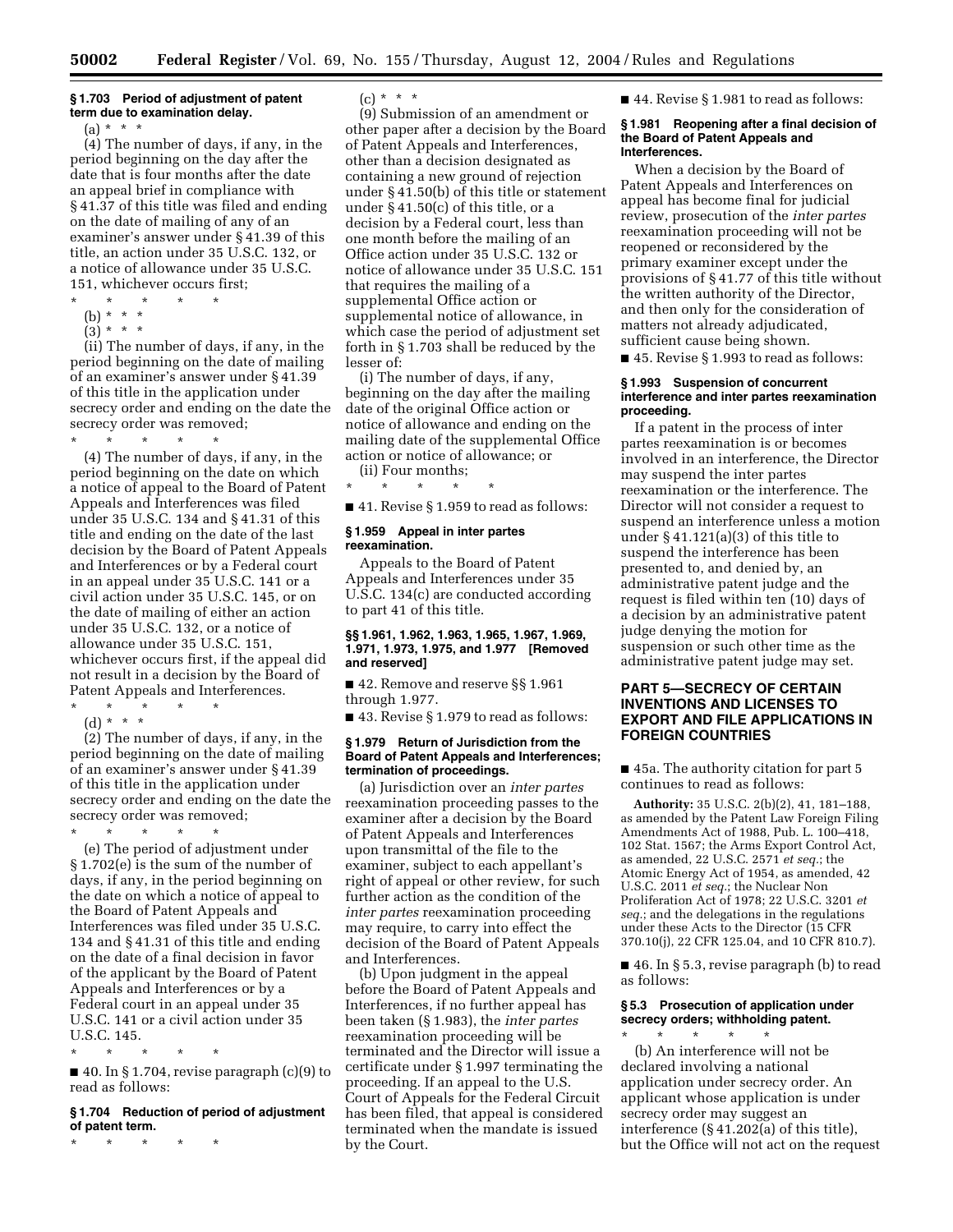#### **§ 1.703 Period of adjustment of patent term due to examination delay.**

 $(a) * * * *$ 

(4) The number of days, if any, in the period beginning on the day after the date that is four months after the date an appeal brief in compliance with § 41.37 of this title was filed and ending on the date of mailing of any of an examiner's answer under § 41.39 of this title, an action under 35 U.S.C. 132, or a notice of allowance under 35 U.S.C. 151, whichever occurs first;

- \* \* \* \* \*
- (b) \* \* \*
- $(3)^{*}$  \* \*

(ii) The number of days, if any, in the period beginning on the date of mailing of an examiner's answer under § 41.39 of this title in the application under secrecy order and ending on the date the secrecy order was removed;

\* \* \* \* \* (4) The number of days, if any, in the period beginning on the date on which a notice of appeal to the Board of Patent Appeals and Interferences was filed under 35 U.S.C. 134 and § 41.31 of this title and ending on the date of the last decision by the Board of Patent Appeals and Interferences or by a Federal court in an appeal under 35 U.S.C. 141 or a civil action under 35 U.S.C. 145, or on the date of mailing of either an action under 35 U.S.C. 132, or a notice of allowance under 35 U.S.C. 151, whichever occurs first, if the appeal did not result in a decision by the Board of Patent Appeals and Interferences.

\* \* \* \* \* (d) \* \* \*

(2) The number of days, if any, in the period beginning on the date of mailing of an examiner's answer under § 41.39 of this title in the application under secrecy order and ending on the date the secrecy order was removed; \* \* \* \* \*

(e) The period of adjustment under § 1.702(e) is the sum of the number of days, if any, in the period beginning on the date on which a notice of appeal to the Board of Patent Appeals and Interferences was filed under 35 U.S.C. 134 and § 41.31 of this title and ending on the date of a final decision in favor of the applicant by the Board of Patent Appeals and Interferences or by a Federal court in an appeal under 35 U.S.C. 141 or a civil action under 35 U.S.C. 145.

\* \* \* \* \*

 $\blacksquare$  40. In § 1.704, revise paragraph (c)(9) to read as follows:

## **§ 1.704 Reduction of period of adjustment of patent term.**

\* \* \* \* \*

 $(c) * * * *$ 

(9) Submission of an amendment or other paper after a decision by the Board of Patent Appeals and Interferences, other than a decision designated as containing a new ground of rejection under § 41.50(b) of this title or statement under § 41.50(c) of this title, or a decision by a Federal court, less than one month before the mailing of an Office action under 35 U.S.C. 132 or notice of allowance under 35 U.S.C. 151 that requires the mailing of a supplemental Office action or supplemental notice of allowance, in which case the period of adjustment set forth in § 1.703 shall be reduced by the lesser of:

(i) The number of days, if any, beginning on the day after the mailing date of the original Office action or notice of allowance and ending on the mailing date of the supplemental Office action or notice of allowance; or

(ii) Four months; \* \* \* \* \*

■ 41. Revise § 1.959 to read as follows:

#### **§ 1.959 Appeal in inter partes reexamination.**

Appeals to the Board of Patent Appeals and Interferences under 35 U.S.C. 134(c) are conducted according to part 41 of this title.

#### **§§ 1.961, 1.962, 1.963, 1.965, 1.967, 1.969, 1.971, 1.973, 1.975, and 1.977 [Removed and reserved]**

■ 42. Remove and reserve §§ 1.961 through 1.977.

■ 43. Revise § 1.979 to read as follows:

## **§ 1.979 Return of Jurisdiction from the Board of Patent Appeals and Interferences; termination of proceedings.**

(a) Jurisdiction over an *inter partes*  reexamination proceeding passes to the examiner after a decision by the Board of Patent Appeals and Interferences upon transmittal of the file to the examiner, subject to each appellant's right of appeal or other review, for such further action as the condition of the *inter partes* reexamination proceeding may require, to carry into effect the decision of the Board of Patent Appeals and Interferences.

(b) Upon judgment in the appeal before the Board of Patent Appeals and Interferences, if no further appeal has been taken (§ 1.983), the *inter partes*  reexamination proceeding will be terminated and the Director will issue a certificate under § 1.997 terminating the proceeding. If an appeal to the U.S. Court of Appeals for the Federal Circuit has been filed, that appeal is considered terminated when the mandate is issued by the Court.

■ 44. Revise § 1.981 to read as follows:

#### **§ 1.981 Reopening after a final decision of the Board of Patent Appeals and Interferences.**

When a decision by the Board of Patent Appeals and Interferences on appeal has become final for judicial review, prosecution of the *inter partes*  reexamination proceeding will not be reopened or reconsidered by the primary examiner except under the provisions of § 41.77 of this title without the written authority of the Director, and then only for the consideration of matters not already adjudicated, sufficient cause being shown.

■ 45. Revise § 1.993 to read as follows:

#### **§ 1.993 Suspension of concurrent interference and inter partes reexamination proceeding.**

If a patent in the process of inter partes reexamination is or becomes involved in an interference, the Director may suspend the inter partes reexamination or the interference. The Director will not consider a request to suspend an interference unless a motion under § 41.121(a)(3) of this title to suspend the interference has been presented to, and denied by, an administrative patent judge and the request is filed within ten (10) days of a decision by an administrative patent judge denying the motion for suspension or such other time as the administrative patent judge may set.

## **PART 5—SECRECY OF CERTAIN INVENTIONS AND LICENSES TO EXPORT AND FILE APPLICATIONS IN FOREIGN COUNTRIES**

■ 45a. The authority citation for part 5 continues to read as follows:

**Authority:** 35 U.S.C. 2(b)(2), 41, 181–188, as amended by the Patent Law Foreign Filing Amendments Act of 1988, Pub. L. 100–418, 102 Stat. 1567; the Arms Export Control Act, as amended, 22 U.S.C. 2571 *et seq.*; the Atomic Energy Act of 1954, as amended, 42 U.S.C. 2011 *et seq.*; the Nuclear Non Proliferation Act of 1978; 22 U.S.C. 3201 *et seq.*; and the delegations in the regulations under these Acts to the Director (15 CFR 370.10(j), 22 CFR 125.04, and 10 CFR 810.7).

■ 46. In § 5.3, revise paragraph (b) to read as follows:

## **§ 5.3 Prosecution of application under secrecy orders; withholding patent.**

\* \* \* \* \* (b) An interference will not be declared involving a national application under secrecy order. An applicant whose application is under secrecy order may suggest an interference (§ 41.202(a) of this title), but the Office will not act on the request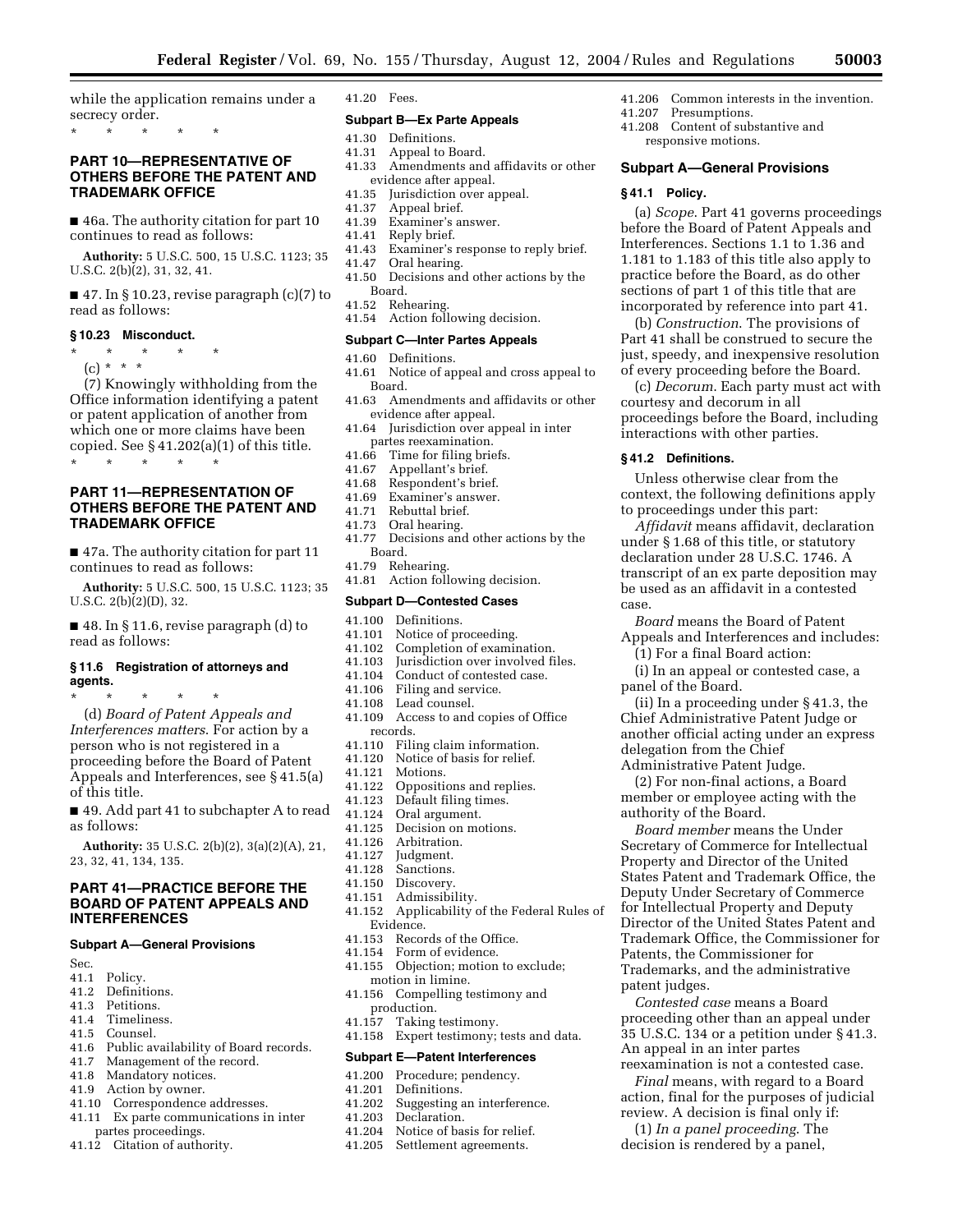while the application remains under a secrecy order.

\* \* \* \* \*

## **PART 10—REPRESENTATIVE OF OTHERS BEFORE THE PATENT AND TRADEMARK OFFICE**

■ 46a. The authority citation for part 10 continues to read as follows:

**Authority:** 5 U.S.C. 500, 15 U.S.C. 1123; 35 U.S.C. 2(b)(2), 31, 32, 41.

 $\blacksquare$  47. In § 10.23, revise paragraph (c)(7) to read as follows:

## **§ 10.23 Misconduct.**

\* \* \* \* \*

(c) \* \* \* (7) Knowingly withholding from the Office information identifying a patent or patent application of another from

which one or more claims have been copied. See  $\S 41.202(a)(1)$  of this title. \* \* \* \* \*

## **PART 11—REPRESENTATION OF OTHERS BEFORE THE PATENT AND TRADEMARK OFFICE**

■ 47a. The authority citation for part 11 continues to read as follows:

**Authority:** 5 U.S.C. 500, 15 U.S.C. 1123; 35 U.S.C.  $2(b)(2)(D)$ , 32.

■ 48. In § 11.6, revise paragraph (d) to read as follows:

#### **§ 11.6 Registration of attorneys and agents.**

\* \* \* \* \* (d) *Board of Patent Appeals and Interferences matters*. For action by a person who is not registered in a proceeding before the Board of Patent Appeals and Interferences, see § 41.5(a) of this title.

■ 49. Add part 41 to subchapter A to read as follows:

**Authority:** 35 U.S.C. 2(b)(2), 3(a)(2)(A), 21, 23, 32, 41, 134, 135.

## **PART 41—PRACTICE BEFORE THE BOARD OF PATENT APPEALS AND INTERFERENCES**

## **Subpart A—General Provisions**

- Sec.<br>41.1 41.1 Policy.<br>41.2 Definit
- Definitions.
- 41.3 Petitions.<br>41.4 Timelines
- 41.4 Timeliness.<br>41.5 Counsel
- 41.5 Counsel.<br>41.6 Public ay
- Public availability of Board records.
- 41.7 Management of the record.<br>41.8 Mandatory notices.
- Mandatory notices.
- 41.9 Action by owner.
- 41.10 Correspondence addresses.
- 41.11 Ex parte communications in inter partes proceedings.
- 41.12 Citation of authority.

41.20 Fees.

#### **Subpart B—Ex Parte Appeals**

- 41.30 Definitions.<br>41.31 Appeal to B
- Appeal to Board.
- 41.33 Amendments and affidavits or other evidence after appeal.<br>41.35 Iurisdiction over approaches
- Jurisdiction over appeal.
- 41.37 Appeal brief.
- 41.39 Examiner's answer.<br>41.41 Reply brief.
- 41.41 Reply brief.<br>41.43 Examiner's 1
- 41.43 Examiner's response to reply brief.<br>41.47 Oral hearing.
- Oral hearing.
- 41.50 Decisions and other actions by the Board.
- 41.52 Rehearing.
- 41.54 Action following decision.

## **Subpart C—Inter Partes Appeals**

- 
- 41.60 Definitions.<br>41.61 Notice of ap Notice of appeal and cross appeal to Board.
- 41.63 Amendments and affidavits or other evidence after appeal.
- 41.64 Jurisdiction over appeal in inter partes reexamination.
- 41.66 Time for filing briefs.
- 41.67 Appellant's brief.
- 41.68 Respondent's brief.
- 41.69 Examiner's answer.
- 41.71 Rebuttal brief.
- 
- 41.73 Oral hearing. Decisions and other actions by the Board.
- 
- 41.79 Rehearing. Action following decision.

#### **Subpart D—Contested Cases**

- 41.100 Definitions.<br>41.101 Notice of pr
- 41.101 Notice of proceeding.<br>41.102 Completion of examin
- Completion of examination.
- 41.103 Jurisdiction over involved files.
- 41.104 Conduct of contested case.<br>41.106 Filing and service.
- Filing and service.
- 41.108 Lead counsel.<br>41.109 Access to and
- Access to and copies of Office
- records.<br>41.110 Fili
- 41.110 Filing claim information.<br>41.120 Notice of basis for relief. 41.120 Notice of basis for relief.<br>41.121 Motions.
- Motions.
- 41.122 Oppositions and replies.
- 41.123 Default filing times.<br>41.124 Oral argument.
- 41.124 Oral argument.<br>41.125 Decision on mo
- 41.125 Decision on motions.<br>41.126 Arbitration.
- Arbitration.
- 41.127 Judgment.
- 41.128 Sanctions.<br>41.150 Discovery.
- Discovery.
- 41.151 Admissibility.
- 41.152 Applicability of the Federal Rules of Evidence.<br>41 153 Recou
- Records of the Office.
- 41.154 Form of evidence.
- 41.155 Objection; motion to exclude; motion in limine.
- 41.156 Compelling testimony and production.
- 41.157 Taking testimony.
- 41.158 Expert testimony; tests and data.

## **Subpart E—Patent Interferences**

- 41.200 Procedure; pendency.
- 
- 41.201 Definitions.<br>41.202 Suggesting 41.202 Suggesting an interference.<br>41.203 Declaration.
	- Declaration.
- 41.204 Notice of basis for relief.<br>41.205 Settlement agreements.
- Settlement agreements.

41.206 Common interests in the invention.

**Subpart A—General Provisions** 

courtesy and decorum in all

**§ 41.2 Definitions.** 

case.

interactions with other parties.

to proceedings under this part:

proceedings before the Board, including

*Affidavit* means affidavit, declaration under § 1.68 of this title, or statutory declaration under 28 U.S.C. 1746. A transcript of an ex parte deposition may be used as an affidavit in a contested

Unless otherwise clear from the context, the following definitions apply

*Board* means the Board of Patent Appeals and Interferences and includes:

(ii) In a proceeding under § 41.3, the Chief Administrative Patent Judge or another official acting under an express

(2) For non-final actions, a Board member or employee acting with the

*Board member* means the Under Secretary of Commerce for Intellectual Property and Director of the United States Patent and Trademark Office, the Deputy Under Secretary of Commerce for Intellectual Property and Deputy Director of the United States Patent and Trademark Office, the Commissioner for

Patents, the Commissioner for Trademarks, and the administrative

An appeal in an inter partes

*Contested case* means a Board proceeding other than an appeal under 35 U.S.C. 134 or a petition under § 41.3.

reexamination is not a contested case. *Final* means, with regard to a Board action, final for the purposes of judicial review. A decision is final only if: (1) *In a panel proceeding*. The decision is rendered by a panel,

patent judges.

(1) For a final Board action: (i) In an appeal or contested case, a

panel of the Board.

delegation from the Chief Administrative Patent Judge.

authority of the Board.

(a) *Scope*. Part 41 governs proceedings before the Board of Patent Appeals and Interferences. Sections 1.1 to 1.36 and 1.181 to 1.183 of this title also apply to practice before the Board, as do other sections of part 1 of this title that are incorporated by reference into part 41. (b) *Construction*. The provisions of Part 41 shall be construed to secure the just, speedy, and inexpensive resolution of every proceeding before the Board. (c) *Decorum*. Each party must act with

41.207 Presumptions.

**§ 41.1 Policy.** 

41.208 Content of substantive and responsive motions.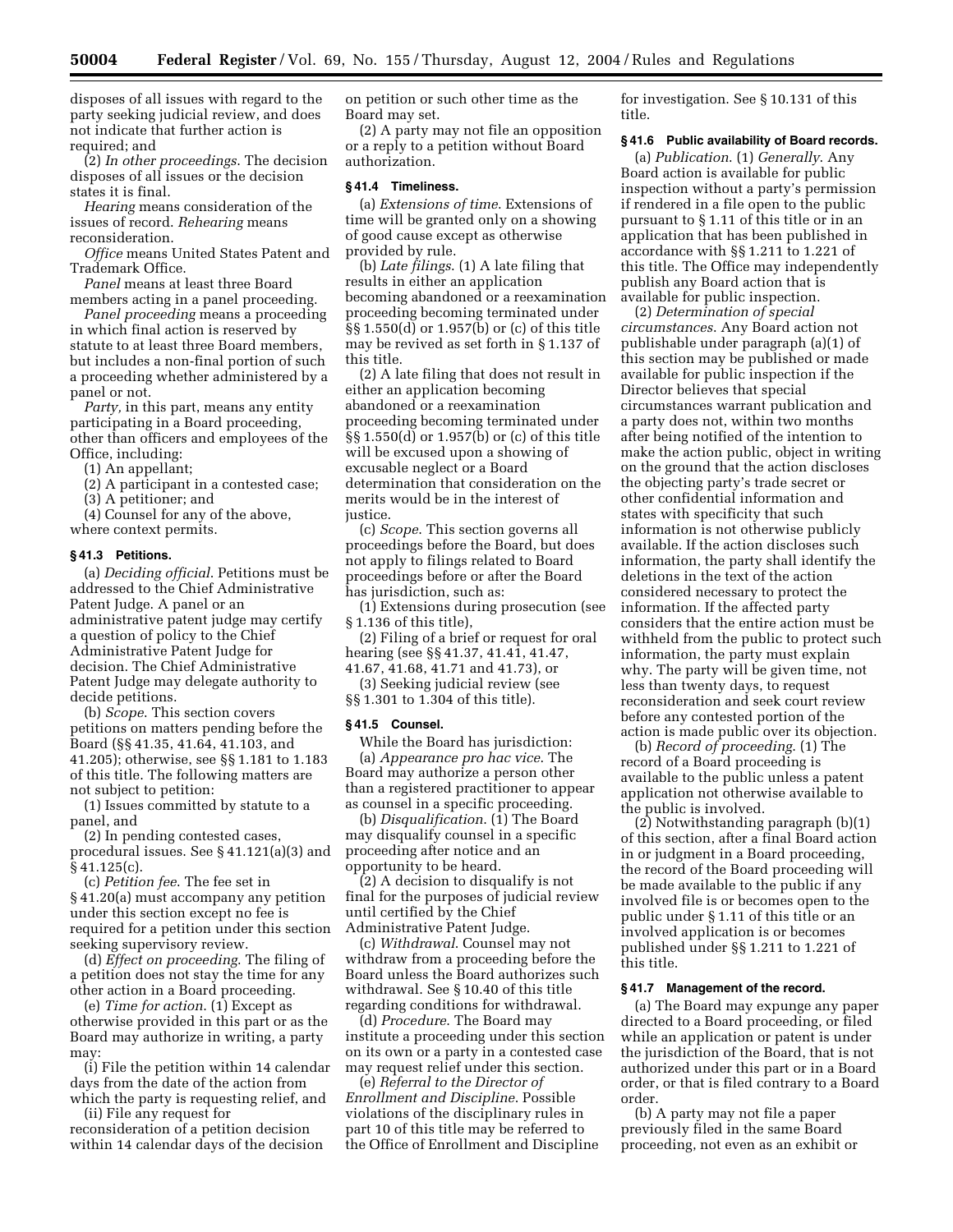disposes of all issues with regard to the party seeking judicial review, and does not indicate that further action is required; and

(2) *In other proceedings*. The decision disposes of all issues or the decision states it is final.

*Hearing* means consideration of the issues of record. *Rehearing* means reconsideration.

*Office* means United States Patent and Trademark Office.

*Panel* means at least three Board members acting in a panel proceeding.

*Panel proceeding* means a proceeding in which final action is reserved by statute to at least three Board members, but includes a non-final portion of such a proceeding whether administered by a panel or not.

*Party,* in this part, means any entity participating in a Board proceeding, other than officers and employees of the Office, including:

(1) An appellant;

(2) A participant in a contested case;

(3) A petitioner; and

(4) Counsel for any of the above, where context permits.

## **§ 41.3 Petitions.**

(a) *Deciding official*. Petitions must be addressed to the Chief Administrative Patent Judge. A panel or an administrative patent judge may certify a question of policy to the Chief Administrative Patent Judge for decision. The Chief Administrative Patent Judge may delegate authority to decide petitions.

(b) *Scope*. This section covers petitions on matters pending before the Board (§§ 41.35, 41.64, 41.103, and 41.205); otherwise, see §§ 1.181 to 1.183 of this title. The following matters are not subject to petition:

(1) Issues committed by statute to a panel, and

(2) In pending contested cases, procedural issues. See § 41.121(a)(3) and § 41.125(c).

(c) *Petition fee*. The fee set in § 41.20(a) must accompany any petition under this section except no fee is required for a petition under this section seeking supervisory review.

(d) *Effect on proceeding*. The filing of a petition does not stay the time for any other action in a Board proceeding.

(e) *Time for action*. (1) Except as otherwise provided in this part or as the Board may authorize in writing, a party may:

(i) File the petition within 14 calendar days from the date of the action from which the party is requesting relief, and

(ii) File any request for reconsideration of a petition decision within 14 calendar days of the decision on petition or such other time as the Board may set.

(2) A party may not file an opposition or a reply to a petition without Board authorization.

#### **§ 41.4 Timeliness.**

(a) *Extensions of time*. Extensions of time will be granted only on a showing of good cause except as otherwise provided by rule.

(b) *Late filings*. (1) A late filing that results in either an application becoming abandoned or a reexamination proceeding becoming terminated under §§ 1.550(d) or 1.957(b) or (c) of this title may be revived as set forth in § 1.137 of this title.

(2) A late filing that does not result in either an application becoming abandoned or a reexamination proceeding becoming terminated under §§ 1.550(d) or 1.957(b) or (c) of this title will be excused upon a showing of excusable neglect or a Board determination that consideration on the merits would be in the interest of justice.

(c) *Scope*. This section governs all proceedings before the Board, but does not apply to filings related to Board proceedings before or after the Board has jurisdiction, such as:

(1) Extensions during prosecution (see § 1.136 of this title),

(2) Filing of a brief or request for oral hearing (see §§ 41.37, 41.41, 41.47,

41.67, 41.68, 41.71 and 41.73), or

(3) Seeking judicial review (see §§ 1.301 to 1.304 of this title).

#### **§ 41.5 Counsel.**

While the Board has jurisdiction: (a) *Appearance pro hac vice*. The Board may authorize a person other than a registered practitioner to appear as counsel in a specific proceeding.

(b) *Disqualification*. (1) The Board may disqualify counsel in a specific proceeding after notice and an opportunity to be heard.

(2) A decision to disqualify is not final for the purposes of judicial review until certified by the Chief Administrative Patent Judge.

(c) *Withdrawal*. Counsel may not withdraw from a proceeding before the Board unless the Board authorizes such withdrawal. See § 10.40 of this title regarding conditions for withdrawal.

(d) *Procedure*. The Board may institute a proceeding under this section on its own or a party in a contested case may request relief under this section.

(e) *Referral to the Director of Enrollment and Discipline*. Possible violations of the disciplinary rules in part 10 of this title may be referred to the Office of Enrollment and Discipline for investigation. See § 10.131 of this title.

## **§ 41.6 Public availability of Board records.**

(a) *Publication*. (1) *Generally*. Any Board action is available for public inspection without a party's permission if rendered in a file open to the public pursuant to § 1.11 of this title or in an application that has been published in accordance with §§ 1.211 to 1.221 of this title. The Office may independently publish any Board action that is available for public inspection.

(2) *Determination of special circumstances*. Any Board action not publishable under paragraph (a)(1) of this section may be published or made available for public inspection if the Director believes that special circumstances warrant publication and a party does not, within two months after being notified of the intention to make the action public, object in writing on the ground that the action discloses the objecting party's trade secret or other confidential information and states with specificity that such information is not otherwise publicly available. If the action discloses such information, the party shall identify the deletions in the text of the action considered necessary to protect the information. If the affected party considers that the entire action must be withheld from the public to protect such information, the party must explain why. The party will be given time, not less than twenty days, to request reconsideration and seek court review before any contested portion of the action is made public over its objection.

(b) *Record of proceeding*. (1) The record of a Board proceeding is available to the public unless a patent application not otherwise available to the public is involved.

(2) Notwithstanding paragraph (b)(1) of this section, after a final Board action in or judgment in a Board proceeding, the record of the Board proceeding will be made available to the public if any involved file is or becomes open to the public under § 1.11 of this title or an involved application is or becomes published under §§ 1.211 to 1.221 of this title.

#### **§ 41.7 Management of the record.**

(a) The Board may expunge any paper directed to a Board proceeding, or filed while an application or patent is under the jurisdiction of the Board, that is not authorized under this part or in a Board order, or that is filed contrary to a Board order.

(b) A party may not file a paper previously filed in the same Board proceeding, not even as an exhibit or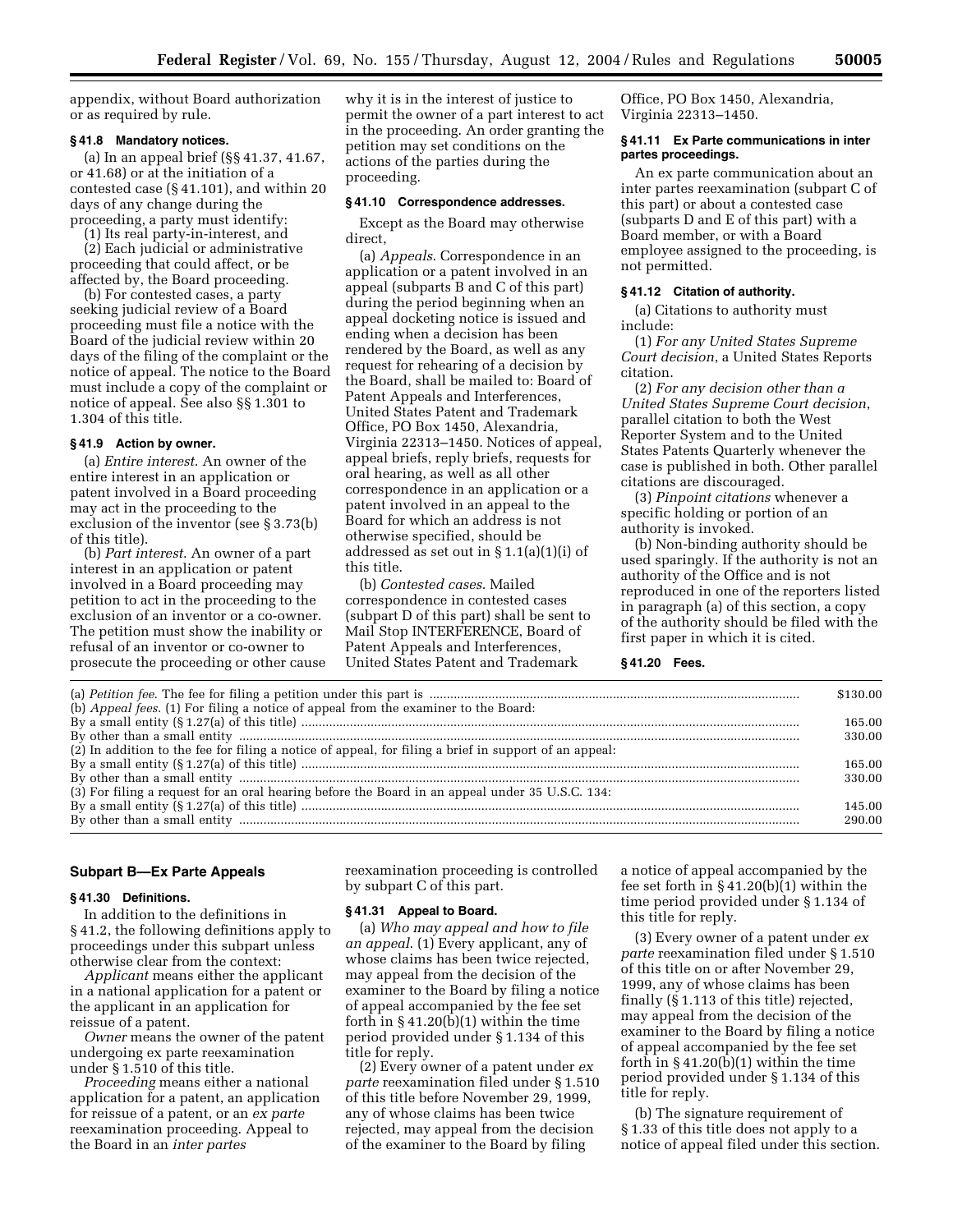appendix, without Board authorization or as required by rule.

#### **§ 41.8 Mandatory notices.**

(a) In an appeal brief (§§ 41.37, 41.67, or 41.68) or at the initiation of a contested case (§ 41.101), and within 20 days of any change during the proceeding, a party must identify:

(1) Its real party-in-interest, and

(2) Each judicial or administrative proceeding that could affect, or be affected by, the Board proceeding.

(b) For contested cases, a party seeking judicial review of a Board proceeding must file a notice with the Board of the judicial review within 20 days of the filing of the complaint or the notice of appeal. The notice to the Board must include a copy of the complaint or notice of appeal. See also §§ 1.301 to 1.304 of this title.

#### **§ 41.9 Action by owner.**

(a) *Entire interest*. An owner of the entire interest in an application or patent involved in a Board proceeding may act in the proceeding to the exclusion of the inventor (see § 3.73(b) of this title).

(b) *Part interest*. An owner of a part interest in an application or patent involved in a Board proceeding may petition to act in the proceeding to the exclusion of an inventor or a co-owner. The petition must show the inability or refusal of an inventor or co-owner to prosecute the proceeding or other cause why it is in the interest of justice to permit the owner of a part interest to act in the proceeding. An order granting the petition may set conditions on the actions of the parties during the proceeding.

## **§ 41.10 Correspondence addresses.**

Except as the Board may otherwise direct,

(a) *Appeals*. Correspondence in an application or a patent involved in an appeal (subparts B and C of this part) during the period beginning when an appeal docketing notice is issued and ending when a decision has been rendered by the Board, as well as any request for rehearing of a decision by the Board, shall be mailed to: Board of Patent Appeals and Interferences, United States Patent and Trademark Office, PO Box 1450, Alexandria, Virginia 22313–1450. Notices of appeal, appeal briefs, reply briefs, requests for oral hearing, as well as all other correspondence in an application or a patent involved in an appeal to the Board for which an address is not otherwise specified, should be addressed as set out in § 1.1(a)(1)(i) of this title.

(b) *Contested cases*. Mailed correspondence in contested cases (subpart D of this part) shall be sent to Mail Stop INTERFERENCE, Board of Patent Appeals and Interferences, United States Patent and Trademark

Office, PO Box 1450, Alexandria, Virginia 22313–1450.

#### **§ 41.11 Ex Parte communications in inter partes proceedings.**

An ex parte communication about an inter partes reexamination (subpart C of this part) or about a contested case (subparts D and E of this part) with a Board member, or with a Board employee assigned to the proceeding, is not permitted.

## **§ 41.12 Citation of authority.**

(a) Citations to authority must include:

(1) *For any United States Supreme Court decision*, a United States Reports citation.

(2) *For any decision other than a United States Supreme Court decision*, parallel citation to both the West Reporter System and to the United States Patents Quarterly whenever the case is published in both. Other parallel citations are discouraged.

(3) *Pinpoint citations* whenever a specific holding or portion of an authority is invoked.

(b) Non-binding authority should be used sparingly. If the authority is not an authority of the Office and is not reproduced in one of the reporters listed in paragraph (a) of this section, a copy of the authority should be filed with the first paper in which it is cited.

#### **§ 41.20 Fees.**

|                                                                                                       | \$130.00 |
|-------------------------------------------------------------------------------------------------------|----------|
| (b) Appeal fees. (1) For filing a notice of appeal from the examiner to the Board:                    |          |
|                                                                                                       | 165.00   |
|                                                                                                       | 330.00   |
| (2) In addition to the fee for filing a notice of appeal, for filing a brief in support of an appeal: |          |
|                                                                                                       | 165.00   |
|                                                                                                       | 330.00   |
| (3) For filing a request for an oral hearing before the Board in an appeal under 35 U.S.C. 134:       |          |
|                                                                                                       | 145.00   |
|                                                                                                       | 290.00   |

## **Subpart B—Ex Parte Appeals**

## **§ 41.30 Definitions.**

In addition to the definitions in § 41.2, the following definitions apply to proceedings under this subpart unless otherwise clear from the context:

*Applicant* means either the applicant in a national application for a patent or the applicant in an application for reissue of a patent.

*Owner* means the owner of the patent undergoing ex parte reexamination under § 1.510 of this title.

*Proceeding* means either a national application for a patent, an application for reissue of a patent, or an *ex parte*  reexamination proceeding. Appeal to the Board in an *inter partes* 

reexamination proceeding is controlled by subpart C of this part.

#### **§ 41.31 Appeal to Board.**

(a) *Who may appeal and how to file an appeal*. (1) Every applicant, any of whose claims has been twice rejected, may appeal from the decision of the examiner to the Board by filing a notice of appeal accompanied by the fee set forth in  $\S 41.20(b)(1)$  within the time period provided under § 1.134 of this title for reply.

(2) Every owner of a patent under *ex parte* reexamination filed under § 1.510 of this title before November 29, 1999, any of whose claims has been twice rejected, may appeal from the decision of the examiner to the Board by filing

a notice of appeal accompanied by the fee set forth in § 41.20(b)(1) within the time period provided under § 1.134 of this title for reply.

(3) Every owner of a patent under *ex parte* reexamination filed under § 1.510 of this title on or after November 29, 1999, any of whose claims has been finally (§ 1.113 of this title) rejected, may appeal from the decision of the examiner to the Board by filing a notice of appeal accompanied by the fee set forth in  $\S 41.20(b)(1)$  within the time period provided under § 1.134 of this title for reply.

(b) The signature requirement of § 1.33 of this title does not apply to a notice of appeal filed under this section.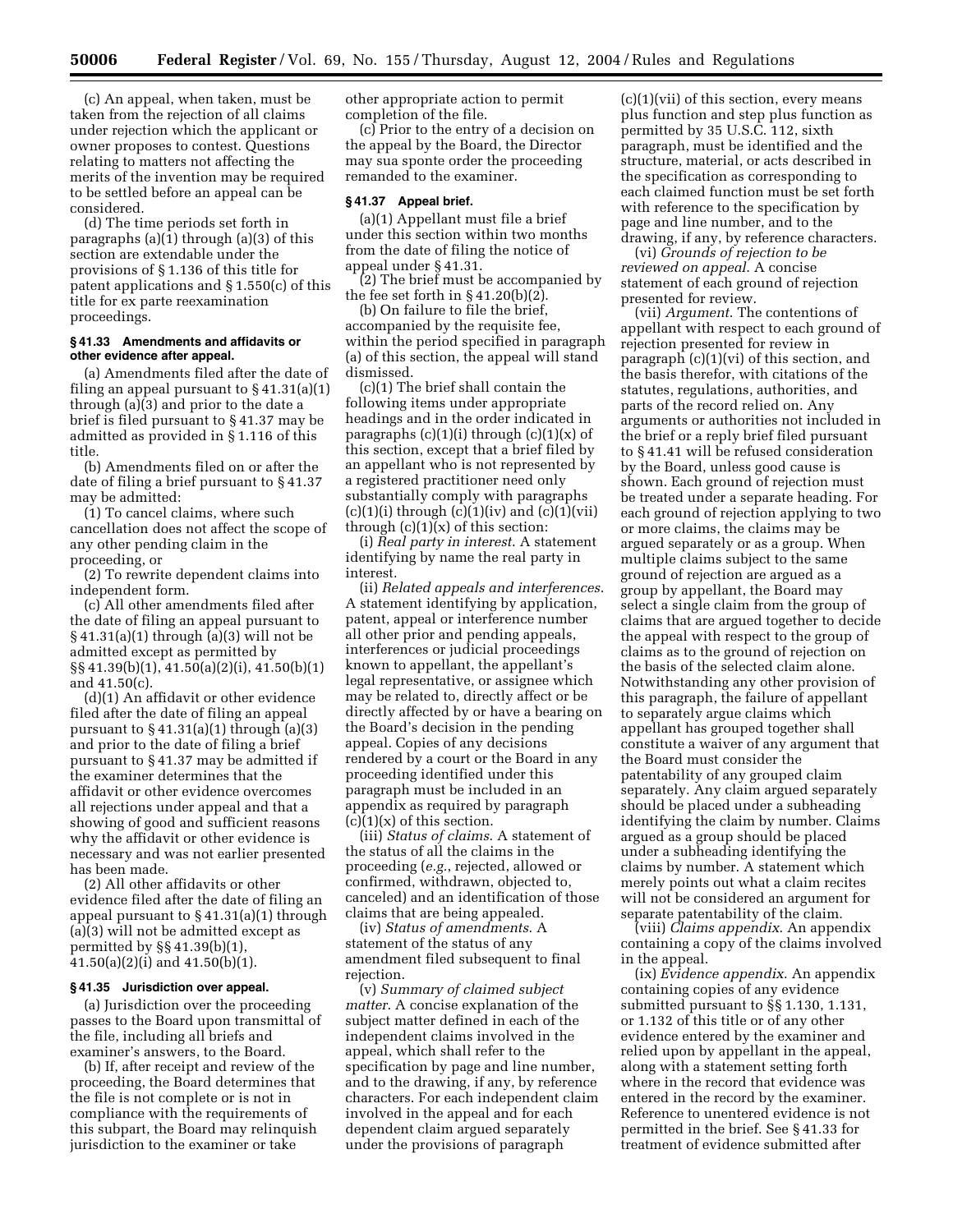(c) An appeal, when taken, must be taken from the rejection of all claims under rejection which the applicant or owner proposes to contest. Questions relating to matters not affecting the merits of the invention may be required to be settled before an appeal can be considered.

(d) The time periods set forth in paragraphs (a)(1) through (a)(3) of this section are extendable under the provisions of § 1.136 of this title for patent applications and § 1.550(c) of this title for ex parte reexamination proceedings.

## **§ 41.33 Amendments and affidavits or other evidence after appeal.**

(a) Amendments filed after the date of filing an appeal pursuant to  $\S 41.31(a)(1)$ through (a)(3) and prior to the date a brief is filed pursuant to § 41.37 may be admitted as provided in § 1.116 of this title.

(b) Amendments filed on or after the date of filing a brief pursuant to § 41.37 may be admitted:

(1) To cancel claims, where such cancellation does not affect the scope of any other pending claim in the proceeding, or

(2) To rewrite dependent claims into independent form.

(c) All other amendments filed after the date of filing an appeal pursuant to § 41.31(a)(1) through (a)(3) will not be admitted except as permitted by §§ 41.39(b)(1), 41.50(a)(2)(i), 41.50(b)(1) and 41.50(c).

(d)(1) An affidavit or other evidence filed after the date of filing an appeal pursuant to  $\S 41.31(a)(1)$  through  $(a)(3)$ and prior to the date of filing a brief pursuant to § 41.37 may be admitted if the examiner determines that the affidavit or other evidence overcomes all rejections under appeal and that a showing of good and sufficient reasons why the affidavit or other evidence is necessary and was not earlier presented has been made.

(2) All other affidavits or other evidence filed after the date of filing an appeal pursuant to  $\S$  41.31(a)(1) through (a)(3) will not be admitted except as permitted by §§ 41.39(b)(1), 41.50(a)(2)(i) and 41.50(b)(1).

#### **§ 41.35 Jurisdiction over appeal.**

(a) Jurisdiction over the proceeding passes to the Board upon transmittal of the file, including all briefs and examiner's answers, to the Board.

(b) If, after receipt and review of the proceeding, the Board determines that the file is not complete or is not in compliance with the requirements of this subpart, the Board may relinquish jurisdiction to the examiner or take

other appropriate action to permit completion of the file.

(c) Prior to the entry of a decision on the appeal by the Board, the Director may sua sponte order the proceeding remanded to the examiner.

## **§ 41.37 Appeal brief.**

(a)(1) Appellant must file a brief under this section within two months from the date of filing the notice of appeal under § 41.31.

(2) The brief must be accompanied by the fee set forth in  $\S 41.20(b)(2)$ .

(b) On failure to file the brief, accompanied by the requisite fee, within the period specified in paragraph (a) of this section, the appeal will stand dismissed.

(c)(1) The brief shall contain the following items under appropriate headings and in the order indicated in paragraphs  $(c)(1)(i)$  through  $(c)(1)(x)$  of this section, except that a brief filed by an appellant who is not represented by a registered practitioner need only substantially comply with paragraphs  $(c)(1)(i)$  through  $(c)(1)(iv)$  and  $(c)(1)(vii)$ through  $(c)(1)(x)$  of this section:

(i) *Real party in interest*. A statement identifying by name the real party in interest.

(ii) *Related appeals and interferences*. A statement identifying by application, patent, appeal or interference number all other prior and pending appeals, interferences or judicial proceedings known to appellant, the appellant's legal representative, or assignee which may be related to, directly affect or be directly affected by or have a bearing on the Board's decision in the pending appeal. Copies of any decisions rendered by a court or the Board in any proceeding identified under this paragraph must be included in an appendix as required by paragraph  $(c)(1)(x)$  of this section.

(iii) *Status of claims*. A statement of the status of all the claims in the proceeding (*e.g.*, rejected, allowed or confirmed, withdrawn, objected to, canceled) and an identification of those claims that are being appealed.

(iv) *Status of amendments*. A statement of the status of any amendment filed subsequent to final rejection.

(v) *Summary of claimed subject matter*. A concise explanation of the subject matter defined in each of the independent claims involved in the appeal, which shall refer to the specification by page and line number, and to the drawing, if any, by reference characters. For each independent claim involved in the appeal and for each dependent claim argued separately under the provisions of paragraph

 $(c)(1)(vii)$  of this section, every means plus function and step plus function as permitted by 35 U.S.C. 112, sixth paragraph, must be identified and the structure, material, or acts described in the specification as corresponding to each claimed function must be set forth with reference to the specification by page and line number, and to the drawing, if any, by reference characters.

(vi) *Grounds of rejection to be reviewed on appeal*. A concise statement of each ground of rejection presented for review.

(vii) *Argument*. The contentions of appellant with respect to each ground of rejection presented for review in paragraph (c)(1)(vi) of this section, and the basis therefor, with citations of the statutes, regulations, authorities, and parts of the record relied on. Any arguments or authorities not included in the brief or a reply brief filed pursuant to § 41.41 will be refused consideration by the Board, unless good cause is shown. Each ground of rejection must be treated under a separate heading. For each ground of rejection applying to two or more claims, the claims may be argued separately or as a group. When multiple claims subject to the same ground of rejection are argued as a group by appellant, the Board may select a single claim from the group of claims that are argued together to decide the appeal with respect to the group of claims as to the ground of rejection on the basis of the selected claim alone. Notwithstanding any other provision of this paragraph, the failure of appellant to separately argue claims which appellant has grouped together shall constitute a waiver of any argument that the Board must consider the patentability of any grouped claim separately. Any claim argued separately should be placed under a subheading identifying the claim by number. Claims argued as a group should be placed under a subheading identifying the claims by number. A statement which merely points out what a claim recites will not be considered an argument for separate patentability of the claim.

(viii) *Claims appendix*. An appendix containing a copy of the claims involved in the appeal.

(ix) *Evidence appendix*. An appendix containing copies of any evidence submitted pursuant to §§ 1.130, 1.131, or 1.132 of this title or of any other evidence entered by the examiner and relied upon by appellant in the appeal, along with a statement setting forth where in the record that evidence was entered in the record by the examiner. Reference to unentered evidence is not permitted in the brief. See § 41.33 for treatment of evidence submitted after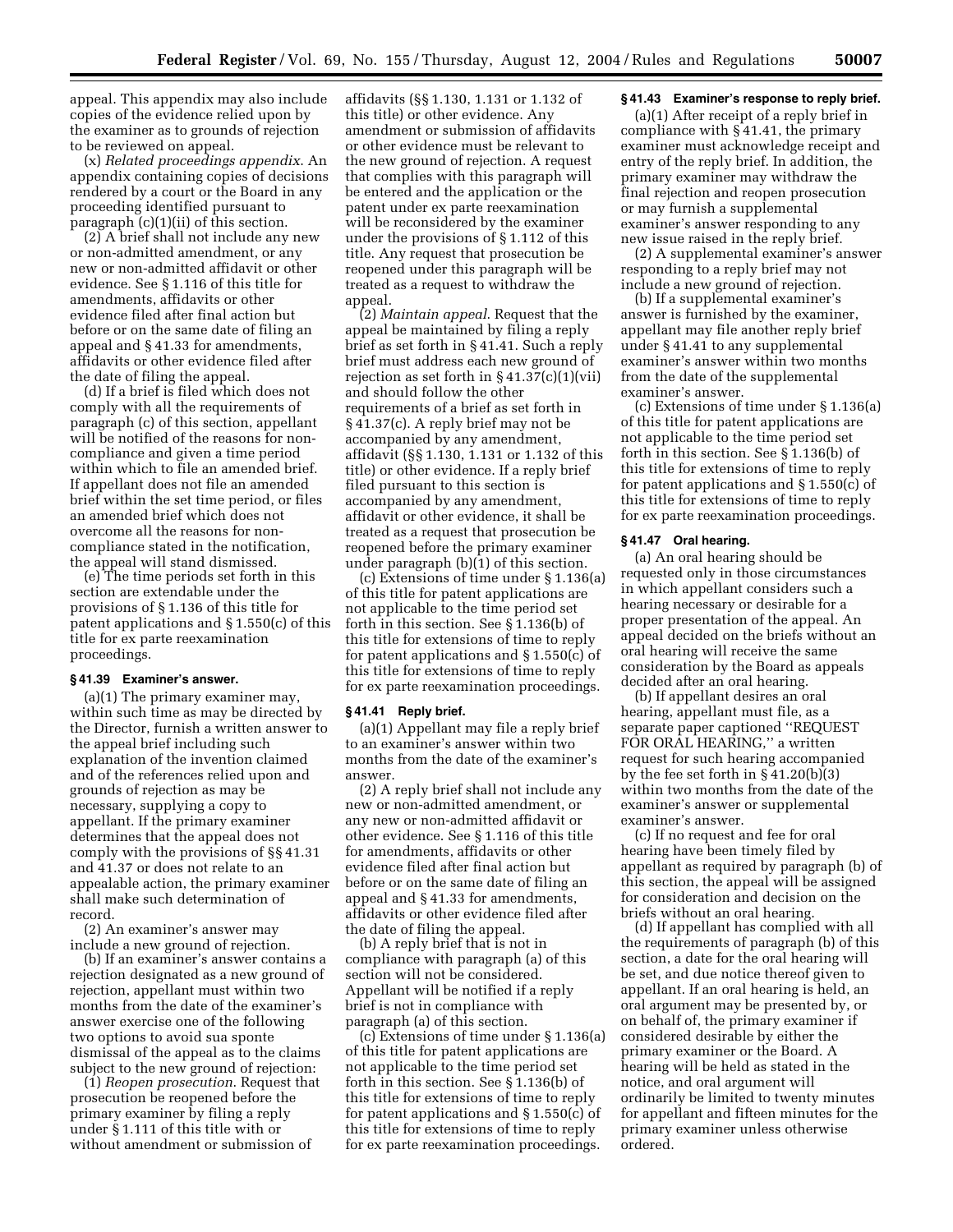appeal. This appendix may also include copies of the evidence relied upon by the examiner as to grounds of rejection to be reviewed on appeal.

(x) *Related proceedings appendix*. An appendix containing copies of decisions rendered by a court or the Board in any proceeding identified pursuant to paragraph (c)(1)(ii) of this section.

(2) A brief shall not include any new or non-admitted amendment, or any new or non-admitted affidavit or other evidence. See § 1.116 of this title for amendments, affidavits or other evidence filed after final action but before or on the same date of filing an appeal and § 41.33 for amendments, affidavits or other evidence filed after the date of filing the appeal.

(d) If a brief is filed which does not comply with all the requirements of paragraph (c) of this section, appellant will be notified of the reasons for noncompliance and given a time period within which to file an amended brief. If appellant does not file an amended brief within the set time period, or files an amended brief which does not overcome all the reasons for noncompliance stated in the notification, the appeal will stand dismissed.

(e) The time periods set forth in this section are extendable under the provisions of § 1.136 of this title for patent applications and § 1.550(c) of this title for ex parte reexamination proceedings.

#### **§ 41.39 Examiner's answer.**

(a)(1) The primary examiner may, within such time as may be directed by the Director, furnish a written answer to the appeal brief including such explanation of the invention claimed and of the references relied upon and grounds of rejection as may be necessary, supplying a copy to appellant. If the primary examiner determines that the appeal does not comply with the provisions of §§ 41.31 and 41.37 or does not relate to an appealable action, the primary examiner shall make such determination of record.

(2) An examiner's answer may include a new ground of rejection.

(b) If an examiner's answer contains a rejection designated as a new ground of rejection, appellant must within two months from the date of the examiner's answer exercise one of the following two options to avoid sua sponte dismissal of the appeal as to the claims subject to the new ground of rejection:

(1) *Reopen prosecution*. Request that prosecution be reopened before the primary examiner by filing a reply under § 1.111 of this title with or without amendment or submission of

affidavits (§§ 1.130, 1.131 or 1.132 of this title) or other evidence. Any amendment or submission of affidavits or other evidence must be relevant to the new ground of rejection. A request that complies with this paragraph will be entered and the application or the patent under ex parte reexamination will be reconsidered by the examiner under the provisions of § 1.112 of this title. Any request that prosecution be reopened under this paragraph will be treated as a request to withdraw the appeal.

(2) *Maintain appeal*. Request that the appeal be maintained by filing a reply brief as set forth in § 41.41. Such a reply brief must address each new ground of rejection as set forth in  $\S 41.37(c)(1)(vii)$ and should follow the other requirements of a brief as set forth in § 41.37(c). A reply brief may not be accompanied by any amendment, affidavit (§§ 1.130, 1.131 or 1.132 of this title) or other evidence. If a reply brief filed pursuant to this section is accompanied by any amendment, affidavit or other evidence, it shall be treated as a request that prosecution be reopened before the primary examiner under paragraph  $(b)(1)$  of this section.

(c) Extensions of time under § 1.136(a) of this title for patent applications are not applicable to the time period set forth in this section. See § 1.136(b) of this title for extensions of time to reply for patent applications and § 1.550(c) of this title for extensions of time to reply for ex parte reexamination proceedings.

#### **§ 41.41 Reply brief.**

(a)(1) Appellant may file a reply brief to an examiner's answer within two months from the date of the examiner's answer.

(2) A reply brief shall not include any new or non-admitted amendment, or any new or non-admitted affidavit or other evidence. See § 1.116 of this title for amendments, affidavits or other evidence filed after final action but before or on the same date of filing an appeal and § 41.33 for amendments, affidavits or other evidence filed after the date of filing the appeal.

(b) A reply brief that is not in compliance with paragraph (a) of this section will not be considered. Appellant will be notified if a reply brief is not in compliance with paragraph (a) of this section.

(c) Extensions of time under § 1.136(a) of this title for patent applications are not applicable to the time period set forth in this section. See § 1.136(b) of this title for extensions of time to reply for patent applications and § 1.550(c) of this title for extensions of time to reply for ex parte reexamination proceedings.

#### **§ 41.43 Examiner's response to reply brief.**

(a)(1) After receipt of a reply brief in compliance with § 41.41, the primary examiner must acknowledge receipt and entry of the reply brief. In addition, the primary examiner may withdraw the final rejection and reopen prosecution or may furnish a supplemental examiner's answer responding to any new issue raised in the reply brief.

(2) A supplemental examiner's answer responding to a reply brief may not include a new ground of rejection.

(b) If a supplemental examiner's answer is furnished by the examiner, appellant may file another reply brief under § 41.41 to any supplemental examiner's answer within two months from the date of the supplemental examiner's answer.

(c) Extensions of time under § 1.136(a) of this title for patent applications are not applicable to the time period set forth in this section. See § 1.136(b) of this title for extensions of time to reply for patent applications and § 1.550(c) of this title for extensions of time to reply for ex parte reexamination proceedings.

#### **§ 41.47 Oral hearing.**

(a) An oral hearing should be requested only in those circumstances in which appellant considers such a hearing necessary or desirable for a proper presentation of the appeal. An appeal decided on the briefs without an oral hearing will receive the same consideration by the Board as appeals decided after an oral hearing.

(b) If appellant desires an oral hearing, appellant must file, as a separate paper captioned ''REQUEST FOR ORAL HEARING,'' a written request for such hearing accompanied by the fee set forth in § 41.20(b)(3) within two months from the date of the examiner's answer or supplemental examiner's answer.

(c) If no request and fee for oral hearing have been timely filed by appellant as required by paragraph (b) of this section, the appeal will be assigned for consideration and decision on the briefs without an oral hearing.

(d) If appellant has complied with all the requirements of paragraph (b) of this section, a date for the oral hearing will be set, and due notice thereof given to appellant. If an oral hearing is held, an oral argument may be presented by, or on behalf of, the primary examiner if considered desirable by either the primary examiner or the Board. A hearing will be held as stated in the notice, and oral argument will ordinarily be limited to twenty minutes for appellant and fifteen minutes for the primary examiner unless otherwise ordered.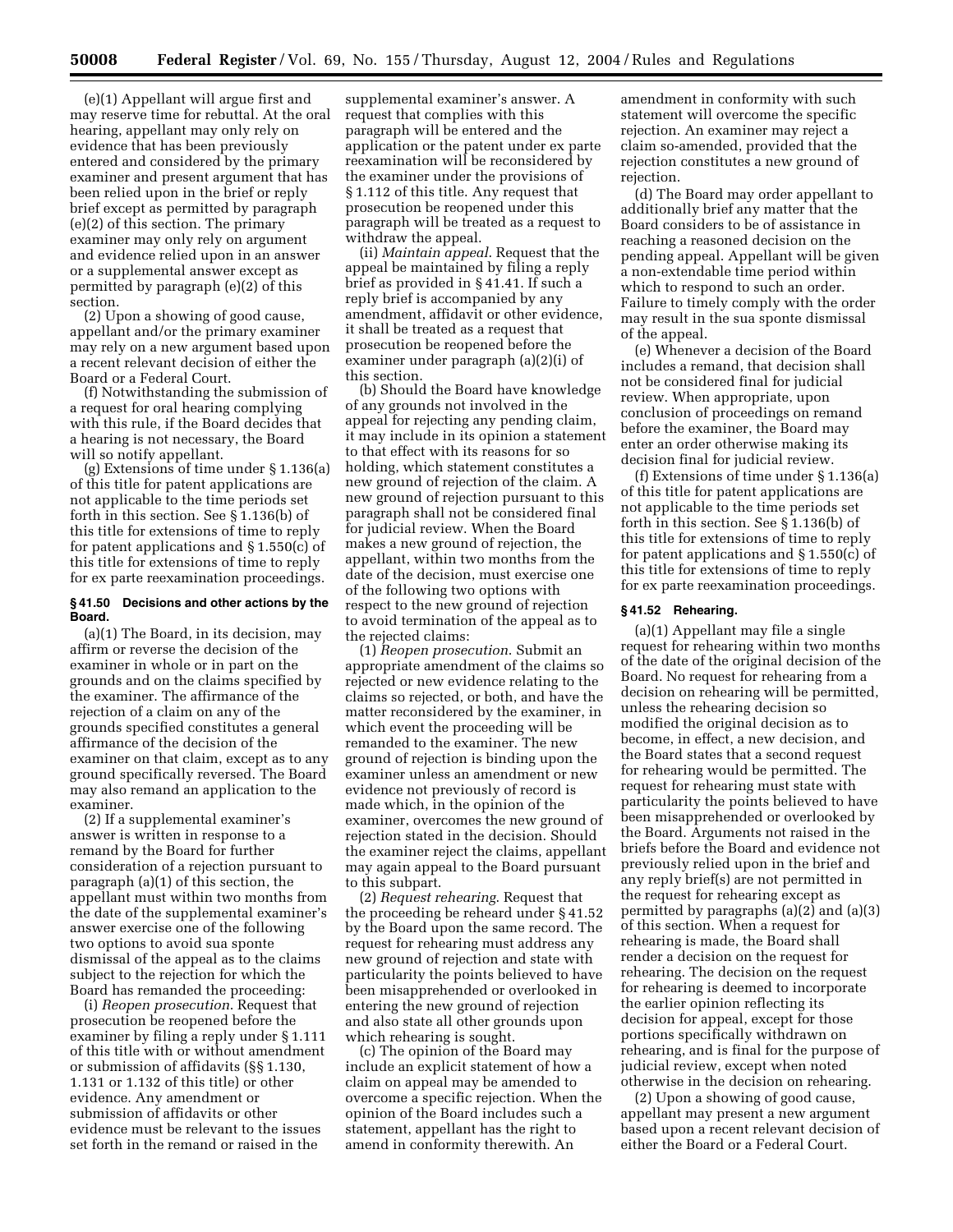(e)(1) Appellant will argue first and may reserve time for rebuttal. At the oral hearing, appellant may only rely on evidence that has been previously entered and considered by the primary examiner and present argument that has been relied upon in the brief or reply brief except as permitted by paragraph (e)(2) of this section. The primary examiner may only rely on argument and evidence relied upon in an answer or a supplemental answer except as permitted by paragraph (e)(2) of this section.

(2) Upon a showing of good cause, appellant and/or the primary examiner may rely on a new argument based upon a recent relevant decision of either the Board or a Federal Court.

(f) Notwithstanding the submission of a request for oral hearing complying with this rule, if the Board decides that a hearing is not necessary, the Board will so notify appellant.

(g) Extensions of time under § 1.136(a) of this title for patent applications are not applicable to the time periods set forth in this section. See  $\S$  1.136(b) of this title for extensions of time to reply for patent applications and § 1.550(c) of this title for extensions of time to reply for ex parte reexamination proceedings.

## **§ 41.50 Decisions and other actions by the Board.**

(a)(1) The Board, in its decision, may affirm or reverse the decision of the examiner in whole or in part on the grounds and on the claims specified by the examiner. The affirmance of the rejection of a claim on any of the grounds specified constitutes a general affirmance of the decision of the examiner on that claim, except as to any ground specifically reversed. The Board may also remand an application to the examiner.

(2) If a supplemental examiner's answer is written in response to a remand by the Board for further consideration of a rejection pursuant to paragraph (a)(1) of this section, the appellant must within two months from the date of the supplemental examiner's answer exercise one of the following two options to avoid sua sponte dismissal of the appeal as to the claims subject to the rejection for which the Board has remanded the proceeding:

(i) *Reopen prosecution*. Request that prosecution be reopened before the examiner by filing a reply under § 1.111 of this title with or without amendment or submission of affidavits (§§ 1.130, 1.131 or 1.132 of this title) or other evidence. Any amendment or submission of affidavits or other evidence must be relevant to the issues set forth in the remand or raised in the

supplemental examiner's answer. A request that complies with this paragraph will be entered and the application or the patent under ex parte reexamination will be reconsidered by the examiner under the provisions of § 1.112 of this title. Any request that prosecution be reopened under this paragraph will be treated as a request to withdraw the appeal.

(ii) *Maintain appeal*. Request that the appeal be maintained by filing a reply brief as provided in § 41.41. If such a reply brief is accompanied by any amendment, affidavit or other evidence, it shall be treated as a request that prosecution be reopened before the examiner under paragraph (a)(2)(i) of this section.

(b) Should the Board have knowledge of any grounds not involved in the appeal for rejecting any pending claim, it may include in its opinion a statement to that effect with its reasons for so holding, which statement constitutes a new ground of rejection of the claim. A new ground of rejection pursuant to this paragraph shall not be considered final for judicial review. When the Board makes a new ground of rejection, the appellant, within two months from the date of the decision, must exercise one of the following two options with respect to the new ground of rejection to avoid termination of the appeal as to the rejected claims:

(1) *Reopen prosecution*. Submit an appropriate amendment of the claims so rejected or new evidence relating to the claims so rejected, or both, and have the matter reconsidered by the examiner, in which event the proceeding will be remanded to the examiner. The new ground of rejection is binding upon the examiner unless an amendment or new evidence not previously of record is made which, in the opinion of the examiner, overcomes the new ground of rejection stated in the decision. Should the examiner reject the claims, appellant may again appeal to the Board pursuant to this subpart.

(2) *Request rehearing*. Request that the proceeding be reheard under § 41.52 by the Board upon the same record. The request for rehearing must address any new ground of rejection and state with particularity the points believed to have been misapprehended or overlooked in entering the new ground of rejection and also state all other grounds upon which rehearing is sought.

(c) The opinion of the Board may include an explicit statement of how a claim on appeal may be amended to overcome a specific rejection. When the opinion of the Board includes such a statement, appellant has the right to amend in conformity therewith. An

amendment in conformity with such statement will overcome the specific rejection. An examiner may reject a claim so-amended, provided that the rejection constitutes a new ground of rejection.

(d) The Board may order appellant to additionally brief any matter that the Board considers to be of assistance in reaching a reasoned decision on the pending appeal. Appellant will be given a non-extendable time period within which to respond to such an order. Failure to timely comply with the order may result in the sua sponte dismissal of the appeal.

(e) Whenever a decision of the Board includes a remand, that decision shall not be considered final for judicial review. When appropriate, upon conclusion of proceedings on remand before the examiner, the Board may enter an order otherwise making its decision final for judicial review.

(f) Extensions of time under § 1.136(a) of this title for patent applications are not applicable to the time periods set forth in this section. See § 1.136(b) of this title for extensions of time to reply for patent applications and § 1.550(c) of this title for extensions of time to reply for ex parte reexamination proceedings.

#### **§ 41.52 Rehearing.**

(a)(1) Appellant may file a single request for rehearing within two months of the date of the original decision of the Board. No request for rehearing from a decision on rehearing will be permitted, unless the rehearing decision so modified the original decision as to become, in effect, a new decision, and the Board states that a second request for rehearing would be permitted. The request for rehearing must state with particularity the points believed to have been misapprehended or overlooked by the Board. Arguments not raised in the briefs before the Board and evidence not previously relied upon in the brief and any reply brief(s) are not permitted in the request for rehearing except as permitted by paragraphs (a)(2) and (a)(3) of this section. When a request for rehearing is made, the Board shall render a decision on the request for rehearing. The decision on the request for rehearing is deemed to incorporate the earlier opinion reflecting its decision for appeal, except for those portions specifically withdrawn on rehearing, and is final for the purpose of judicial review, except when noted otherwise in the decision on rehearing.

(2) Upon a showing of good cause, appellant may present a new argument based upon a recent relevant decision of either the Board or a Federal Court.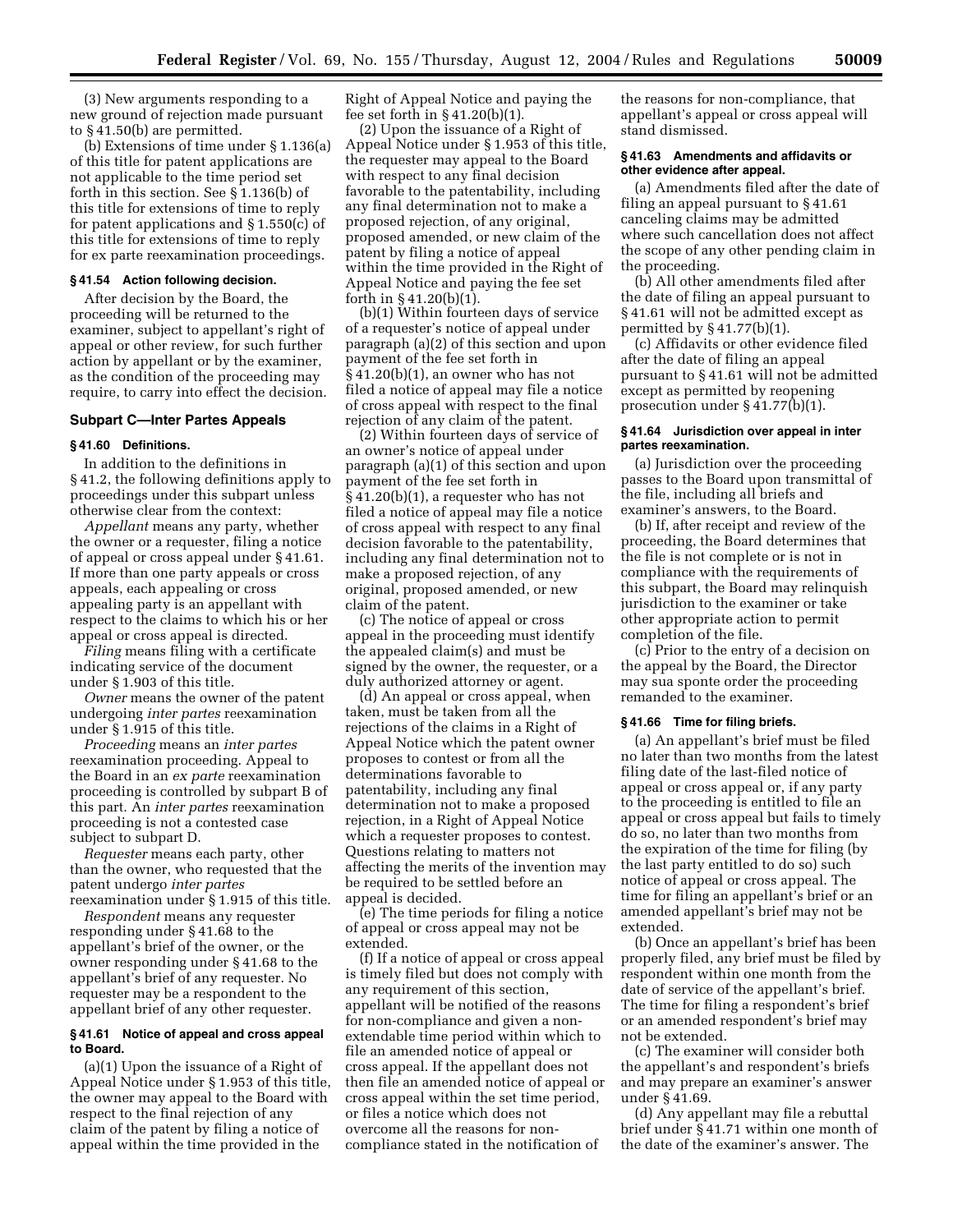(3) New arguments responding to a new ground of rejection made pursuant to § 41.50(b) are permitted.

(b) Extensions of time under § 1.136(a) of this title for patent applications are not applicable to the time period set forth in this section. See § 1.136(b) of this title for extensions of time to reply for patent applications and § 1.550(c) of this title for extensions of time to reply for ex parte reexamination proceedings.

#### **§ 41.54 Action following decision.**

After decision by the Board, the proceeding will be returned to the examiner, subject to appellant's right of appeal or other review, for such further action by appellant or by the examiner, as the condition of the proceeding may require, to carry into effect the decision.

## **Subpart C—Inter Partes Appeals**

#### **§ 41.60 Definitions.**

In addition to the definitions in § 41.2, the following definitions apply to proceedings under this subpart unless otherwise clear from the context:

*Appellant* means any party, whether the owner or a requester, filing a notice of appeal or cross appeal under § 41.61. If more than one party appeals or cross appeals, each appealing or cross appealing party is an appellant with respect to the claims to which his or her appeal or cross appeal is directed.

*Filing* means filing with a certificate indicating service of the document under § 1.903 of this title.

*Owner* means the owner of the patent undergoing *inter partes* reexamination under § 1.915 of this title.

*Proceeding* means an *inter partes*  reexamination proceeding. Appeal to the Board in an *ex parte* reexamination proceeding is controlled by subpart B of this part. An *inter partes* reexamination proceeding is not a contested case subject to subpart D.

*Requester* means each party, other than the owner, who requested that the patent undergo *inter partes*  reexamination under § 1.915 of this title.

*Respondent* means any requester responding under § 41.68 to the appellant's brief of the owner, or the owner responding under § 41.68 to the appellant's brief of any requester. No requester may be a respondent to the appellant brief of any other requester.

## **§ 41.61 Notice of appeal and cross appeal to Board.**

(a)(1) Upon the issuance of a Right of Appeal Notice under § 1.953 of this title, the owner may appeal to the Board with respect to the final rejection of any claim of the patent by filing a notice of appeal within the time provided in the

Right of Appeal Notice and paying the fee set forth in § 41.20(b)(1).

(2) Upon the issuance of a Right of Appeal Notice under § 1.953 of this title, the requester may appeal to the Board with respect to any final decision favorable to the patentability, including any final determination not to make a proposed rejection, of any original, proposed amended, or new claim of the patent by filing a notice of appeal within the time provided in the Right of Appeal Notice and paying the fee set forth in § 41.20(b)(1).

(b)(1) Within fourteen days of service of a requester's notice of appeal under paragraph (a)(2) of this section and upon payment of the fee set forth in § 41.20(b)(1), an owner who has not filed a notice of appeal may file a notice of cross appeal with respect to the final rejection of any claim of the patent.

(2) Within fourteen days of service of an owner's notice of appeal under paragraph (a)(1) of this section and upon payment of the fee set forth in § 41.20(b)(1), a requester who has not filed a notice of appeal may file a notice of cross appeal with respect to any final decision favorable to the patentability, including any final determination not to make a proposed rejection, of any original, proposed amended, or new claim of the patent.

(c) The notice of appeal or cross appeal in the proceeding must identify the appealed claim(s) and must be signed by the owner, the requester, or a duly authorized attorney or agent.

(d) An appeal or cross appeal, when taken, must be taken from all the rejections of the claims in a Right of Appeal Notice which the patent owner proposes to contest or from all the determinations favorable to patentability, including any final determination not to make a proposed rejection, in a Right of Appeal Notice which a requester proposes to contest. Questions relating to matters not affecting the merits of the invention may be required to be settled before an appeal is decided.

(e) The time periods for filing a notice of appeal or cross appeal may not be extended.

(f) If a notice of appeal or cross appeal is timely filed but does not comply with any requirement of this section, appellant will be notified of the reasons for non-compliance and given a nonextendable time period within which to file an amended notice of appeal or cross appeal. If the appellant does not then file an amended notice of appeal or cross appeal within the set time period, or files a notice which does not overcome all the reasons for noncompliance stated in the notification of

the reasons for non-compliance, that appellant's appeal or cross appeal will stand dismissed.

#### **§ 41.63 Amendments and affidavits or other evidence after appeal.**

(a) Amendments filed after the date of filing an appeal pursuant to § 41.61 canceling claims may be admitted where such cancellation does not affect the scope of any other pending claim in the proceeding.

(b) All other amendments filed after the date of filing an appeal pursuant to § 41.61 will not be admitted except as permitted by § 41.77(b)(1).

(c) Affidavits or other evidence filed after the date of filing an appeal pursuant to § 41.61 will not be admitted except as permitted by reopening prosecution under § 41.77(b)(1).

## **§ 41.64 Jurisdiction over appeal in inter partes reexamination.**

(a) Jurisdiction over the proceeding passes to the Board upon transmittal of the file, including all briefs and examiner's answers, to the Board.

(b) If, after receipt and review of the proceeding, the Board determines that the file is not complete or is not in compliance with the requirements of this subpart, the Board may relinquish jurisdiction to the examiner or take other appropriate action to permit completion of the file.

(c) Prior to the entry of a decision on the appeal by the Board, the Director may sua sponte order the proceeding remanded to the examiner.

#### **§ 41.66 Time for filing briefs.**

(a) An appellant's brief must be filed no later than two months from the latest filing date of the last-filed notice of appeal or cross appeal or, if any party to the proceeding is entitled to file an appeal or cross appeal but fails to timely do so, no later than two months from the expiration of the time for filing (by the last party entitled to do so) such notice of appeal or cross appeal. The time for filing an appellant's brief or an amended appellant's brief may not be extended.

(b) Once an appellant's brief has been properly filed, any brief must be filed by respondent within one month from the date of service of the appellant's brief. The time for filing a respondent's brief or an amended respondent's brief may not be extended.

(c) The examiner will consider both the appellant's and respondent's briefs and may prepare an examiner's answer under § 41.69.

(d) Any appellant may file a rebuttal brief under § 41.71 within one month of the date of the examiner's answer. The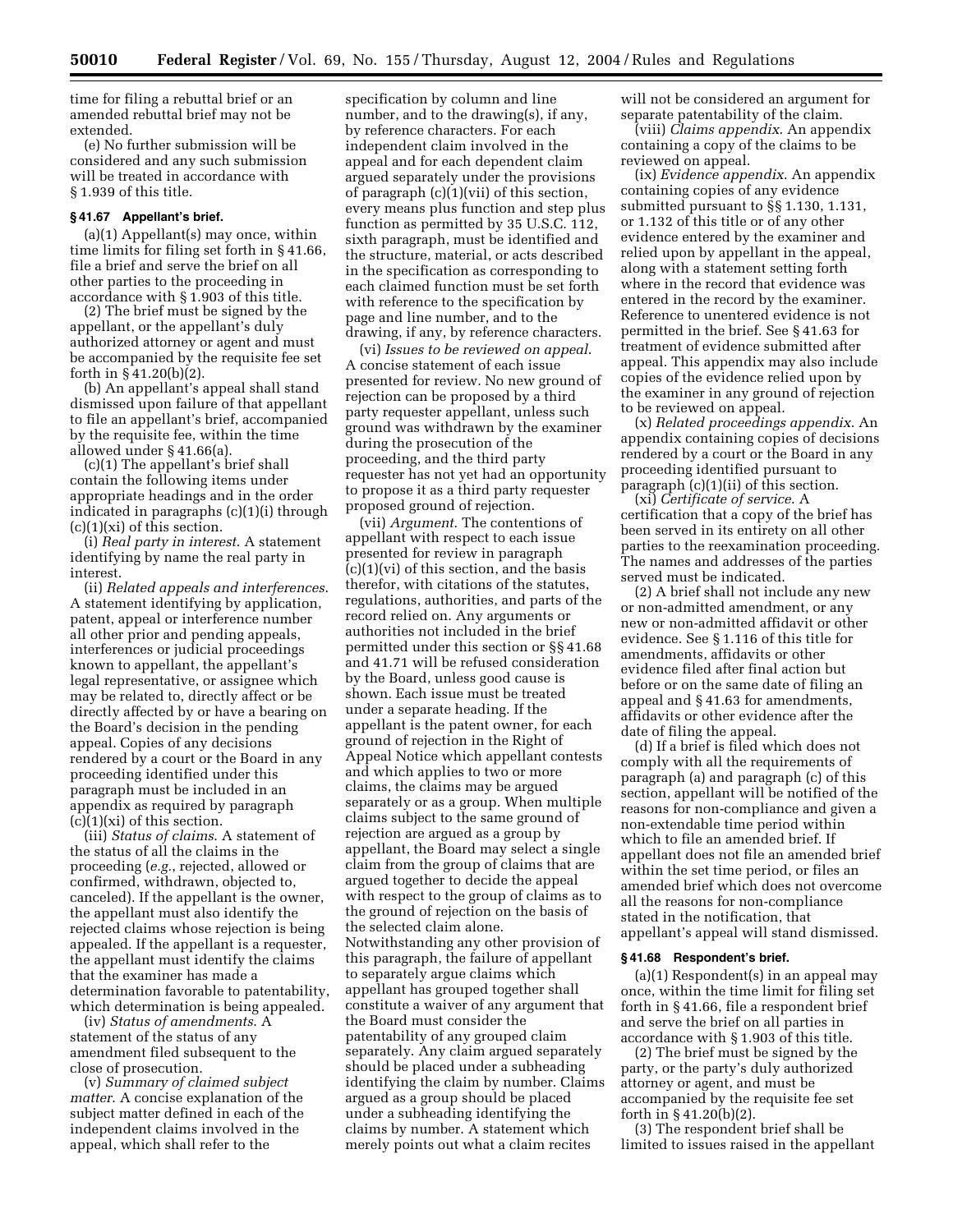time for filing a rebuttal brief or an amended rebuttal brief may not be extended.

(e) No further submission will be considered and any such submission will be treated in accordance with § 1.939 of this title.

#### **§ 41.67 Appellant's brief.**

(a)(1) Appellant(s) may once, within time limits for filing set forth in § 41.66, file a brief and serve the brief on all other parties to the proceeding in accordance with § 1.903 of this title.

(2) The brief must be signed by the appellant, or the appellant's duly authorized attorney or agent and must be accompanied by the requisite fee set forth in § 41.20(b)(2).

(b) An appellant's appeal shall stand dismissed upon failure of that appellant to file an appellant's brief, accompanied by the requisite fee, within the time allowed under § 41.66(a).

(c)(1) The appellant's brief shall contain the following items under appropriate headings and in the order indicated in paragraphs (c)(1)(i) through  $(c)(1)(xi)$  of this section.

(i) *Real party in interest*. A statement identifying by name the real party in interest.

(ii) *Related appeals and interferences*. A statement identifying by application, patent, appeal or interference number all other prior and pending appeals, interferences or judicial proceedings known to appellant, the appellant's legal representative, or assignee which may be related to, directly affect or be directly affected by or have a bearing on the Board's decision in the pending appeal. Copies of any decisions rendered by a court or the Board in any proceeding identified under this paragraph must be included in an appendix as required by paragraph  $(c)(1)(xi)$  of this section.

(iii) *Status of claims*. A statement of the status of all the claims in the proceeding (*e.g.*, rejected, allowed or confirmed, withdrawn, objected to, canceled). If the appellant is the owner, the appellant must also identify the rejected claims whose rejection is being appealed. If the appellant is a requester, the appellant must identify the claims that the examiner has made a determination favorable to patentability, which determination is being appealed.

(iv) *Status of amendments*. A statement of the status of any amendment filed subsequent to the close of prosecution.

(v) *Summary of claimed subject matter*. A concise explanation of the subject matter defined in each of the independent claims involved in the appeal, which shall refer to the

specification by column and line number, and to the drawing(s), if any, by reference characters. For each independent claim involved in the appeal and for each dependent claim argued separately under the provisions of paragraph (c)(1)(vii) of this section, every means plus function and step plus function as permitted by 35 U.S.C. 112, sixth paragraph, must be identified and the structure, material, or acts described in the specification as corresponding to each claimed function must be set forth with reference to the specification by page and line number, and to the drawing, if any, by reference characters.

(vi) *Issues to be reviewed on appeal*. A concise statement of each issue presented for review. No new ground of rejection can be proposed by a third party requester appellant, unless such ground was withdrawn by the examiner during the prosecution of the proceeding, and the third party requester has not yet had an opportunity to propose it as a third party requester proposed ground of rejection.

(vii) *Argument*. The contentions of appellant with respect to each issue presented for review in paragraph (c)(1)(vi) of this section, and the basis therefor, with citations of the statutes, regulations, authorities, and parts of the record relied on. Any arguments or authorities not included in the brief permitted under this section or §§ 41.68 and 41.71 will be refused consideration by the Board, unless good cause is shown. Each issue must be treated under a separate heading. If the appellant is the patent owner, for each ground of rejection in the Right of Appeal Notice which appellant contests and which applies to two or more claims, the claims may be argued separately or as a group. When multiple claims subject to the same ground of rejection are argued as a group by appellant, the Board may select a single claim from the group of claims that are argued together to decide the appeal with respect to the group of claims as to the ground of rejection on the basis of the selected claim alone. Notwithstanding any other provision of this paragraph, the failure of appellant to separately argue claims which appellant has grouped together shall constitute a waiver of any argument that the Board must consider the patentability of any grouped claim separately. Any claim argued separately should be placed under a subheading identifying the claim by number. Claims argued as a group should be placed under a subheading identifying the claims by number. A statement which merely points out what a claim recites

will not be considered an argument for separate patentability of the claim.

(viii) *Claims appendix*. An appendix containing a copy of the claims to be reviewed on appeal.

(ix) *Evidence appendix*. An appendix containing copies of any evidence submitted pursuant to §§ 1.130, 1.131, or 1.132 of this title or of any other evidence entered by the examiner and relied upon by appellant in the appeal, along with a statement setting forth where in the record that evidence was entered in the record by the examiner. Reference to unentered evidence is not permitted in the brief. See § 41.63 for treatment of evidence submitted after appeal. This appendix may also include copies of the evidence relied upon by the examiner in any ground of rejection to be reviewed on appeal.

(x) *Related proceedings appendix*. An appendix containing copies of decisions rendered by a court or the Board in any proceeding identified pursuant to paragraph (c)(1)(ii) of this section.

(xi) *Certificate of service*. A certification that a copy of the brief has been served in its entirety on all other parties to the reexamination proceeding. The names and addresses of the parties served must be indicated.

(2) A brief shall not include any new or non-admitted amendment, or any new or non-admitted affidavit or other evidence. See § 1.116 of this title for amendments, affidavits or other evidence filed after final action but before or on the same date of filing an appeal and § 41.63 for amendments, affidavits or other evidence after the date of filing the appeal.

(d) If a brief is filed which does not comply with all the requirements of paragraph (a) and paragraph (c) of this section, appellant will be notified of the reasons for non-compliance and given a non-extendable time period within which to file an amended brief. If appellant does not file an amended brief within the set time period, or files an amended brief which does not overcome all the reasons for non-compliance stated in the notification, that appellant's appeal will stand dismissed.

#### **§ 41.68 Respondent's brief.**

(a)(1) Respondent(s) in an appeal may once, within the time limit for filing set forth in § 41.66, file a respondent brief and serve the brief on all parties in accordance with § 1.903 of this title.

(2) The brief must be signed by the party, or the party's duly authorized attorney or agent, and must be accompanied by the requisite fee set forth in § 41.20(b)(2).

(3) The respondent brief shall be limited to issues raised in the appellant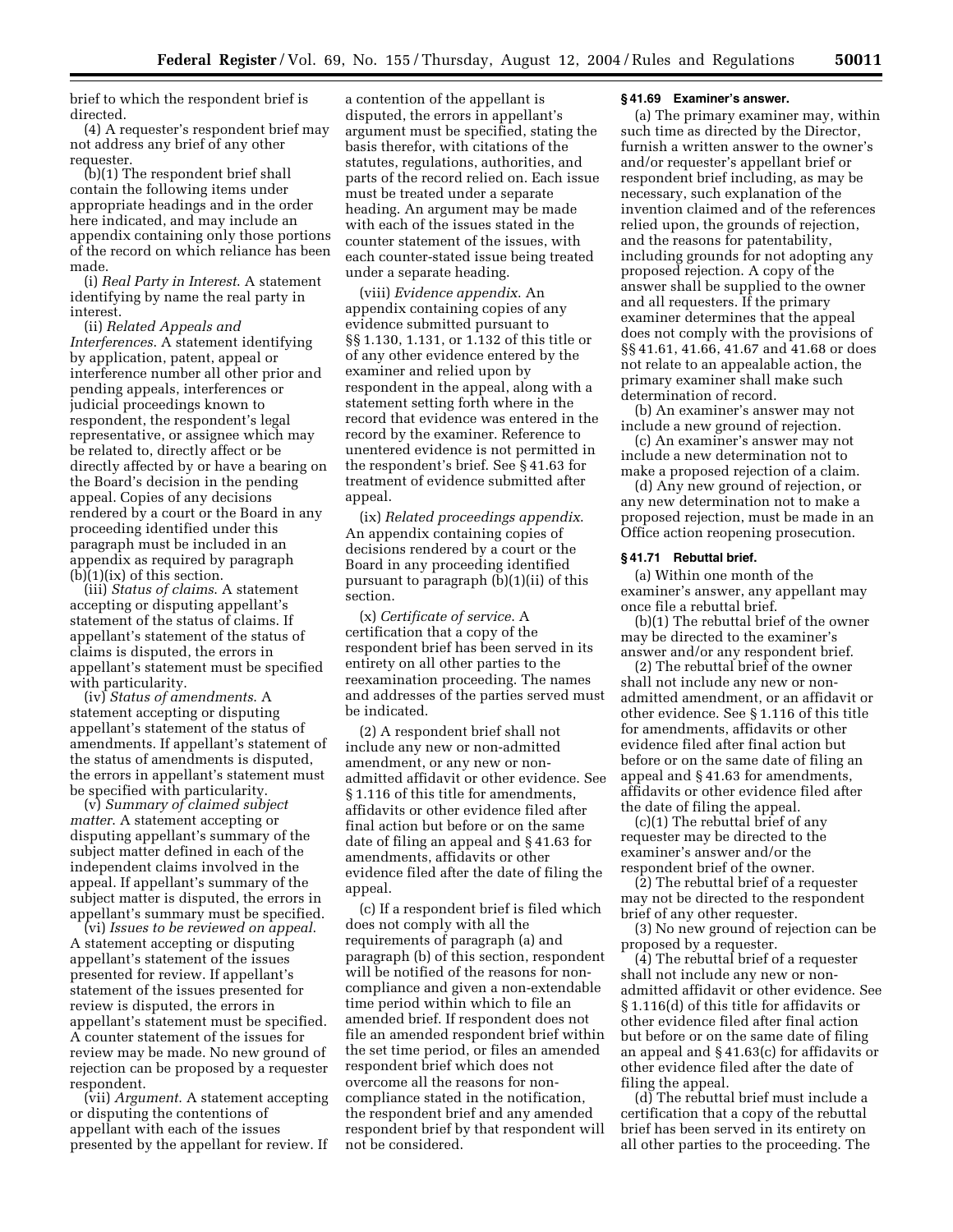brief to which the respondent brief is directed.

(4) A requester's respondent brief may not address any brief of any other requester.

(b)(1) The respondent brief shall contain the following items under appropriate headings and in the order here indicated, and may include an appendix containing only those portions of the record on which reliance has been made.

(i) *Real Party in Interest*. A statement identifying by name the real party in interest.

(ii) *Related Appeals and Interferences*. A statement identifying by application, patent, appeal or interference number all other prior and pending appeals, interferences or judicial proceedings known to respondent, the respondent's legal representative, or assignee which may be related to, directly affect or be directly affected by or have a bearing on the Board's decision in the pending appeal. Copies of any decisions rendered by a court or the Board in any proceeding identified under this paragraph must be included in an appendix as required by paragraph  $(b)(1)(ix)$  of this section.

(iii) *Status of claims*. A statement accepting or disputing appellant's statement of the status of claims. If appellant's statement of the status of claims is disputed, the errors in appellant's statement must be specified with particularity.

(iv) *Status of amendments*. A statement accepting or disputing appellant's statement of the status of amendments. If appellant's statement of the status of amendments is disputed, the errors in appellant's statement must be specified with particularity.

(v) *Summary of claimed subject matter*. A statement accepting or disputing appellant's summary of the subject matter defined in each of the independent claims involved in the appeal. If appellant's summary of the subject matter is disputed, the errors in appellant's summary must be specified.

(vi) *Issues to be reviewed on appeal*. A statement accepting or disputing appellant's statement of the issues presented for review. If appellant's statement of the issues presented for review is disputed, the errors in appellant's statement must be specified. A counter statement of the issues for review may be made. No new ground of rejection can be proposed by a requester respondent.

(vii) *Argument*. A statement accepting or disputing the contentions of appellant with each of the issues presented by the appellant for review. If

a contention of the appellant is disputed, the errors in appellant's argument must be specified, stating the basis therefor, with citations of the statutes, regulations, authorities, and parts of the record relied on. Each issue must be treated under a separate heading. An argument may be made with each of the issues stated in the counter statement of the issues, with each counter-stated issue being treated under a separate heading.

(viii) *Evidence appendix*. An appendix containing copies of any evidence submitted pursuant to §§ 1.130, 1.131, or 1.132 of this title or of any other evidence entered by the examiner and relied upon by respondent in the appeal, along with a statement setting forth where in the record that evidence was entered in the record by the examiner. Reference to unentered evidence is not permitted in the respondent's brief. See § 41.63 for treatment of evidence submitted after appeal.

(ix) *Related proceedings appendix*. An appendix containing copies of decisions rendered by a court or the Board in any proceeding identified pursuant to paragraph (b)(1)(ii) of this section.

(x) *Certificate of service*. A certification that a copy of the respondent brief has been served in its entirety on all other parties to the reexamination proceeding. The names and addresses of the parties served must be indicated.

(2) A respondent brief shall not include any new or non-admitted amendment, or any new or nonadmitted affidavit or other evidence. See § 1.116 of this title for amendments, affidavits or other evidence filed after final action but before or on the same date of filing an appeal and § 41.63 for amendments, affidavits or other evidence filed after the date of filing the appeal.

(c) If a respondent brief is filed which does not comply with all the requirements of paragraph (a) and paragraph (b) of this section, respondent will be notified of the reasons for noncompliance and given a non-extendable time period within which to file an amended brief. If respondent does not file an amended respondent brief within the set time period, or files an amended respondent brief which does not overcome all the reasons for noncompliance stated in the notification, the respondent brief and any amended respondent brief by that respondent will not be considered.

#### **§ 41.69 Examiner's answer.**

(a) The primary examiner may, within such time as directed by the Director, furnish a written answer to the owner's and/or requester's appellant brief or respondent brief including, as may be necessary, such explanation of the invention claimed and of the references relied upon, the grounds of rejection, and the reasons for patentability, including grounds for not adopting any proposed rejection. A copy of the answer shall be supplied to the owner and all requesters. If the primary examiner determines that the appeal does not comply with the provisions of §§ 41.61, 41.66, 41.67 and 41.68 or does not relate to an appealable action, the primary examiner shall make such determination of record.

(b) An examiner's answer may not include a new ground of rejection.

(c) An examiner's answer may not include a new determination not to make a proposed rejection of a claim.

(d) Any new ground of rejection, or any new determination not to make a proposed rejection, must be made in an Office action reopening prosecution.

#### **§ 41.71 Rebuttal brief.**

(a) Within one month of the examiner's answer, any appellant may once file a rebuttal brief.

(b)(1) The rebuttal brief of the owner may be directed to the examiner's answer and/or any respondent brief.

(2) The rebuttal brief of the owner shall not include any new or nonadmitted amendment, or an affidavit or other evidence. See § 1.116 of this title for amendments, affidavits or other evidence filed after final action but before or on the same date of filing an appeal and § 41.63 for amendments, affidavits or other evidence filed after the date of filing the appeal.

(c)(1) The rebuttal brief of any requester may be directed to the examiner's answer and/or the respondent brief of the owner.

(2) The rebuttal brief of a requester may not be directed to the respondent brief of any other requester.

(3) No new ground of rejection can be proposed by a requester.

(4) The rebuttal brief of a requester shall not include any new or nonadmitted affidavit or other evidence. See § 1.116(d) of this title for affidavits or other evidence filed after final action but before or on the same date of filing an appeal and § 41.63(c) for affidavits or other evidence filed after the date of filing the appeal.

(d) The rebuttal brief must include a certification that a copy of the rebuttal brief has been served in its entirety on all other parties to the proceeding. The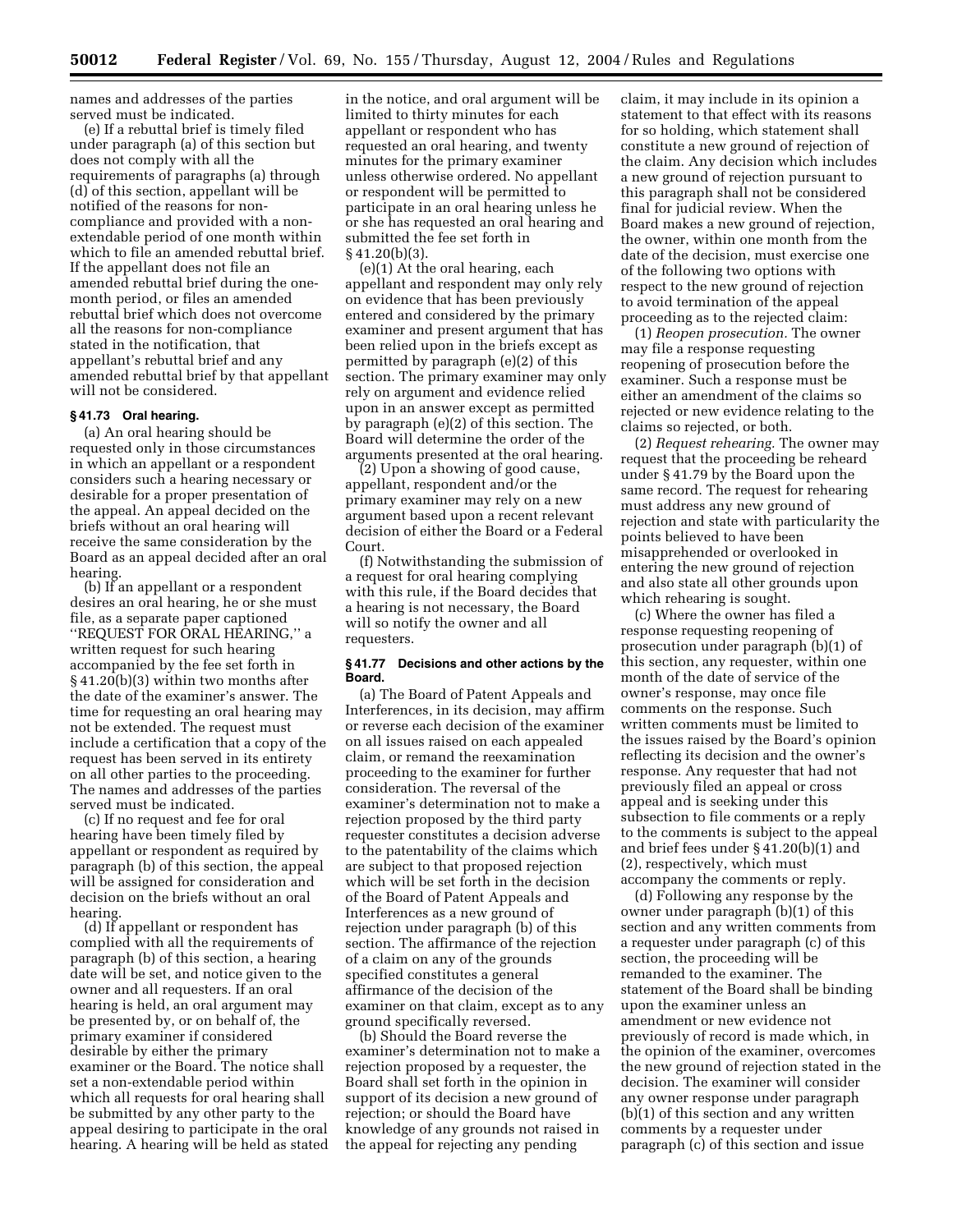names and addresses of the parties served must be indicated.

(e) If a rebuttal brief is timely filed under paragraph (a) of this section but does not comply with all the requirements of paragraphs (a) through (d) of this section, appellant will be notified of the reasons for noncompliance and provided with a nonextendable period of one month within which to file an amended rebuttal brief. If the appellant does not file an amended rebuttal brief during the onemonth period, or files an amended rebuttal brief which does not overcome all the reasons for non-compliance stated in the notification, that appellant's rebuttal brief and any amended rebuttal brief by that appellant will not be considered.

## **§ 41.73 Oral hearing.**

(a) An oral hearing should be requested only in those circumstances in which an appellant or a respondent considers such a hearing necessary or desirable for a proper presentation of the appeal. An appeal decided on the briefs without an oral hearing will receive the same consideration by the Board as an appeal decided after an oral hearing.

(b) If an appellant or a respondent desires an oral hearing, he or she must file, as a separate paper captioned ''REQUEST FOR ORAL HEARING,'' a written request for such hearing accompanied by the fee set forth in § 41.20(b)(3) within two months after the date of the examiner's answer. The time for requesting an oral hearing may not be extended. The request must include a certification that a copy of the request has been served in its entirety on all other parties to the proceeding. The names and addresses of the parties served must be indicated.

(c) If no request and fee for oral hearing have been timely filed by appellant or respondent as required by paragraph (b) of this section, the appeal will be assigned for consideration and decision on the briefs without an oral hearing.

(d) If appellant or respondent has complied with all the requirements of paragraph (b) of this section, a hearing date will be set, and notice given to the owner and all requesters. If an oral hearing is held, an oral argument may be presented by, or on behalf of, the primary examiner if considered desirable by either the primary examiner or the Board. The notice shall set a non-extendable period within which all requests for oral hearing shall be submitted by any other party to the appeal desiring to participate in the oral hearing. A hearing will be held as stated

in the notice, and oral argument will be limited to thirty minutes for each appellant or respondent who has requested an oral hearing, and twenty minutes for the primary examiner unless otherwise ordered. No appellant or respondent will be permitted to participate in an oral hearing unless he or she has requested an oral hearing and submitted the fee set forth in § 41.20(b)(3).

(e)(1) At the oral hearing, each appellant and respondent may only rely on evidence that has been previously entered and considered by the primary examiner and present argument that has been relied upon in the briefs except as permitted by paragraph (e)(2) of this section. The primary examiner may only rely on argument and evidence relied upon in an answer except as permitted by paragraph (e)(2) of this section. The Board will determine the order of the arguments presented at the oral hearing.

(2) Upon a showing of good cause, appellant, respondent and/or the primary examiner may rely on a new argument based upon a recent relevant decision of either the Board or a Federal Court.

(f) Notwithstanding the submission of a request for oral hearing complying with this rule, if the Board decides that a hearing is not necessary, the Board will so notify the owner and all requesters.

## **§ 41.77 Decisions and other actions by the Board.**

(a) The Board of Patent Appeals and Interferences, in its decision, may affirm or reverse each decision of the examiner on all issues raised on each appealed claim, or remand the reexamination proceeding to the examiner for further consideration. The reversal of the examiner's determination not to make a rejection proposed by the third party requester constitutes a decision adverse to the patentability of the claims which are subject to that proposed rejection which will be set forth in the decision of the Board of Patent Appeals and Interferences as a new ground of rejection under paragraph (b) of this section. The affirmance of the rejection of a claim on any of the grounds specified constitutes a general affirmance of the decision of the examiner on that claim, except as to any ground specifically reversed.

(b) Should the Board reverse the examiner's determination not to make a rejection proposed by a requester, the Board shall set forth in the opinion in support of its decision a new ground of rejection; or should the Board have knowledge of any grounds not raised in the appeal for rejecting any pending

claim, it may include in its opinion a statement to that effect with its reasons for so holding, which statement shall constitute a new ground of rejection of the claim. Any decision which includes a new ground of rejection pursuant to this paragraph shall not be considered final for judicial review. When the Board makes a new ground of rejection, the owner, within one month from the date of the decision, must exercise one of the following two options with respect to the new ground of rejection to avoid termination of the appeal proceeding as to the rejected claim:

(1) *Reopen prosecution.* The owner may file a response requesting reopening of prosecution before the examiner. Such a response must be either an amendment of the claims so rejected or new evidence relating to the claims so rejected, or both.

(2) *Request rehearing.* The owner may request that the proceeding be reheard under § 41.79 by the Board upon the same record. The request for rehearing must address any new ground of rejection and state with particularity the points believed to have been misapprehended or overlooked in entering the new ground of rejection and also state all other grounds upon which rehearing is sought.

(c) Where the owner has filed a response requesting reopening of prosecution under paragraph (b)(1) of this section, any requester, within one month of the date of service of the owner's response, may once file comments on the response. Such written comments must be limited to the issues raised by the Board's opinion reflecting its decision and the owner's response. Any requester that had not previously filed an appeal or cross appeal and is seeking under this subsection to file comments or a reply to the comments is subject to the appeal and brief fees under § 41.20(b)(1) and (2), respectively, which must accompany the comments or reply.

(d) Following any response by the owner under paragraph (b)(1) of this section and any written comments from a requester under paragraph (c) of this section, the proceeding will be remanded to the examiner. The statement of the Board shall be binding upon the examiner unless an amendment or new evidence not previously of record is made which, in the opinion of the examiner, overcomes the new ground of rejection stated in the decision. The examiner will consider any owner response under paragraph (b)(1) of this section and any written comments by a requester under paragraph (c) of this section and issue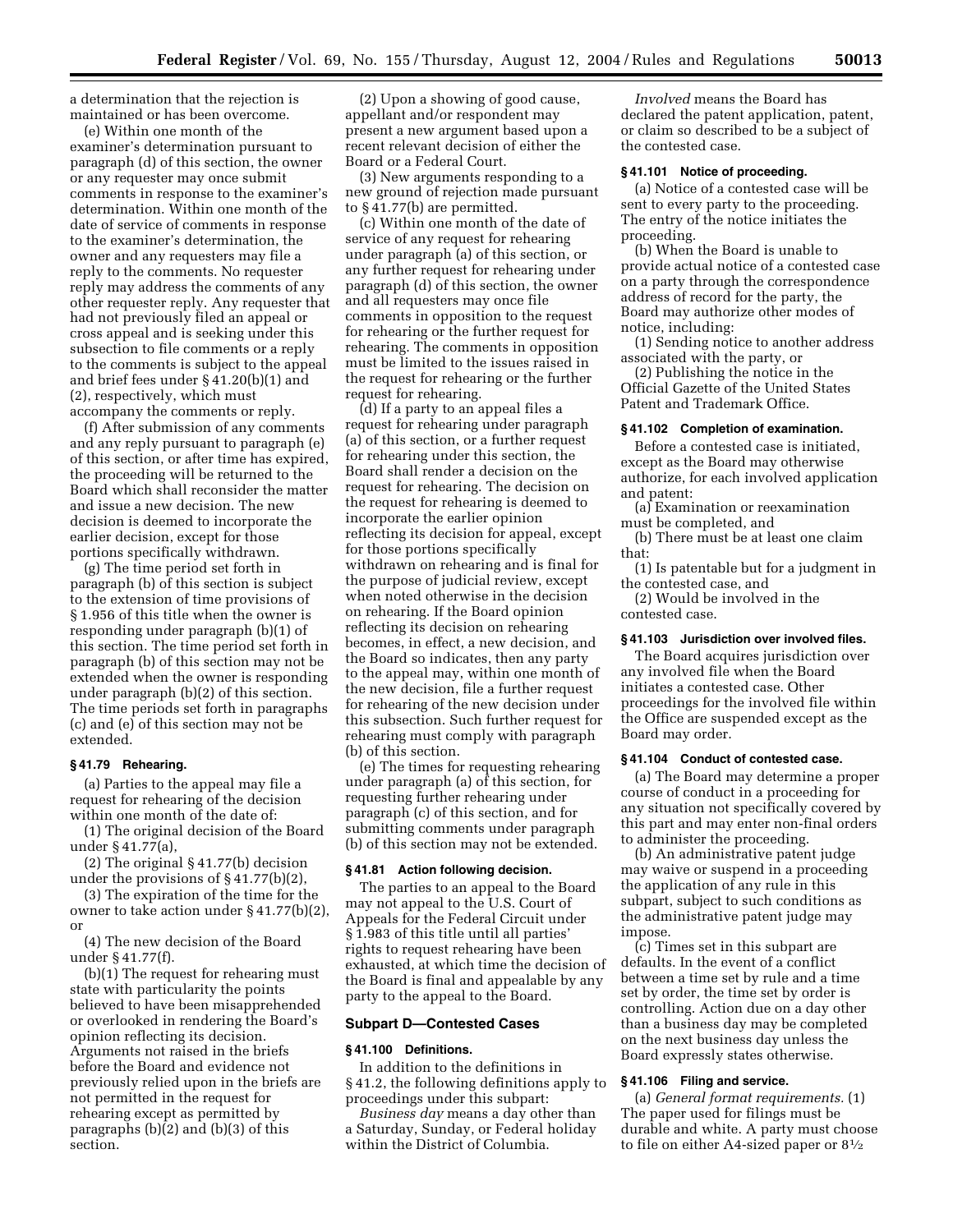a determination that the rejection is maintained or has been overcome.

(e) Within one month of the examiner's determination pursuant to paragraph (d) of this section, the owner or any requester may once submit comments in response to the examiner's determination. Within one month of the date of service of comments in response to the examiner's determination, the owner and any requesters may file a reply to the comments. No requester reply may address the comments of any other requester reply. Any requester that had not previously filed an appeal or cross appeal and is seeking under this subsection to file comments or a reply to the comments is subject to the appeal and brief fees under § 41.20(b)(1) and (2), respectively, which must accompany the comments or reply.

(f) After submission of any comments and any reply pursuant to paragraph (e) of this section, or after time has expired, the proceeding will be returned to the Board which shall reconsider the matter and issue a new decision. The new decision is deemed to incorporate the earlier decision, except for those portions specifically withdrawn.

(g) The time period set forth in paragraph (b) of this section is subject to the extension of time provisions of § 1.956 of this title when the owner is responding under paragraph (b)(1) of this section. The time period set forth in paragraph (b) of this section may not be extended when the owner is responding under paragraph (b)(2) of this section. The time periods set forth in paragraphs (c) and (e) of this section may not be extended.

#### **§ 41.79 Rehearing.**

(a) Parties to the appeal may file a request for rehearing of the decision within one month of the date of:

(1) The original decision of the Board under § 41.77(a),

(2) The original § 41.77(b) decision under the provisions of § 41.77(b)(2),

(3) The expiration of the time for the owner to take action under § 41.77(b)(2), or

(4) The new decision of the Board under § 41.77(f).

(b)(1) The request for rehearing must state with particularity the points believed to have been misapprehended or overlooked in rendering the Board's opinion reflecting its decision. Arguments not raised in the briefs before the Board and evidence not previously relied upon in the briefs are not permitted in the request for rehearing except as permitted by paragraphs (b)(2) and (b)(3) of this section.

(2) Upon a showing of good cause, appellant and/or respondent may present a new argument based upon a recent relevant decision of either the Board or a Federal Court.

(3) New arguments responding to a new ground of rejection made pursuant to § 41.77(b) are permitted.

(c) Within one month of the date of service of any request for rehearing under paragraph (a) of this section, or any further request for rehearing under paragraph (d) of this section, the owner and all requesters may once file comments in opposition to the request for rehearing or the further request for rehearing. The comments in opposition must be limited to the issues raised in the request for rehearing or the further request for rehearing.

(d) If a party to an appeal files a request for rehearing under paragraph (a) of this section, or a further request for rehearing under this section, the Board shall render a decision on the request for rehearing. The decision on the request for rehearing is deemed to incorporate the earlier opinion reflecting its decision for appeal, except for those portions specifically withdrawn on rehearing and is final for the purpose of judicial review, except when noted otherwise in the decision on rehearing. If the Board opinion reflecting its decision on rehearing becomes, in effect, a new decision, and the Board so indicates, then any party to the appeal may, within one month of the new decision, file a further request for rehearing of the new decision under this subsection. Such further request for rehearing must comply with paragraph (b) of this section.

(e) The times for requesting rehearing under paragraph (a) of this section, for requesting further rehearing under paragraph (c) of this section, and for submitting comments under paragraph (b) of this section may not be extended.

#### **§ 41.81 Action following decision.**

The parties to an appeal to the Board may not appeal to the U.S. Court of Appeals for the Federal Circuit under § 1.983 of this title until all parties' rights to request rehearing have been exhausted, at which time the decision of the Board is final and appealable by any party to the appeal to the Board.

#### **Subpart D—Contested Cases**

## **§ 41.100 Definitions.**

In addition to the definitions in § 41.2, the following definitions apply to proceedings under this subpart:

*Business day* means a day other than a Saturday, Sunday, or Federal holiday within the District of Columbia.

*Involved* means the Board has declared the patent application, patent, or claim so described to be a subject of the contested case.

## **§ 41.101 Notice of proceeding.**

(a) Notice of a contested case will be sent to every party to the proceeding. The entry of the notice initiates the proceeding.

(b) When the Board is unable to provide actual notice of a contested case on a party through the correspondence address of record for the party, the Board may authorize other modes of notice, including:

(1) Sending notice to another address associated with the party, or

(2) Publishing the notice in the Official Gazette of the United States Patent and Trademark Office.

#### **§ 41.102 Completion of examination.**

Before a contested case is initiated, except as the Board may otherwise authorize, for each involved application and patent:

(a) Examination or reexamination must be completed, and

(b) There must be at least one claim that:

(1) Is patentable but for a judgment in the contested case, and

(2) Would be involved in the contested case.

## **§ 41.103 Jurisdiction over involved files.**

The Board acquires jurisdiction over any involved file when the Board initiates a contested case. Other proceedings for the involved file within the Office are suspended except as the Board may order.

#### **§ 41.104 Conduct of contested case.**

(a) The Board may determine a proper course of conduct in a proceeding for any situation not specifically covered by this part and may enter non-final orders to administer the proceeding.

(b) An administrative patent judge may waive or suspend in a proceeding the application of any rule in this subpart, subject to such conditions as the administrative patent judge may impose.

(c) Times set in this subpart are defaults. In the event of a conflict between a time set by rule and a time set by order, the time set by order is controlling. Action due on a day other than a business day may be completed on the next business day unless the Board expressly states otherwise.

## **§ 41.106 Filing and service.**

(a) *General format requirements.* (1) The paper used for filings must be durable and white. A party must choose to file on either A4-sized paper or  $8\frac{1}{2}$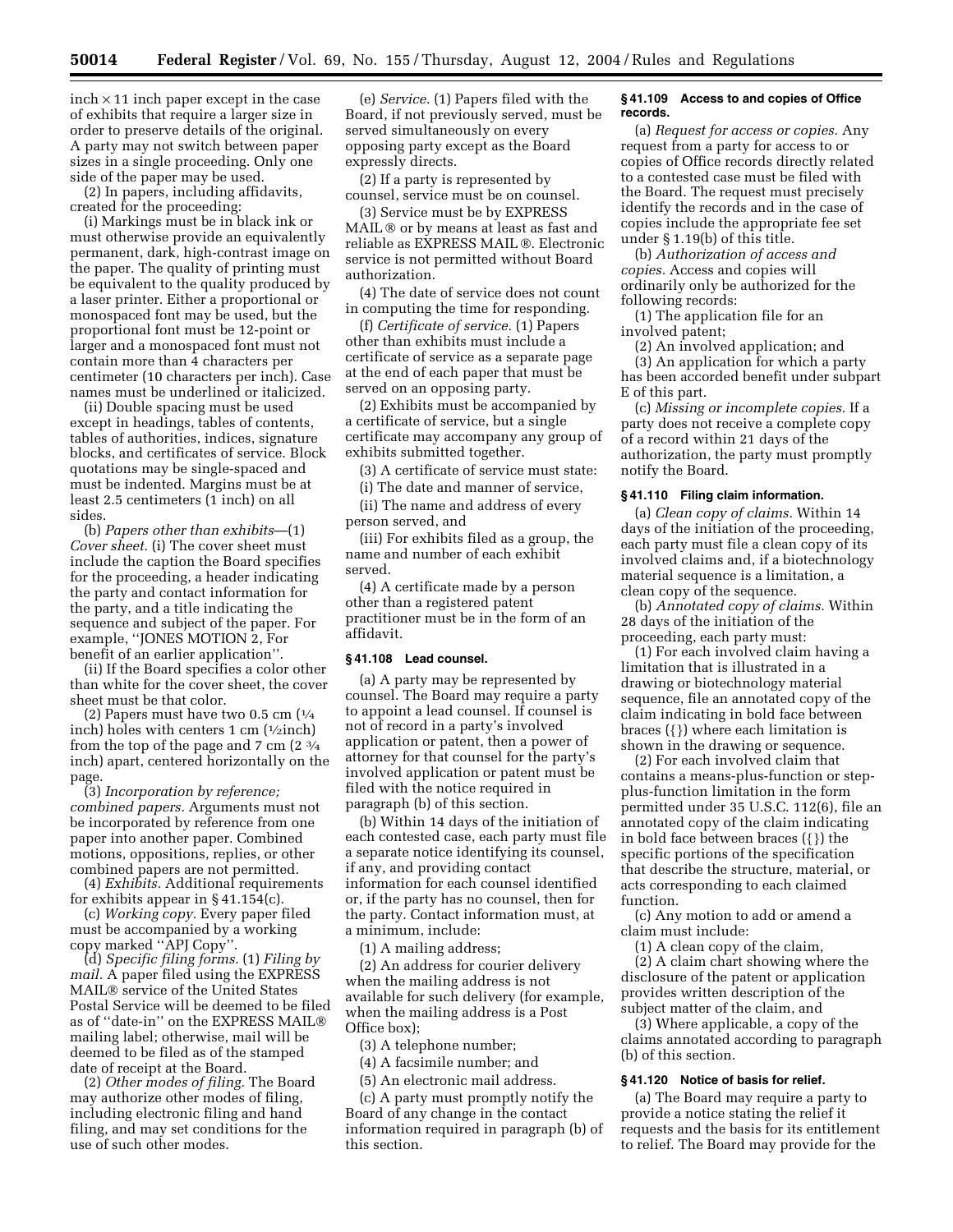$inch \times 11$  inch paper except in the case of exhibits that require a larger size in order to preserve details of the original. A party may not switch between paper sizes in a single proceeding. Only one side of the paper may be used.

(2) In papers, including affidavits, created for the proceeding:

(i) Markings must be in black ink or must otherwise provide an equivalently permanent, dark, high-contrast image on the paper. The quality of printing must be equivalent to the quality produced by a laser printer. Either a proportional or monospaced font may be used, but the proportional font must be 12-point or larger and a monospaced font must not contain more than 4 characters per centimeter (10 characters per inch). Case names must be underlined or italicized.

(ii) Double spacing must be used except in headings, tables of contents, tables of authorities, indices, signature blocks, and certificates of service. Block quotations may be single-spaced and must be indented. Margins must be at least 2.5 centimeters (1 inch) on all sides.

(b) *Papers other than exhibits*—(1) *Cover sheet.* (i) The cover sheet must include the caption the Board specifies for the proceeding, a header indicating the party and contact information for the party, and a title indicating the sequence and subject of the paper. For example, ''JONES MOTION 2, For benefit of an earlier application''.

(ii) If the Board specifies a color other than white for the cover sheet, the cover sheet must be that color.

(2) Papers must have two 0.5 cm  $\left(\frac{1}{4}\right)$ inch) holes with centers  $1 \text{ cm}$  ( $\frac{1}{2} \text{inch}$ ) from the top of the page and 7 cm (2 3⁄4 inch) apart, centered horizontally on the page.

(3) *Incorporation by reference; combined papers.* Arguments must not be incorporated by reference from one paper into another paper. Combined motions, oppositions, replies, or other combined papers are not permitted.

(4) *Exhibits.* Additional requirements for exhibits appear in § 41.154(c).

(c) *Working copy.* Every paper filed must be accompanied by a working copy marked ''APJ Copy''.

(d) *Specific filing forms.* (1) *Filing by mail.* A paper filed using the EXPRESS MAIL<sup>®</sup> service of the United States Postal Service will be deemed to be filed as of ''date-in'' on the EXPRESS MAIL mailing label; otherwise, mail will be deemed to be filed as of the stamped date of receipt at the Board.

(2) *Other modes of filing.* The Board may authorize other modes of filing, including electronic filing and hand filing, and may set conditions for the use of such other modes.

(e) *Service.* (1) Papers filed with the Board, if not previously served, must be served simultaneously on every opposing party except as the Board expressly directs.

(2) If a party is represented by counsel, service must be on counsel.

(3) Service must be by EXPRESS MAIL ® or by means at least as fast and reliable as EXPRESS MAIL ®. Electronic service is not permitted without Board authorization.

(4) The date of service does not count in computing the time for responding.

(f) *Certificate of service.* (1) Papers other than exhibits must include a certificate of service as a separate page at the end of each paper that must be served on an opposing party.

(2) Exhibits must be accompanied by a certificate of service, but a single certificate may accompany any group of exhibits submitted together.

(3) A certificate of service must state:

(i) The date and manner of service,

(ii) The name and address of every person served, and

(iii) For exhibits filed as a group, the name and number of each exhibit served.

(4) A certificate made by a person other than a registered patent practitioner must be in the form of an affidavit.

#### **§ 41.108 Lead counsel.**

(a) A party may be represented by counsel. The Board may require a party to appoint a lead counsel. If counsel is not of record in a party's involved application or patent, then a power of attorney for that counsel for the party's involved application or patent must be filed with the notice required in paragraph (b) of this section.

(b) Within 14 days of the initiation of each contested case, each party must file a separate notice identifying its counsel, if any, and providing contact information for each counsel identified or, if the party has no counsel, then for the party. Contact information must, at a minimum, include:

(1) A mailing address;

(2) An address for courier delivery when the mailing address is not available for such delivery (for example, when the mailing address is a Post Office box);

(3) A telephone number;

(4) A facsimile number; and

(5) An electronic mail address.

(c) A party must promptly notify the Board of any change in the contact information required in paragraph (b) of this section.

## **§ 41.109 Access to and copies of Office records.**

(a) *Request for access or copies.* Any request from a party for access to or copies of Office records directly related to a contested case must be filed with the Board. The request must precisely identify the records and in the case of copies include the appropriate fee set under § 1.19(b) of this title.

(b) *Authorization of access and copies.* Access and copies will ordinarily only be authorized for the following records:

(1) The application file for an involved patent;

(2) An involved application; and

(3) An application for which a party has been accorded benefit under subpart E of this part.

(c) *Missing or incomplete copies.* If a party does not receive a complete copy of a record within 21 days of the authorization, the party must promptly notify the Board.

#### **§ 41.110 Filing claim information.**

(a) *Clean copy of claims.* Within 14 days of the initiation of the proceeding, each party must file a clean copy of its involved claims and, if a biotechnology material sequence is a limitation, a clean copy of the sequence.

(b) *Annotated copy of claims.* Within 28 days of the initiation of the proceeding, each party must:

(1) For each involved claim having a limitation that is illustrated in a drawing or biotechnology material sequence, file an annotated copy of the claim indicating in bold face between braces ({}) where each limitation is shown in the drawing or sequence.

(2) For each involved claim that contains a means-plus-function or stepplus-function limitation in the form permitted under 35 U.S.C. 112(6), file an annotated copy of the claim indicating in bold face between braces ({}) the specific portions of the specification that describe the structure, material, or acts corresponding to each claimed function.

(c) Any motion to add or amend a claim must include:

(1) A clean copy of the claim,

(2) A claim chart showing where the disclosure of the patent or application provides written description of the subject matter of the claim, and

(3) Where applicable, a copy of the claims annotated according to paragraph (b) of this section.

## **§ 41.120 Notice of basis for relief.**

(a) The Board may require a party to provide a notice stating the relief it requests and the basis for its entitlement to relief. The Board may provide for the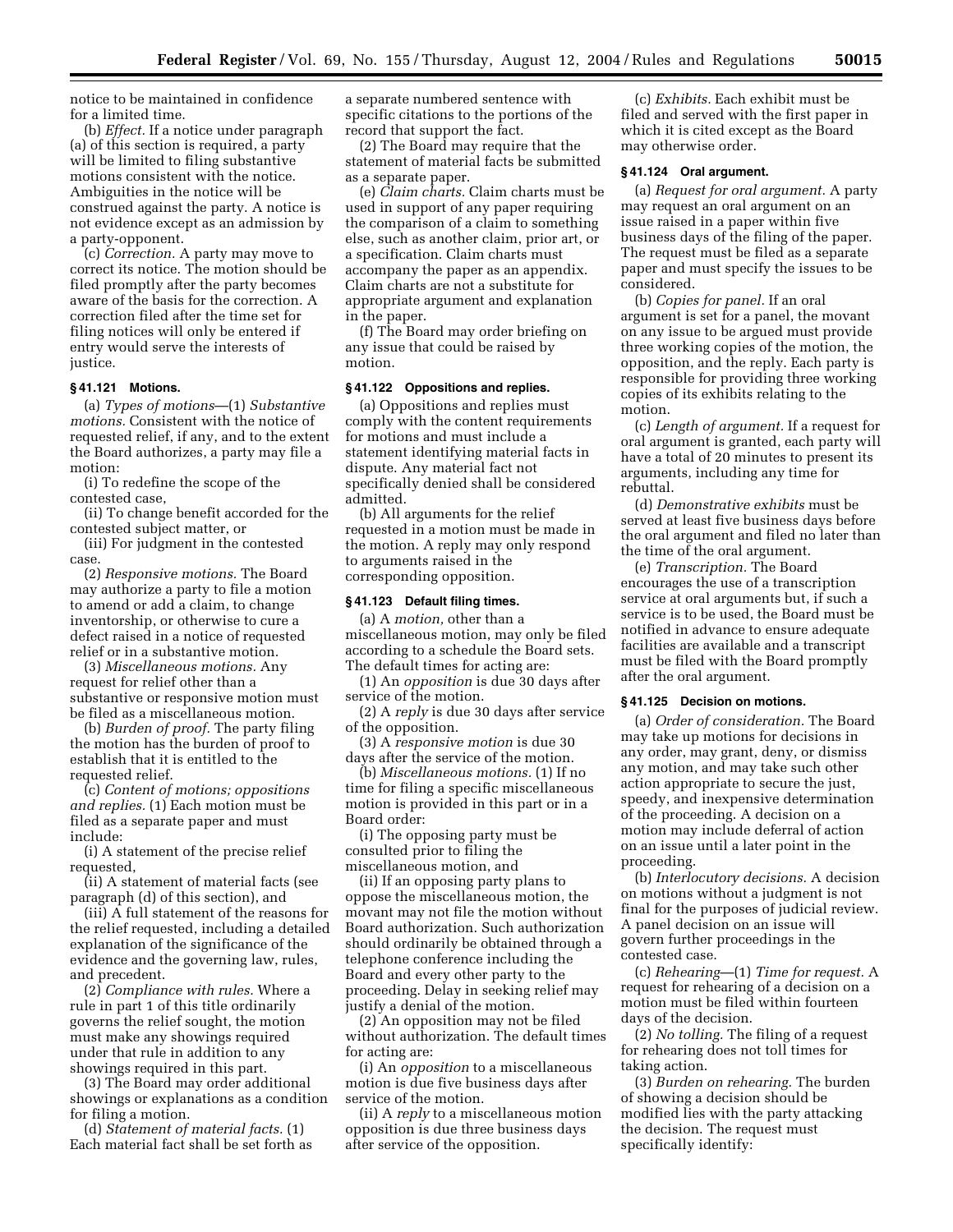notice to be maintained in confidence for a limited time.

(b) *Effect.* If a notice under paragraph (a) of this section is required, a party will be limited to filing substantive motions consistent with the notice. Ambiguities in the notice will be construed against the party. A notice is not evidence except as an admission by a party-opponent.

(c) *Correction.* A party may move to correct its notice. The motion should be filed promptly after the party becomes aware of the basis for the correction. A correction filed after the time set for filing notices will only be entered if entry would serve the interests of justice.

## **§ 41.121 Motions.**

(a) *Types of motions*—(1) *Substantive motions.* Consistent with the notice of requested relief, if any, and to the extent the Board authorizes, a party may file a motion:

(i) To redefine the scope of the contested case,

(ii) To change benefit accorded for the contested subject matter, or

(iii) For judgment in the contested case.

(2) *Responsive motions.* The Board may authorize a party to file a motion to amend or add a claim, to change inventorship, or otherwise to cure a defect raised in a notice of requested relief or in a substantive motion.

(3) *Miscellaneous motions.* Any request for relief other than a substantive or responsive motion must be filed as a miscellaneous motion.

(b) *Burden of proof.* The party filing the motion has the burden of proof to establish that it is entitled to the requested relief.

(c) *Content of motions; oppositions and replies.* (1) Each motion must be filed as a separate paper and must include:

(i) A statement of the precise relief requested.

(ii) A statement of material facts (see paragraph (d) of this section), and

(iii) A full statement of the reasons for the relief requested, including a detailed explanation of the significance of the evidence and the governing law, rules, and precedent.

(2) *Compliance with rules.* Where a rule in part 1 of this title ordinarily governs the relief sought, the motion must make any showings required under that rule in addition to any showings required in this part.

(3) The Board may order additional showings or explanations as a condition for filing a motion.

(d) *Statement of material facts.* (1) Each material fact shall be set forth as a separate numbered sentence with specific citations to the portions of the record that support the fact.

(2) The Board may require that the statement of material facts be submitted as a separate paper.

(e) *Claim charts.* Claim charts must be used in support of any paper requiring the comparison of a claim to something else, such as another claim, prior art, or a specification. Claim charts must accompany the paper as an appendix. Claim charts are not a substitute for appropriate argument and explanation in the paper.

(f) The Board may order briefing on any issue that could be raised by motion.

#### **§ 41.122 Oppositions and replies.**

(a) Oppositions and replies must comply with the content requirements for motions and must include a statement identifying material facts in dispute. Any material fact not specifically denied shall be considered admitted.

(b) All arguments for the relief requested in a motion must be made in the motion. A reply may only respond to arguments raised in the corresponding opposition.

## **§ 41.123 Default filing times.**

(a) A *motion,* other than a miscellaneous motion, may only be filed according to a schedule the Board sets. The default times for acting are:

(1) An *opposition* is due 30 days after service of the motion.

(2) A *reply* is due 30 days after service of the opposition.

(3) A *responsive motion* is due 30 days after the service of the motion.

(b) *Miscellaneous motions.* (1) If no time for filing a specific miscellaneous motion is provided in this part or in a Board order:

(i) The opposing party must be consulted prior to filing the miscellaneous motion, and

(ii) If an opposing party plans to oppose the miscellaneous motion, the movant may not file the motion without Board authorization. Such authorization should ordinarily be obtained through a telephone conference including the Board and every other party to the proceeding. Delay in seeking relief may justify a denial of the motion.

(2) An opposition may not be filed without authorization. The default times for acting are:

(i) An *opposition* to a miscellaneous motion is due five business days after service of the motion.

(ii) A *reply* to a miscellaneous motion opposition is due three business days after service of the opposition.

(c) *Exhibits.* Each exhibit must be filed and served with the first paper in which it is cited except as the Board may otherwise order.

## **§ 41.124 Oral argument.**

(a) *Request for oral argument.* A party may request an oral argument on an issue raised in a paper within five business days of the filing of the paper. The request must be filed as a separate paper and must specify the issues to be considered.

(b) *Copies for panel.* If an oral argument is set for a panel, the movant on any issue to be argued must provide three working copies of the motion, the opposition, and the reply. Each party is responsible for providing three working copies of its exhibits relating to the motion.

(c) *Length of argument.* If a request for oral argument is granted, each party will have a total of 20 minutes to present its arguments, including any time for rebuttal.

(d) *Demonstrative exhibits* must be served at least five business days before the oral argument and filed no later than the time of the oral argument.

(e) *Transcription.* The Board encourages the use of a transcription service at oral arguments but, if such a service is to be used, the Board must be notified in advance to ensure adequate facilities are available and a transcript must be filed with the Board promptly after the oral argument.

#### **§ 41.125 Decision on motions.**

(a) *Order of consideration.* The Board may take up motions for decisions in any order, may grant, deny, or dismiss any motion, and may take such other action appropriate to secure the just, speedy, and inexpensive determination of the proceeding. A decision on a motion may include deferral of action on an issue until a later point in the proceeding.

(b) *Interlocutory decisions.* A decision on motions without a judgment is not final for the purposes of judicial review. A panel decision on an issue will govern further proceedings in the contested case.

(c) *Rehearing*—(1) *Time for request.* A request for rehearing of a decision on a motion must be filed within fourteen days of the decision.

(2) *No tolling.* The filing of a request for rehearing does not toll times for taking action.

(3) *Burden on rehearing.* The burden of showing a decision should be modified lies with the party attacking the decision. The request must specifically identify: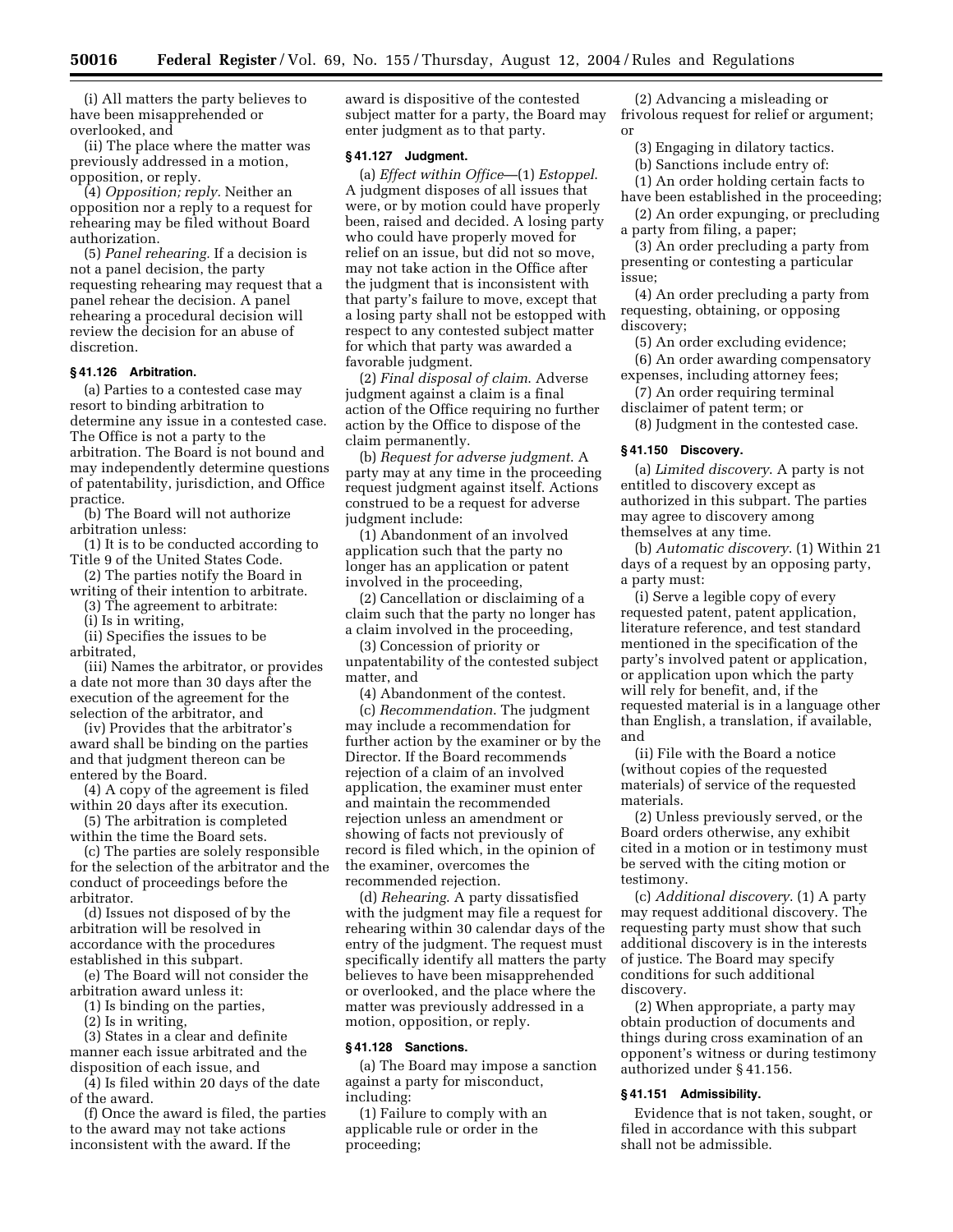(i) All matters the party believes to have been misapprehended or overlooked, and

(ii) The place where the matter was previously addressed in a motion, opposition, or reply.

(4) *Opposition; reply.* Neither an opposition nor a reply to a request for rehearing may be filed without Board authorization.

(5) *Panel rehearing.* If a decision is not a panel decision, the party requesting rehearing may request that a panel rehear the decision. A panel rehearing a procedural decision will review the decision for an abuse of discretion.

#### **§ 41.126 Arbitration.**

(a) Parties to a contested case may resort to binding arbitration to determine any issue in a contested case. The Office is not a party to the arbitration. The Board is not bound and may independently determine questions of patentability, jurisdiction, and Office practice.

(b) The Board will not authorize arbitration unless:

(1) It is to be conducted according to Title 9 of the United States Code.

(2) The parties notify the Board in

writing of their intention to arbitrate. (3) The agreement to arbitrate:

(i) Is in writing,

(ii) Specifies the issues to be arbitrated,

(iii) Names the arbitrator, or provides a date not more than 30 days after the execution of the agreement for the selection of the arbitrator, and

(iv) Provides that the arbitrator's award shall be binding on the parties and that judgment thereon can be entered by the Board.

(4) A copy of the agreement is filed within 20 days after its execution.

(5) The arbitration is completed within the time the Board sets.

(c) The parties are solely responsible for the selection of the arbitrator and the conduct of proceedings before the arbitrator.

(d) Issues not disposed of by the arbitration will be resolved in accordance with the procedures established in this subpart.

(e) The Board will not consider the arbitration award unless it:

(1) Is binding on the parties,

(2) Is in writing,

(3) States in a clear and definite manner each issue arbitrated and the disposition of each issue, and

(4) Is filed within 20 days of the date of the award.

(f) Once the award is filed, the parties to the award may not take actions inconsistent with the award. If the

award is dispositive of the contested subject matter for a party, the Board may enter judgment as to that party.

## **§ 41.127 Judgment.**

(a) *Effect within Office*—(1) *Estoppel*. A judgment disposes of all issues that were, or by motion could have properly been, raised and decided. A losing party who could have properly moved for relief on an issue, but did not so move, may not take action in the Office after the judgment that is inconsistent with that party's failure to move, except that a losing party shall not be estopped with respect to any contested subject matter for which that party was awarded a favorable judgment.

(2) *Final disposal of claim*. Adverse judgment against a claim is a final action of the Office requiring no further action by the Office to dispose of the claim permanently.

(b) *Request for adverse judgment*. A party may at any time in the proceeding request judgment against itself. Actions construed to be a request for adverse judgment include:

(1) Abandonment of an involved application such that the party no longer has an application or patent involved in the proceeding,

(2) Cancellation or disclaiming of a claim such that the party no longer has a claim involved in the proceeding,

(3) Concession of priority or unpatentability of the contested subject matter, and

(4) Abandonment of the contest.

(c) *Recommendation*. The judgment may include a recommendation for further action by the examiner or by the Director. If the Board recommends rejection of a claim of an involved application, the examiner must enter and maintain the recommended rejection unless an amendment or showing of facts not previously of record is filed which, in the opinion of the examiner, overcomes the recommended rejection.

(d) *Rehearing*. A party dissatisfied with the judgment may file a request for rehearing within 30 calendar days of the entry of the judgment. The request must specifically identify all matters the party believes to have been misapprehended or overlooked, and the place where the matter was previously addressed in a motion, opposition, or reply.

#### **§ 41.128 Sanctions.**

(a) The Board may impose a sanction against a party for misconduct, including:

(1) Failure to comply with an applicable rule or order in the proceeding;

(2) Advancing a misleading or frivolous request for relief or argument; or

(3) Engaging in dilatory tactics.

(b) Sanctions include entry of:

(1) An order holding certain facts to have been established in the proceeding;

(2) An order expunging, or precluding a party from filing, a paper;

(3) An order precluding a party from presenting or contesting a particular issue;

(4) An order precluding a party from requesting, obtaining, or opposing discovery;

(5) An order excluding evidence; (6) An order awarding compensatory expenses, including attorney fees;

(7) An order requiring terminal disclaimer of patent term; or

(8) Judgment in the contested case.

#### **§ 41.150 Discovery.**

(a) *Limited discovery*. A party is not entitled to discovery except as authorized in this subpart. The parties may agree to discovery among themselves at any time.

(b) *Automatic discovery*. (1) Within 21 days of a request by an opposing party, a party must:

(i) Serve a legible copy of every requested patent, patent application, literature reference, and test standard mentioned in the specification of the party's involved patent or application, or application upon which the party will rely for benefit, and, if the requested material is in a language other than English, a translation, if available, and

(ii) File with the Board a notice (without copies of the requested materials) of service of the requested materials.

(2) Unless previously served, or the Board orders otherwise, any exhibit cited in a motion or in testimony must be served with the citing motion or testimony.

(c) *Additional discovery*. (1) A party may request additional discovery. The requesting party must show that such additional discovery is in the interests of justice. The Board may specify conditions for such additional discovery.

(2) When appropriate, a party may obtain production of documents and things during cross examination of an opponent's witness or during testimony authorized under § 41.156.

#### **§ 41.151 Admissibility.**

Evidence that is not taken, sought, or filed in accordance with this subpart shall not be admissible.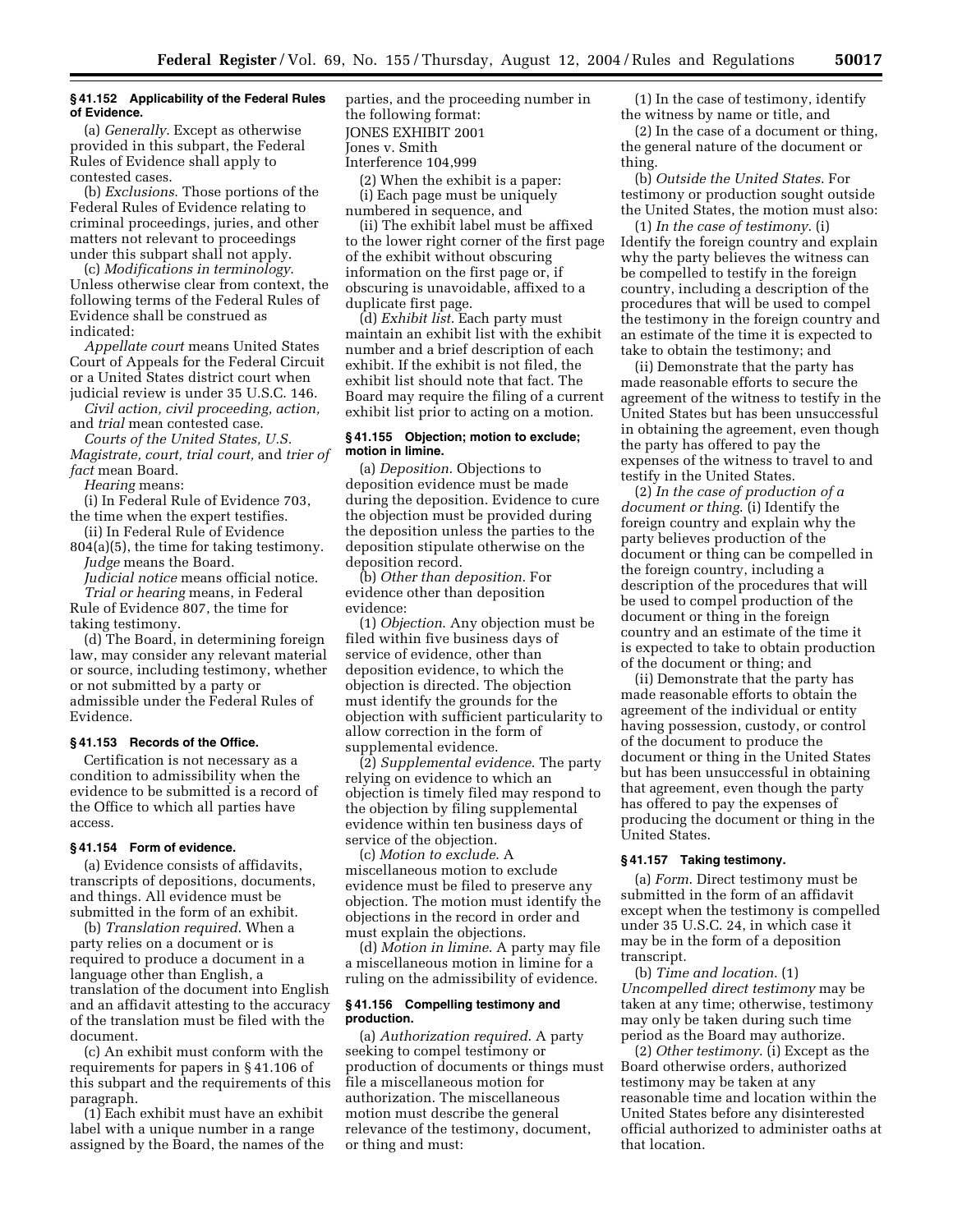## **§ 41.152 Applicability of the Federal Rules of Evidence.**

(a) *Generally*. Except as otherwise provided in this subpart, the Federal Rules of Evidence shall apply to contested cases.

(b) *Exclusions*. Those portions of the Federal Rules of Evidence relating to criminal proceedings, juries, and other matters not relevant to proceedings under this subpart shall not apply.

(c) *Modifications in terminology*. Unless otherwise clear from context, the following terms of the Federal Rules of Evidence shall be construed as indicated:

*Appellate court* means United States Court of Appeals for the Federal Circuit or a United States district court when judicial review is under 35 U.S.C. 146.

*Civil action, civil proceeding, action,*  and *trial* mean contested case.

*Courts of the United States, U.S. Magistrate, court, trial court,* and *trier of fact* mean Board.

*Hearing* means:

(i) In Federal Rule of Evidence 703, the time when the expert testifies.

- (ii) In Federal Rule of Evidence 804(a)(5), the time for taking testimony.
- *Judge* means the Board.

*Judicial notice* means official notice. *Trial or hearing* means, in Federal

Rule of Evidence 807, the time for taking testimony.

(d) The Board, in determining foreign law, may consider any relevant material or source, including testimony, whether or not submitted by a party or admissible under the Federal Rules of Evidence.

## **§ 41.153 Records of the Office.**

Certification is not necessary as a condition to admissibility when the evidence to be submitted is a record of the Office to which all parties have access.

## **§ 41.154 Form of evidence.**

(a) Evidence consists of affidavits, transcripts of depositions, documents, and things. All evidence must be submitted in the form of an exhibit.

(b) *Translation required*. When a party relies on a document or is required to produce a document in a language other than English, a translation of the document into English and an affidavit attesting to the accuracy of the translation must be filed with the document.

(c) An exhibit must conform with the requirements for papers in § 41.106 of this subpart and the requirements of this paragraph.

(1) Each exhibit must have an exhibit label with a unique number in a range assigned by the Board, the names of the parties, and the proceeding number in the following format: JONES EXHIBIT 2001 Jones v. Smith Interference 104,999

(2) When the exhibit is a paper: (i) Each page must be uniquely numbered in sequence, and

(ii) The exhibit label must be affixed to the lower right corner of the first page of the exhibit without obscuring information on the first page or, if obscuring is unavoidable, affixed to a duplicate first page.

(d) *Exhibit list*. Each party must maintain an exhibit list with the exhibit number and a brief description of each exhibit. If the exhibit is not filed, the exhibit list should note that fact. The Board may require the filing of a current exhibit list prior to acting on a motion.

## **§ 41.155 Objection; motion to exclude; motion in limine.**

(a) *Deposition*. Objections to deposition evidence must be made during the deposition. Evidence to cure the objection must be provided during the deposition unless the parties to the deposition stipulate otherwise on the deposition record.

(b) *Other than deposition*. For evidence other than deposition evidence:

(1) *Objection*. Any objection must be filed within five business days of service of evidence, other than deposition evidence, to which the objection is directed. The objection must identify the grounds for the objection with sufficient particularity to allow correction in the form of supplemental evidence.

(2) *Supplemental evidence*. The party relying on evidence to which an objection is timely filed may respond to the objection by filing supplemental evidence within ten business days of service of the objection.

(c) *Motion to exclude*. A miscellaneous motion to exclude evidence must be filed to preserve any objection. The motion must identify the objections in the record in order and must explain the objections.

(d) *Motion in limine*. A party may file a miscellaneous motion in limine for a ruling on the admissibility of evidence.

#### **§ 41.156 Compelling testimony and production.**

(a) *Authorization required*. A party seeking to compel testimony or production of documents or things must file a miscellaneous motion for authorization. The miscellaneous motion must describe the general relevance of the testimony, document, or thing and must:

(1) In the case of testimony, identify the witness by name or title, and

(2) In the case of a document or thing, the general nature of the document or thing.

(b) *Outside the United States*. For testimony or production sought outside the United States, the motion must also:

(1) *In the case of testimony*. (i) Identify the foreign country and explain why the party believes the witness can be compelled to testify in the foreign country, including a description of the procedures that will be used to compel the testimony in the foreign country and an estimate of the time it is expected to take to obtain the testimony; and

(ii) Demonstrate that the party has made reasonable efforts to secure the agreement of the witness to testify in the United States but has been unsuccessful in obtaining the agreement, even though the party has offered to pay the expenses of the witness to travel to and testify in the United States.

(2) *In the case of production of a document or thing*. (i) Identify the foreign country and explain why the party believes production of the document or thing can be compelled in the foreign country, including a description of the procedures that will be used to compel production of the document or thing in the foreign country and an estimate of the time it is expected to take to obtain production of the document or thing; and

(ii) Demonstrate that the party has made reasonable efforts to obtain the agreement of the individual or entity having possession, custody, or control of the document to produce the document or thing in the United States but has been unsuccessful in obtaining that agreement, even though the party has offered to pay the expenses of producing the document or thing in the United States.

#### **§ 41.157 Taking testimony.**

(a) *Form*. Direct testimony must be submitted in the form of an affidavit except when the testimony is compelled under 35 U.S.C. 24, in which case it may be in the form of a deposition transcript.

(b) *Time and location*. (1) *Uncompelled direct testimony* may be taken at any time; otherwise, testimony may only be taken during such time period as the Board may authorize.

(2) *Other testimony*. (i) Except as the Board otherwise orders, authorized testimony may be taken at any reasonable time and location within the United States before any disinterested official authorized to administer oaths at that location.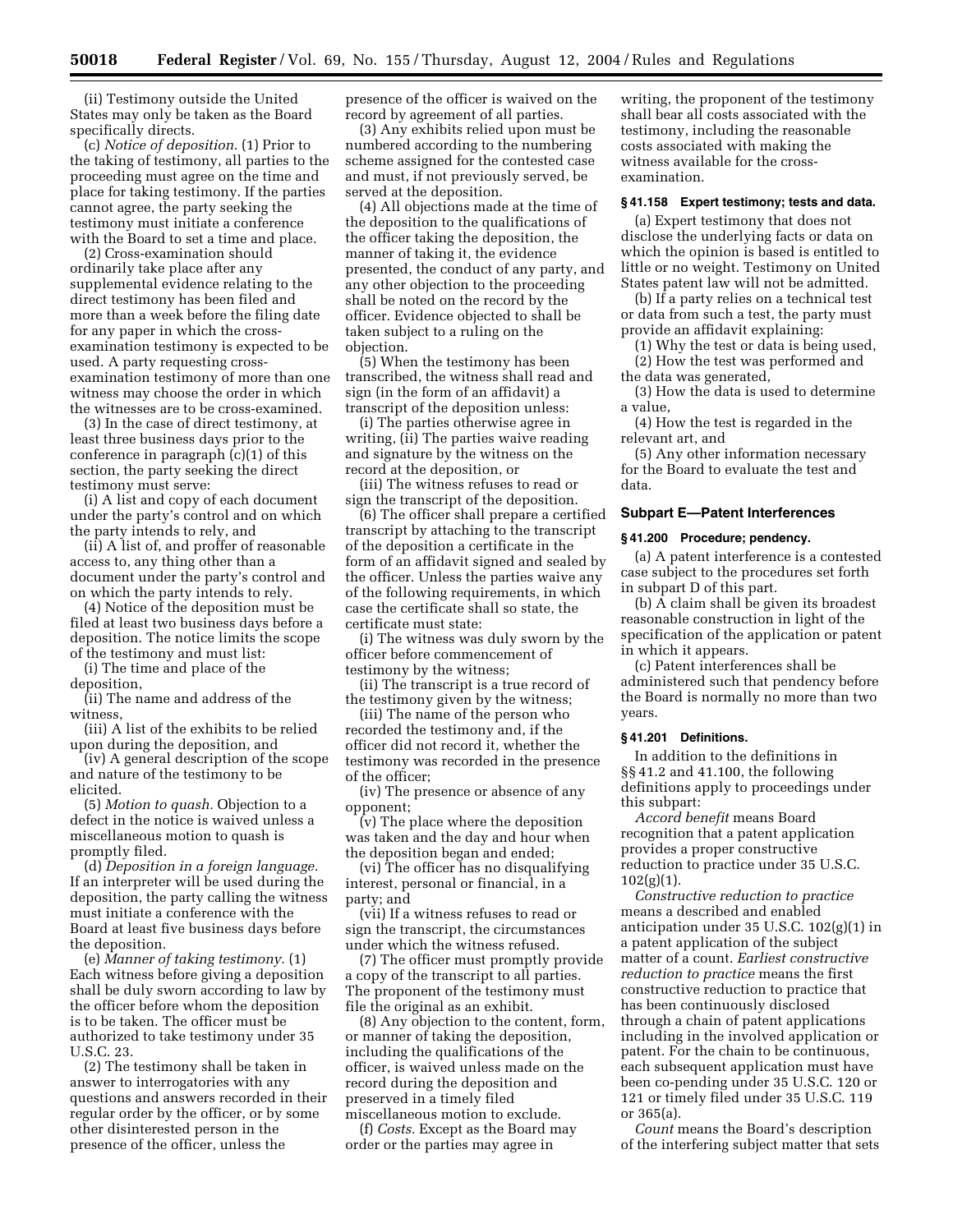(ii) Testimony outside the United States may only be taken as the Board specifically directs.

(c) *Notice of deposition*. (1) Prior to the taking of testimony, all parties to the proceeding must agree on the time and place for taking testimony. If the parties cannot agree, the party seeking the testimony must initiate a conference with the Board to set a time and place.

(2) Cross-examination should ordinarily take place after any supplemental evidence relating to the direct testimony has been filed and more than a week before the filing date for any paper in which the crossexamination testimony is expected to be used. A party requesting crossexamination testimony of more than one witness may choose the order in which the witnesses are to be cross-examined.

(3) In the case of direct testimony, at least three business days prior to the conference in paragraph (c)(1) of this section, the party seeking the direct testimony must serve:

(i) A list and copy of each document under the party's control and on which the party intends to rely, and

(ii) A list of, and proffer of reasonable access to, any thing other than a document under the party's control and on which the party intends to rely.

(4) Notice of the deposition must be filed at least two business days before a deposition. The notice limits the scope of the testimony and must list:

(i) The time and place of the deposition,

(ii) The name and address of the witness,

(iii) A list of the exhibits to be relied upon during the deposition, and

(iv) A general description of the scope and nature of the testimony to be elicited.

(5) *Motion to quash.* Objection to a defect in the notice is waived unless a miscellaneous motion to quash is promptly filed.

(d) *Deposition in a foreign language.*  If an interpreter will be used during the deposition, the party calling the witness must initiate a conference with the Board at least five business days before the deposition.

(e) *Manner of taking testimony.* (1) Each witness before giving a deposition shall be duly sworn according to law by the officer before whom the deposition is to be taken. The officer must be authorized to take testimony under 35 U.S.C. 23.

(2) The testimony shall be taken in answer to interrogatories with any questions and answers recorded in their regular order by the officer, or by some other disinterested person in the presence of the officer, unless the

presence of the officer is waived on the record by agreement of all parties.

(3) Any exhibits relied upon must be numbered according to the numbering scheme assigned for the contested case and must, if not previously served, be served at the deposition.

(4) All objections made at the time of the deposition to the qualifications of the officer taking the deposition, the manner of taking it, the evidence presented, the conduct of any party, and any other objection to the proceeding shall be noted on the record by the officer. Evidence objected to shall be taken subject to a ruling on the objection.

(5) When the testimony has been transcribed, the witness shall read and sign (in the form of an affidavit) a transcript of the deposition unless:

(i) The parties otherwise agree in writing, (ii) The parties waive reading and signature by the witness on the record at the deposition, or

(iii) The witness refuses to read or sign the transcript of the deposition.

(6) The officer shall prepare a certified transcript by attaching to the transcript of the deposition a certificate in the form of an affidavit signed and sealed by the officer. Unless the parties waive any of the following requirements, in which case the certificate shall so state, the certificate must state:

(i) The witness was duly sworn by the officer before commencement of testimony by the witness;

(ii) The transcript is a true record of the testimony given by the witness;

(iii) The name of the person who recorded the testimony and, if the officer did not record it, whether the testimony was recorded in the presence of the officer;

(iv) The presence or absence of any opponent;

(v) The place where the deposition was taken and the day and hour when the deposition began and ended;

(vi) The officer has no disqualifying interest, personal or financial, in a party; and

(vii) If a witness refuses to read or sign the transcript, the circumstances under which the witness refused.

(7) The officer must promptly provide a copy of the transcript to all parties. The proponent of the testimony must file the original as an exhibit.

(8) Any objection to the content, form, or manner of taking the deposition, including the qualifications of the officer, is waived unless made on the record during the deposition and preserved in a timely filed miscellaneous motion to exclude.

(f) *Costs.* Except as the Board may order or the parties may agree in

writing, the proponent of the testimony shall bear all costs associated with the testimony, including the reasonable costs associated with making the witness available for the crossexamination.

## **§ 41.158 Expert testimony; tests and data.**

(a) Expert testimony that does not disclose the underlying facts or data on which the opinion is based is entitled to little or no weight. Testimony on United States patent law will not be admitted.

(b) If a party relies on a technical test or data from such a test, the party must provide an affidavit explaining:

(1) Why the test or data is being used, (2) How the test was performed and

the data was generated, (3) How the data is used to determine a value,

(4) How the test is regarded in the relevant art, and

(5) Any other information necessary for the Board to evaluate the test and data.

## **Subpart E—Patent Interferences**

## **§ 41.200 Procedure; pendency.**

(a) A patent interference is a contested case subject to the procedures set forth in subpart D of this part.

(b) A claim shall be given its broadest reasonable construction in light of the specification of the application or patent in which it appears.

(c) Patent interferences shall be administered such that pendency before the Board is normally no more than two years.

#### **§ 41.201 Definitions.**

In addition to the definitions in §§ 41.2 and 41.100, the following definitions apply to proceedings under this subpart:

*Accord benefit* means Board recognition that a patent application provides a proper constructive reduction to practice under 35 U.S.C. 102(g)(1).

*Constructive reduction to practice*  means a described and enabled anticipation under 35 U.S.C. 102(g)(1) in a patent application of the subject matter of a count. *Earliest constructive reduction to practice* means the first constructive reduction to practice that has been continuously disclosed through a chain of patent applications including in the involved application or patent. For the chain to be continuous, each subsequent application must have been co-pending under 35 U.S.C. 120 or 121 or timely filed under 35 U.S.C. 119 or 365(a).

*Count* means the Board's description of the interfering subject matter that sets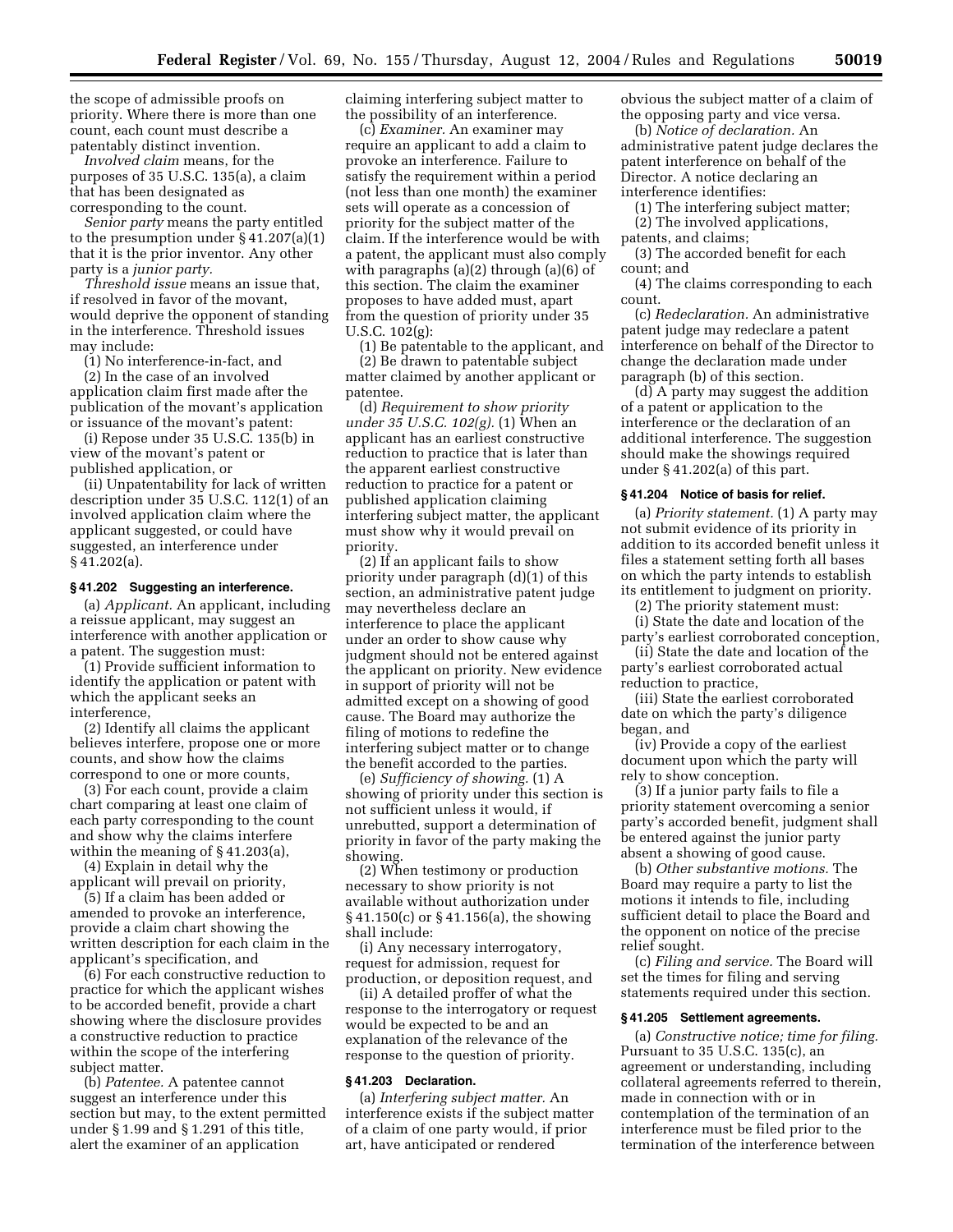the scope of admissible proofs on priority. Where there is more than one count, each count must describe a patentably distinct invention.

*Involved claim* means, for the purposes of 35 U.S.C. 135(a), a claim that has been designated as corresponding to the count.

*Senior party* means the party entitled to the presumption under § 41.207(a)(1) that it is the prior inventor. Any other party is a *junior party.* 

*Threshold issue* means an issue that, if resolved in favor of the movant, would deprive the opponent of standing in the interference. Threshold issues may include:

(1) No interference-in-fact, and

(2) In the case of an involved application claim first made after the publication of the movant's application or issuance of the movant's patent:

(i) Repose under 35 U.S.C. 135(b) in view of the movant's patent or published application, or

(ii) Unpatentability for lack of written description under 35 U.S.C. 112(1) of an involved application claim where the applicant suggested, or could have suggested, an interference under § 41.202(a).

#### **§ 41.202 Suggesting an interference.**

(a) *Applicant.* An applicant, including a reissue applicant, may suggest an interference with another application or a patent. The suggestion must:

(1) Provide sufficient information to identify the application or patent with which the applicant seeks an interference,

(2) Identify all claims the applicant believes interfere, propose one or more counts, and show how the claims correspond to one or more counts,

(3) For each count, provide a claim chart comparing at least one claim of each party corresponding to the count and show why the claims interfere within the meaning of § 41.203(a),

(4) Explain in detail why the applicant will prevail on priority,

(5) If a claim has been added or amended to provoke an interference, provide a claim chart showing the written description for each claim in the applicant's specification, and

(6) For each constructive reduction to practice for which the applicant wishes to be accorded benefit, provide a chart showing where the disclosure provides a constructive reduction to practice within the scope of the interfering subject matter.

(b) *Patentee.* A patentee cannot suggest an interference under this section but may, to the extent permitted under § 1.99 and § 1.291 of this title, alert the examiner of an application

claiming interfering subject matter to the possibility of an interference.

(c) *Examiner.* An examiner may require an applicant to add a claim to provoke an interference. Failure to satisfy the requirement within a period (not less than one month) the examiner sets will operate as a concession of priority for the subject matter of the claim. If the interference would be with a patent, the applicant must also comply with paragraphs (a)(2) through (a)(6) of this section. The claim the examiner proposes to have added must, apart from the question of priority under 35 U.S.C. 102(g):

(1) Be patentable to the applicant, and (2) Be drawn to patentable subject

matter claimed by another applicant or patentee.

(d) *Requirement to show priority under 35 U.S.C. 102(g).* (1) When an applicant has an earliest constructive reduction to practice that is later than the apparent earliest constructive reduction to practice for a patent or published application claiming interfering subject matter, the applicant must show why it would prevail on priority.

(2) If an applicant fails to show priority under paragraph (d)(1) of this section, an administrative patent judge may nevertheless declare an interference to place the applicant under an order to show cause why judgment should not be entered against the applicant on priority. New evidence in support of priority will not be admitted except on a showing of good cause. The Board may authorize the filing of motions to redefine the interfering subject matter or to change the benefit accorded to the parties.

(e) *Sufficiency of showing.* (1) A showing of priority under this section is not sufficient unless it would, if unrebutted, support a determination of priority in favor of the party making the showing.

(2) When testimony or production necessary to show priority is not available without authorization under § 41.150(c) or § 41.156(a), the showing shall include:

(i) Any necessary interrogatory, request for admission, request for production, or deposition request, and

(ii) A detailed proffer of what the response to the interrogatory or request would be expected to be and an explanation of the relevance of the response to the question of priority.

#### **§ 41.203 Declaration.**

(a) *Interfering subject matter.* An interference exists if the subject matter of a claim of one party would, if prior art, have anticipated or rendered

obvious the subject matter of a claim of the opposing party and vice versa.

(b) *Notice of declaration.* An administrative patent judge declares the patent interference on behalf of the Director. A notice declaring an interference identifies:

(1) The interfering subject matter; (2) The involved applications,

patents, and claims;

(3) The accorded benefit for each count; and

(4) The claims corresponding to each count.

(c) *Redeclaration.* An administrative patent judge may redeclare a patent interference on behalf of the Director to change the declaration made under paragraph (b) of this section.

(d) A party may suggest the addition of a patent or application to the interference or the declaration of an additional interference. The suggestion should make the showings required under § 41.202(a) of this part.

#### **§ 41.204 Notice of basis for relief.**

(a) *Priority statement.* (1) A party may not submit evidence of its priority in addition to its accorded benefit unless it files a statement setting forth all bases on which the party intends to establish its entitlement to judgment on priority.

(2) The priority statement must:

(i) State the date and location of the party's earliest corroborated conception,

(ii) State the date and location of the party's earliest corroborated actual reduction to practice,

(iii) State the earliest corroborated date on which the party's diligence began, and

(iv) Provide a copy of the earliest document upon which the party will rely to show conception.

(3) If a junior party fails to file a priority statement overcoming a senior party's accorded benefit, judgment shall be entered against the junior party absent a showing of good cause.

(b) *Other substantive motions.* The Board may require a party to list the motions it intends to file, including sufficient detail to place the Board and the opponent on notice of the precise relief sought.

(c) *Filing and service.* The Board will set the times for filing and serving statements required under this section.

## **§ 41.205 Settlement agreements.**

(a) *Constructive notice; time for filing.*  Pursuant to 35 U.S.C. 135(c), an agreement or understanding, including collateral agreements referred to therein, made in connection with or in contemplation of the termination of an interference must be filed prior to the termination of the interference between